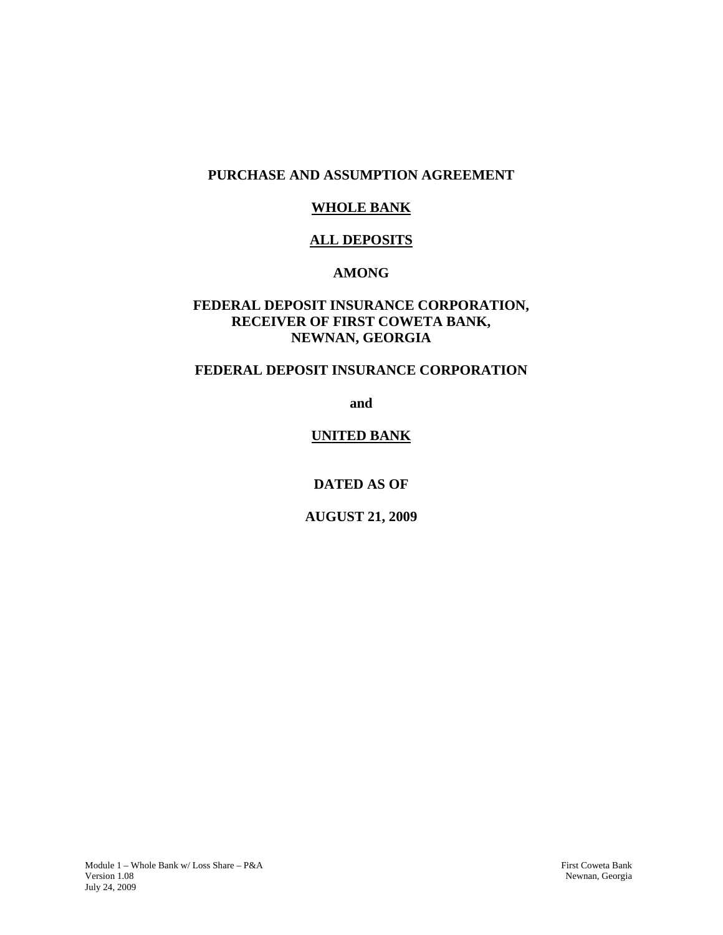### **PURCHASE AND ASSUMPTION AGREEMENT**

# **WHOLE BANK**

# **ALL DEPOSITS**

# **AMONG**

# **FEDERAL DEPOSIT INSURANCE CORPORATION, RECEIVER OF FIRST COWETA BANK, NEWNAN, GEORGIA**

### **FEDERAL DEPOSIT INSURANCE CORPORATION**

**and** 

# **UNITED BANK**

**DATED AS OF**

**AUGUST 21, 2009**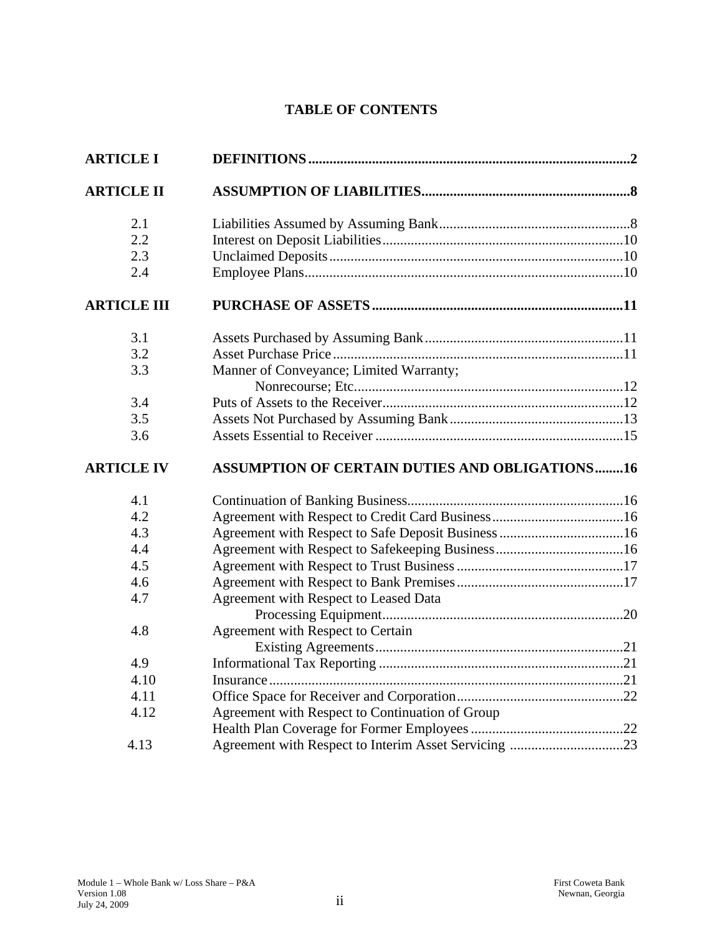# **TABLE OF CONTENTS**

| <b>ARTICLE I</b>   |                                                       |  |
|--------------------|-------------------------------------------------------|--|
| <b>ARTICLE II</b>  |                                                       |  |
| 2.1                |                                                       |  |
| 2.2                |                                                       |  |
| 2.3                |                                                       |  |
| 2.4                |                                                       |  |
| <b>ARTICLE III</b> |                                                       |  |
| 3.1                |                                                       |  |
| 3.2                |                                                       |  |
| 3.3                | Manner of Conveyance; Limited Warranty;               |  |
|                    |                                                       |  |
| 3.4                |                                                       |  |
| 3.5                |                                                       |  |
| 3.6                |                                                       |  |
| <b>ARTICLE IV</b>  | <b>ASSUMPTION OF CERTAIN DUTIES AND OBLIGATIONS16</b> |  |
| 4.1                |                                                       |  |
| 4.2                |                                                       |  |
| 4.3                |                                                       |  |
| 4.4                |                                                       |  |
| 4.5                |                                                       |  |
| 4.6                |                                                       |  |
| 4.7                | Agreement with Respect to Leased Data                 |  |
|                    |                                                       |  |
| 4.8                | Agreement with Respect to Certain                     |  |
|                    |                                                       |  |
| 4.9                |                                                       |  |
| 4.10               |                                                       |  |
| 4.11               |                                                       |  |
|                    |                                                       |  |
| 4.12               | Agreement with Respect to Continuation of Group       |  |
| 4.13               | Agreement with Respect to Interim Asset Servicing 23  |  |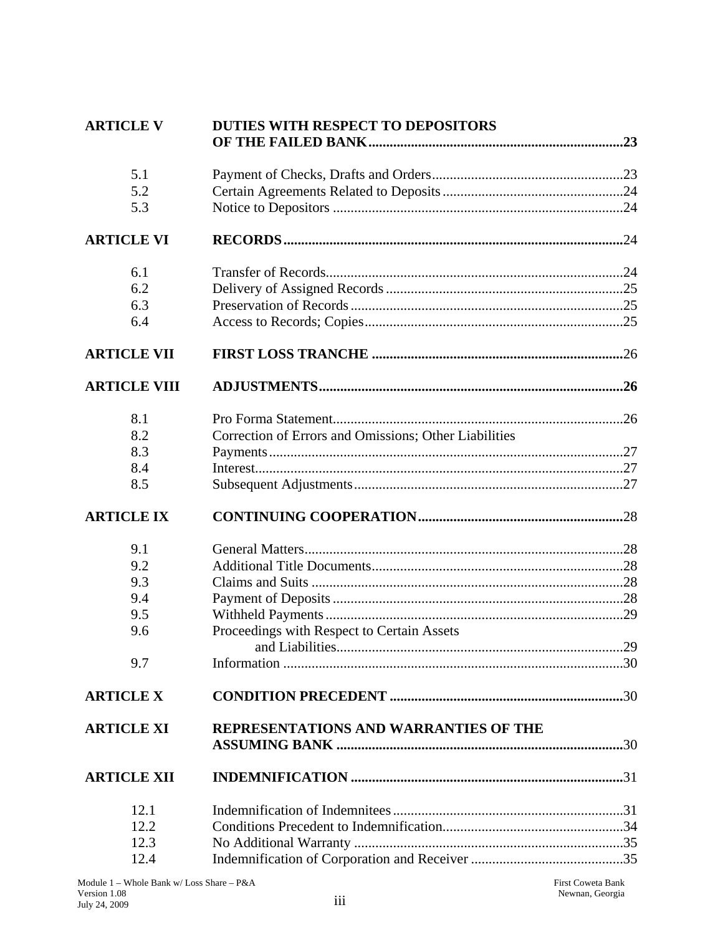| <b>ARTICLE V</b>    | DUTIES WITH RESPECT TO DEPOSITORS                     |  |  |
|---------------------|-------------------------------------------------------|--|--|
|                     |                                                       |  |  |
| 5.1                 |                                                       |  |  |
| 5.2                 |                                                       |  |  |
| 5.3                 |                                                       |  |  |
|                     |                                                       |  |  |
| <b>ARTICLE VI</b>   |                                                       |  |  |
| 6.1                 |                                                       |  |  |
| 6.2                 |                                                       |  |  |
| 6.3                 |                                                       |  |  |
| 6.4                 |                                                       |  |  |
| <b>ARTICLE VII</b>  |                                                       |  |  |
| <b>ARTICLE VIII</b> |                                                       |  |  |
| 8.1                 |                                                       |  |  |
| 8.2                 | Correction of Errors and Omissions; Other Liabilities |  |  |
| 8.3                 |                                                       |  |  |
| 8.4                 |                                                       |  |  |
| 8.5                 |                                                       |  |  |
| <b>ARTICLE IX</b>   |                                                       |  |  |
| 9.1                 |                                                       |  |  |
| 9.2                 |                                                       |  |  |
| 9.3                 |                                                       |  |  |
| 9.4                 |                                                       |  |  |
| 9.5                 |                                                       |  |  |
| 9.6                 | Proceedings with Respect to Certain Assets            |  |  |
|                     |                                                       |  |  |
| 9.7                 |                                                       |  |  |
| <b>ARTICLE X</b>    |                                                       |  |  |
| <b>ARTICLE XI</b>   | REPRESENTATIONS AND WARRANTIES OF THE                 |  |  |
|                     |                                                       |  |  |
| <b>ARTICLE XII</b>  |                                                       |  |  |
| 12.1                |                                                       |  |  |
| 12.2                |                                                       |  |  |
| 12.3                |                                                       |  |  |
| 12.4                |                                                       |  |  |
|                     |                                                       |  |  |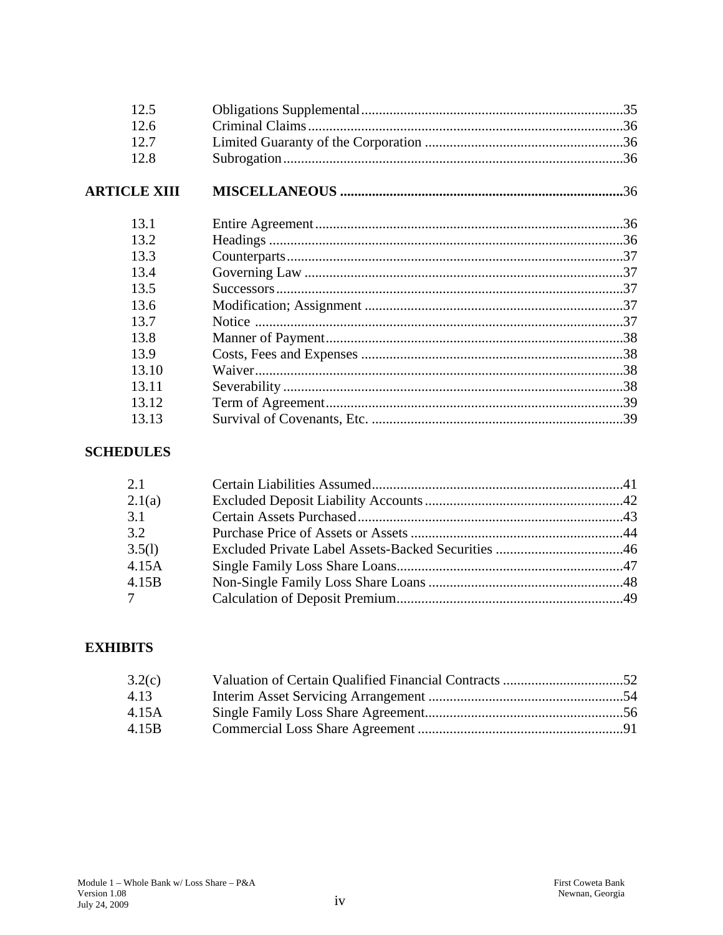| 12.5                |  |
|---------------------|--|
| 12.6                |  |
| 12.7                |  |
| 12.8                |  |
| <b>ARTICLE XIII</b> |  |
| 13.1                |  |
| 13.2                |  |
| 13.3                |  |
| 13.4                |  |
| 13.5                |  |
| 13.6                |  |
| 13.7                |  |
| 13.8                |  |
| 13.9                |  |
| 13.10               |  |
| 13.11               |  |
| 13.12               |  |
| 13.13               |  |

# **SCHEDULES**

# **EXHIBITS**

| 3.2(c) |  |
|--------|--|
| 4.13   |  |
| 4.15A  |  |
| 4.15B  |  |
|        |  |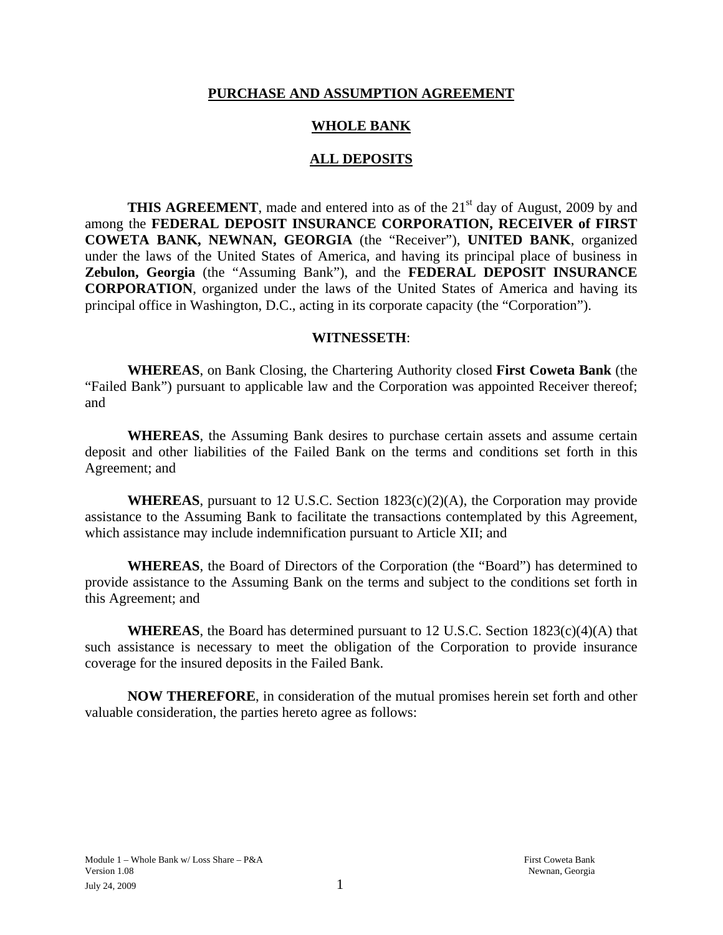#### **PURCHASE AND ASSUMPTION AGREEMENT**

# **WHOLE BANK**

#### **ALL DEPOSITS**

**THIS AGREEMENT**, made and entered into as of the 21<sup>st</sup> day of August, 2009 by and among the **FEDERAL DEPOSIT INSURANCE CORPORATION, RECEIVER of FIRST COWETA BANK, NEWNAN, GEORGIA** (the "Receiver"), **UNITED BANK**, organized under the laws of the United States of America, and having its principal place of business in **Zebulon, Georgia** (the "Assuming Bank"), and the **FEDERAL DEPOSIT INSURANCE CORPORATION**, organized under the laws of the United States of America and having its principal office in Washington, D.C., acting in its corporate capacity (the "Corporation").

#### **WITNESSETH**:

**WHEREAS**, on Bank Closing, the Chartering Authority closed **First Coweta Bank** (the "Failed Bank") pursuant to applicable law and the Corporation was appointed Receiver thereof; and

**WHEREAS**, the Assuming Bank desires to purchase certain assets and assume certain deposit and other liabilities of the Failed Bank on the terms and conditions set forth in this Agreement; and

**WHEREAS**, pursuant to 12 U.S.C. Section 1823(c)(2)(A), the Corporation may provide assistance to the Assuming Bank to facilitate the transactions contemplated by this Agreement, which assistance may include indemnification pursuant to Article XII; and

**WHEREAS**, the Board of Directors of the Corporation (the "Board") has determined to provide assistance to the Assuming Bank on the terms and subject to the conditions set forth in this Agreement; and

**WHEREAS**, the Board has determined pursuant to 12 U.S.C. Section 1823(c)(4)(A) that such assistance is necessary to meet the obligation of the Corporation to provide insurance coverage for the insured deposits in the Failed Bank.

 **NOW THEREFORE**, in consideration of the mutual promises herein set forth and other valuable consideration, the parties hereto agree as follows: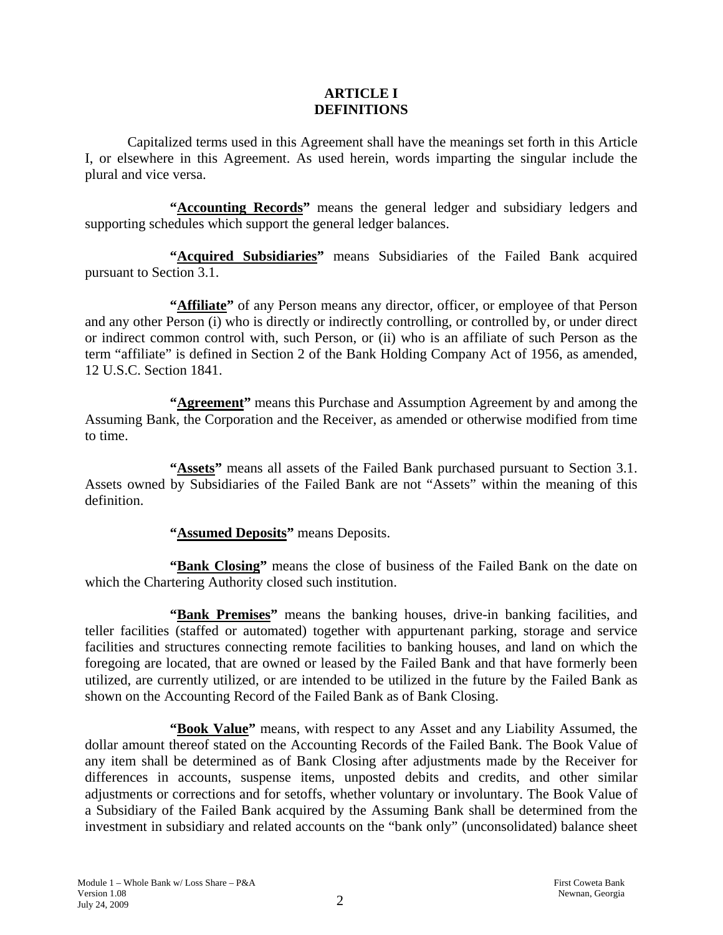#### **ARTICLE I DEFINITIONS**

<span id="page-5-1"></span><span id="page-5-0"></span>Capitalized terms used in this Agreement shall have the meanings set forth in this Article I, or elsewhere in this Agreement. As used herein, words imparting the singular include the plural and vice versa.

"**Accounting Records**" means the general ledger and subsidiary ledgers and supporting schedules which support the general ledger balances.

**"Acquired Subsidiaries"** means Subsidiaries of the Failed Bank acquired pursuant to Section 3.1.

**"Affiliate"** of any Person means any director, officer, or employee of that Person and any other Person (i) who is directly or indirectly controlling, or controlled by, or under direct or indirect common control with, such Person, or (ii) who is an affiliate of such Person as the term "affiliate" is defined in Section 2 of the Bank Holding Company Act of 1956, as amended, 12 U.S.C. Section 1841.

**"Agreement"** means this Purchase and Assumption Agreement by and among the Assuming Bank, the Corporation and the Receiver, as amended or otherwise modified from time to time.

**"Assets"** means all assets of the Failed Bank purchased pursuant to Section 3.1. Assets owned by Subsidiaries of the Failed Bank are not "Assets" within the meaning of this definition.

**"Assumed Deposits"** means Deposits.

**"Bank Closing"** means the close of business of the Failed Bank on the date on which the Chartering Authority closed such institution.

**"Bank Premises"** means the banking houses, drive-in banking facilities, and teller facilities (staffed or automated) together with appurtenant parking, storage and service facilities and structures connecting remote facilities to banking houses, and land on which the foregoing are located, that are owned or leased by the Failed Bank and that have formerly been utilized, are currently utilized, or are intended to be utilized in the future by the Failed Bank as shown on the Accounting Record of the Failed Bank as of Bank Closing.

**"Book Value"** means, with respect to any Asset and any Liability Assumed, the dollar amount thereof stated on the Accounting Records of the Failed Bank. The Book Value of any item shall be determined as of Bank Closing after adjustments made by the Receiver for differences in accounts, suspense items, unposted debits and credits, and other similar adjustments or corrections and for setoffs, whether voluntary or involuntary. The Book Value of a Subsidiary of the Failed Bank acquired by the Assuming Bank shall be determined from the investment in subsidiary and related accounts on the "bank only" (unconsolidated) balance sheet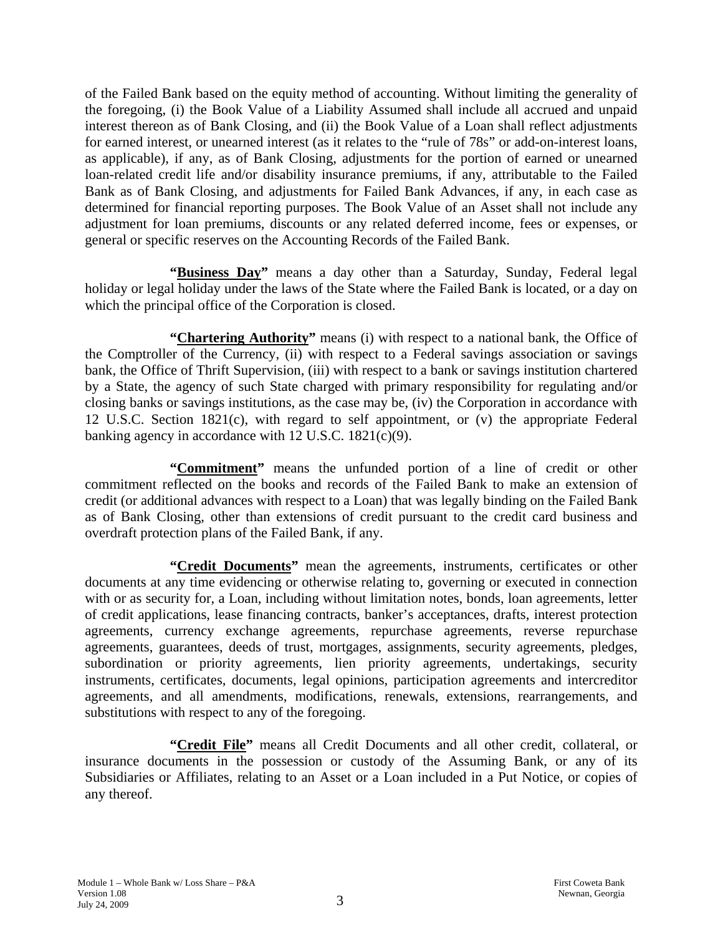<span id="page-6-0"></span>of the Failed Bank based on the equity method of accounting. Without limiting the generality of the foregoing, (i) the Book Value of a Liability Assumed shall include all accrued and unpaid interest thereon as of Bank Closing, and (ii) the Book Value of a Loan shall reflect adjustments for earned interest, or unearned interest (as it relates to the "rule of 78s" or add-on-interest loans, as applicable), if any, as of Bank Closing, adjustments for the portion of earned or unearned loan-related credit life and/or disability insurance premiums, if any, attributable to the Failed Bank as of Bank Closing, and adjustments for Failed Bank Advances, if any, in each case as determined for financial reporting purposes. The Book Value of an Asset shall not include any adjustment for loan premiums, discounts or any related deferred income, fees or expenses, or general or specific reserves on the Accounting Records of the Failed Bank.

"Business Day" means a day other than a Saturday, Sunday, Federal legal holiday or legal holiday under the laws of the State where the Failed Bank is located, or a day on which the principal office of the Corporation is closed.

**"Chartering Authority"** means (i) with respect to a national bank, the Office of the Comptroller of the Currency, (ii) with respect to a Federal savings association or savings bank, the Office of Thrift Supervision, (iii) with respect to a bank or savings institution chartered by a State, the agency of such State charged with primary responsibility for regulating and/or closing banks or savings institutions, as the case may be, (iv) the Corporation in accordance with 12 U.S.C. Section 1821(c), with regard to self appointment, or (v) the appropriate Federal banking agency in accordance with 12 U.S.C. 1821(c)(9).

**"Commitment"** means the unfunded portion of a line of credit or other commitment reflected on the books and records of the Failed Bank to make an extension of credit (or additional advances with respect to a Loan) that was legally binding on the Failed Bank as of Bank Closing, other than extensions of credit pursuant to the credit card business and overdraft protection plans of the Failed Bank, if any.

**"Credit Documents"** mean the agreements, instruments, certificates or other documents at any time evidencing or otherwise relating to, governing or executed in connection with or as security for, a Loan, including without limitation notes, bonds, loan agreements, letter of credit applications, lease financing contracts, banker's acceptances, drafts, interest protection agreements, currency exchange agreements, repurchase agreements, reverse repurchase agreements, guarantees, deeds of trust, mortgages, assignments, security agreements, pledges, subordination or priority agreements, lien priority agreements, undertakings, security instruments, certificates, documents, legal opinions, participation agreements and intercreditor agreements, and all amendments, modifications, renewals, extensions, rearrangements, and substitutions with respect to any of the foregoing.

**"Credit File"** means all Credit Documents and all other credit, collateral, or insurance documents in the possession or custody of the Assuming Bank, or any of its Subsidiaries or Affiliates, relating to an Asset or a Loan included in a Put Notice, or copies of any thereof.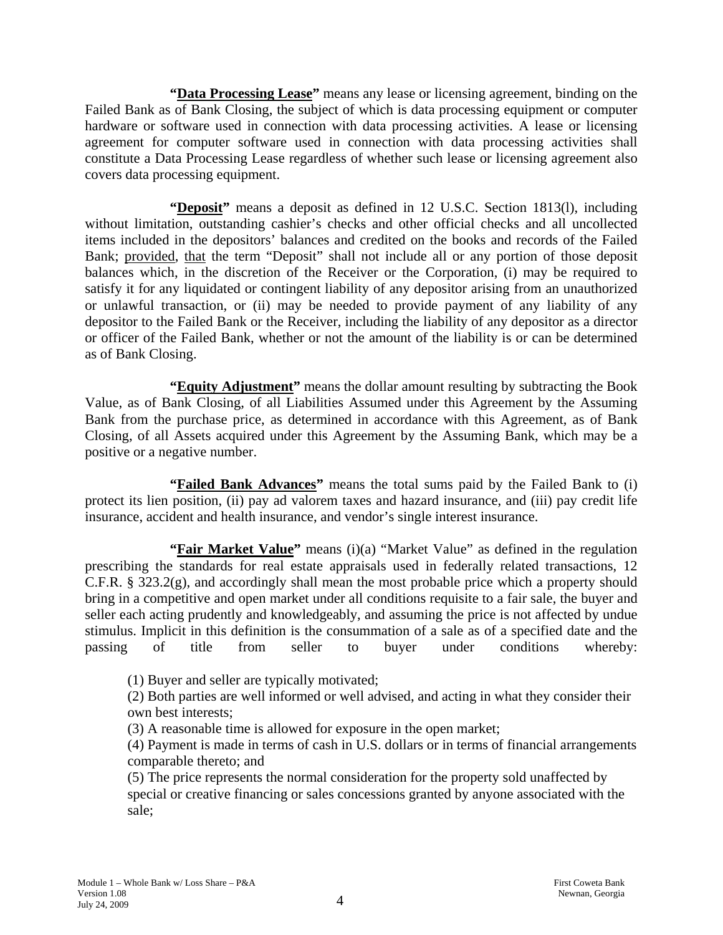<span id="page-7-0"></span> **"Data Processing Lease"** means any lease or licensing agreement, binding on the Failed Bank as of Bank Closing, the subject of which is data processing equipment or computer hardware or software used in connection with data processing activities. A lease or licensing agreement for computer software used in connection with data processing activities shall constitute a Data Processing Lease regardless of whether such lease or licensing agreement also covers data processing equipment.

**"Deposit"** means a deposit as defined in 12 U.S.C. Section 1813(l), including without limitation, outstanding cashier's checks and other official checks and all uncollected items included in the depositors' balances and credited on the books and records of the Failed Bank; provided, that the term "Deposit" shall not include all or any portion of those deposit balances which, in the discretion of the Receiver or the Corporation, (i) may be required to satisfy it for any liquidated or contingent liability of any depositor arising from an unauthorized or unlawful transaction, or (ii) may be needed to provide payment of any liability of any depositor to the Failed Bank or the Receiver, including the liability of any depositor as a director or officer of the Failed Bank, whether or not the amount of the liability is or can be determined as of Bank Closing.

**"Equity Adjustment"** means the dollar amount resulting by subtracting the Book Value, as of Bank Closing, of all Liabilities Assumed under this Agreement by the Assuming Bank from the purchase price, as determined in accordance with this Agreement, as of Bank Closing, of all Assets acquired under this Agreement by the Assuming Bank, which may be a positive or a negative number.

**"Failed Bank Advances"** means the total sums paid by the Failed Bank to (i) protect its lien position, (ii) pay ad valorem taxes and hazard insurance, and (iii) pay credit life insurance, accident and health insurance, and vendor's single interest insurance.

**"Fair Market Value"** means (i)(a) "Market Value" as defined in the regulation prescribing the standards for real estate appraisals used in federally related transactions, 12 C.F.R. § 323.2(g), and accordingly shall mean the most probable price which a property should bring in a competitive and open market under all conditions requisite to a fair sale, the buyer and seller each acting prudently and knowledgeably, and assuming the price is not affected by undue stimulus. Implicit in this definition is the consummation of a sale as of a specified date and the passing of title from seller to buyer under conditions whereby:

(1) Buyer and seller are typically motivated;

(2) Both parties are well informed or well advised, and acting in what they consider their own best interests;

(3) A reasonable time is allowed for exposure in the open market;

(4) Payment is made in terms of cash in U.S. dollars or in terms of financial arrangements comparable thereto; and

(5) The price represents the normal consideration for the property sold unaffected by special or creative financing or sales concessions granted by anyone associated with the sale;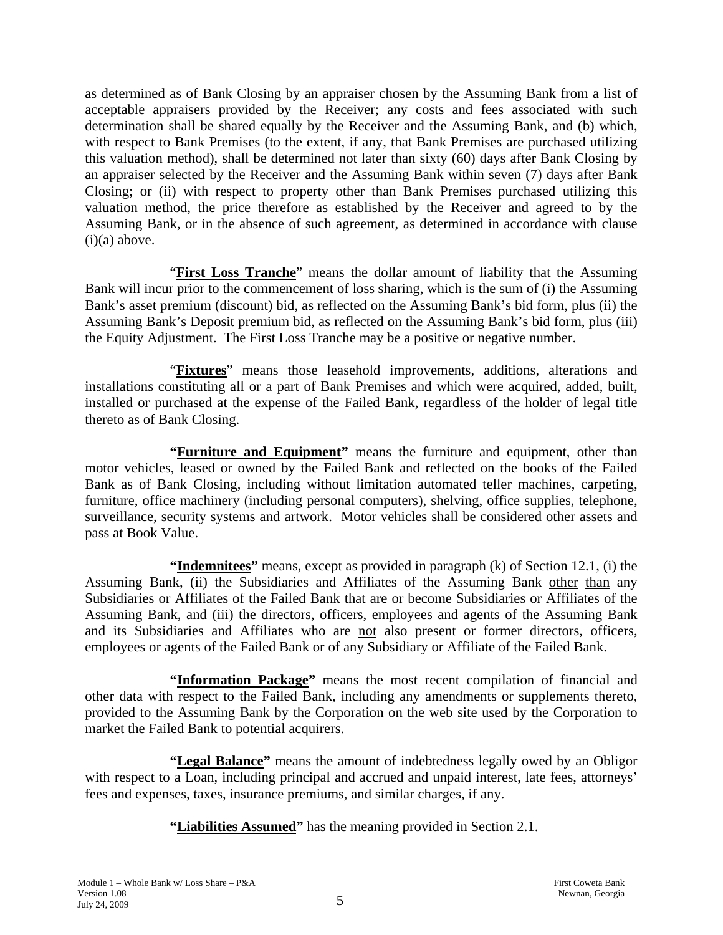as determined as of Bank Closing by an appraiser chosen by the Assuming Bank from a list of acceptable appraisers provided by the Receiver; any costs and fees associated with such determination shall be shared equally by the Receiver and the Assuming Bank, and (b) which, with respect to Bank Premises (to the extent, if any, that Bank Premises are purchased utilizing this valuation method), shall be determined not later than sixty (60) days after Bank Closing by an appraiser selected by the Receiver and the Assuming Bank within seven (7) days after Bank Closing; or (ii) with respect to property other than Bank Premises purchased utilizing this valuation method, the price therefore as established by the Receiver and agreed to by the Assuming Bank, or in the absence of such agreement, as determined in accordance with clause  $(i)(a)$  above.

"**First Loss Tranche**" means the dollar amount of liability that the Assuming Bank will incur prior to the commencement of loss sharing, which is the sum of (i) the Assuming Bank's asset premium (discount) bid, as reflected on the Assuming Bank's bid form, plus (ii) the Assuming Bank's Deposit premium bid, as reflected on the Assuming Bank's bid form, plus (iii) the Equity Adjustment. The First Loss Tranche may be a positive or negative number.

"**Fixtures**" means those leasehold improvements, additions, alterations and installations constituting all or a part of Bank Premises and which were acquired, added, built, installed or purchased at the expense of the Failed Bank, regardless of the holder of legal title thereto as of Bank Closing.

**"Furniture and Equipment"** means the furniture and equipment, other than motor vehicles, leased or owned by the Failed Bank and reflected on the books of the Failed Bank as of Bank Closing, including without limitation automated teller machines, carpeting, furniture, office machinery (including personal computers), shelving, office supplies, telephone, surveillance, security systems and artwork. Motor vehicles shall be considered other assets and pass at Book Value.

**"Indemnitees"** means, except as provided in paragraph (k) of Section 12.1, (i) the Assuming Bank, (ii) the Subsidiaries and Affiliates of the Assuming Bank other than any Subsidiaries or Affiliates of the Failed Bank that are or become Subsidiaries or Affiliates of the Assuming Bank, and (iii) the directors, officers, employees and agents of the Assuming Bank and its Subsidiaries and Affiliates who are not also present or former directors, officers, employees or agents of the Failed Bank or of any Subsidiary or Affiliate of the Failed Bank.

"Information Package" means the most recent compilation of financial and other data with respect to the Failed Bank, including any amendments or supplements thereto, provided to the Assuming Bank by the Corporation on the web site used by the Corporation to market the Failed Bank to potential acquirers.

**"Legal Balance"** means the amount of indebtedness legally owed by an Obligor with respect to a Loan, including principal and accrued and unpaid interest, late fees, attorneys' fees and expenses, taxes, insurance premiums, and similar charges, if any.

**"Liabilities Assumed"** has the meaning provided in Section 2.1.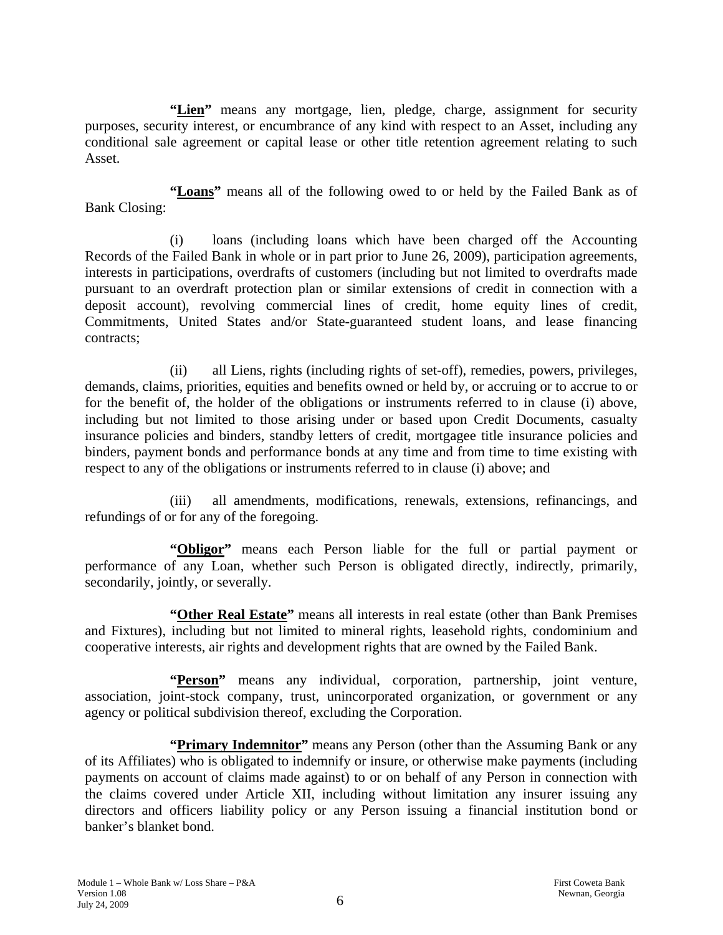"Lien" means any mortgage, lien, pledge, charge, assignment for security purposes, security interest, or encumbrance of any kind with respect to an Asset, including any conditional sale agreement or capital lease or other title retention agreement relating to such Asset.

**"Loans"** means all of the following owed to or held by the Failed Bank as of Bank Closing:

(i) loans (including loans which have been charged off the Accounting Records of the Failed Bank in whole or in part prior to June 26, 2009), participation agreements, interests in participations, overdrafts of customers (including but not limited to overdrafts made pursuant to an overdraft protection plan or similar extensions of credit in connection with a deposit account), revolving commercial lines of credit, home equity lines of credit, Commitments, United States and/or State-guaranteed student loans, and lease financing contracts;

(ii) all Liens, rights (including rights of set-off), remedies, powers, privileges, demands, claims, priorities, equities and benefits owned or held by, or accruing or to accrue to or for the benefit of, the holder of the obligations or instruments referred to in clause (i) above, including but not limited to those arising under or based upon Credit Documents, casualty insurance policies and binders, standby letters of credit, mortgagee title insurance policies and binders, payment bonds and performance bonds at any time and from time to time existing with respect to any of the obligations or instruments referred to in clause (i) above; and

(iii) all amendments, modifications, renewals, extensions, refinancings, and refundings of or for any of the foregoing.

**"Obligor"** means each Person liable for the full or partial payment or performance of any Loan, whether such Person is obligated directly, indirectly, primarily, secondarily, jointly, or severally.

**"Other Real Estate"** means all interests in real estate (other than Bank Premises and Fixtures), including but not limited to mineral rights, leasehold rights, condominium and cooperative interests, air rights and development rights that are owned by the Failed Bank.

"Person" means any individual, corporation, partnership, joint venture, association, joint-stock company, trust, unincorporated organization, or government or any agency or political subdivision thereof, excluding the Corporation.

**"Primary Indemnitor"** means any Person (other than the Assuming Bank or any of its Affiliates) who is obligated to indemnify or insure, or otherwise make payments (including payments on account of claims made against) to or on behalf of any Person in connection with the claims covered under Article XII, including without limitation any insurer issuing any directors and officers liability policy or any Person issuing a financial institution bond or banker's blanket bond.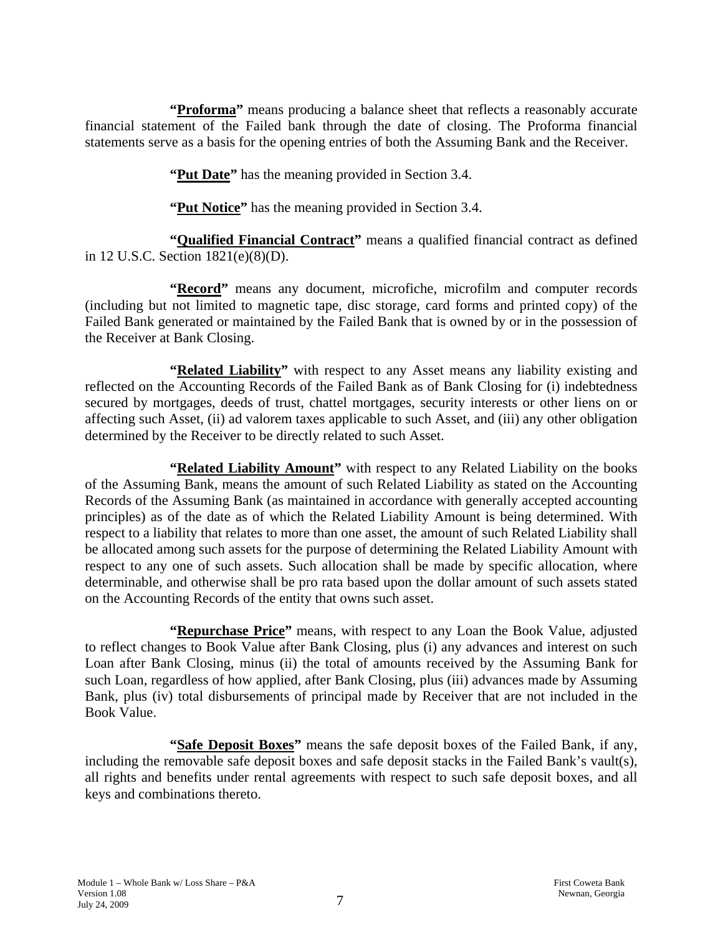**"Proforma"** means producing a balance sheet that reflects a reasonably accurate financial statement of the Failed bank through the date of closing. The Proforma financial statements serve as a basis for the opening entries of both the Assuming Bank and the Receiver.

**"Put Date"** has the meaning provided in Section 3.4.

**"Put Notice"** has the meaning provided in Section 3.4.

**"Qualified Financial Contract"** means a qualified financial contract as defined in 12 U.S.C. Section 1821(e)(8)(D).

**"Record"** means any document, microfiche, microfilm and computer records (including but not limited to magnetic tape, disc storage, card forms and printed copy) of the Failed Bank generated or maintained by the Failed Bank that is owned by or in the possession of the Receiver at Bank Closing.

**"Related Liability"** with respect to any Asset means any liability existing and reflected on the Accounting Records of the Failed Bank as of Bank Closing for (i) indebtedness secured by mortgages, deeds of trust, chattel mortgages, security interests or other liens on or affecting such Asset, (ii) ad valorem taxes applicable to such Asset, and (iii) any other obligation determined by the Receiver to be directly related to such Asset.

**"Related Liability Amount"** with respect to any Related Liability on the books of the Assuming Bank, means the amount of such Related Liability as stated on the Accounting Records of the Assuming Bank (as maintained in accordance with generally accepted accounting principles) as of the date as of which the Related Liability Amount is being determined. With respect to a liability that relates to more than one asset, the amount of such Related Liability shall be allocated among such assets for the purpose of determining the Related Liability Amount with respect to any one of such assets. Such allocation shall be made by specific allocation, where determinable, and otherwise shall be pro rata based upon the dollar amount of such assets stated on the Accounting Records of the entity that owns such asset.

 **"Repurchase Price"** means, with respect to any Loan the Book Value, adjusted to reflect changes to Book Value after Bank Closing, plus (i) any advances and interest on such Loan after Bank Closing, minus (ii) the total of amounts received by the Assuming Bank for such Loan, regardless of how applied, after Bank Closing, plus (iii) advances made by Assuming Bank, plus (iv) total disbursements of principal made by Receiver that are not included in the Book Value.

**"Safe Deposit Boxes"** means the safe deposit boxes of the Failed Bank, if any, including the removable safe deposit boxes and safe deposit stacks in the Failed Bank's vault(s), all rights and benefits under rental agreements with respect to such safe deposit boxes, and all keys and combinations thereto.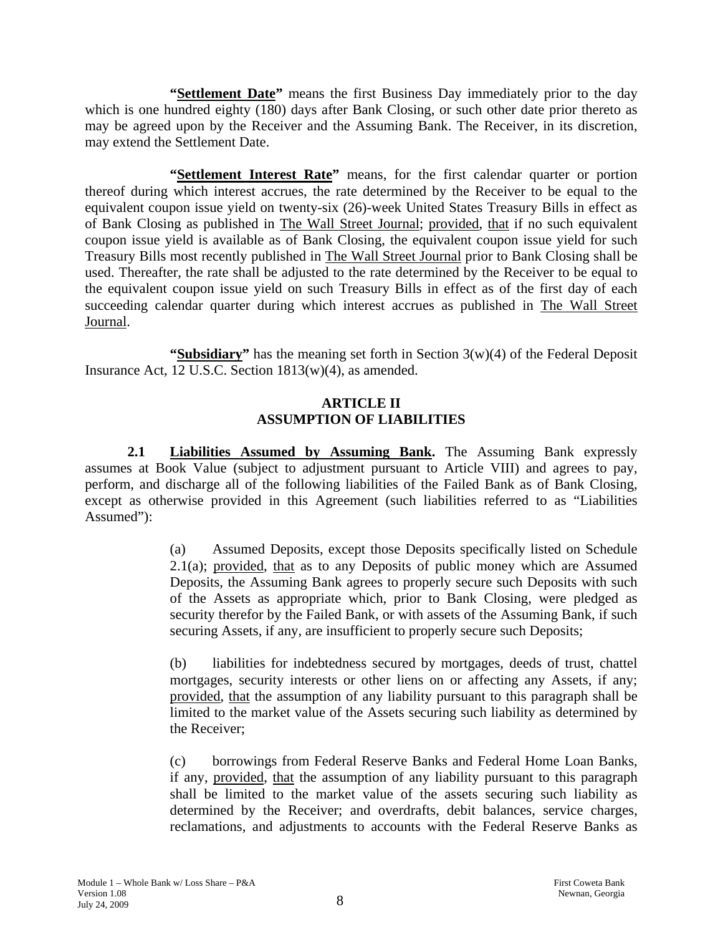<span id="page-11-0"></span>**"Settlement Date"** means the first Business Day immediately prior to the day which is one hundred eighty (180) days after Bank Closing, or such other date prior thereto as may be agreed upon by the Receiver and the Assuming Bank. The Receiver, in its discretion, may extend the Settlement Date.

"Settlement Interest Rate" means, for the first calendar quarter or portion thereof during which interest accrues, the rate determined by the Receiver to be equal to the equivalent coupon issue yield on twenty-six (26)-week United States Treasury Bills in effect as of Bank Closing as published in The Wall Street Journal; provided, that if no such equivalent coupon issue yield is available as of Bank Closing, the equivalent coupon issue yield for such Treasury Bills most recently published in The Wall Street Journal prior to Bank Closing shall be used. Thereafter, the rate shall be adjusted to the rate determined by the Receiver to be equal to the equivalent coupon issue yield on such Treasury Bills in effect as of the first day of each succeeding calendar quarter during which interest accrues as published in The Wall Street Journal.

**"Subsidiary"** has the meaning set forth in Section 3(w)(4) of the Federal Deposit Insurance Act, 12 U.S.C. Section 1813(w)(4), as amended.

# **ARTICLE II ASSUMPTION OF LIABILITIES**

 **2.1 Liabilities Assumed by Assuming Bank.** The Assuming Bank expressly assumes at Book Value (subject to adjustment pursuant to Article VIII) and agrees to pay, perform, and discharge all of the following liabilities of the Failed Bank as of Bank Closing, except as otherwise provided in this Agreement (such liabilities referred to as "Liabilities Assumed"):

> (a) Assumed Deposits, except those Deposits specifically listed on Schedule 2.1(a); provided, that as to any Deposits of public money which are Assumed Deposits, the Assuming Bank agrees to properly secure such Deposits with such of the Assets as appropriate which, prior to Bank Closing, were pledged as security therefor by the Failed Bank, or with assets of the Assuming Bank, if such securing Assets, if any, are insufficient to properly secure such Deposits;

> (b) liabilities for indebtedness secured by mortgages, deeds of trust, chattel mortgages, security interests or other liens on or affecting any Assets, if any; provided, that the assumption of any liability pursuant to this paragraph shall be limited to the market value of the Assets securing such liability as determined by the Receiver;

> (c) borrowings from Federal Reserve Banks and Federal Home Loan Banks, if any, provided, that the assumption of any liability pursuant to this paragraph shall be limited to the market value of the assets securing such liability as determined by the Receiver; and overdrafts, debit balances, service charges, reclamations, and adjustments to accounts with the Federal Reserve Banks as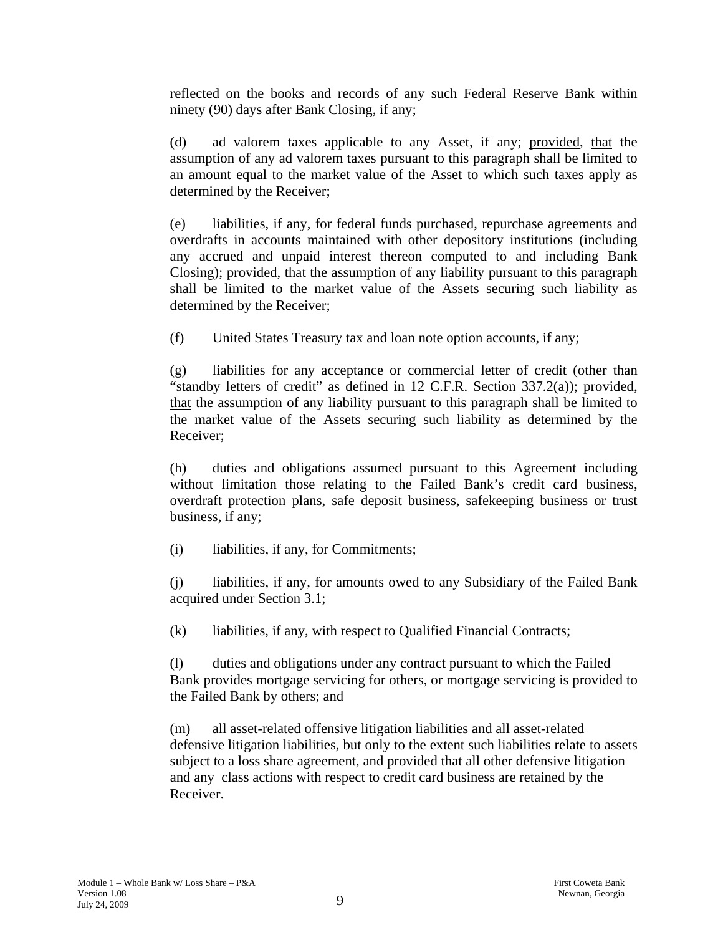reflected on the books and records of any such Federal Reserve Bank within ninety (90) days after Bank Closing, if any;

(d) ad valorem taxes applicable to any Asset, if any; provided, that the assumption of any ad valorem taxes pursuant to this paragraph shall be limited to an amount equal to the market value of the Asset to which such taxes apply as determined by the Receiver;

(e) liabilities, if any, for federal funds purchased, repurchase agreements and overdrafts in accounts maintained with other depository institutions (including any accrued and unpaid interest thereon computed to and including Bank Closing); provided, that the assumption of any liability pursuant to this paragraph shall be limited to the market value of the Assets securing such liability as determined by the Receiver;

(f) United States Treasury tax and loan note option accounts, if any;

(g) liabilities for any acceptance or commercial letter of credit (other than "standby letters of credit" as defined in 12 C.F.R. Section 337.2(a)); provided, that the assumption of any liability pursuant to this paragraph shall be limited to the market value of the Assets securing such liability as determined by the Receiver;

(h) duties and obligations assumed pursuant to this Agreement including without limitation those relating to the Failed Bank's credit card business, overdraft protection plans, safe deposit business, safekeeping business or trust business, if any;

(i) liabilities, if any, for Commitments;

(j) liabilities, if any, for amounts owed to any Subsidiary of the Failed Bank acquired under Section 3.1;

(k) liabilities, if any, with respect to Qualified Financial Contracts;

(l) duties and obligations under any contract pursuant to which the Failed Bank provides mortgage servicing for others, or mortgage servicing is provided to the Failed Bank by others; and

(m) all asset-related offensive litigation liabilities and all asset-related defensive litigation liabilities, but only to the extent such liabilities relate to assets subject to a loss share agreement, and provided that all other defensive litigation and any class actions with respect to credit card business are retained by the Receiver.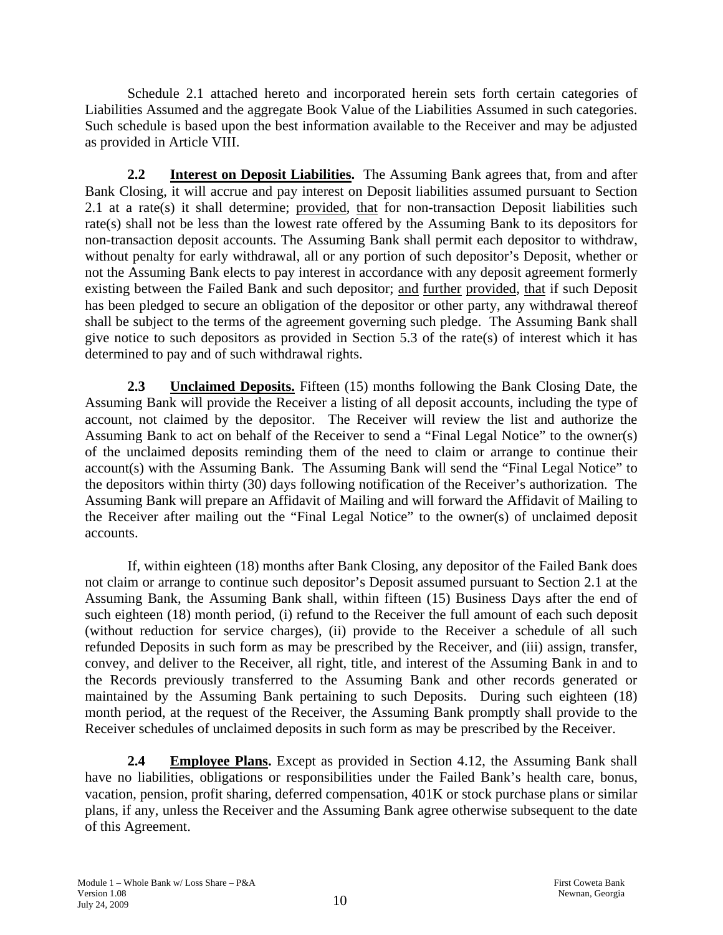<span id="page-13-0"></span>Schedule 2.1 attached hereto and incorporated herein sets forth certain categories of Liabilities Assumed and the aggregate Book Value of the Liabilities Assumed in such categories. Such schedule is based upon the best information available to the Receiver and may be adjusted as provided in Article VIII.

**2.2** Interest on Deposit Liabilities. The Assuming Bank agrees that, from and after Bank Closing, it will accrue and pay interest on Deposit liabilities assumed pursuant to Section 2.1 at a rate(s) it shall determine; provided, that for non-transaction Deposit liabilities such rate(s) shall not be less than the lowest rate offered by the Assuming Bank to its depositors for non-transaction deposit accounts. The Assuming Bank shall permit each depositor to withdraw, without penalty for early withdrawal, all or any portion of such depositor's Deposit, whether or not the Assuming Bank elects to pay interest in accordance with any deposit agreement formerly existing between the Failed Bank and such depositor; and further provided, that if such Deposit has been pledged to secure an obligation of the depositor or other party, any withdrawal thereof shall be subject to the terms of the agreement governing such pledge. The Assuming Bank shall give notice to such depositors as provided in Section 5.3 of the rate(s) of interest which it has determined to pay and of such withdrawal rights.

**2.3 Unclaimed Deposits.** Fifteen (15) months following the Bank Closing Date, the Assuming Bank will provide the Receiver a listing of all deposit accounts, including the type of account, not claimed by the depositor. The Receiver will review the list and authorize the Assuming Bank to act on behalf of the Receiver to send a "Final Legal Notice" to the owner(s) of the unclaimed deposits reminding them of the need to claim or arrange to continue their account(s) with the Assuming Bank. The Assuming Bank will send the "Final Legal Notice" to the depositors within thirty (30) days following notification of the Receiver's authorization. The Assuming Bank will prepare an Affidavit of Mailing and will forward the Affidavit of Mailing to the Receiver after mailing out the "Final Legal Notice" to the owner(s) of unclaimed deposit accounts.

If, within eighteen (18) months after Bank Closing, any depositor of the Failed Bank does not claim or arrange to continue such depositor's Deposit assumed pursuant to Section 2.1 at the Assuming Bank, the Assuming Bank shall, within fifteen (15) Business Days after the end of such eighteen (18) month period, (i) refund to the Receiver the full amount of each such deposit (without reduction for service charges), (ii) provide to the Receiver a schedule of all such refunded Deposits in such form as may be prescribed by the Receiver, and (iii) assign, transfer, convey, and deliver to the Receiver, all right, title, and interest of the Assuming Bank in and to the Records previously transferred to the Assuming Bank and other records generated or maintained by the Assuming Bank pertaining to such Deposits. During such eighteen (18) month period, at the request of the Receiver, the Assuming Bank promptly shall provide to the Receiver schedules of unclaimed deposits in such form as may be prescribed by the Receiver.

**2.4 Employee Plans.** Except as provided in Section 4.12, the Assuming Bank shall have no liabilities, obligations or responsibilities under the Failed Bank's health care, bonus, vacation, pension, profit sharing, deferred compensation, 401K or stock purchase plans or similar plans, if any, unless the Receiver and the Assuming Bank agree otherwise subsequent to the date of this Agreement.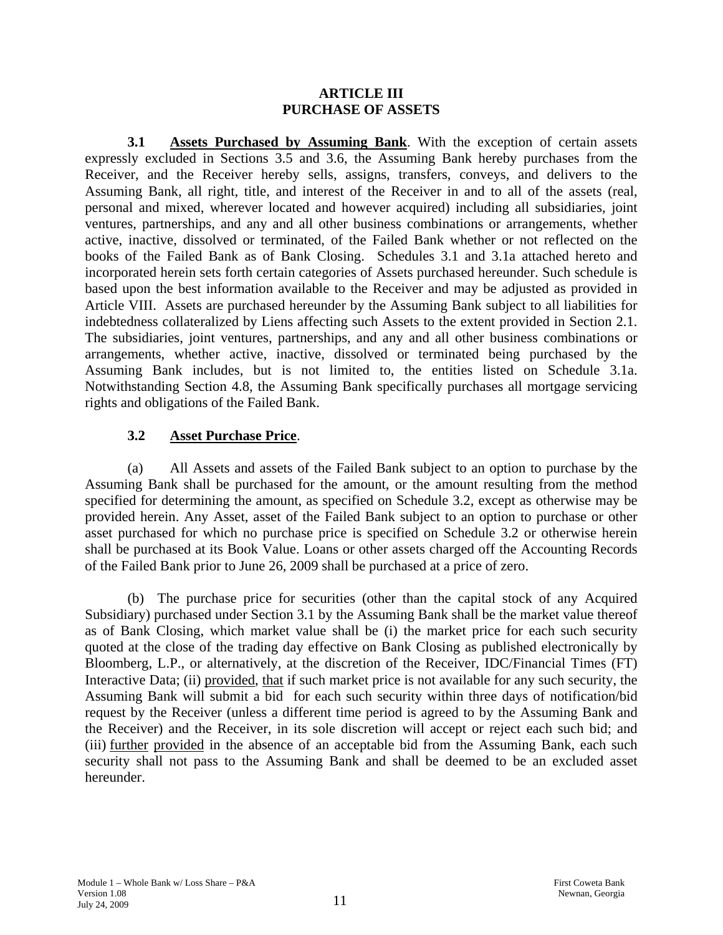#### **ARTICLE III PURCHASE OF ASSETS**

<span id="page-14-0"></span>Assuming Bank includes, but is not limited to, the entities listed on Schedule 3.1a.  **3.1 Assets Purchased by Assuming Bank**. With the exception of certain assets expressly excluded in Sections 3.5 and 3.6, the Assuming Bank hereby purchases from the Receiver, and the Receiver hereby sells, assigns, transfers, conveys, and delivers to the Assuming Bank, all right, title, and interest of the Receiver in and to all of the assets (real, personal and mixed, wherever located and however acquired) including all subsidiaries, joint ventures, partnerships, and any and all other business combinations or arrangements, whether active, inactive, dissolved or terminated, of the Failed Bank whether or not reflected on the books of the Failed Bank as of Bank Closing. Schedules 3.1 and 3.1a attached hereto and incorporated herein sets forth certain categories of Assets purchased hereunder. Such schedule is based upon the best information available to the Receiver and may be adjusted as provided in Article VIII. Assets are purchased hereunder by the Assuming Bank subject to all liabilities for indebtedness collateralized by Liens affecting such Assets to the extent provided in Section 2.1. The subsidiaries, joint ventures, partnerships, and any and all other business combinations or arrangements, whether active, inactive, dissolved or terminated being purchased by the Notwithstanding Section 4.8, the Assuming Bank specifically purchases all mortgage servicing rights and obligations of the Failed Bank.

# **3.2 Asset Purchase Price**.

(a) All Assets and assets of the Failed Bank subject to an option to purchase by the Assuming Bank shall be purchased for the amount, or the amount resulting from the method specified for determining the amount, as specified on Schedule 3.2, except as otherwise may be provided herein. Any Asset, asset of the Failed Bank subject to an option to purchase or other asset purchased for which no purchase price is specified on Schedule 3.2 or otherwise herein shall be purchased at its Book Value. Loans or other assets charged off the Accounting Records of the Failed Bank prior to June 26, 2009 shall be purchased at a price of zero.

(b) The purchase price for securities (other than the capital stock of any Acquired Subsidiary) purchased under Section 3.1 by the Assuming Bank shall be the market value thereof as of Bank Closing, which market value shall be (i) the market price for each such security quoted at the close of the trading day effective on Bank Closing as published electronically by Bloomberg, L.P., or alternatively, at the discretion of the Receiver, IDC/Financial Times (FT) Interactive Data; (ii) provided, that if such market price is not available for any such security, the Assuming Bank will submit a bid for each such security within three days of notification/bid request by the Receiver (unless a different time period is agreed to by the Assuming Bank and the Receiver) and the Receiver, in its sole discretion will accept or reject each such bid; and (iii) further provided in the absence of an acceptable bid from the Assuming Bank, each such security shall not pass to the Assuming Bank and shall be deemed to be an excluded asset hereunder.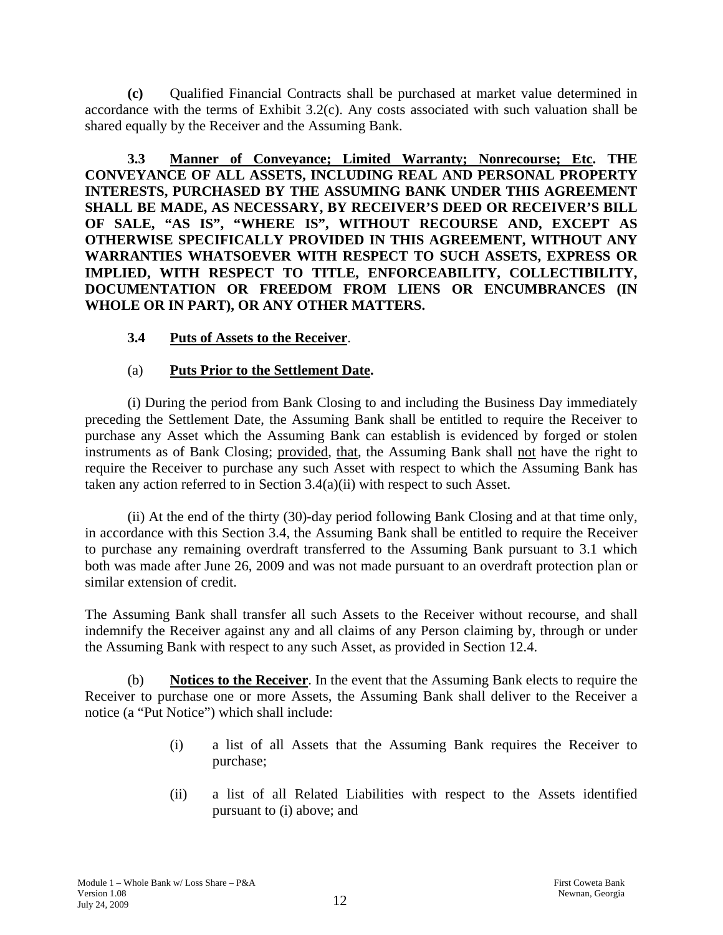<span id="page-15-0"></span>**(c)** Qualified Financial Contracts shall be purchased at market value determined in accordance with the terms of Exhibit 3.2(c). Any costs associated with such valuation shall be shared equally by the Receiver and the Assuming Bank.

**3.3 Manner of Conveyance; Limited Warranty; Nonrecourse; Etc. THE CONVEYANCE OF ALL ASSETS, INCLUDING REAL AND PERSONAL PROPERTY INTERESTS, PURCHASED BY THE ASSUMING BANK UNDER THIS AGREEMENT SHALL BE MADE, AS NECESSARY, BY RECEIVER'S DEED OR RECEIVER'S BILL OF SALE, "AS IS", "WHERE IS", WITHOUT RECOURSE AND, EXCEPT AS OTHERWISE SPECIFICALLY PROVIDED IN THIS AGREEMENT, WITHOUT ANY WARRANTIES WHATSOEVER WITH RESPECT TO SUCH ASSETS, EXPRESS OR IMPLIED, WITH RESPECT TO TITLE, ENFORCEABILITY, COLLECTIBILITY, DOCUMENTATION OR FREEDOM FROM LIENS OR ENCUMBRANCES (IN WHOLE OR IN PART), OR ANY OTHER MATTERS.** 

# **3.4 Puts of Assets to the Receiver**.

# (a) **Puts Prior to the Settlement Date.**

(i) During the period from Bank Closing to and including the Business Day immediately preceding the Settlement Date, the Assuming Bank shall be entitled to require the Receiver to purchase any Asset which the Assuming Bank can establish is evidenced by forged or stolen instruments as of Bank Closing; provided, that, the Assuming Bank shall not have the right to require the Receiver to purchase any such Asset with respect to which the Assuming Bank has taken any action referred to in Section 3.4(a)(ii) with respect to such Asset.

(ii) At the end of the thirty (30)-day period following Bank Closing and at that time only, in accordance with this Section 3.4, the Assuming Bank shall be entitled to require the Receiver to purchase any remaining overdraft transferred to the Assuming Bank pursuant to 3.1 which both was made after June 26, 2009 and was not made pursuant to an overdraft protection plan or similar extension of credit.

The Assuming Bank shall transfer all such Assets to the Receiver without recourse, and shall indemnify the Receiver against any and all claims of any Person claiming by, through or under the Assuming Bank with respect to any such Asset, as provided in Section 12.4.

(b) **Notices to the Receiver**. In the event that the Assuming Bank elects to require the Receiver to purchase one or more Assets, the Assuming Bank shall deliver to the Receiver a notice (a "Put Notice") which shall include:

- (i) a list of all Assets that the Assuming Bank requires the Receiver to purchase;
- (ii) a list of all Related Liabilities with respect to the Assets identified pursuant to (i) above; and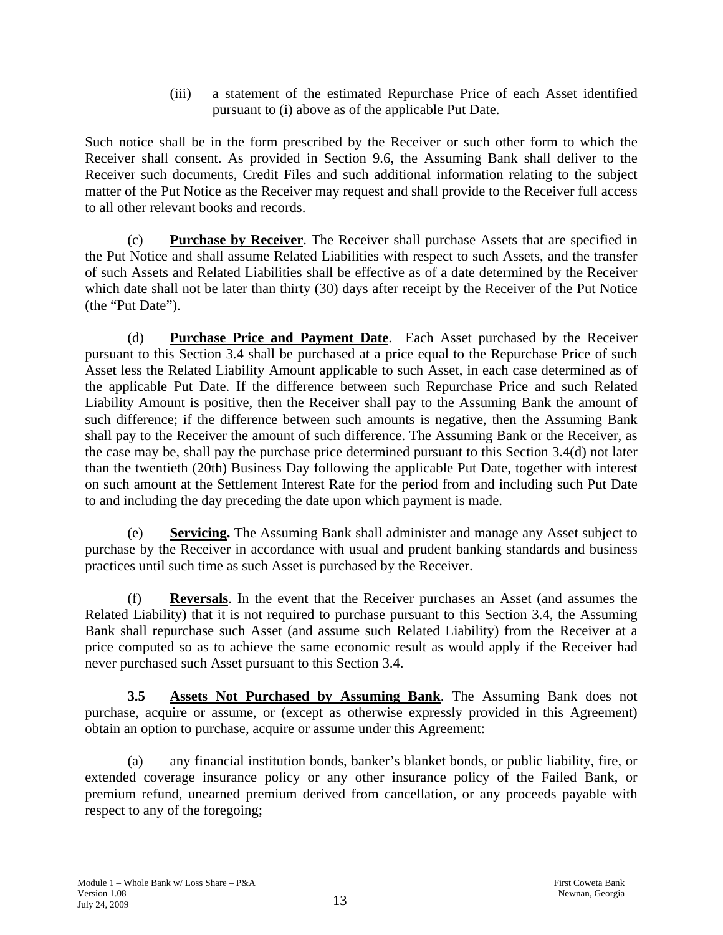(iii) a statement of the estimated Repurchase Price of each Asset identified pursuant to (i) above as of the applicable Put Date.

<span id="page-16-0"></span>Such notice shall be in the form prescribed by the Receiver or such other form to which the Receiver shall consent. As provided in Section 9.6, the Assuming Bank shall deliver to the Receiver such documents, Credit Files and such additional information relating to the subject matter of the Put Notice as the Receiver may request and shall provide to the Receiver full access to all other relevant books and records.

(c) **Purchase by Receiver**. The Receiver shall purchase Assets that are specified in the Put Notice and shall assume Related Liabilities with respect to such Assets, and the transfer of such Assets and Related Liabilities shall be effective as of a date determined by the Receiver which date shall not be later than thirty (30) days after receipt by the Receiver of the Put Notice (the "Put Date").

(d) **Purchase Price and Payment Date**. Each Asset purchased by the Receiver pursuant to this Section 3.4 shall be purchased at a price equal to the Repurchase Price of such Asset less the Related Liability Amount applicable to such Asset, in each case determined as of the applicable Put Date. If the difference between such Repurchase Price and such Related Liability Amount is positive, then the Receiver shall pay to the Assuming Bank the amount of such difference; if the difference between such amounts is negative, then the Assuming Bank shall pay to the Receiver the amount of such difference. The Assuming Bank or the Receiver, as the case may be, shall pay the purchase price determined pursuant to this Section 3.4(d) not later than the twentieth (20th) Business Day following the applicable Put Date, together with interest on such amount at the Settlement Interest Rate for the period from and including such Put Date to and including the day preceding the date upon which payment is made.

(e) **Servicing.** The Assuming Bank shall administer and manage any Asset subject to purchase by the Receiver in accordance with usual and prudent banking standards and business practices until such time as such Asset is purchased by the Receiver.

(f) **Reversals**. In the event that the Receiver purchases an Asset (and assumes the Related Liability) that it is not required to purchase pursuant to this Section 3.4, the Assuming Bank shall repurchase such Asset (and assume such Related Liability) from the Receiver at a price computed so as to achieve the same economic result as would apply if the Receiver had never purchased such Asset pursuant to this Section 3.4.

**3.5 Assets Not Purchased by Assuming Bank**. The Assuming Bank does not purchase, acquire or assume, or (except as otherwise expressly provided in this Agreement) obtain an option to purchase, acquire or assume under this Agreement:

(a) any financial institution bonds, banker's blanket bonds, or public liability, fire, or extended coverage insurance policy or any other insurance policy of the Failed Bank, or premium refund, unearned premium derived from cancellation, or any proceeds payable with respect to any of the foregoing;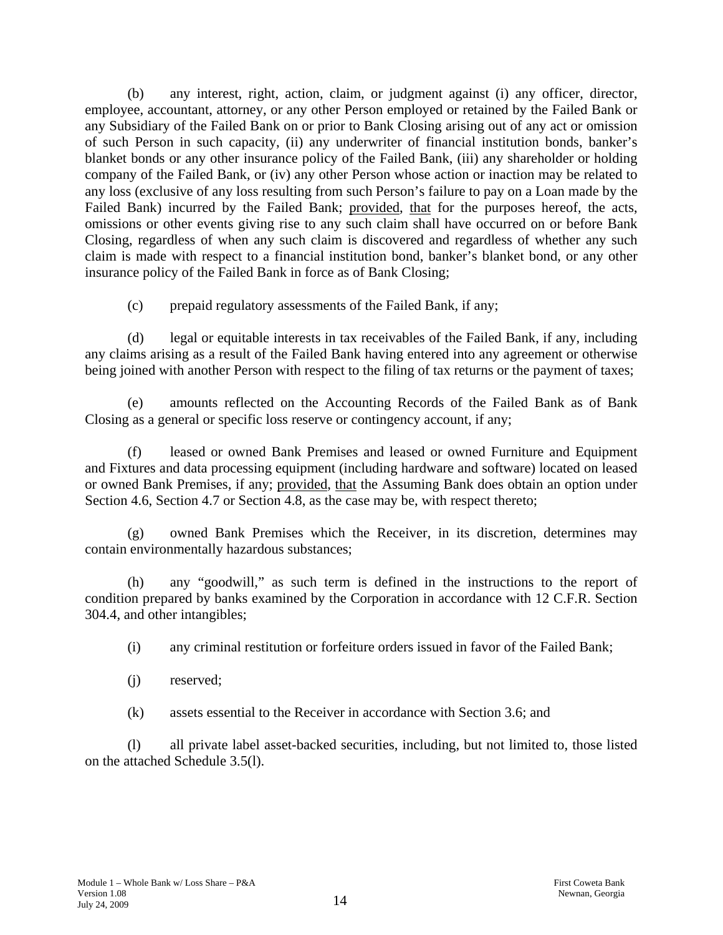(b) any interest, right, action, claim, or judgment against (i) any officer, director, employee, accountant, attorney, or any other Person employed or retained by the Failed Bank or any Subsidiary of the Failed Bank on or prior to Bank Closing arising out of any act or omission of such Person in such capacity, (ii) any underwriter of financial institution bonds, banker's blanket bonds or any other insurance policy of the Failed Bank, (iii) any shareholder or holding company of the Failed Bank, or (iv) any other Person whose action or inaction may be related to any loss (exclusive of any loss resulting from such Person's failure to pay on a Loan made by the Failed Bank) incurred by the Failed Bank; provided, that for the purposes hereof, the acts, omissions or other events giving rise to any such claim shall have occurred on or before Bank Closing, regardless of when any such claim is discovered and regardless of whether any such claim is made with respect to a financial institution bond, banker's blanket bond, or any other insurance policy of the Failed Bank in force as of Bank Closing;

(c) prepaid regulatory assessments of the Failed Bank, if any;

(d) legal or equitable interests in tax receivables of the Failed Bank, if any, including any claims arising as a result of the Failed Bank having entered into any agreement or otherwise being joined with another Person with respect to the filing of tax returns or the payment of taxes;

(e) amounts reflected on the Accounting Records of the Failed Bank as of Bank Closing as a general or specific loss reserve or contingency account, if any;

(f) leased or owned Bank Premises and leased or owned Furniture and Equipment and Fixtures and data processing equipment (including hardware and software) located on leased or owned Bank Premises, if any; provided, that the Assuming Bank does obtain an option under Section 4.6, Section 4.7 or Section 4.8, as the case may be, with respect thereto;

(g) owned Bank Premises which the Receiver, in its discretion, determines may contain environmentally hazardous substances;

(h) any "goodwill," as such term is defined in the instructions to the report of condition prepared by banks examined by the Corporation in accordance with 12 C.F.R. Section 304.4, and other intangibles;

(i) any criminal restitution or forfeiture orders issued in favor of the Failed Bank;

(j) reserved;

(k) assets essential to the Receiver in accordance with Section 3.6; and

(l) all private label asset-backed securities, including, but not limited to, those listed on the attached Schedule 3.5(l).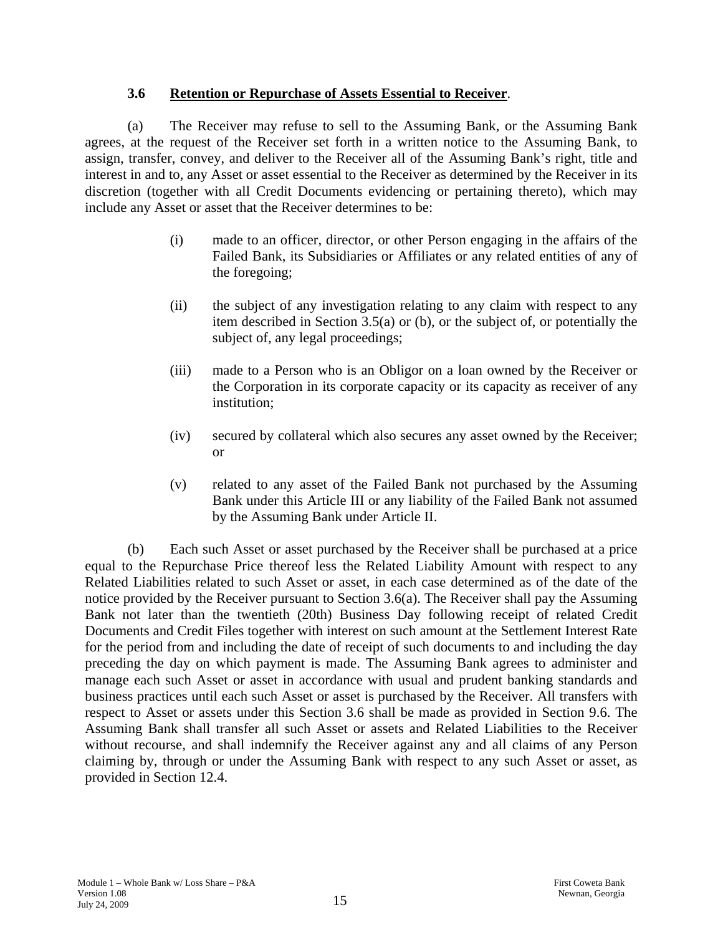# **3.6 Retention or Repurchase of Assets Essential to Receiver**.

<span id="page-18-0"></span>(a) The Receiver may refuse to sell to the Assuming Bank, or the Assuming Bank agrees, at the request of the Receiver set forth in a written notice to the Assuming Bank, to assign, transfer, convey, and deliver to the Receiver all of the Assuming Bank's right, title and interest in and to, any Asset or asset essential to the Receiver as determined by the Receiver in its discretion (together with all Credit Documents evidencing or pertaining thereto), which may include any Asset or asset that the Receiver determines to be:

- (i) made to an officer, director, or other Person engaging in the affairs of the Failed Bank, its Subsidiaries or Affiliates or any related entities of any of the foregoing;
- (ii) the subject of any investigation relating to any claim with respect to any item described in Section 3.5(a) or (b), or the subject of, or potentially the subject of, any legal proceedings;
- (iii) made to a Person who is an Obligor on a loan owned by the Receiver or the Corporation in its corporate capacity or its capacity as receiver of any institution;
- (iv) secured by collateral which also secures any asset owned by the Receiver; or
- (v) related to any asset of the Failed Bank not purchased by the Assuming Bank under this Article III or any liability of the Failed Bank not assumed by the Assuming Bank under Article II.

(b) Each such Asset or asset purchased by the Receiver shall be purchased at a price equal to the Repurchase Price thereof less the Related Liability Amount with respect to any Related Liabilities related to such Asset or asset, in each case determined as of the date of the notice provided by the Receiver pursuant to Section 3.6(a). The Receiver shall pay the Assuming Bank not later than the twentieth (20th) Business Day following receipt of related Credit Documents and Credit Files together with interest on such amount at the Settlement Interest Rate for the period from and including the date of receipt of such documents to and including the day preceding the day on which payment is made. The Assuming Bank agrees to administer and manage each such Asset or asset in accordance with usual and prudent banking standards and business practices until each such Asset or asset is purchased by the Receiver. All transfers with respect to Asset or assets under this Section 3.6 shall be made as provided in Section 9.6. The Assuming Bank shall transfer all such Asset or assets and Related Liabilities to the Receiver without recourse, and shall indemnify the Receiver against any and all claims of any Person claiming by, through or under the Assuming Bank with respect to any such Asset or asset, as provided in Section 12.4.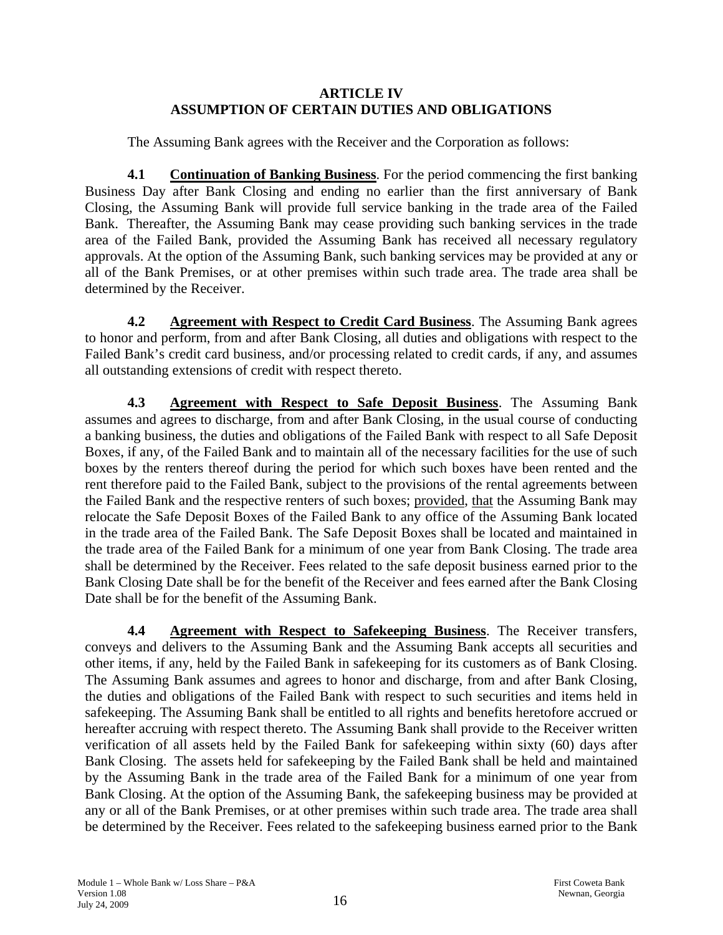### **ARTICLE IV ASSUMPTION OF CERTAIN DUTIES AND OBLIGATIONS**

<span id="page-19-0"></span>The Assuming Bank agrees with the Receiver and the Corporation as follows:

**4.1** Continuation of Banking Business. For the period commencing the first banking Business Day after Bank Closing and ending no earlier than the first anniversary of Bank Closing, the Assuming Bank will provide full service banking in the trade area of the Failed Bank. Thereafter, the Assuming Bank may cease providing such banking services in the trade area of the Failed Bank, provided the Assuming Bank has received all necessary regulatory approvals. At the option of the Assuming Bank, such banking services may be provided at any or all of the Bank Premises, or at other premises within such trade area. The trade area shall be determined by the Receiver.

**4.2 Agreement with Respect to Credit Card Business**. The Assuming Bank agrees to honor and perform, from and after Bank Closing, all duties and obligations with respect to the Failed Bank's credit card business, and/or processing related to credit cards, if any, and assumes all outstanding extensions of credit with respect thereto.

**4.3 Agreement with Respect to Safe Deposit Business**. The Assuming Bank assumes and agrees to discharge, from and after Bank Closing, in the usual course of conducting a banking business, the duties and obligations of the Failed Bank with respect to all Safe Deposit Boxes, if any, of the Failed Bank and to maintain all of the necessary facilities for the use of such boxes by the renters thereof during the period for which such boxes have been rented and the rent therefore paid to the Failed Bank, subject to the provisions of the rental agreements between the Failed Bank and the respective renters of such boxes; provided, that the Assuming Bank may relocate the Safe Deposit Boxes of the Failed Bank to any office of the Assuming Bank located in the trade area of the Failed Bank. The Safe Deposit Boxes shall be located and maintained in the trade area of the Failed Bank for a minimum of one year from Bank Closing. The trade area shall be determined by the Receiver. Fees related to the safe deposit business earned prior to the Bank Closing Date shall be for the benefit of the Receiver and fees earned after the Bank Closing Date shall be for the benefit of the Assuming Bank.

**4.4 Agreement with Respect to Safekeeping Business**. The Receiver transfers, conveys and delivers to the Assuming Bank and the Assuming Bank accepts all securities and other items, if any, held by the Failed Bank in safekeeping for its customers as of Bank Closing. The Assuming Bank assumes and agrees to honor and discharge, from and after Bank Closing, the duties and obligations of the Failed Bank with respect to such securities and items held in safekeeping. The Assuming Bank shall be entitled to all rights and benefits heretofore accrued or hereafter accruing with respect thereto. The Assuming Bank shall provide to the Receiver written verification of all assets held by the Failed Bank for safekeeping within sixty (60) days after Bank Closing. The assets held for safekeeping by the Failed Bank shall be held and maintained by the Assuming Bank in the trade area of the Failed Bank for a minimum of one year from Bank Closing. At the option of the Assuming Bank, the safekeeping business may be provided at any or all of the Bank Premises, or at other premises within such trade area. The trade area shall be determined by the Receiver. Fees related to the safekeeping business earned prior to the Bank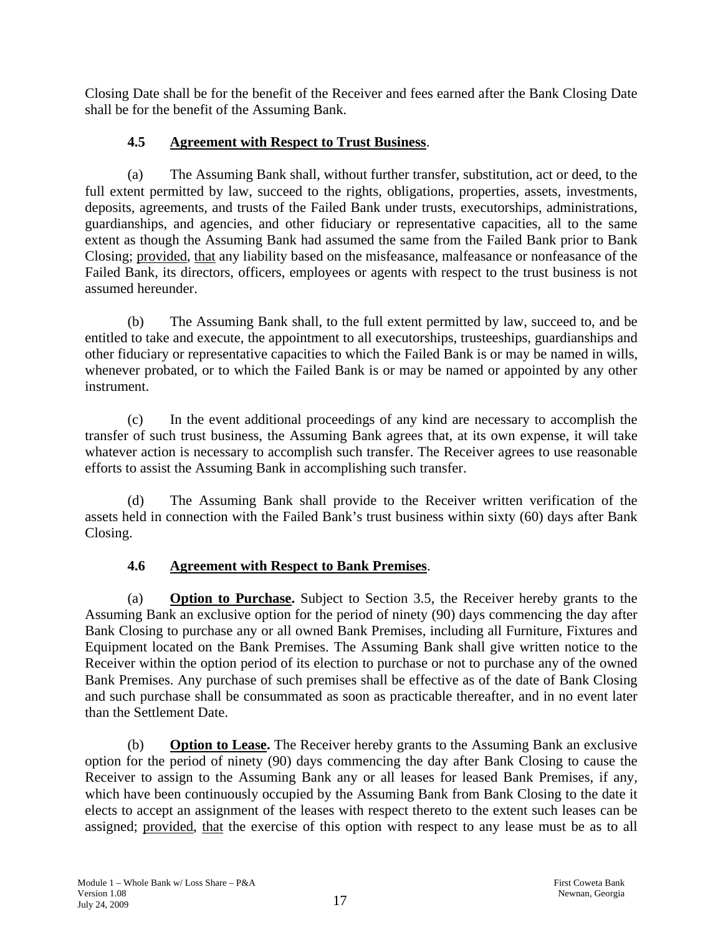<span id="page-20-0"></span>Closing Date shall be for the benefit of the Receiver and fees earned after the Bank Closing Date shall be for the benefit of the Assuming Bank.

# **4.5 Agreement with Respect to Trust Business**.

(a) The Assuming Bank shall, without further transfer, substitution, act or deed, to the full extent permitted by law, succeed to the rights, obligations, properties, assets, investments, deposits, agreements, and trusts of the Failed Bank under trusts, executorships, administrations, guardianships, and agencies, and other fiduciary or representative capacities, all to the same extent as though the Assuming Bank had assumed the same from the Failed Bank prior to Bank Closing; provided, that any liability based on the misfeasance, malfeasance or nonfeasance of the Failed Bank, its directors, officers, employees or agents with respect to the trust business is not assumed hereunder.

(b) The Assuming Bank shall, to the full extent permitted by law, succeed to, and be entitled to take and execute, the appointment to all executorships, trusteeships, guardianships and other fiduciary or representative capacities to which the Failed Bank is or may be named in wills, whenever probated, or to which the Failed Bank is or may be named or appointed by any other instrument.

(c) In the event additional proceedings of any kind are necessary to accomplish the transfer of such trust business, the Assuming Bank agrees that, at its own expense, it will take whatever action is necessary to accomplish such transfer. The Receiver agrees to use reasonable efforts to assist the Assuming Bank in accomplishing such transfer.

(d) The Assuming Bank shall provide to the Receiver written verification of the assets held in connection with the Failed Bank's trust business within sixty (60) days after Bank Closing.

# **4.6 Agreement with Respect to Bank Premises**.

(a) **Option to Purchase.** Subject to Section 3.5, the Receiver hereby grants to the Assuming Bank an exclusive option for the period of ninety (90) days commencing the day after Bank Closing to purchase any or all owned Bank Premises, including all Furniture, Fixtures and Equipment located on the Bank Premises. The Assuming Bank shall give written notice to the Receiver within the option period of its election to purchase or not to purchase any of the owned Bank Premises. Any purchase of such premises shall be effective as of the date of Bank Closing and such purchase shall be consummated as soon as practicable thereafter, and in no event later than the Settlement Date.

(b) **Option to Lease.** The Receiver hereby grants to the Assuming Bank an exclusive option for the period of ninety (90) days commencing the day after Bank Closing to cause the Receiver to assign to the Assuming Bank any or all leases for leased Bank Premises, if any, which have been continuously occupied by the Assuming Bank from Bank Closing to the date it elects to accept an assignment of the leases with respect thereto to the extent such leases can be assigned; provided, that the exercise of this option with respect to any lease must be as to all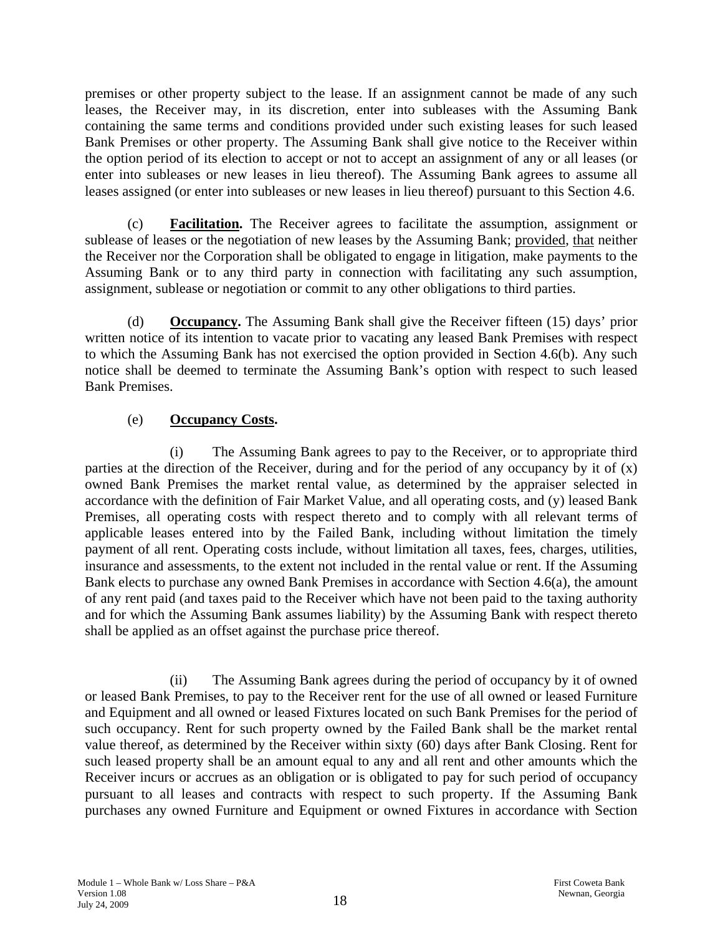premises or other property subject to the lease. If an assignment cannot be made of any such leases, the Receiver may, in its discretion, enter into subleases with the Assuming Bank containing the same terms and conditions provided under such existing leases for such leased Bank Premises or other property. The Assuming Bank shall give notice to the Receiver within the option period of its election to accept or not to accept an assignment of any or all leases (or enter into subleases or new leases in lieu thereof). The Assuming Bank agrees to assume all leases assigned (or enter into subleases or new leases in lieu thereof) pursuant to this Section 4.6.

(c) **Facilitation.** The Receiver agrees to facilitate the assumption, assignment or sublease of leases or the negotiation of new leases by the Assuming Bank; provided, that neither the Receiver nor the Corporation shall be obligated to engage in litigation, make payments to the Assuming Bank or to any third party in connection with facilitating any such assumption, assignment, sublease or negotiation or commit to any other obligations to third parties.

(d) **Occupancy.** The Assuming Bank shall give the Receiver fifteen (15) days' prior written notice of its intention to vacate prior to vacating any leased Bank Premises with respect to which the Assuming Bank has not exercised the option provided in Section 4.6(b). Any such notice shall be deemed to terminate the Assuming Bank's option with respect to such leased Bank Premises.

# (e) **Occupancy Costs.**

(i) The Assuming Bank agrees to pay to the Receiver, or to appropriate third parties at the direction of the Receiver, during and for the period of any occupancy by it of (x) owned Bank Premises the market rental value, as determined by the appraiser selected in accordance with the definition of Fair Market Value, and all operating costs, and (y) leased Bank Premises, all operating costs with respect thereto and to comply with all relevant terms of applicable leases entered into by the Failed Bank, including without limitation the timely payment of all rent. Operating costs include, without limitation all taxes, fees, charges, utilities, insurance and assessments, to the extent not included in the rental value or rent. If the Assuming Bank elects to purchase any owned Bank Premises in accordance with Section 4.6(a), the amount of any rent paid (and taxes paid to the Receiver which have not been paid to the taxing authority and for which the Assuming Bank assumes liability) by the Assuming Bank with respect thereto shall be applied as an offset against the purchase price thereof.

(ii) The Assuming Bank agrees during the period of occupancy by it of owned or leased Bank Premises, to pay to the Receiver rent for the use of all owned or leased Furniture and Equipment and all owned or leased Fixtures located on such Bank Premises for the period of such occupancy. Rent for such property owned by the Failed Bank shall be the market rental value thereof, as determined by the Receiver within sixty (60) days after Bank Closing. Rent for such leased property shall be an amount equal to any and all rent and other amounts which the Receiver incurs or accrues as an obligation or is obligated to pay for such period of occupancy pursuant to all leases and contracts with respect to such property. If the Assuming Bank purchases any owned Furniture and Equipment or owned Fixtures in accordance with Section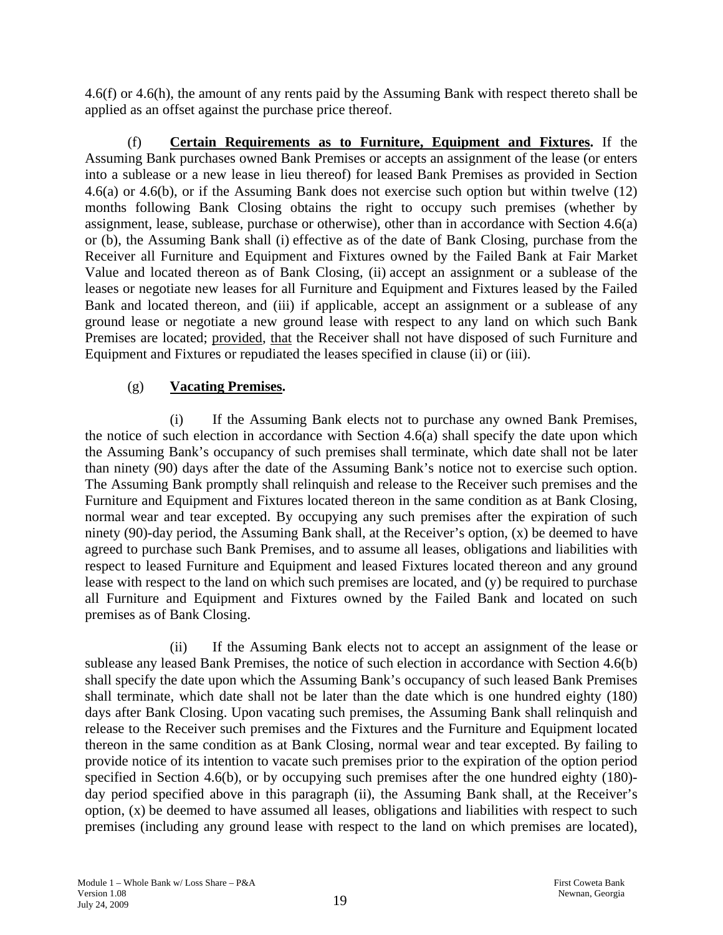4.6(f) or 4.6(h), the amount of any rents paid by the Assuming Bank with respect thereto shall be applied as an offset against the purchase price thereof.

(f) **Certain Requirements as to Furniture, Equipment and Fixtures.** If the Assuming Bank purchases owned Bank Premises or accepts an assignment of the lease (or enters into a sublease or a new lease in lieu thereof) for leased Bank Premises as provided in Section 4.6(a) or 4.6(b), or if the Assuming Bank does not exercise such option but within twelve (12) months following Bank Closing obtains the right to occupy such premises (whether by assignment, lease, sublease, purchase or otherwise), other than in accordance with Section 4.6(a) or (b), the Assuming Bank shall (i) effective as of the date of Bank Closing, purchase from the Receiver all Furniture and Equipment and Fixtures owned by the Failed Bank at Fair Market Value and located thereon as of Bank Closing, (ii) accept an assignment or a sublease of the leases or negotiate new leases for all Furniture and Equipment and Fixtures leased by the Failed Bank and located thereon, and (iii) if applicable, accept an assignment or a sublease of any ground lease or negotiate a new ground lease with respect to any land on which such Bank Premises are located; provided, that the Receiver shall not have disposed of such Furniture and Equipment and Fixtures or repudiated the leases specified in clause (ii) or (iii).

# (g) **Vacating Premises.**

(i) If the Assuming Bank elects not to purchase any owned Bank Premises, the notice of such election in accordance with Section 4.6(a) shall specify the date upon which the Assuming Bank's occupancy of such premises shall terminate, which date shall not be later than ninety (90) days after the date of the Assuming Bank's notice not to exercise such option. The Assuming Bank promptly shall relinquish and release to the Receiver such premises and the Furniture and Equipment and Fixtures located thereon in the same condition as at Bank Closing, normal wear and tear excepted. By occupying any such premises after the expiration of such ninety (90)-day period, the Assuming Bank shall, at the Receiver's option, (x) be deemed to have agreed to purchase such Bank Premises, and to assume all leases, obligations and liabilities with respect to leased Furniture and Equipment and leased Fixtures located thereon and any ground lease with respect to the land on which such premises are located, and (y) be required to purchase all Furniture and Equipment and Fixtures owned by the Failed Bank and located on such premises as of Bank Closing.

(ii) If the Assuming Bank elects not to accept an assignment of the lease or sublease any leased Bank Premises, the notice of such election in accordance with Section 4.6(b) shall specify the date upon which the Assuming Bank's occupancy of such leased Bank Premises shall terminate, which date shall not be later than the date which is one hundred eighty (180) days after Bank Closing. Upon vacating such premises, the Assuming Bank shall relinquish and release to the Receiver such premises and the Fixtures and the Furniture and Equipment located thereon in the same condition as at Bank Closing, normal wear and tear excepted. By failing to provide notice of its intention to vacate such premises prior to the expiration of the option period specified in Section 4.6(b), or by occupying such premises after the one hundred eighty (180)day period specified above in this paragraph (ii), the Assuming Bank shall, at the Receiver's option, (x) be deemed to have assumed all leases, obligations and liabilities with respect to such premises (including any ground lease with respect to the land on which premises are located),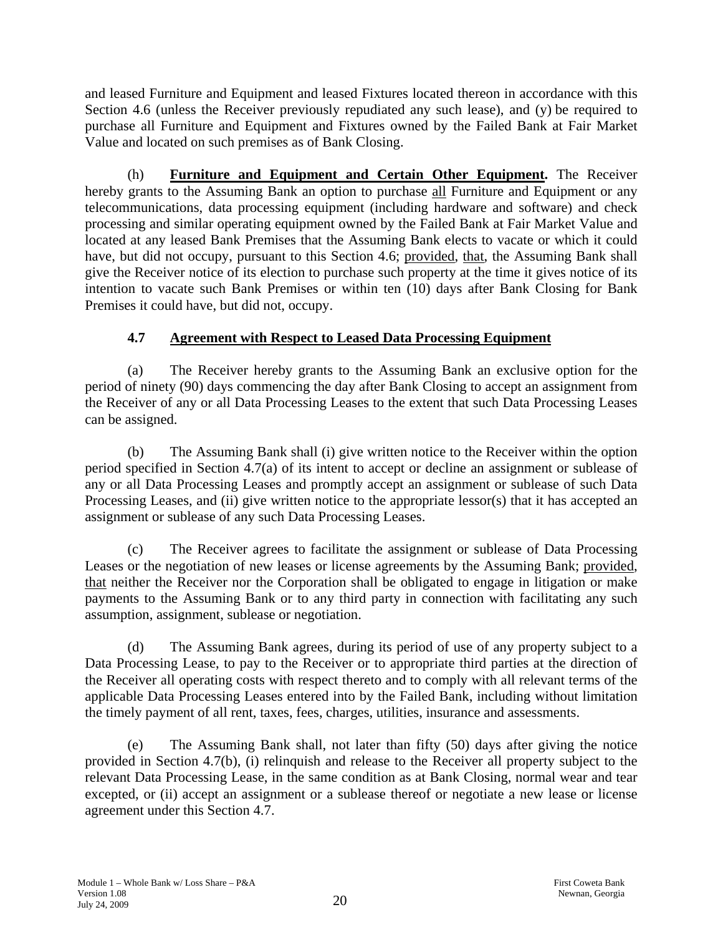<span id="page-23-0"></span>and leased Furniture and Equipment and leased Fixtures located thereon in accordance with this Section 4.6 (unless the Receiver previously repudiated any such lease), and (y) be required to purchase all Furniture and Equipment and Fixtures owned by the Failed Bank at Fair Market Value and located on such premises as of Bank Closing.

(h) **Furniture and Equipment and Certain Other Equipment.** The Receiver hereby grants to the Assuming Bank an option to purchase all Furniture and Equipment or any telecommunications, data processing equipment (including hardware and software) and check processing and similar operating equipment owned by the Failed Bank at Fair Market Value and located at any leased Bank Premises that the Assuming Bank elects to vacate or which it could have, but did not occupy, pursuant to this Section 4.6; provided, that, the Assuming Bank shall give the Receiver notice of its election to purchase such property at the time it gives notice of its intention to vacate such Bank Premises or within ten (10) days after Bank Closing for Bank Premises it could have, but did not, occupy.

# **4.7 Agreement with Respect to Leased Data Processing Equipment**

(a) The Receiver hereby grants to the Assuming Bank an exclusive option for the period of ninety (90) days commencing the day after Bank Closing to accept an assignment from the Receiver of any or all Data Processing Leases to the extent that such Data Processing Leases can be assigned.

(b) The Assuming Bank shall (i) give written notice to the Receiver within the option period specified in Section 4.7(a) of its intent to accept or decline an assignment or sublease of any or all Data Processing Leases and promptly accept an assignment or sublease of such Data Processing Leases, and (ii) give written notice to the appropriate lessor(s) that it has accepted an assignment or sublease of any such Data Processing Leases.

(c) The Receiver agrees to facilitate the assignment or sublease of Data Processing Leases or the negotiation of new leases or license agreements by the Assuming Bank; provided, that neither the Receiver nor the Corporation shall be obligated to engage in litigation or make payments to the Assuming Bank or to any third party in connection with facilitating any such assumption, assignment, sublease or negotiation.

(d) The Assuming Bank agrees, during its period of use of any property subject to a Data Processing Lease, to pay to the Receiver or to appropriate third parties at the direction of the Receiver all operating costs with respect thereto and to comply with all relevant terms of the applicable Data Processing Leases entered into by the Failed Bank, including without limitation the timely payment of all rent, taxes, fees, charges, utilities, insurance and assessments.

(e) The Assuming Bank shall, not later than fifty (50) days after giving the notice provided in Section 4.7(b), (i) relinquish and release to the Receiver all property subject to the relevant Data Processing Lease, in the same condition as at Bank Closing, normal wear and tear excepted, or (ii) accept an assignment or a sublease thereof or negotiate a new lease or license agreement under this Section 4.7.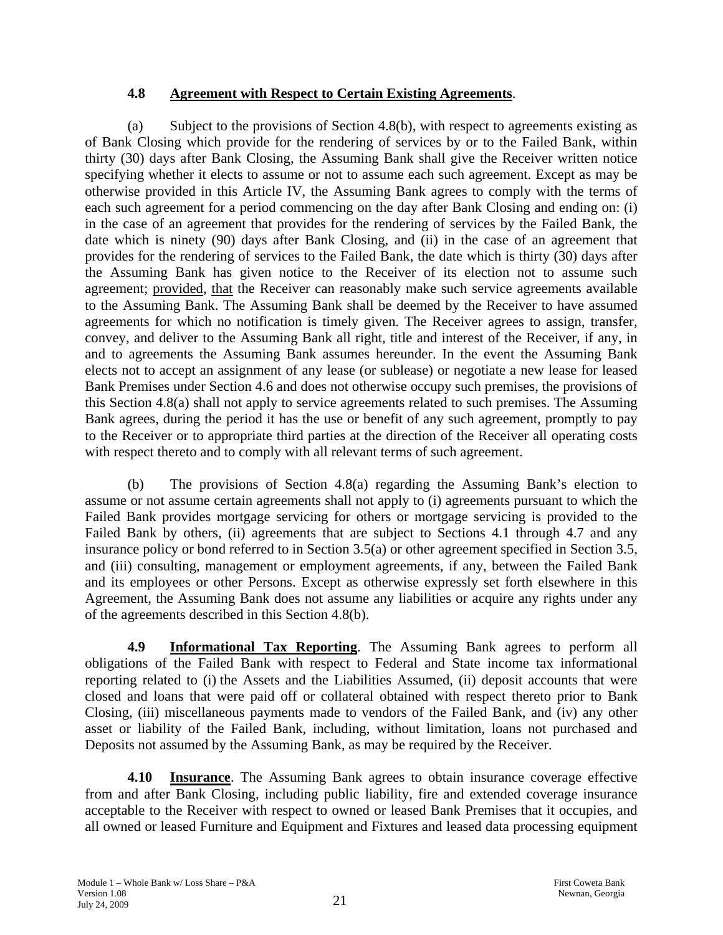# **4.8 Agreement with Respect to Certain Existing Agreements**.

<span id="page-24-0"></span>(a) Subject to the provisions of Section 4.8(b), with respect to agreements existing as of Bank Closing which provide for the rendering of services by or to the Failed Bank, within thirty (30) days after Bank Closing, the Assuming Bank shall give the Receiver written notice specifying whether it elects to assume or not to assume each such agreement. Except as may be otherwise provided in this Article IV, the Assuming Bank agrees to comply with the terms of each such agreement for a period commencing on the day after Bank Closing and ending on: (i) in the case of an agreement that provides for the rendering of services by the Failed Bank, the date which is ninety (90) days after Bank Closing, and (ii) in the case of an agreement that provides for the rendering of services to the Failed Bank, the date which is thirty (30) days after the Assuming Bank has given notice to the Receiver of its election not to assume such agreement; provided, that the Receiver can reasonably make such service agreements available to the Assuming Bank. The Assuming Bank shall be deemed by the Receiver to have assumed agreements for which no notification is timely given. The Receiver agrees to assign, transfer, convey, and deliver to the Assuming Bank all right, title and interest of the Receiver, if any, in and to agreements the Assuming Bank assumes hereunder. In the event the Assuming Bank elects not to accept an assignment of any lease (or sublease) or negotiate a new lease for leased Bank Premises under Section 4.6 and does not otherwise occupy such premises, the provisions of this Section 4.8(a) shall not apply to service agreements related to such premises. The Assuming Bank agrees, during the period it has the use or benefit of any such agreement, promptly to pay to the Receiver or to appropriate third parties at the direction of the Receiver all operating costs with respect thereto and to comply with all relevant terms of such agreement.

(b) The provisions of Section 4.8(a) regarding the Assuming Bank's election to assume or not assume certain agreements shall not apply to (i) agreements pursuant to which the Failed Bank provides mortgage servicing for others or mortgage servicing is provided to the Failed Bank by others, (ii) agreements that are subject to Sections 4.1 through 4.7 and any insurance policy or bond referred to in Section 3.5(a) or other agreement specified in Section 3.5, and (iii) consulting, management or employment agreements, if any, between the Failed Bank and its employees or other Persons. Except as otherwise expressly set forth elsewhere in this Agreement, the Assuming Bank does not assume any liabilities or acquire any rights under any of the agreements described in this Section 4.8(b).

**4.9 Informational Tax Reporting**. The Assuming Bank agrees to perform all obligations of the Failed Bank with respect to Federal and State income tax informational reporting related to (i) the Assets and the Liabilities Assumed, (ii) deposit accounts that were closed and loans that were paid off or collateral obtained with respect thereto prior to Bank Closing, (iii) miscellaneous payments made to vendors of the Failed Bank, and (iv) any other asset or liability of the Failed Bank, including, without limitation, loans not purchased and Deposits not assumed by the Assuming Bank, as may be required by the Receiver.

**4.10 Insurance**. The Assuming Bank agrees to obtain insurance coverage effective from and after Bank Closing, including public liability, fire and extended coverage insurance acceptable to the Receiver with respect to owned or leased Bank Premises that it occupies, and all owned or leased Furniture and Equipment and Fixtures and leased data processing equipment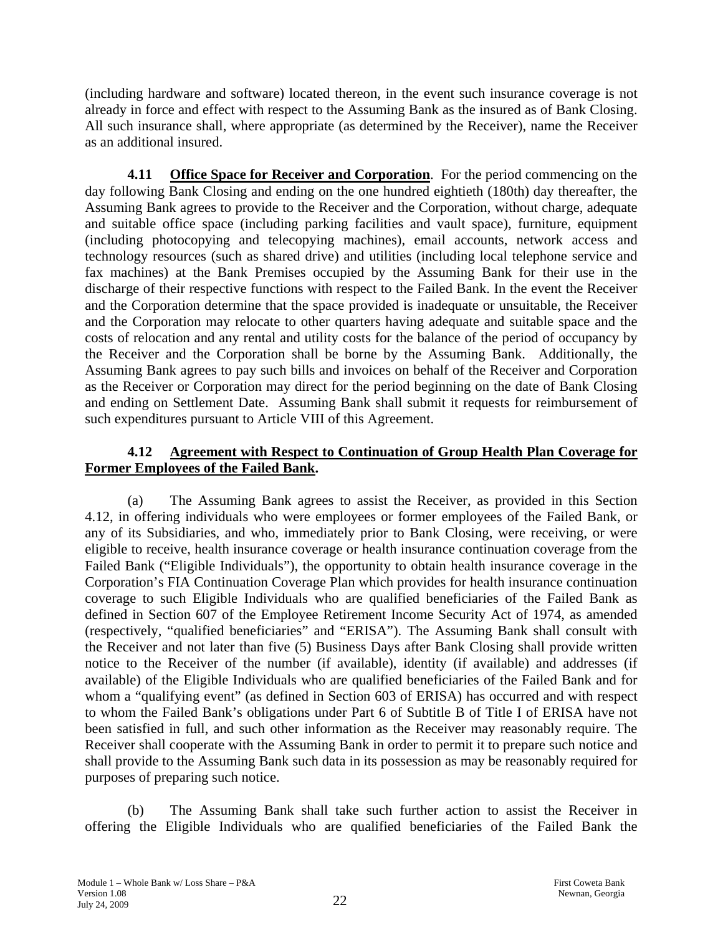<span id="page-25-0"></span>(including hardware and software) located thereon, in the event such insurance coverage is not already in force and effect with respect to the Assuming Bank as the insured as of Bank Closing. All such insurance shall, where appropriate (as determined by the Receiver), name the Receiver as an additional insured.

**4.11** Office Space for Receiver and Corporation. For the period commencing on the day following Bank Closing and ending on the one hundred eightieth (180th) day thereafter, the Assuming Bank agrees to provide to the Receiver and the Corporation, without charge, adequate and suitable office space (including parking facilities and vault space), furniture, equipment (including photocopying and telecopying machines), email accounts, network access and technology resources (such as shared drive) and utilities (including local telephone service and fax machines) at the Bank Premises occupied by the Assuming Bank for their use in the discharge of their respective functions with respect to the Failed Bank. In the event the Receiver and the Corporation determine that the space provided is inadequate or unsuitable, the Receiver and the Corporation may relocate to other quarters having adequate and suitable space and the costs of relocation and any rental and utility costs for the balance of the period of occupancy by the Receiver and the Corporation shall be borne by the Assuming Bank. Additionally, the Assuming Bank agrees to pay such bills and invoices on behalf of the Receiver and Corporation as the Receiver or Corporation may direct for the period beginning on the date of Bank Closing and ending on Settlement Date. Assuming Bank shall submit it requests for reimbursement of such expenditures pursuant to Article VIII of this Agreement.

# **4.12 Agreement with Respect to Continuation of Group Health Plan Coverage for Former Employees of the Failed Bank.**

(a) The Assuming Bank agrees to assist the Receiver, as provided in this Section 4.12, in offering individuals who were employees or former employees of the Failed Bank, or any of its Subsidiaries, and who, immediately prior to Bank Closing, were receiving, or were eligible to receive, health insurance coverage or health insurance continuation coverage from the Failed Bank ("Eligible Individuals"), the opportunity to obtain health insurance coverage in the Corporation's FIA Continuation Coverage Plan which provides for health insurance continuation coverage to such Eligible Individuals who are qualified beneficiaries of the Failed Bank as defined in Section 607 of the Employee Retirement Income Security Act of 1974, as amended (respectively, "qualified beneficiaries" and "ERISA"). The Assuming Bank shall consult with the Receiver and not later than five (5) Business Days after Bank Closing shall provide written notice to the Receiver of the number (if available), identity (if available) and addresses (if available) of the Eligible Individuals who are qualified beneficiaries of the Failed Bank and for whom a "qualifying event" (as defined in Section 603 of ERISA) has occurred and with respect to whom the Failed Bank's obligations under Part 6 of Subtitle B of Title I of ERISA have not been satisfied in full, and such other information as the Receiver may reasonably require. The Receiver shall cooperate with the Assuming Bank in order to permit it to prepare such notice and shall provide to the Assuming Bank such data in its possession as may be reasonably required for purposes of preparing such notice.

(b) The Assuming Bank shall take such further action to assist the Receiver in offering the Eligible Individuals who are qualified beneficiaries of the Failed Bank the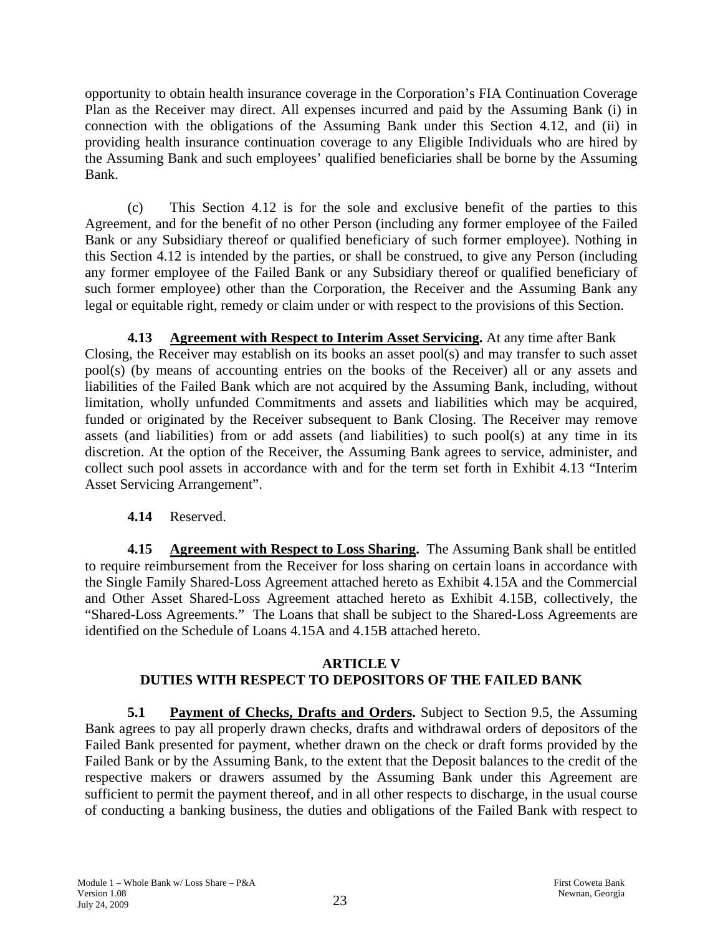<span id="page-26-0"></span>opportunity to obtain health insurance coverage in the Corporation's FIA Continuation Coverage Plan as the Receiver may direct. All expenses incurred and paid by the Assuming Bank (i) in connection with the obligations of the Assuming Bank under this Section 4.12, and (ii) in providing health insurance continuation coverage to any Eligible Individuals who are hired by the Assuming Bank and such employees' qualified beneficiaries shall be borne by the Assuming Bank.

(c) This Section 4.12 is for the sole and exclusive benefit of the parties to this Agreement, and for the benefit of no other Person (including any former employee of the Failed Bank or any Subsidiary thereof or qualified beneficiary of such former employee). Nothing in this Section 4.12 is intended by the parties, or shall be construed, to give any Person (including any former employee of the Failed Bank or any Subsidiary thereof or qualified beneficiary of such former employee) other than the Corporation, the Receiver and the Assuming Bank any legal or equitable right, remedy or claim under or with respect to the provisions of this Section.

**4.13 Agreement with Respect to Interim Asset Servicing.** At any time after Bank Closing, the Receiver may establish on its books an asset pool(s) and may transfer to such asset pool(s) (by means of accounting entries on the books of the Receiver) all or any assets and liabilities of the Failed Bank which are not acquired by the Assuming Bank, including, without limitation, wholly unfunded Commitments and assets and liabilities which may be acquired, funded or originated by the Receiver subsequent to Bank Closing. The Receiver may remove assets (and liabilities) from or add assets (and liabilities) to such pool(s) at any time in its discretion. At the option of the Receiver, the Assuming Bank agrees to service, administer, and collect such pool assets in accordance with and for the term set forth in Exhibit 4.13 "Interim Asset Servicing Arrangement".

# **4.14** Reserved.

**4.15 Agreement with Respect to Loss Sharing.** The Assuming Bank shall be entitled to require reimbursement from the Receiver for loss sharing on certain loans in accordance with the Single Family Shared-Loss Agreement attached hereto as Exhibit 4.15A and the Commercial and Other Asset Shared-Loss Agreement attached hereto as Exhibit 4.15B, collectively, the "Shared-Loss Agreements." The Loans that shall be subject to the Shared-Loss Agreements are identified on the Schedule of Loans 4.15A and 4.15B attached hereto.

# **ARTICLE V DUTIES WITH RESPECT TO DEPOSITORS OF THE FAILED BANK**

**5.1 Payment of Checks, Drafts and Orders.** Subject to Section 9.5, the Assuming Bank agrees to pay all properly drawn checks, drafts and withdrawal orders of depositors of the Failed Bank presented for payment, whether drawn on the check or draft forms provided by the Failed Bank or by the Assuming Bank, to the extent that the Deposit balances to the credit of the respective makers or drawers assumed by the Assuming Bank under this Agreement are sufficient to permit the payment thereof, and in all other respects to discharge, in the usual course of conducting a banking business, the duties and obligations of the Failed Bank with respect to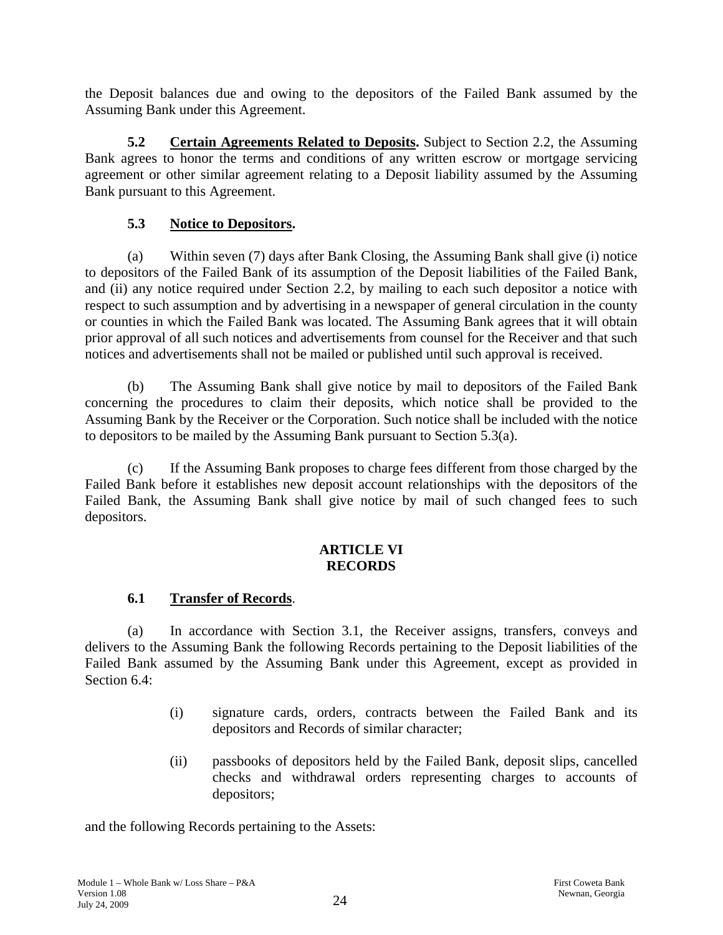<span id="page-27-0"></span>the Deposit balances due and owing to the depositors of the Failed Bank assumed by the Assuming Bank under this Agreement.

**5.2** Certain Agreements Related to Deposits. Subject to Section 2.2, the Assuming Bank agrees to honor the terms and conditions of any written escrow or mortgage servicing agreement or other similar agreement relating to a Deposit liability assumed by the Assuming Bank pursuant to this Agreement.

# **5.3 Notice to Depositors.**

(a) Within seven (7) days after Bank Closing, the Assuming Bank shall give (i) notice to depositors of the Failed Bank of its assumption of the Deposit liabilities of the Failed Bank, and (ii) any notice required under Section 2.2, by mailing to each such depositor a notice with respect to such assumption and by advertising in a newspaper of general circulation in the county or counties in which the Failed Bank was located. The Assuming Bank agrees that it will obtain prior approval of all such notices and advertisements from counsel for the Receiver and that such notices and advertisements shall not be mailed or published until such approval is received.

(b) The Assuming Bank shall give notice by mail to depositors of the Failed Bank concerning the procedures to claim their deposits, which notice shall be provided to the Assuming Bank by the Receiver or the Corporation. Such notice shall be included with the notice to depositors to be mailed by the Assuming Bank pursuant to Section 5.3(a).

(c) If the Assuming Bank proposes to charge fees different from those charged by the Failed Bank before it establishes new deposit account relationships with the depositors of the Failed Bank, the Assuming Bank shall give notice by mail of such changed fees to such depositors.

### **ARTICLE VI RECORDS**

# **6.1 Transfer of Records**.

(a) In accordance with Section 3.1, the Receiver assigns, transfers, conveys and delivers to the Assuming Bank the following Records pertaining to the Deposit liabilities of the Failed Bank assumed by the Assuming Bank under this Agreement, except as provided in Section 6.4:

- (i) signature cards, orders, contracts between the Failed Bank and its depositors and Records of similar character;
- (ii) passbooks of depositors held by the Failed Bank, deposit slips, cancelled checks and withdrawal orders representing charges to accounts of depositors;

and the following Records pertaining to the Assets: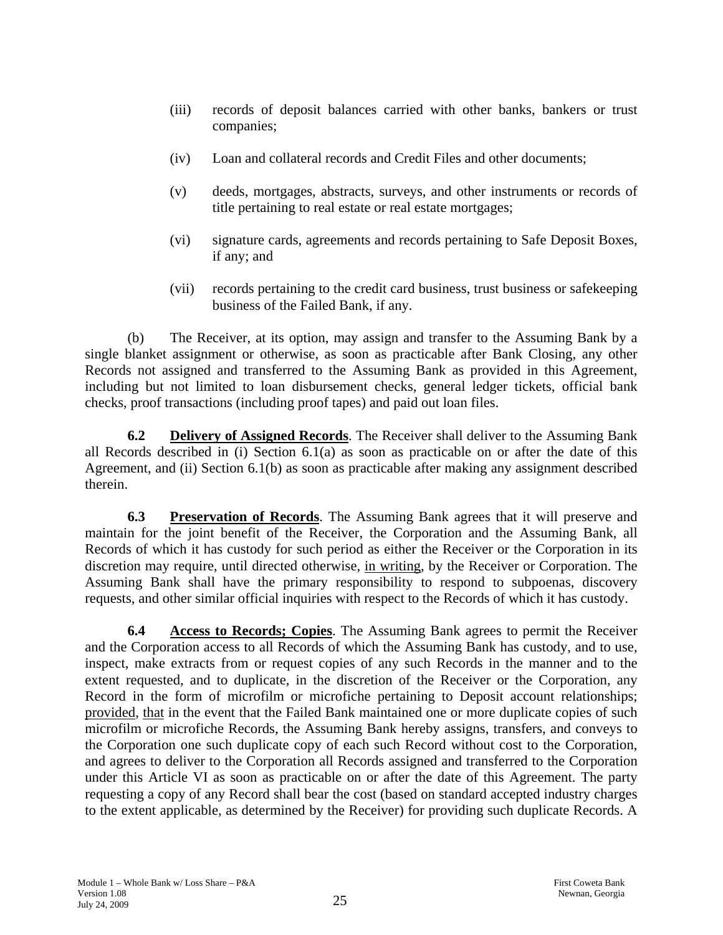- <span id="page-28-0"></span>(iii) records of deposit balances carried with other banks, bankers or trust companies;
- (iv) Loan and collateral records and Credit Files and other documents;
- (v) deeds, mortgages, abstracts, surveys, and other instruments or records of title pertaining to real estate or real estate mortgages;
- (vi) signature cards, agreements and records pertaining to Safe Deposit Boxes, if any; and
- (vii) records pertaining to the credit card business, trust business or safekeeping business of the Failed Bank, if any.

(b) The Receiver, at its option, may assign and transfer to the Assuming Bank by a single blanket assignment or otherwise, as soon as practicable after Bank Closing, any other Records not assigned and transferred to the Assuming Bank as provided in this Agreement, including but not limited to loan disbursement checks, general ledger tickets, official bank checks, proof transactions (including proof tapes) and paid out loan files.

**6.2 Delivery of Assigned Records**. The Receiver shall deliver to the Assuming Bank all Records described in (i) Section 6.1(a) as soon as practicable on or after the date of this Agreement, and (ii) Section 6.1(b) as soon as practicable after making any assignment described therein.

**6.3 Preservation of Records**. The Assuming Bank agrees that it will preserve and maintain for the joint benefit of the Receiver, the Corporation and the Assuming Bank, all Records of which it has custody for such period as either the Receiver or the Corporation in its discretion may require, until directed otherwise, in writing, by the Receiver or Corporation. The Assuming Bank shall have the primary responsibility to respond to subpoenas, discovery requests, and other similar official inquiries with respect to the Records of which it has custody.

**6.4 Access to Records; Copies**. The Assuming Bank agrees to permit the Receiver and the Corporation access to all Records of which the Assuming Bank has custody, and to use, inspect, make extracts from or request copies of any such Records in the manner and to the extent requested, and to duplicate, in the discretion of the Receiver or the Corporation, any Record in the form of microfilm or microfiche pertaining to Deposit account relationships; provided, that in the event that the Failed Bank maintained one or more duplicate copies of such microfilm or microfiche Records, the Assuming Bank hereby assigns, transfers, and conveys to the Corporation one such duplicate copy of each such Record without cost to the Corporation, and agrees to deliver to the Corporation all Records assigned and transferred to the Corporation under this Article VI as soon as practicable on or after the date of this Agreement. The party requesting a copy of any Record shall bear the cost (based on standard accepted industry charges to the extent applicable, as determined by the Receiver) for providing such duplicate Records. A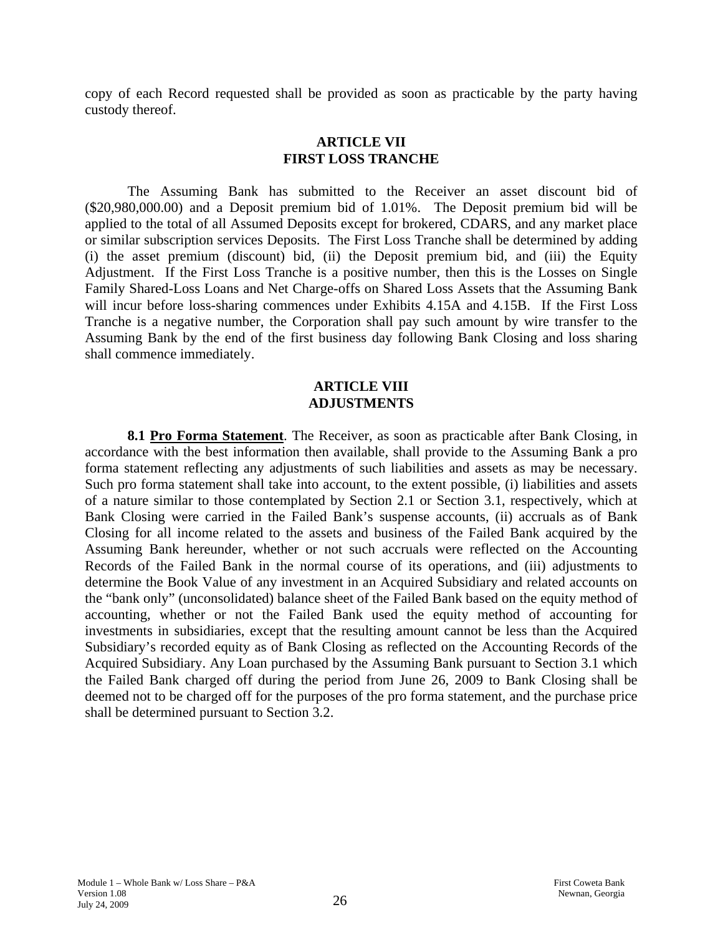<span id="page-29-0"></span>copy of each Record requested shall be provided as soon as practicable by the party having custody thereof.

### **ARTICLE VII FIRST LOSS TRANCHE**

 The Assuming Bank has submitted to the Receiver an asset discount bid of (\$20,980,000.00) and a Deposit premium bid of 1.01%. The Deposit premium bid will be applied to the total of all Assumed Deposits except for brokered, CDARS, and any market place or similar subscription services Deposits. The First Loss Tranche shall be determined by adding (i) the asset premium (discount) bid, (ii) the Deposit premium bid, and (iii) the Equity Adjustment. If the First Loss Tranche is a positive number, then this is the Losses on Single Family Shared-Loss Loans and Net Charge-offs on Shared Loss Assets that the Assuming Bank will incur before loss-sharing commences under Exhibits 4.15A and 4.15B. If the First Loss Tranche is a negative number, the Corporation shall pay such amount by wire transfer to the Assuming Bank by the end of the first business day following Bank Closing and loss sharing shall commence immediately.

#### **ARTICLE VIII ADJUSTMENTS**

**8.1 Pro Forma Statement**. The Receiver, as soon as practicable after Bank Closing, in accordance with the best information then available, shall provide to the Assuming Bank a pro forma statement reflecting any adjustments of such liabilities and assets as may be necessary. Such pro forma statement shall take into account, to the extent possible, (i) liabilities and assets of a nature similar to those contemplated by Section 2.1 or Section 3.1, respectively, which at Bank Closing were carried in the Failed Bank's suspense accounts, (ii) accruals as of Bank Closing for all income related to the assets and business of the Failed Bank acquired by the Assuming Bank hereunder, whether or not such accruals were reflected on the Accounting Records of the Failed Bank in the normal course of its operations, and (iii) adjustments to determine the Book Value of any investment in an Acquired Subsidiary and related accounts on the "bank only" (unconsolidated) balance sheet of the Failed Bank based on the equity method of accounting, whether or not the Failed Bank used the equity method of accounting for investments in subsidiaries, except that the resulting amount cannot be less than the Acquired Subsidiary's recorded equity as of Bank Closing as reflected on the Accounting Records of the Acquired Subsidiary. Any Loan purchased by the Assuming Bank pursuant to Section 3.1 which the Failed Bank charged off during the period from June 26, 2009 to Bank Closing shall be deemed not to be charged off for the purposes of the pro forma statement, and the purchase price shall be determined pursuant to Section 3.2.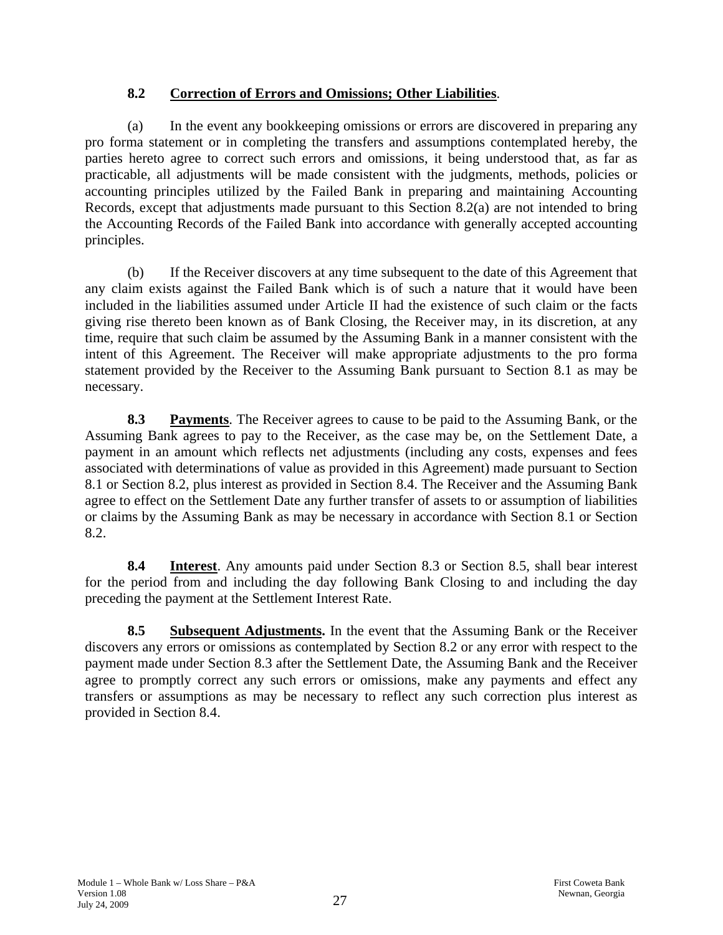# **8.2 Correction of Errors and Omissions; Other Liabilities**.

<span id="page-30-0"></span>(a) In the event any bookkeeping omissions or errors are discovered in preparing any pro forma statement or in completing the transfers and assumptions contemplated hereby, the parties hereto agree to correct such errors and omissions, it being understood that, as far as practicable, all adjustments will be made consistent with the judgments, methods, policies or accounting principles utilized by the Failed Bank in preparing and maintaining Accounting Records, except that adjustments made pursuant to this Section 8.2(a) are not intended to bring the Accounting Records of the Failed Bank into accordance with generally accepted accounting principles.

(b) If the Receiver discovers at any time subsequent to the date of this Agreement that any claim exists against the Failed Bank which is of such a nature that it would have been included in the liabilities assumed under Article II had the existence of such claim or the facts giving rise thereto been known as of Bank Closing, the Receiver may, in its discretion, at any time, require that such claim be assumed by the Assuming Bank in a manner consistent with the intent of this Agreement. The Receiver will make appropriate adjustments to the pro forma statement provided by the Receiver to the Assuming Bank pursuant to Section 8.1 as may be necessary.

**8.3 Payments**. The Receiver agrees to cause to be paid to the Assuming Bank, or the Assuming Bank agrees to pay to the Receiver, as the case may be, on the Settlement Date, a payment in an amount which reflects net adjustments (including any costs, expenses and fees associated with determinations of value as provided in this Agreement) made pursuant to Section 8.1 or Section 8.2, plus interest as provided in Section 8.4. The Receiver and the Assuming Bank agree to effect on the Settlement Date any further transfer of assets to or assumption of liabilities or claims by the Assuming Bank as may be necessary in accordance with Section 8.1 or Section 8.2.

**8.4 Interest**. Any amounts paid under Section 8.3 or Section 8.5, shall bear interest for the period from and including the day following Bank Closing to and including the day preceding the payment at the Settlement Interest Rate.

**8.5 Subsequent Adjustments.** In the event that the Assuming Bank or the Receiver discovers any errors or omissions as contemplated by Section 8.2 or any error with respect to the payment made under Section 8.3 after the Settlement Date, the Assuming Bank and the Receiver agree to promptly correct any such errors or omissions, make any payments and effect any transfers or assumptions as may be necessary to reflect any such correction plus interest as provided in Section 8.4.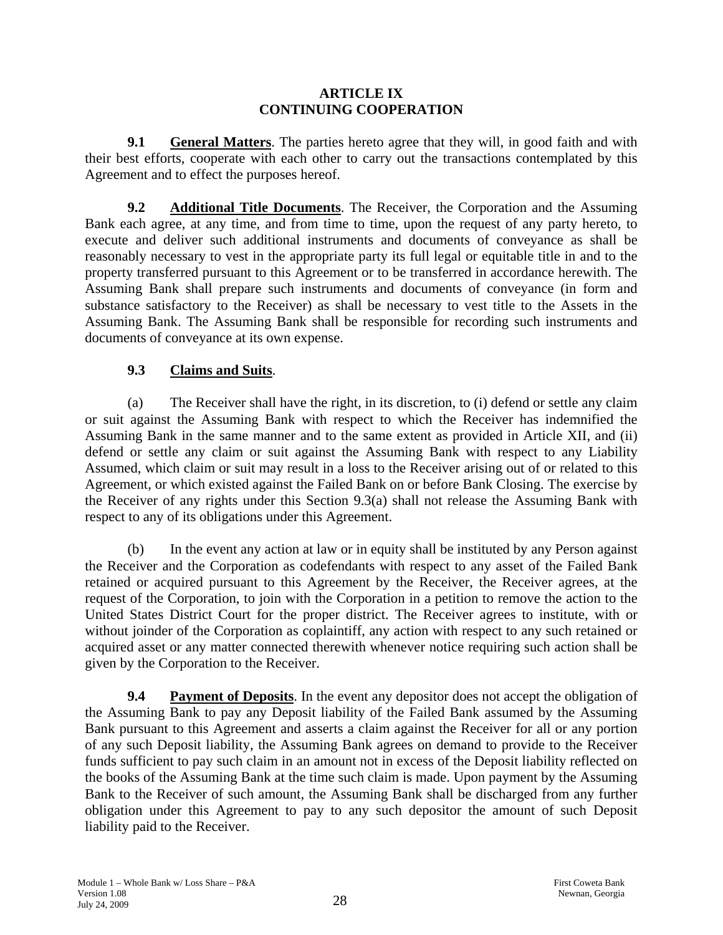### **ARTICLE IX CONTINUING COOPERATION**

<span id="page-31-0"></span>**9.1** General Matters. The parties hereto agree that they will, in good faith and with their best efforts, cooperate with each other to carry out the transactions contemplated by this Agreement and to effect the purposes hereof.

**9.2 Additional Title Documents**. The Receiver, the Corporation and the Assuming Bank each agree, at any time, and from time to time, upon the request of any party hereto, to execute and deliver such additional instruments and documents of conveyance as shall be reasonably necessary to vest in the appropriate party its full legal or equitable title in and to the property transferred pursuant to this Agreement or to be transferred in accordance herewith. The Assuming Bank shall prepare such instruments and documents of conveyance (in form and substance satisfactory to the Receiver) as shall be necessary to vest title to the Assets in the Assuming Bank. The Assuming Bank shall be responsible for recording such instruments and documents of conveyance at its own expense.

# **9.3 Claims and Suits**.

(a) The Receiver shall have the right, in its discretion, to (i) defend or settle any claim or suit against the Assuming Bank with respect to which the Receiver has indemnified the Assuming Bank in the same manner and to the same extent as provided in Article XII, and (ii) defend or settle any claim or suit against the Assuming Bank with respect to any Liability Assumed, which claim or suit may result in a loss to the Receiver arising out of or related to this Agreement, or which existed against the Failed Bank on or before Bank Closing. The exercise by the Receiver of any rights under this Section 9.3(a) shall not release the Assuming Bank with respect to any of its obligations under this Agreement.

(b) In the event any action at law or in equity shall be instituted by any Person against the Receiver and the Corporation as codefendants with respect to any asset of the Failed Bank retained or acquired pursuant to this Agreement by the Receiver, the Receiver agrees, at the request of the Corporation, to join with the Corporation in a petition to remove the action to the United States District Court for the proper district. The Receiver agrees to institute, with or without joinder of the Corporation as coplaintiff, any action with respect to any such retained or acquired asset or any matter connected therewith whenever notice requiring such action shall be given by the Corporation to the Receiver.

**9.4 Payment of Deposits**. In the event any depositor does not accept the obligation of the Assuming Bank to pay any Deposit liability of the Failed Bank assumed by the Assuming Bank pursuant to this Agreement and asserts a claim against the Receiver for all or any portion of any such Deposit liability, the Assuming Bank agrees on demand to provide to the Receiver funds sufficient to pay such claim in an amount not in excess of the Deposit liability reflected on the books of the Assuming Bank at the time such claim is made. Upon payment by the Assuming Bank to the Receiver of such amount, the Assuming Bank shall be discharged from any further obligation under this Agreement to pay to any such depositor the amount of such Deposit liability paid to the Receiver.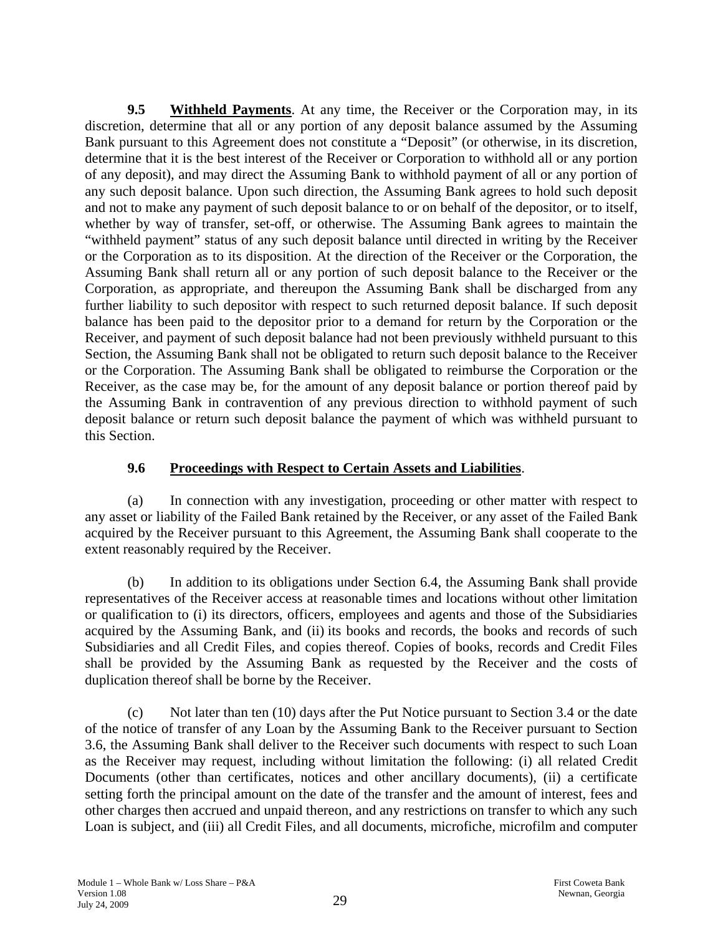<span id="page-32-0"></span>**9.5** Withheld Payments. At any time, the Receiver or the Corporation may, in its discretion, determine that all or any portion of any deposit balance assumed by the Assuming Bank pursuant to this Agreement does not constitute a "Deposit" (or otherwise, in its discretion, determine that it is the best interest of the Receiver or Corporation to withhold all or any portion of any deposit), and may direct the Assuming Bank to withhold payment of all or any portion of any such deposit balance. Upon such direction, the Assuming Bank agrees to hold such deposit and not to make any payment of such deposit balance to or on behalf of the depositor, or to itself, whether by way of transfer, set-off, or otherwise. The Assuming Bank agrees to maintain the "withheld payment" status of any such deposit balance until directed in writing by the Receiver or the Corporation as to its disposition. At the direction of the Receiver or the Corporation, the Assuming Bank shall return all or any portion of such deposit balance to the Receiver or the Corporation, as appropriate, and thereupon the Assuming Bank shall be discharged from any further liability to such depositor with respect to such returned deposit balance. If such deposit balance has been paid to the depositor prior to a demand for return by the Corporation or the Receiver, and payment of such deposit balance had not been previously withheld pursuant to this Section, the Assuming Bank shall not be obligated to return such deposit balance to the Receiver or the Corporation. The Assuming Bank shall be obligated to reimburse the Corporation or the Receiver, as the case may be, for the amount of any deposit balance or portion thereof paid by the Assuming Bank in contravention of any previous direction to withhold payment of such deposit balance or return such deposit balance the payment of which was withheld pursuant to this Section.

# **9.6 Proceedings with Respect to Certain Assets and Liabilities**.

(a) In connection with any investigation, proceeding or other matter with respect to any asset or liability of the Failed Bank retained by the Receiver, or any asset of the Failed Bank acquired by the Receiver pursuant to this Agreement, the Assuming Bank shall cooperate to the extent reasonably required by the Receiver.

(b) In addition to its obligations under Section 6.4, the Assuming Bank shall provide representatives of the Receiver access at reasonable times and locations without other limitation or qualification to (i) its directors, officers, employees and agents and those of the Subsidiaries acquired by the Assuming Bank, and (ii) its books and records, the books and records of such Subsidiaries and all Credit Files, and copies thereof. Copies of books, records and Credit Files shall be provided by the Assuming Bank as requested by the Receiver and the costs of duplication thereof shall be borne by the Receiver.

(c) Not later than ten (10) days after the Put Notice pursuant to Section 3.4 or the date of the notice of transfer of any Loan by the Assuming Bank to the Receiver pursuant to Section 3.6, the Assuming Bank shall deliver to the Receiver such documents with respect to such Loan as the Receiver may request, including without limitation the following: (i) all related Credit Documents (other than certificates, notices and other ancillary documents), (ii) a certificate setting forth the principal amount on the date of the transfer and the amount of interest, fees and other charges then accrued and unpaid thereon, and any restrictions on transfer to which any such Loan is subject, and (iii) all Credit Files, and all documents, microfiche, microfilm and computer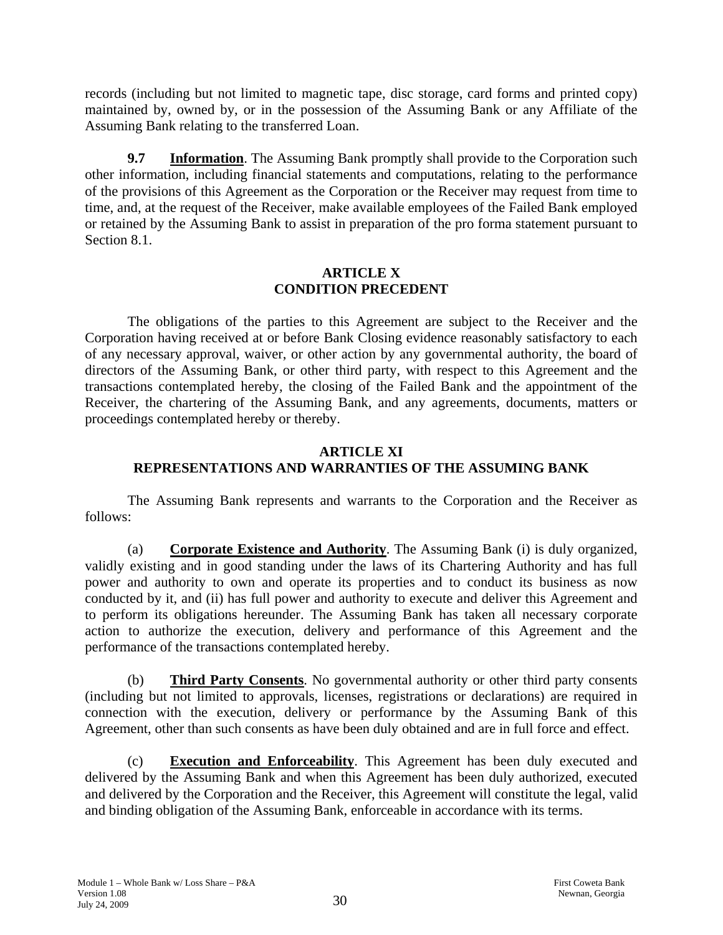<span id="page-33-0"></span>records (including but not limited to magnetic tape, disc storage, card forms and printed copy) maintained by, owned by, or in the possession of the Assuming Bank or any Affiliate of the Assuming Bank relating to the transferred Loan.

**9.7** Information. The Assuming Bank promptly shall provide to the Corporation such other information, including financial statements and computations, relating to the performance of the provisions of this Agreement as the Corporation or the Receiver may request from time to time, and, at the request of the Receiver, make available employees of the Failed Bank employed or retained by the Assuming Bank to assist in preparation of the pro forma statement pursuant to Section 8.1.

# **ARTICLE X CONDITION PRECEDENT**

The obligations of the parties to this Agreement are subject to the Receiver and the Corporation having received at or before Bank Closing evidence reasonably satisfactory to each of any necessary approval, waiver, or other action by any governmental authority, the board of directors of the Assuming Bank, or other third party, with respect to this Agreement and the transactions contemplated hereby, the closing of the Failed Bank and the appointment of the Receiver, the chartering of the Assuming Bank, and any agreements, documents, matters or proceedings contemplated hereby or thereby.

# **ARTICLE XI REPRESENTATIONS AND WARRANTIES OF THE ASSUMING BANK**

The Assuming Bank represents and warrants to the Corporation and the Receiver as follows:

(a) **Corporate Existence and Authority**. The Assuming Bank (i) is duly organized, validly existing and in good standing under the laws of its Chartering Authority and has full power and authority to own and operate its properties and to conduct its business as now conducted by it, and (ii) has full power and authority to execute and deliver this Agreement and to perform its obligations hereunder. The Assuming Bank has taken all necessary corporate action to authorize the execution, delivery and performance of this Agreement and the performance of the transactions contemplated hereby.

(b) **Third Party Consents**. No governmental authority or other third party consents (including but not limited to approvals, licenses, registrations or declarations) are required in connection with the execution, delivery or performance by the Assuming Bank of this Agreement, other than such consents as have been duly obtained and are in full force and effect.

(c) **Execution and Enforceability**. This Agreement has been duly executed and delivered by the Assuming Bank and when this Agreement has been duly authorized, executed and delivered by the Corporation and the Receiver, this Agreement will constitute the legal, valid and binding obligation of the Assuming Bank, enforceable in accordance with its terms.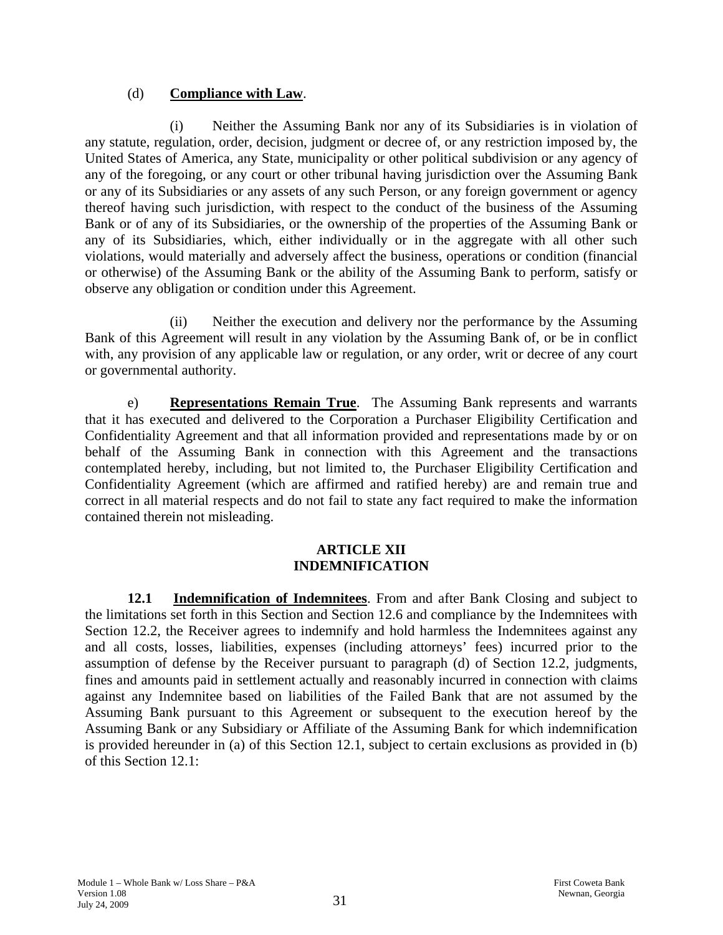## (d) **Compliance with Law**.

<span id="page-34-0"></span>(i) Neither the Assuming Bank nor any of its Subsidiaries is in violation of any statute, regulation, order, decision, judgment or decree of, or any restriction imposed by, the United States of America, any State, municipality or other political subdivision or any agency of any of the foregoing, or any court or other tribunal having jurisdiction over the Assuming Bank or any of its Subsidiaries or any assets of any such Person, or any foreign government or agency thereof having such jurisdiction, with respect to the conduct of the business of the Assuming Bank or of any of its Subsidiaries, or the ownership of the properties of the Assuming Bank or any of its Subsidiaries, which, either individually or in the aggregate with all other such violations, would materially and adversely affect the business, operations or condition (financial or otherwise) of the Assuming Bank or the ability of the Assuming Bank to perform, satisfy or observe any obligation or condition under this Agreement.

(ii) Neither the execution and delivery nor the performance by the Assuming Bank of this Agreement will result in any violation by the Assuming Bank of, or be in conflict with, any provision of any applicable law or regulation, or any order, writ or decree of any court or governmental authority.

e) **Representations Remain True**. The Assuming Bank represents and warrants that it has executed and delivered to the Corporation a Purchaser Eligibility Certification and Confidentiality Agreement and that all information provided and representations made by or on behalf of the Assuming Bank in connection with this Agreement and the transactions contemplated hereby, including, but not limited to, the Purchaser Eligibility Certification and Confidentiality Agreement (which are affirmed and ratified hereby) are and remain true and correct in all material respects and do not fail to state any fact required to make the information contained therein not misleading.

### **ARTICLE XII INDEMNIFICATION**

**12.1 Indemnification of Indemnitees**. From and after Bank Closing and subject to the limitations set forth in this Section and Section 12.6 and compliance by the Indemnitees with Section 12.2, the Receiver agrees to indemnify and hold harmless the Indemnitees against any and all costs, losses, liabilities, expenses (including attorneys' fees) incurred prior to the assumption of defense by the Receiver pursuant to paragraph (d) of Section 12.2, judgments, fines and amounts paid in settlement actually and reasonably incurred in connection with claims against any Indemnitee based on liabilities of the Failed Bank that are not assumed by the Assuming Bank pursuant to this Agreement or subsequent to the execution hereof by the Assuming Bank or any Subsidiary or Affiliate of the Assuming Bank for which indemnification is provided hereunder in (a) of this Section 12.1, subject to certain exclusions as provided in (b) of this Section 12.1: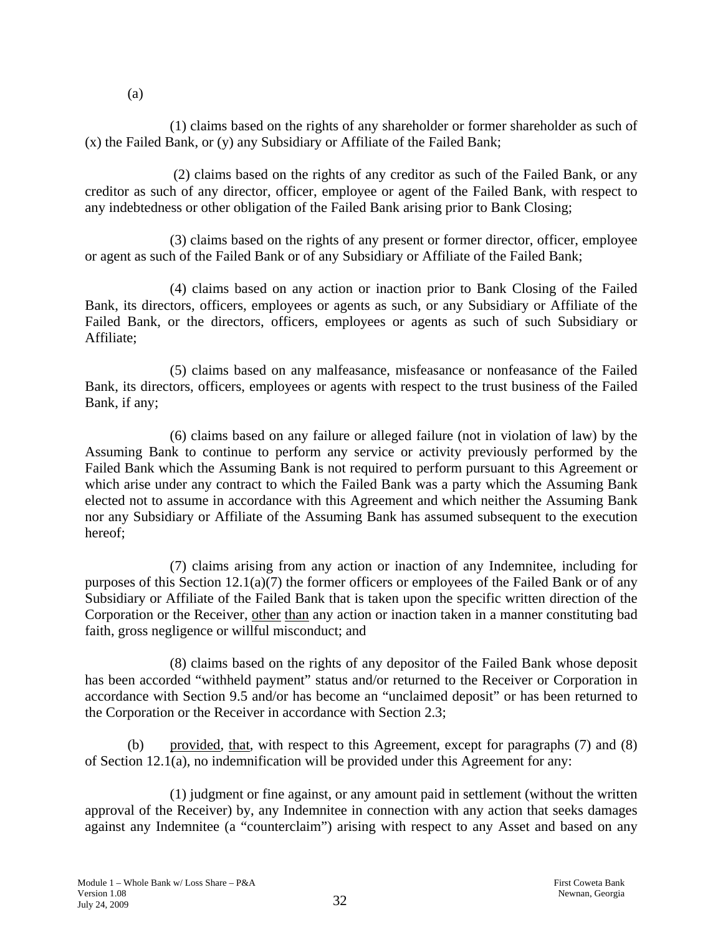(a)

(1) claims based on the rights of any shareholder or former shareholder as such of (x) the Failed Bank, or (y) any Subsidiary or Affiliate of the Failed Bank;

(2) claims based on the rights of any creditor as such of the Failed Bank, or any creditor as such of any director, officer, employee or agent of the Failed Bank, with respect to any indebtedness or other obligation of the Failed Bank arising prior to Bank Closing;

(3) claims based on the rights of any present or former director, officer, employee or agent as such of the Failed Bank or of any Subsidiary or Affiliate of the Failed Bank;

(4) claims based on any action or inaction prior to Bank Closing of the Failed Bank, its directors, officers, employees or agents as such, or any Subsidiary or Affiliate of the Failed Bank, or the directors, officers, employees or agents as such of such Subsidiary or Affiliate;

(5) claims based on any malfeasance, misfeasance or nonfeasance of the Failed Bank, its directors, officers, employees or agents with respect to the trust business of the Failed Bank, if any;

(6) claims based on any failure or alleged failure (not in violation of law) by the Assuming Bank to continue to perform any service or activity previously performed by the Failed Bank which the Assuming Bank is not required to perform pursuant to this Agreement or which arise under any contract to which the Failed Bank was a party which the Assuming Bank elected not to assume in accordance with this Agreement and which neither the Assuming Bank nor any Subsidiary or Affiliate of the Assuming Bank has assumed subsequent to the execution hereof;

(7) claims arising from any action or inaction of any Indemnitee, including for purposes of this Section 12.1(a)(7) the former officers or employees of the Failed Bank or of any Subsidiary or Affiliate of the Failed Bank that is taken upon the specific written direction of the Corporation or the Receiver, other than any action or inaction taken in a manner constituting bad faith, gross negligence or willful misconduct; and

(8) claims based on the rights of any depositor of the Failed Bank whose deposit has been accorded "withheld payment" status and/or returned to the Receiver or Corporation in accordance with Section 9.5 and/or has become an "unclaimed deposit" or has been returned to the Corporation or the Receiver in accordance with Section 2.3;

(b) provided, that, with respect to this Agreement, except for paragraphs (7) and (8) of Section 12.1(a), no indemnification will be provided under this Agreement for any:

(1) judgment or fine against, or any amount paid in settlement (without the written approval of the Receiver) by, any Indemnitee in connection with any action that seeks damages against any Indemnitee (a "counterclaim") arising with respect to any Asset and based on any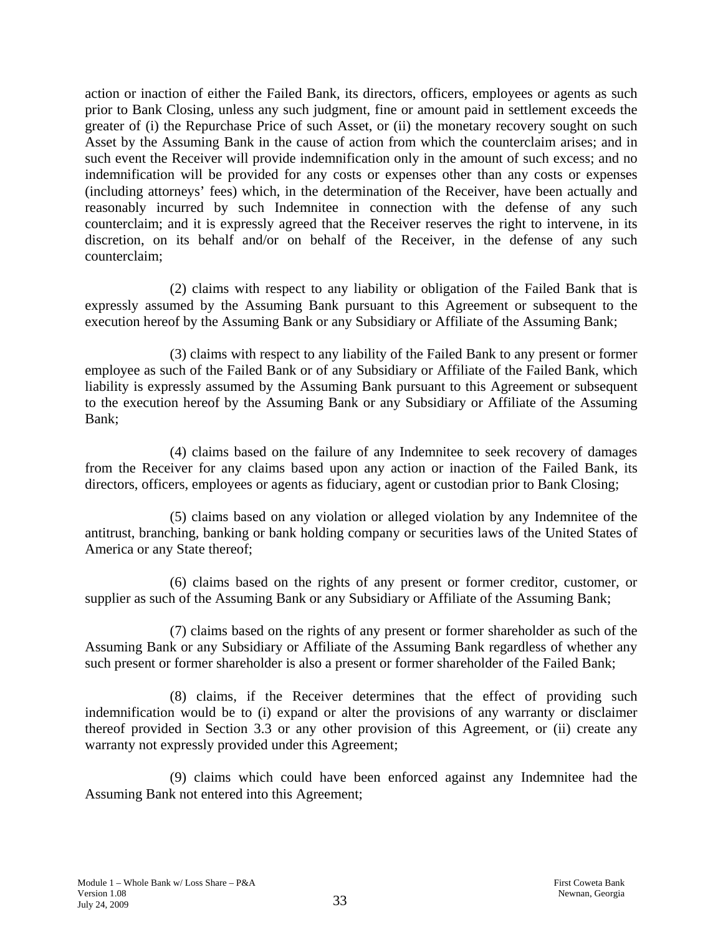action or inaction of either the Failed Bank, its directors, officers, employees or agents as such prior to Bank Closing, unless any such judgment, fine or amount paid in settlement exceeds the greater of (i) the Repurchase Price of such Asset, or (ii) the monetary recovery sought on such Asset by the Assuming Bank in the cause of action from which the counterclaim arises; and in such event the Receiver will provide indemnification only in the amount of such excess; and no indemnification will be provided for any costs or expenses other than any costs or expenses (including attorneys' fees) which, in the determination of the Receiver, have been actually and reasonably incurred by such Indemnitee in connection with the defense of any such counterclaim; and it is expressly agreed that the Receiver reserves the right to intervene, in its discretion, on its behalf and/or on behalf of the Receiver, in the defense of any such counterclaim;

(2) claims with respect to any liability or obligation of the Failed Bank that is expressly assumed by the Assuming Bank pursuant to this Agreement or subsequent to the execution hereof by the Assuming Bank or any Subsidiary or Affiliate of the Assuming Bank;

(3) claims with respect to any liability of the Failed Bank to any present or former employee as such of the Failed Bank or of any Subsidiary or Affiliate of the Failed Bank, which liability is expressly assumed by the Assuming Bank pursuant to this Agreement or subsequent to the execution hereof by the Assuming Bank or any Subsidiary or Affiliate of the Assuming Bank;

(4) claims based on the failure of any Indemnitee to seek recovery of damages from the Receiver for any claims based upon any action or inaction of the Failed Bank, its directors, officers, employees or agents as fiduciary, agent or custodian prior to Bank Closing;

(5) claims based on any violation or alleged violation by any Indemnitee of the antitrust, branching, banking or bank holding company or securities laws of the United States of America or any State thereof;

(6) claims based on the rights of any present or former creditor, customer, or supplier as such of the Assuming Bank or any Subsidiary or Affiliate of the Assuming Bank;

(7) claims based on the rights of any present or former shareholder as such of the Assuming Bank or any Subsidiary or Affiliate of the Assuming Bank regardless of whether any such present or former shareholder is also a present or former shareholder of the Failed Bank;

(8) claims, if the Receiver determines that the effect of providing such indemnification would be to (i) expand or alter the provisions of any warranty or disclaimer thereof provided in Section 3.3 or any other provision of this Agreement, or (ii) create any warranty not expressly provided under this Agreement;

(9) claims which could have been enforced against any Indemnitee had the Assuming Bank not entered into this Agreement;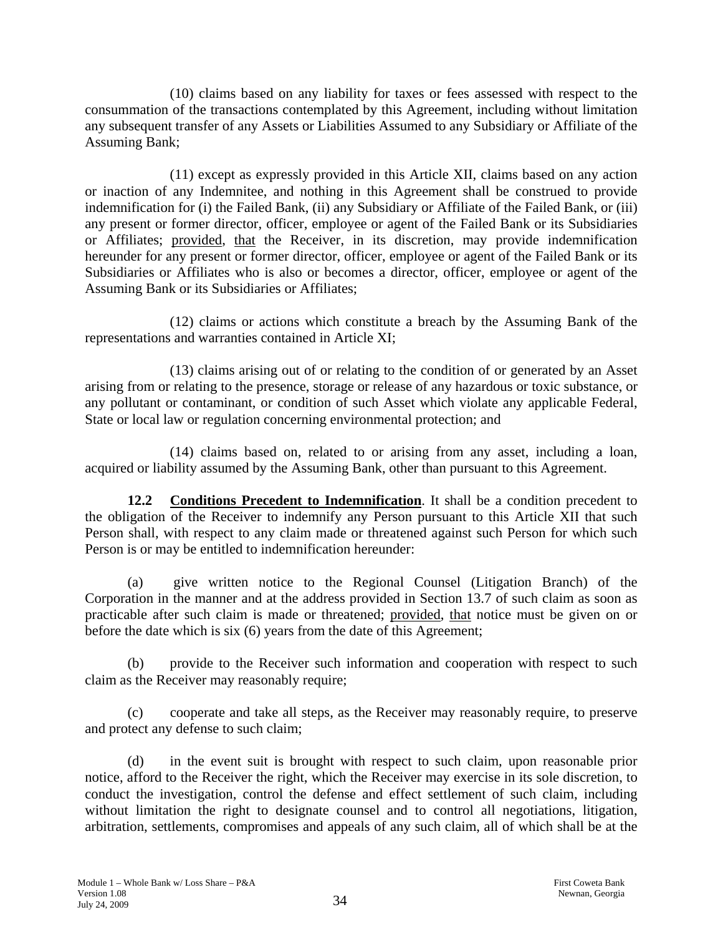(10) claims based on any liability for taxes or fees assessed with respect to the consummation of the transactions contemplated by this Agreement, including without limitation any subsequent transfer of any Assets or Liabilities Assumed to any Subsidiary or Affiliate of the Assuming Bank;

(11) except as expressly provided in this Article XII, claims based on any action or inaction of any Indemnitee, and nothing in this Agreement shall be construed to provide indemnification for (i) the Failed Bank, (ii) any Subsidiary or Affiliate of the Failed Bank, or (iii) any present or former director, officer, employee or agent of the Failed Bank or its Subsidiaries or Affiliates; provided, that the Receiver, in its discretion, may provide indemnification hereunder for any present or former director, officer, employee or agent of the Failed Bank or its Subsidiaries or Affiliates who is also or becomes a director, officer, employee or agent of the Assuming Bank or its Subsidiaries or Affiliates;

(12) claims or actions which constitute a breach by the Assuming Bank of the representations and warranties contained in Article XI;

(13) claims arising out of or relating to the condition of or generated by an Asset arising from or relating to the presence, storage or release of any hazardous or toxic substance, or any pollutant or contaminant, or condition of such Asset which violate any applicable Federal, State or local law or regulation concerning environmental protection; and

(14) claims based on, related to or arising from any asset, including a loan, acquired or liability assumed by the Assuming Bank, other than pursuant to this Agreement.

**12.2 Conditions Precedent to Indemnification**. It shall be a condition precedent to the obligation of the Receiver to indemnify any Person pursuant to this Article XII that such Person shall, with respect to any claim made or threatened against such Person for which such Person is or may be entitled to indemnification hereunder:

(a) give written notice to the Regional Counsel (Litigation Branch) of the Corporation in the manner and at the address provided in Section 13.7 of such claim as soon as practicable after such claim is made or threatened; provided, that notice must be given on or before the date which is six (6) years from the date of this Agreement;

(b) provide to the Receiver such information and cooperation with respect to such claim as the Receiver may reasonably require;

(c) cooperate and take all steps, as the Receiver may reasonably require, to preserve and protect any defense to such claim;

(d) in the event suit is brought with respect to such claim, upon reasonable prior notice, afford to the Receiver the right, which the Receiver may exercise in its sole discretion, to conduct the investigation, control the defense and effect settlement of such claim, including without limitation the right to designate counsel and to control all negotiations, litigation, arbitration, settlements, compromises and appeals of any such claim, all of which shall be at the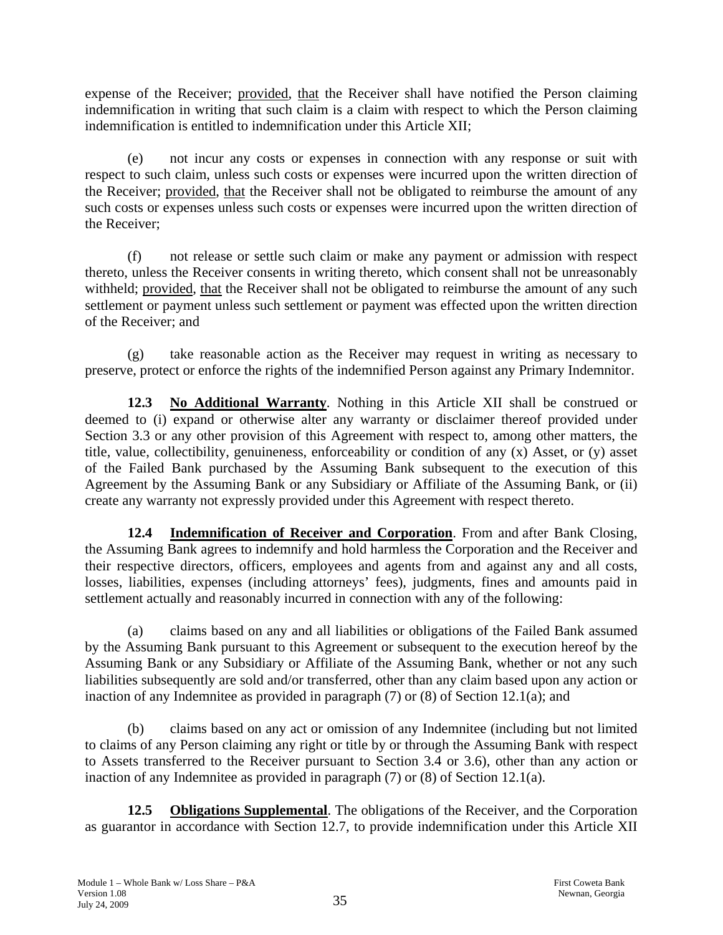expense of the Receiver; provided, that the Receiver shall have notified the Person claiming indemnification in writing that such claim is a claim with respect to which the Person claiming indemnification is entitled to indemnification under this Article XII;

(e) not incur any costs or expenses in connection with any response or suit with respect to such claim, unless such costs or expenses were incurred upon the written direction of the Receiver; provided, that the Receiver shall not be obligated to reimburse the amount of any such costs or expenses unless such costs or expenses were incurred upon the written direction of the Receiver;

(f) not release or settle such claim or make any payment or admission with respect thereto, unless the Receiver consents in writing thereto, which consent shall not be unreasonably withheld; provided, that the Receiver shall not be obligated to reimburse the amount of any such settlement or payment unless such settlement or payment was effected upon the written direction of the Receiver; and

(g) take reasonable action as the Receiver may request in writing as necessary to preserve, protect or enforce the rights of the indemnified Person against any Primary Indemnitor.

**12.3 No Additional Warranty**. Nothing in this Article XII shall be construed or deemed to (i) expand or otherwise alter any warranty or disclaimer thereof provided under Section 3.3 or any other provision of this Agreement with respect to, among other matters, the title, value, collectibility, genuineness, enforceability or condition of any (x) Asset, or (y) asset of the Failed Bank purchased by the Assuming Bank subsequent to the execution of this Agreement by the Assuming Bank or any Subsidiary or Affiliate of the Assuming Bank, or (ii) create any warranty not expressly provided under this Agreement with respect thereto.

**12.4 Indemnification of Receiver and Corporation**. From and after Bank Closing, the Assuming Bank agrees to indemnify and hold harmless the Corporation and the Receiver and their respective directors, officers, employees and agents from and against any and all costs, losses, liabilities, expenses (including attorneys' fees), judgments, fines and amounts paid in settlement actually and reasonably incurred in connection with any of the following:

(a) claims based on any and all liabilities or obligations of the Failed Bank assumed by the Assuming Bank pursuant to this Agreement or subsequent to the execution hereof by the Assuming Bank or any Subsidiary or Affiliate of the Assuming Bank, whether or not any such liabilities subsequently are sold and/or transferred, other than any claim based upon any action or inaction of any Indemnitee as provided in paragraph (7) or (8) of Section 12.1(a); and

(b) claims based on any act or omission of any Indemnitee (including but not limited to claims of any Person claiming any right or title by or through the Assuming Bank with respect to Assets transferred to the Receiver pursuant to Section 3.4 or 3.6), other than any action or inaction of any Indemnitee as provided in paragraph (7) or (8) of Section 12.1(a).

**12.5 Obligations Supplemental**. The obligations of the Receiver, and the Corporation as guarantor in accordance with Section 12.7, to provide indemnification under this Article XII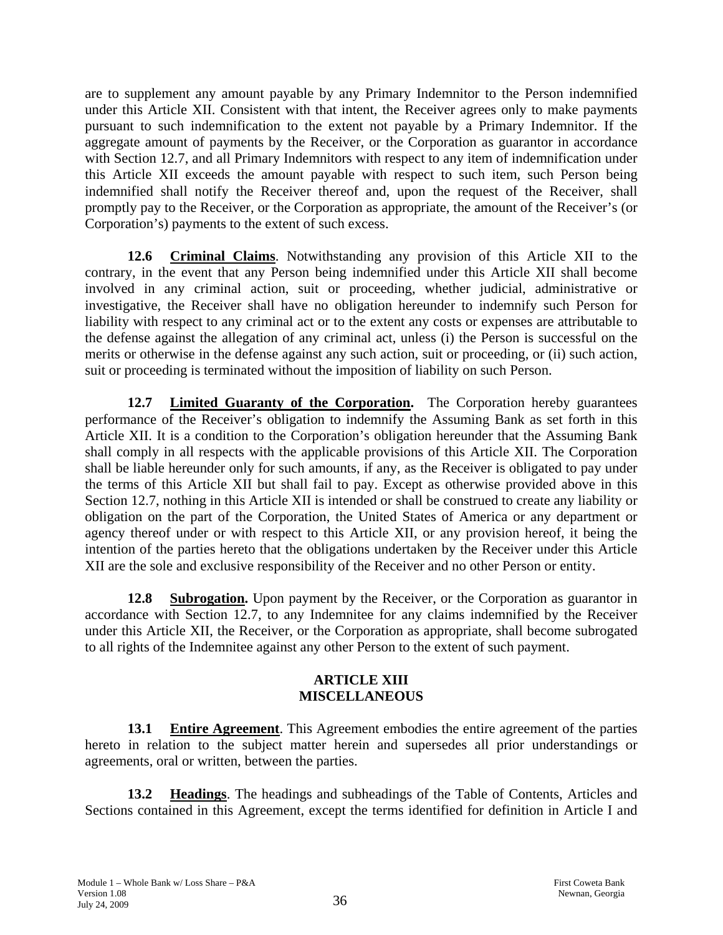are to supplement any amount payable by any Primary Indemnitor to the Person indemnified under this Article XII. Consistent with that intent, the Receiver agrees only to make payments pursuant to such indemnification to the extent not payable by a Primary Indemnitor. If the aggregate amount of payments by the Receiver, or the Corporation as guarantor in accordance with Section 12.7, and all Primary Indemnitors with respect to any item of indemnification under this Article XII exceeds the amount payable with respect to such item, such Person being indemnified shall notify the Receiver thereof and, upon the request of the Receiver, shall promptly pay to the Receiver, or the Corporation as appropriate, the amount of the Receiver's (or Corporation's) payments to the extent of such excess.

**12.6 Criminal Claims**. Notwithstanding any provision of this Article XII to the contrary, in the event that any Person being indemnified under this Article XII shall become involved in any criminal action, suit or proceeding, whether judicial, administrative or investigative, the Receiver shall have no obligation hereunder to indemnify such Person for liability with respect to any criminal act or to the extent any costs or expenses are attributable to the defense against the allegation of any criminal act, unless (i) the Person is successful on the merits or otherwise in the defense against any such action, suit or proceeding, or (ii) such action, suit or proceeding is terminated without the imposition of liability on such Person.

**12.7 Limited Guaranty of the Corporation.** The Corporation hereby guarantees performance of the Receiver's obligation to indemnify the Assuming Bank as set forth in this Article XII. It is a condition to the Corporation's obligation hereunder that the Assuming Bank shall comply in all respects with the applicable provisions of this Article XII. The Corporation shall be liable hereunder only for such amounts, if any, as the Receiver is obligated to pay under the terms of this Article XII but shall fail to pay. Except as otherwise provided above in this Section 12.7, nothing in this Article XII is intended or shall be construed to create any liability or obligation on the part of the Corporation, the United States of America or any department or agency thereof under or with respect to this Article XII, or any provision hereof, it being the intention of the parties hereto that the obligations undertaken by the Receiver under this Article XII are the sole and exclusive responsibility of the Receiver and no other Person or entity.

**12.8** Subrogation. Upon payment by the Receiver, or the Corporation as guarantor in accordance with Section 12.7, to any Indemnitee for any claims indemnified by the Receiver under this Article XII, the Receiver, or the Corporation as appropriate, shall become subrogated to all rights of the Indemnitee against any other Person to the extent of such payment.

### **ARTICLE XIII MISCELLANEOUS**

**13.1 Entire Agreement**. This Agreement embodies the entire agreement of the parties hereto in relation to the subject matter herein and supersedes all prior understandings or agreements, oral or written, between the parties.

**13.2 Headings**. The headings and subheadings of the Table of Contents, Articles and Sections contained in this Agreement, except the terms identified for definition in Article I and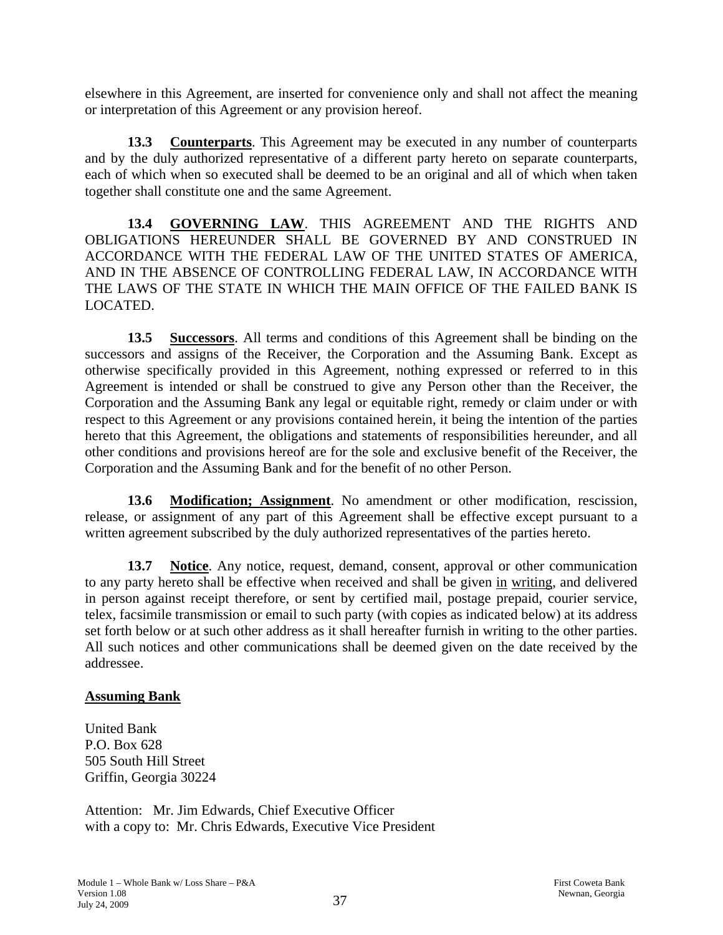elsewhere in this Agreement, are inserted for convenience only and shall not affect the meaning or interpretation of this Agreement or any provision hereof.

**13.3 Counterparts**. This Agreement may be executed in any number of counterparts and by the duly authorized representative of a different party hereto on separate counterparts, each of which when so executed shall be deemed to be an original and all of which when taken together shall constitute one and the same Agreement.

**13.4 GOVERNING LAW**. THIS AGREEMENT AND THE RIGHTS AND OBLIGATIONS HEREUNDER SHALL BE GOVERNED BY AND CONSTRUED IN ACCORDANCE WITH THE FEDERAL LAW OF THE UNITED STATES OF AMERICA, AND IN THE ABSENCE OF CONTROLLING FEDERAL LAW, IN ACCORDANCE WITH THE LAWS OF THE STATE IN WHICH THE MAIN OFFICE OF THE FAILED BANK IS LOCATED.

 **13.5 Successors**. All terms and conditions of this Agreement shall be binding on the successors and assigns of the Receiver, the Corporation and the Assuming Bank. Except as otherwise specifically provided in this Agreement, nothing expressed or referred to in this Agreement is intended or shall be construed to give any Person other than the Receiver, the Corporation and the Assuming Bank any legal or equitable right, remedy or claim under or with respect to this Agreement or any provisions contained herein, it being the intention of the parties hereto that this Agreement, the obligations and statements of responsibilities hereunder, and all other conditions and provisions hereof are for the sole and exclusive benefit of the Receiver, the Corporation and the Assuming Bank and for the benefit of no other Person.

**13.6 Modification; Assignment**. No amendment or other modification, rescission, release, or assignment of any part of this Agreement shall be effective except pursuant to a written agreement subscribed by the duly authorized representatives of the parties hereto.

**13.7 Notice**. Any notice, request, demand, consent, approval or other communication to any party hereto shall be effective when received and shall be given in writing, and delivered in person against receipt therefore, or sent by certified mail, postage prepaid, courier service, telex, facsimile transmission or email to such party (with copies as indicated below) at its address set forth below or at such other address as it shall hereafter furnish in writing to the other parties. All such notices and other communications shall be deemed given on the date received by the addressee.

# **Assuming Bank**

United Bank P.O. Box 628 505 South Hill Street Griffin, Georgia 30224

Attention: Mr. Jim Edwards, Chief Executive Officer with a copy to: Mr. Chris Edwards, Executive Vice President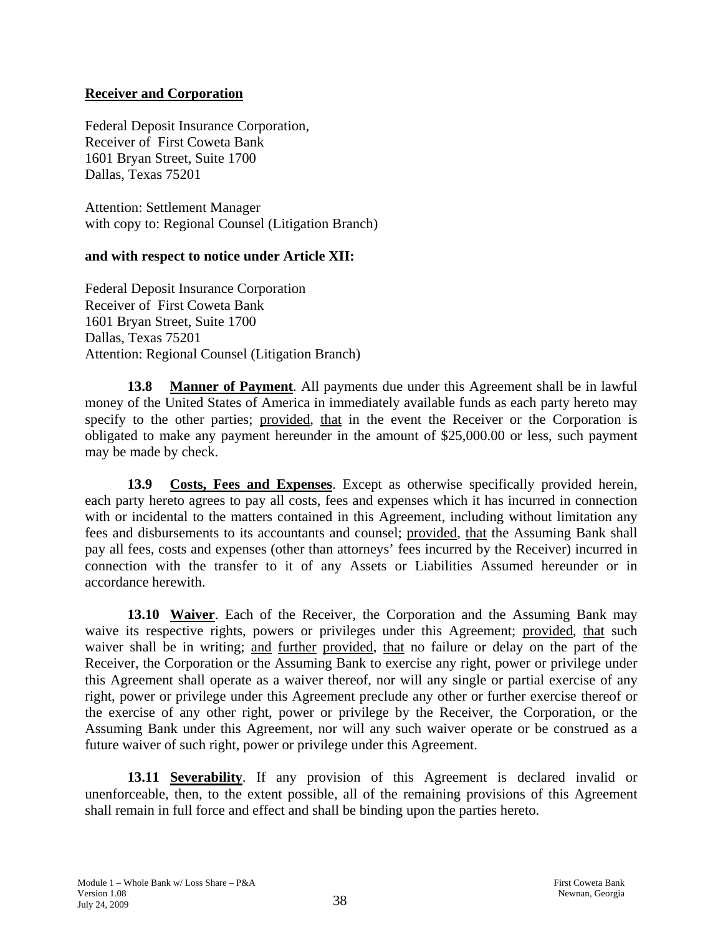# **Receiver and Corporation**

Federal Deposit Insurance Corporation, Receiver of First Coweta Bank 1601 Bryan Street, Suite 1700 Dallas, Texas 75201

Attention: Settlement Manager with copy to: Regional Counsel (Litigation Branch)

### **and with respect to notice under Article XII:**

Federal Deposit Insurance Corporation Receiver of First Coweta Bank 1601 Bryan Street, Suite 1700 Dallas, Texas 75201 Attention: Regional Counsel (Litigation Branch)

 **13.8 Manner of Payment**. All payments due under this Agreement shall be in lawful money of the United States of America in immediately available funds as each party hereto may specify to the other parties; provided, that in the event the Receiver or the Corporation is obligated to make any payment hereunder in the amount of \$25,000.00 or less, such payment may be made by check.

**13.9 Costs, Fees and Expenses**. Except as otherwise specifically provided herein, each party hereto agrees to pay all costs, fees and expenses which it has incurred in connection with or incidental to the matters contained in this Agreement, including without limitation any fees and disbursements to its accountants and counsel; provided, that the Assuming Bank shall pay all fees, costs and expenses (other than attorneys' fees incurred by the Receiver) incurred in connection with the transfer to it of any Assets or Liabilities Assumed hereunder or in accordance herewith.

**13.10 Waiver**. Each of the Receiver, the Corporation and the Assuming Bank may waive its respective rights, powers or privileges under this Agreement; provided, that such waiver shall be in writing; and further provided, that no failure or delay on the part of the Receiver, the Corporation or the Assuming Bank to exercise any right, power or privilege under this Agreement shall operate as a waiver thereof, nor will any single or partial exercise of any right, power or privilege under this Agreement preclude any other or further exercise thereof or the exercise of any other right, power or privilege by the Receiver, the Corporation, or the Assuming Bank under this Agreement, nor will any such waiver operate or be construed as a future waiver of such right, power or privilege under this Agreement.

**13.11 Severability**. If any provision of this Agreement is declared invalid or unenforceable, then, to the extent possible, all of the remaining provisions of this Agreement shall remain in full force and effect and shall be binding upon the parties hereto.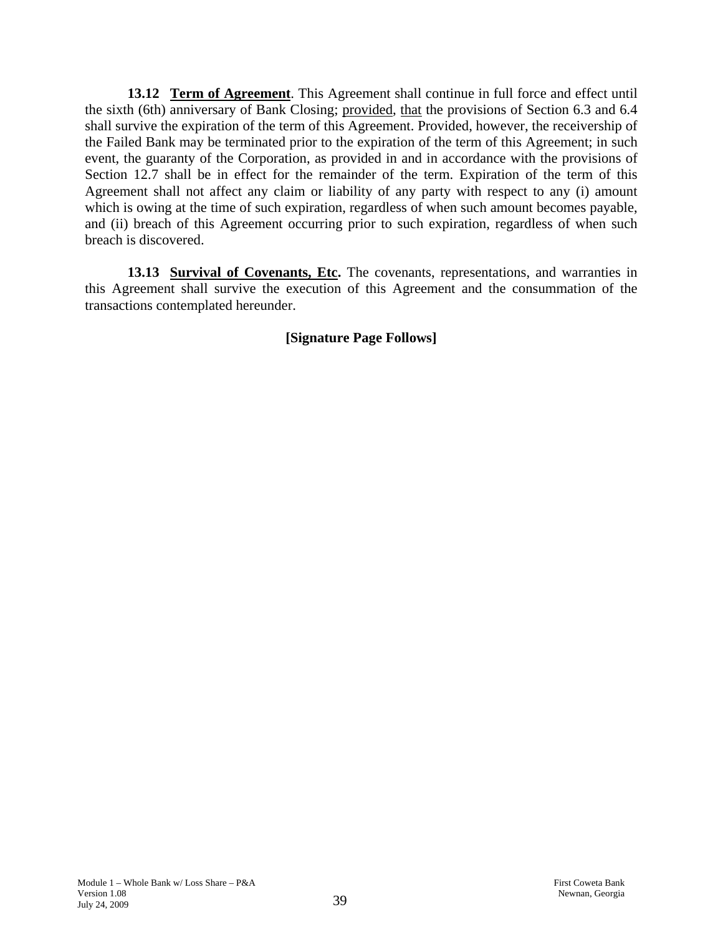**13.12 Term of Agreement**. This Agreement shall continue in full force and effect until the sixth (6th) anniversary of Bank Closing; provided, that the provisions of Section 6.3 and 6.4 shall survive the expiration of the term of this Agreement. Provided, however, the receivership of the Failed Bank may be terminated prior to the expiration of the term of this Agreement; in such event, the guaranty of the Corporation, as provided in and in accordance with the provisions of Section 12.7 shall be in effect for the remainder of the term. Expiration of the term of this Agreement shall not affect any claim or liability of any party with respect to any (i) amount which is owing at the time of such expiration, regardless of when such amount becomes payable, and (ii) breach of this Agreement occurring prior to such expiration, regardless of when such breach is discovered.

13.13 **Survival of Covenants, Etc.** The covenants, representations, and warranties in this Agreement shall survive the execution of this Agreement and the consummation of the transactions contemplated hereunder.

# **[Signature Page Follows]**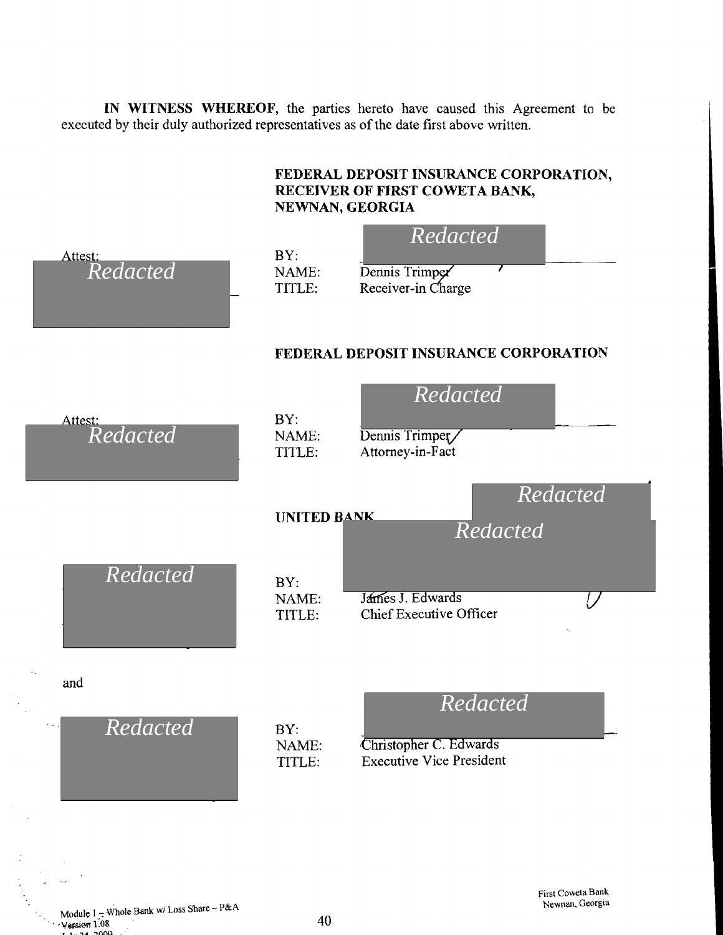**IN WITNESS WHEREOF,** the parties hereto have caused this Agreement to be executed by their duly authorized representatives as of the date first above written.

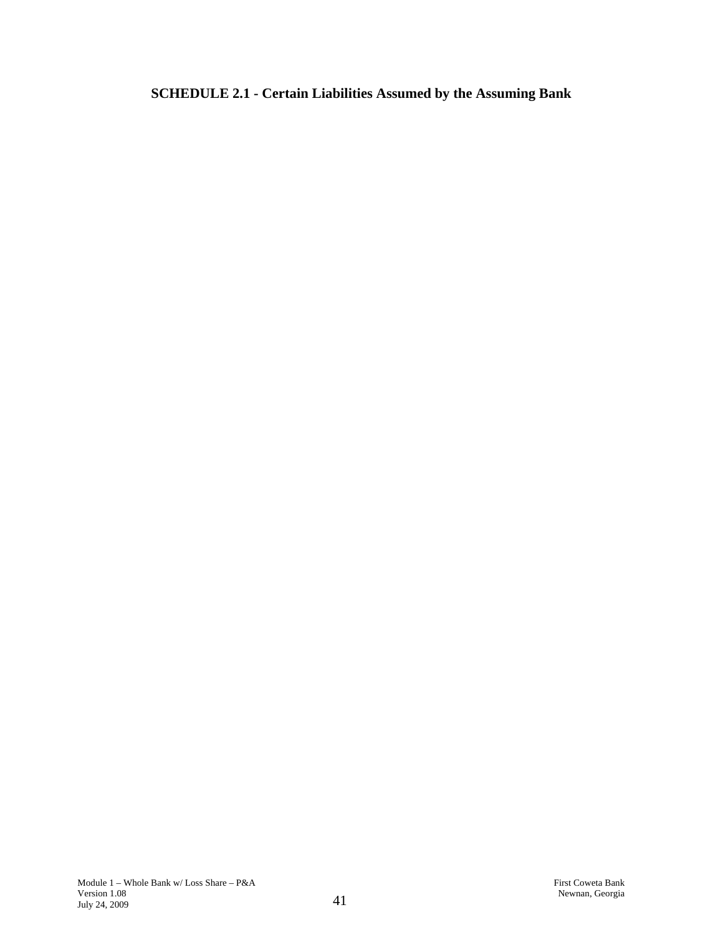**SCHEDULE 2.1 - Certain Liabilities Assumed by the Assuming Bank**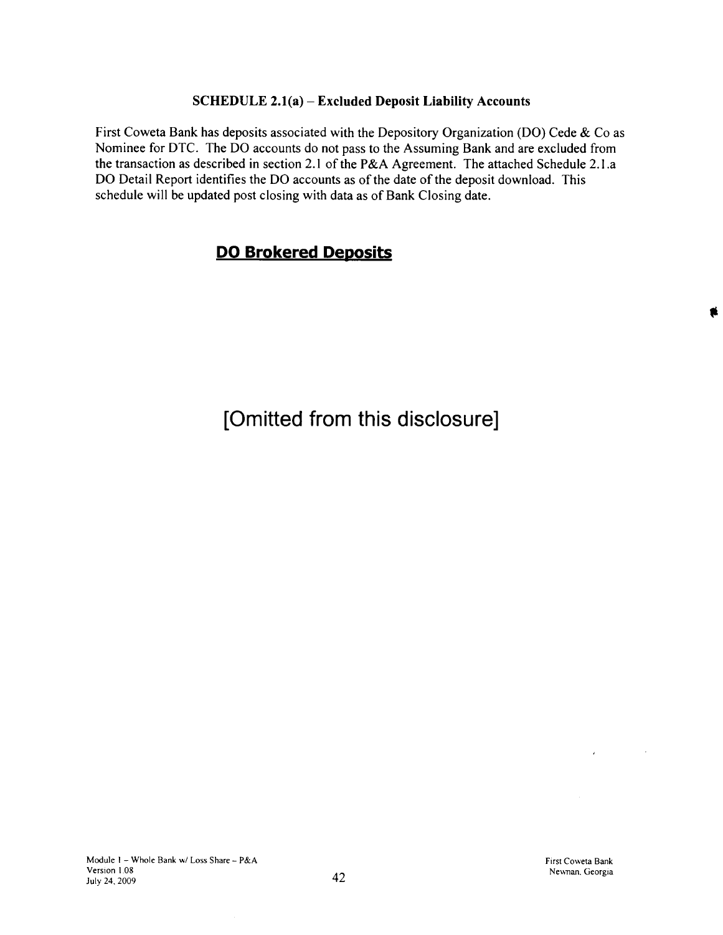# SCHEDULE 2.1(a) - Excluded Deposit Liabilty Accounts

First Coweta Bank has deposits associated with the Depository Organization (DO) Cede & Co as Nominee for DTC. The DO accounts do not pass to the Assuming Bank and are excluded from the transaction as described in section 2.1 of the P&A Agreement. The attached Schedule 2.1.a DO Detail Report identifies the DO accounts as of the date of the deposit download. This schedule will be updated post closing with data as of Bank Closing date.

# DO Brokered Deposits

(Omitted from this disclosure)

t'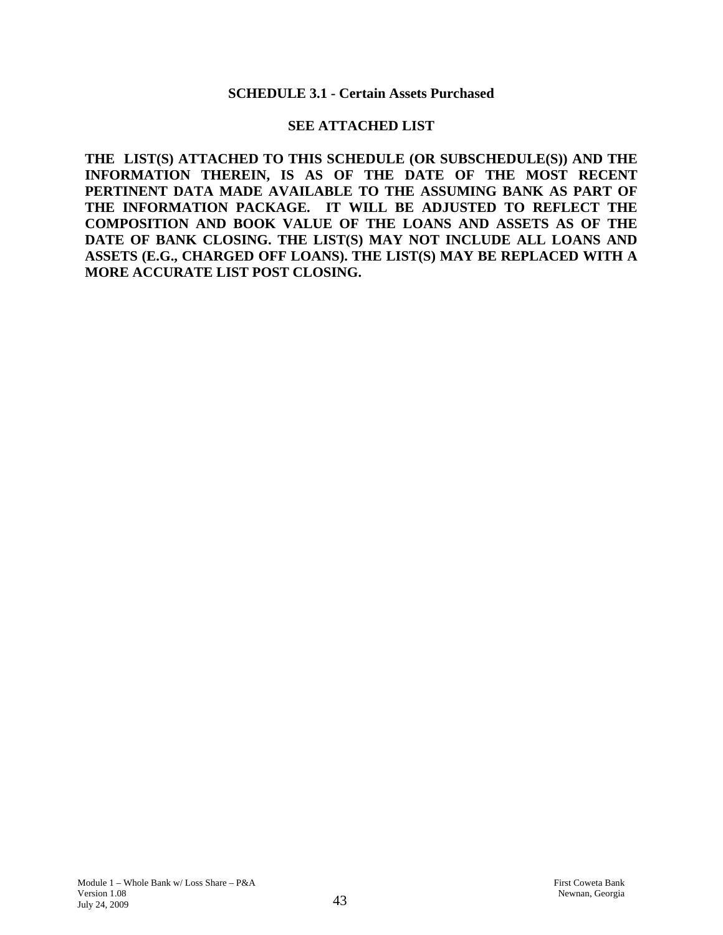#### **SCHEDULE 3.1 - Certain Assets Purchased**

#### **SEE ATTACHED LIST**

**THE LIST(S) ATTACHED TO THIS SCHEDULE (OR SUBSCHEDULE(S)) AND THE INFORMATION THEREIN, IS AS OF THE DATE OF THE MOST RECENT PERTINENT DATA MADE AVAILABLE TO THE ASSUMING BANK AS PART OF THE INFORMATION PACKAGE. IT WILL BE ADJUSTED TO REFLECT THE COMPOSITION AND BOOK VALUE OF THE LOANS AND ASSETS AS OF THE DATE OF BANK CLOSING. THE LIST(S) MAY NOT INCLUDE ALL LOANS AND ASSETS (E.G., CHARGED OFF LOANS). THE LIST(S) MAY BE REPLACED WITH A MORE ACCURATE LIST POST CLOSING.**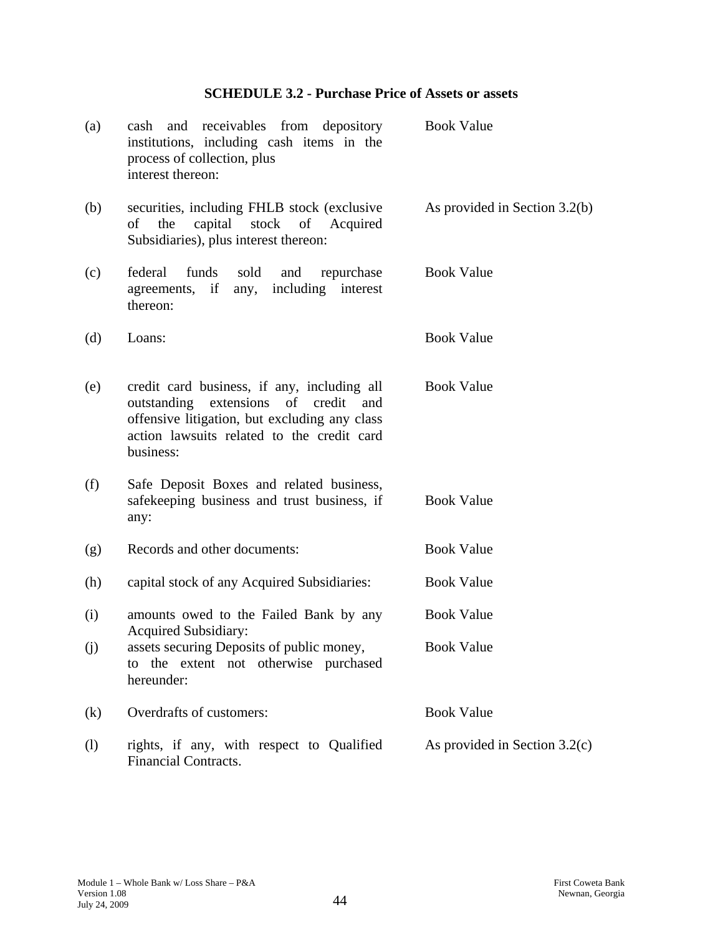# **SCHEDULE 3.2 - Purchase Price of Assets or assets**

| (a) | cash and receivables from depository<br>institutions, including cash items in the<br>process of collection, plus<br>interest thereon:                                                           | <b>Book Value</b>               |
|-----|-------------------------------------------------------------------------------------------------------------------------------------------------------------------------------------------------|---------------------------------|
| (b) | securities, including FHLB stock (exclusive<br>the<br>capital stock of Acquired<br>of<br>Subsidiaries), plus interest thereon:                                                                  | As provided in Section $3.2(b)$ |
| (c) | federal<br>funds<br>sold<br>and<br>repurchase<br>any, including interest<br>agreements, if<br>thereon:                                                                                          | <b>Book Value</b>               |
| (d) | Loans:                                                                                                                                                                                          | <b>Book Value</b>               |
| (e) | credit card business, if any, including all<br>outstanding extensions of credit and<br>offensive litigation, but excluding any class<br>action lawsuits related to the credit card<br>business: | <b>Book Value</b>               |
| (f) | Safe Deposit Boxes and related business,<br>safekeeping business and trust business, if<br>any:                                                                                                 | <b>Book Value</b>               |
| (g) | Records and other documents:                                                                                                                                                                    | <b>Book Value</b>               |
| (h) | capital stock of any Acquired Subsidiaries:                                                                                                                                                     | <b>Book Value</b>               |
| (i) | amounts owed to the Failed Bank by any                                                                                                                                                          | <b>Book Value</b>               |
| (j) | <b>Acquired Subsidiary:</b><br>assets securing Deposits of public money,<br>to the extent not otherwise purchased<br>hereunder:                                                                 | <b>Book Value</b>               |
| (k) | Overdrafts of customers:                                                                                                                                                                        | <b>Book Value</b>               |
| (1) | rights, if any, with respect to Qualified<br>Financial Contracts.                                                                                                                               | As provided in Section $3.2(c)$ |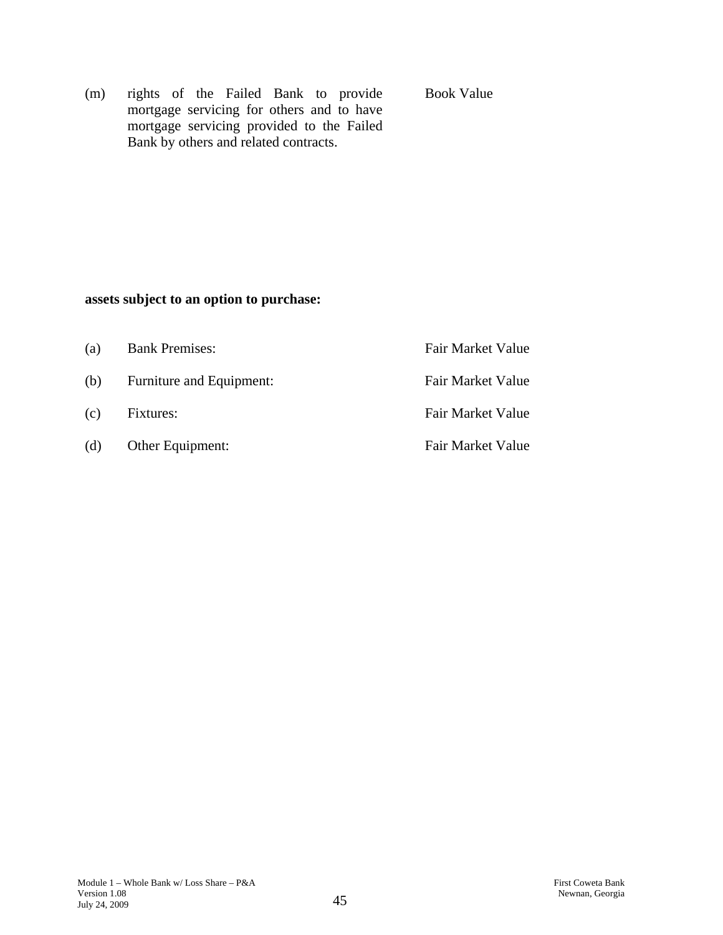(m) rights of the Failed Bank to provide Book Value mortgage servicing for others and to have mortgage servicing provided to the Failed Bank by others and related contracts.

### **assets subject to an option to purchase:**

(a) Bank Premises: Fair Market Value (b) Furniture and Equipment: Fair Market Value (c) Fixtures: Fair Market Value (d) Other Equipment: Fair Market Value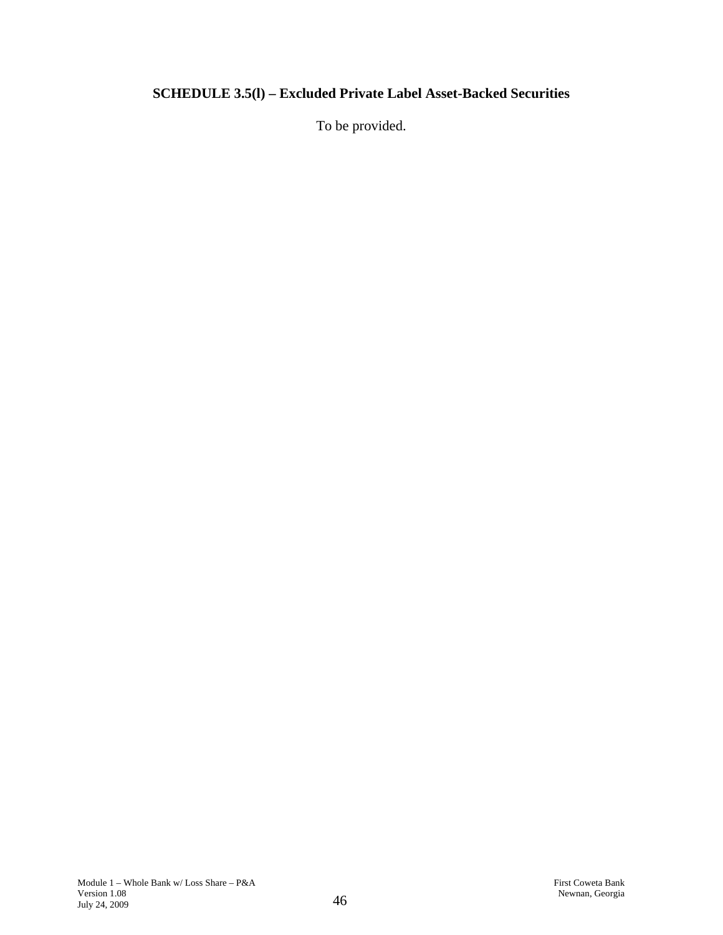# **SCHEDULE 3.5(l) – Excluded Private Label Asset-Backed Securities**

To be provided.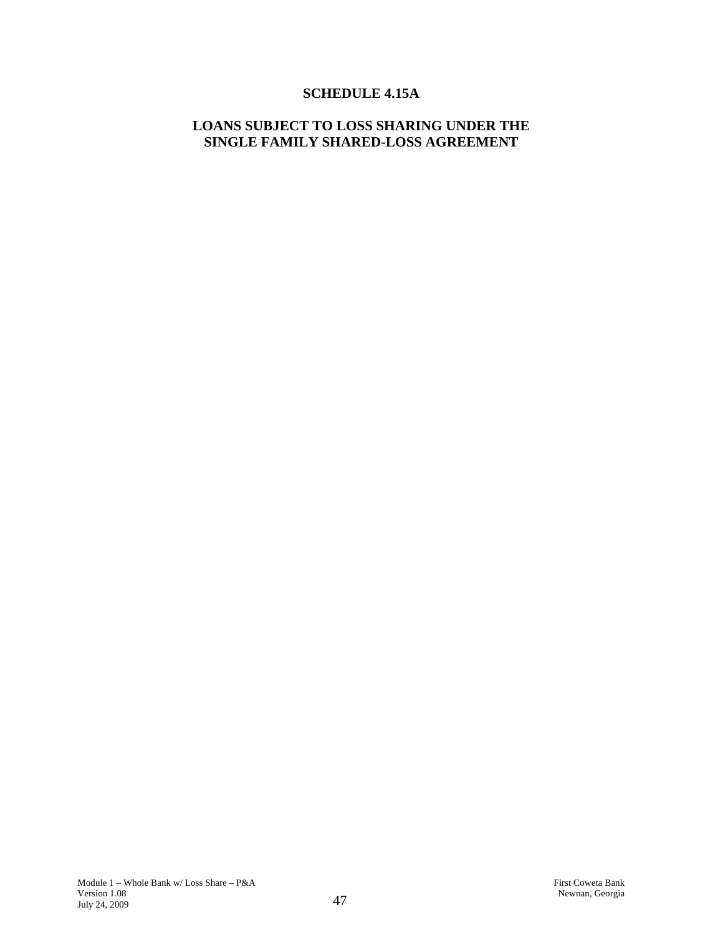# **SCHEDULE 4.15A**

# **LOANS SUBJECT TO LOSS SHARING UNDER THE SINGLE FAMILY SHARED-LOSS AGREEMENT**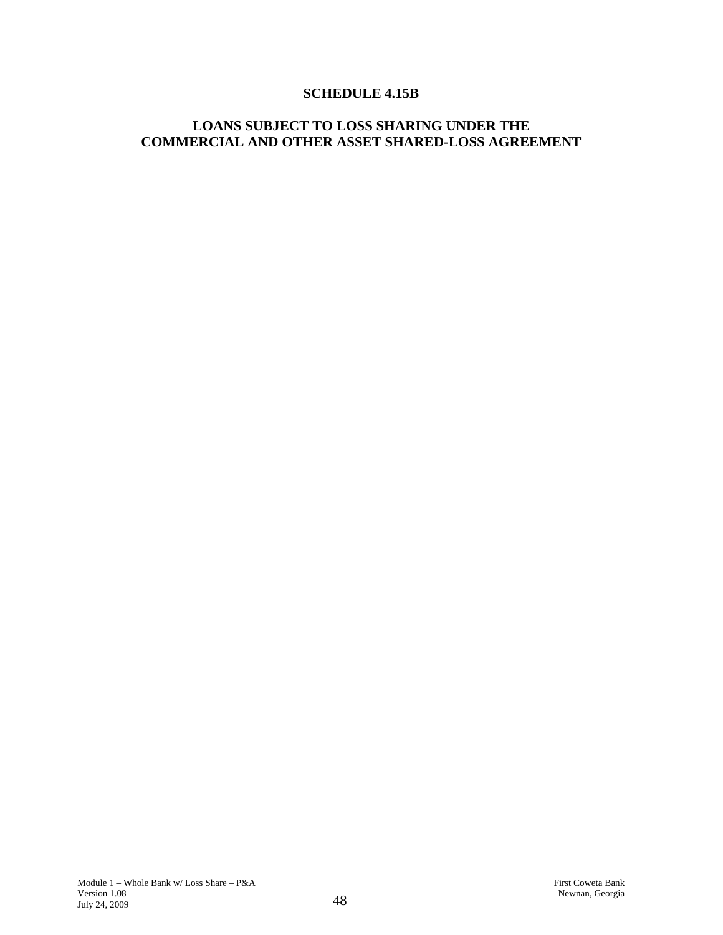# **SCHEDULE 4.15B**

### **LOANS SUBJECT TO LOSS SHARING UNDER THE COMMERCIAL AND OTHER ASSET SHARED-LOSS AGREEMENT**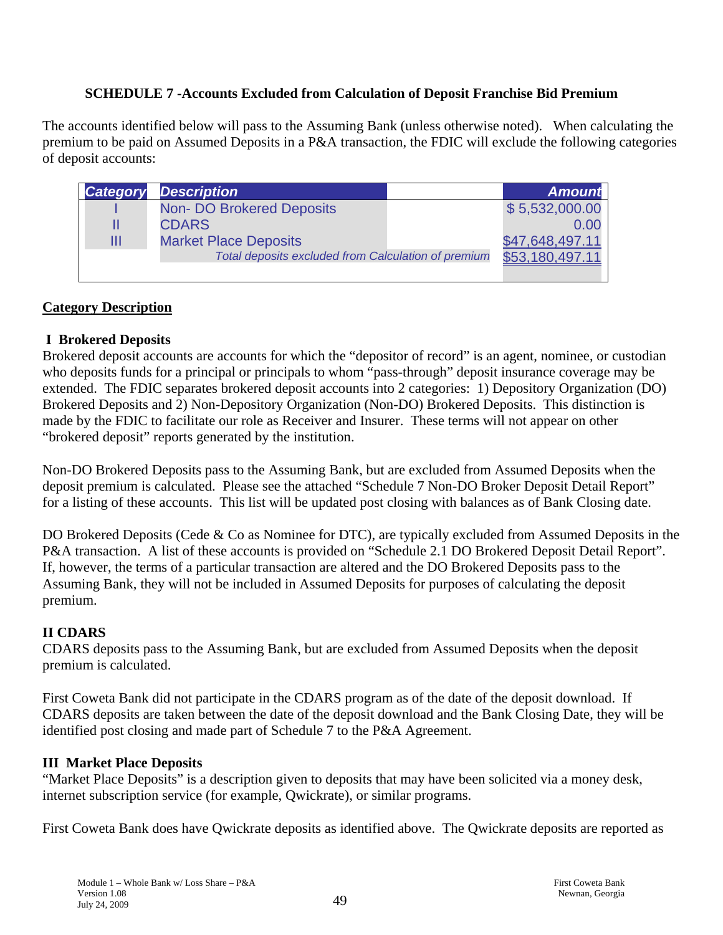# **SCHEDULE 7 -Accounts Excluded from Calculation of Deposit Franchise Bid Premium**

The accounts identified below will pass to the Assuming Bank (unless otherwise noted). When calculating the premium to be paid on Assumed Deposits in a P&A transaction, the FDIC will exclude the following categories of deposit accounts:

| <b>Category</b> | <b>Description</b>                                  | <b>Amount</b>   |
|-----------------|-----------------------------------------------------|-----------------|
|                 | <b>Non-DO Brokered Deposits</b>                     | \$5,532,000.00  |
|                 | <b>CDARS</b>                                        | 0.00            |
| Ш               | <b>Market Place Deposits</b>                        | \$47,648,497.11 |
|                 | Total deposits excluded from Calculation of premium | \$53,180,497.11 |
|                 |                                                     |                 |

# **Category Description**

# **I Brokered Deposits**

Brokered deposit accounts are accounts for which the "depositor of record" is an agent, nominee, or custodian who deposits funds for a principal or principals to whom "pass-through" deposit insurance coverage may be extended. The FDIC separates brokered deposit accounts into 2 categories: 1) Depository Organization (DO) Brokered Deposits and 2) Non-Depository Organization (Non-DO) Brokered Deposits. This distinction is made by the FDIC to facilitate our role as Receiver and Insurer. These terms will not appear on other "brokered deposit" reports generated by the institution.

Non-DO Brokered Deposits pass to the Assuming Bank, but are excluded from Assumed Deposits when the deposit premium is calculated. Please see the attached "Schedule 7 Non-DO Broker Deposit Detail Report" for a listing of these accounts. This list will be updated post closing with balances as of Bank Closing date.

DO Brokered Deposits (Cede & Co as Nominee for DTC), are typically excluded from Assumed Deposits in the P&A transaction. A list of these accounts is provided on "Schedule 2.1 DO Brokered Deposit Detail Report". If, however, the terms of a particular transaction are altered and the DO Brokered Deposits pass to the Assuming Bank, they will not be included in Assumed Deposits for purposes of calculating the deposit premium.

# **II CDARS**

CDARS deposits pass to the Assuming Bank, but are excluded from Assumed Deposits when the deposit premium is calculated.

First Coweta Bank did not participate in the CDARS program as of the date of the deposit download. If CDARS deposits are taken between the date of the deposit download and the Bank Closing Date, they will be identified post closing and made part of Schedule 7 to the P&A Agreement.

# **III Market Place Deposits**

"Market Place Deposits" is a description given to deposits that may have been solicited via a money desk, internet subscription service (for example, Qwickrate), or similar programs.

First Coweta Bank does have Qwickrate deposits as identified above. The Qwickrate deposits are reported as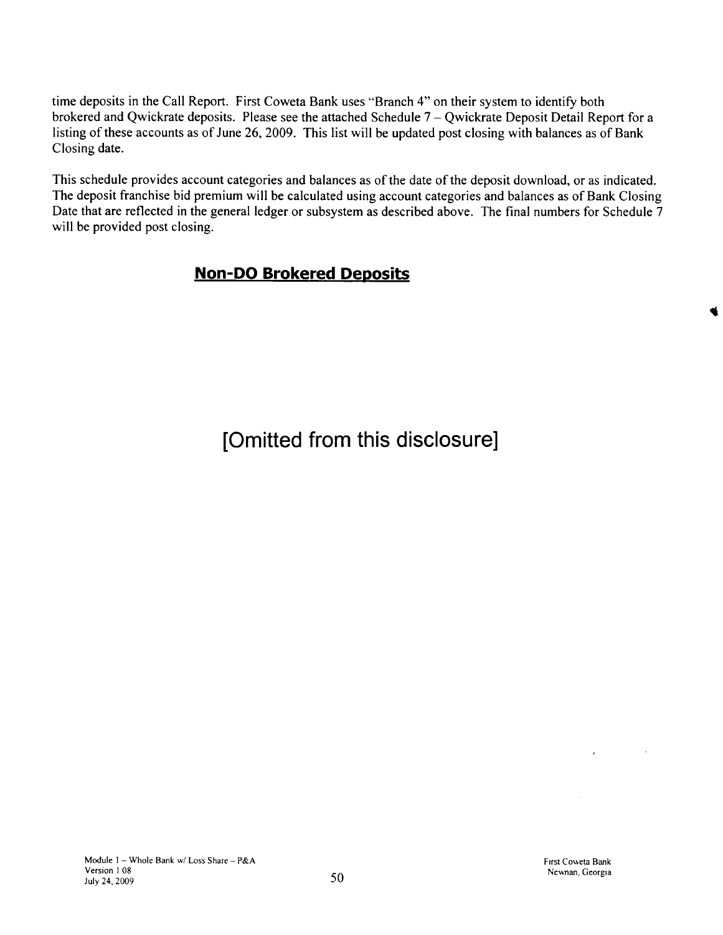time deposits in the Call Report. First Coweta Bank uses "Branch 4" on their system to identify both brokered and Qwickrate deposits. Please see the attached Schedule 7 – Qwickrate Deposit Detail Report for a listing of these accounts as of June 26, 2009. This list will be updated post closing with balances as of Bank Closing date.

This schedule provides account categories and balances as of the date of the deposit download, or as indicated. The deposit franchise bid premium wi1l be calculated using account categories and balances as of Bank Closing Date that are reflected in the general ledger or subsystem as described above. The final numbers for Schedule 7 will be provided post closing.

# Non-DO Brokered Deposits

(Omitted from this disclosure)

~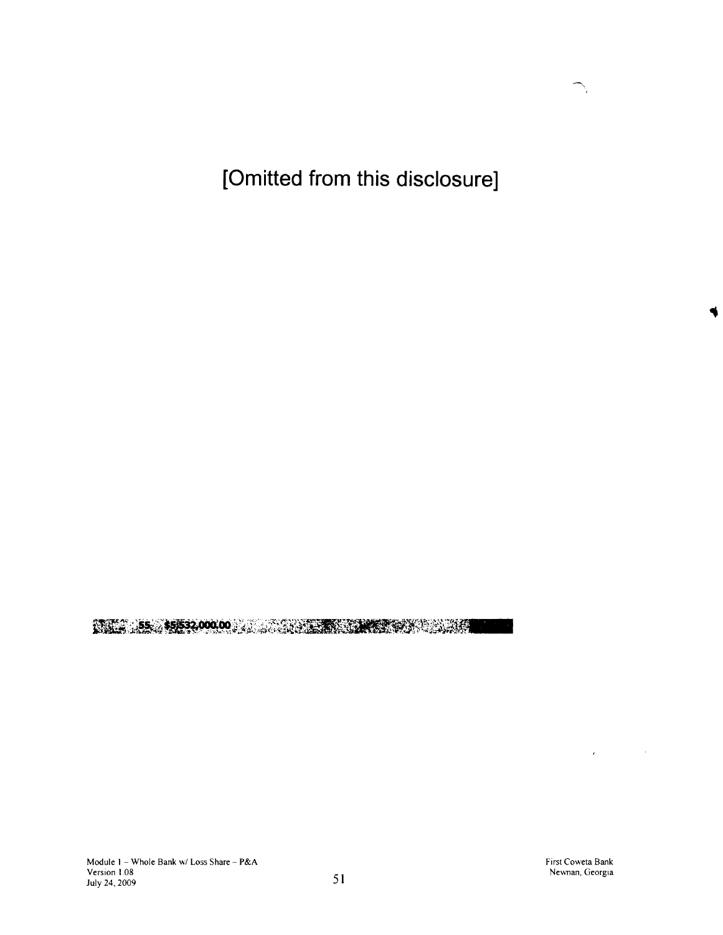(Omitted from this disclosure)

,~"I. "-. "~~~"'0ë ',,:., '''''':''c~''~'T'~~W,'çW''''''''ttl~  $~^{11}$  )  $~^{12}$  ,  $~^{13}$  ,  $~^{13}$  ,  $~^{14}$  ,  $~^{14}$  ,  $~^{14}$  ,  $~^{14}$  ,  $~^{14}$  ,  $~^{14}$  ,  $~^{14}$  ,  $~^{14}$  ,  $~^{14}$  ,  $~^{14}$  ,  $~^{14}$  ,  $~^{14}$  ,  $~^{14}$  ,  $~^{14}$  ,  $~^{14}$  ,  $~^{14}$  ,  $~^{14}$  ,  $~^{14}$  ,  $\rightarrow$ 

..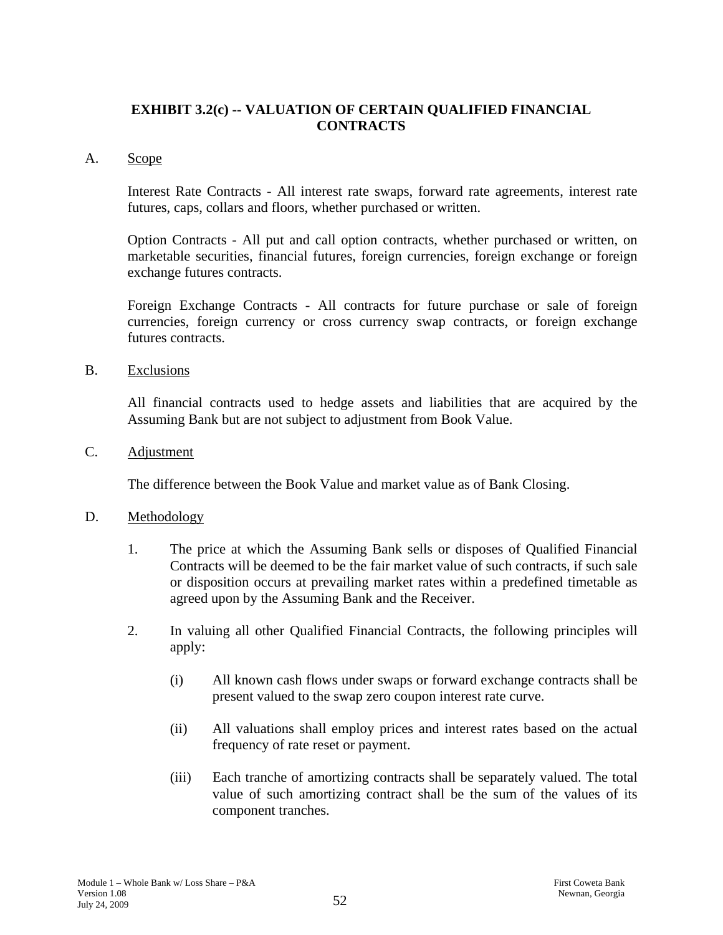# **EXHIBIT 3.2(c) -- VALUATION OF CERTAIN QUALIFIED FINANCIAL CONTRACTS**

### A. Scope

Interest Rate Contracts - All interest rate swaps, forward rate agreements, interest rate futures, caps, collars and floors, whether purchased or written.

Option Contracts - All put and call option contracts, whether purchased or written, on marketable securities, financial futures, foreign currencies, foreign exchange or foreign exchange futures contracts.

Foreign Exchange Contracts - All contracts for future purchase or sale of foreign currencies, foreign currency or cross currency swap contracts, or foreign exchange futures contracts.

#### B. Exclusions

All financial contracts used to hedge assets and liabilities that are acquired by the Assuming Bank but are not subject to adjustment from Book Value.

#### C. Adjustment

The difference between the Book Value and market value as of Bank Closing.

#### D. Methodology

- 1. The price at which the Assuming Bank sells or disposes of Qualified Financial Contracts will be deemed to be the fair market value of such contracts, if such sale or disposition occurs at prevailing market rates within a predefined timetable as agreed upon by the Assuming Bank and the Receiver.
- 2. In valuing all other Qualified Financial Contracts, the following principles will apply:
	- (i) All known cash flows under swaps or forward exchange contracts shall be present valued to the swap zero coupon interest rate curve.
	- (ii) All valuations shall employ prices and interest rates based on the actual frequency of rate reset or payment.
	- (iii) Each tranche of amortizing contracts shall be separately valued. The total value of such amortizing contract shall be the sum of the values of its component tranches.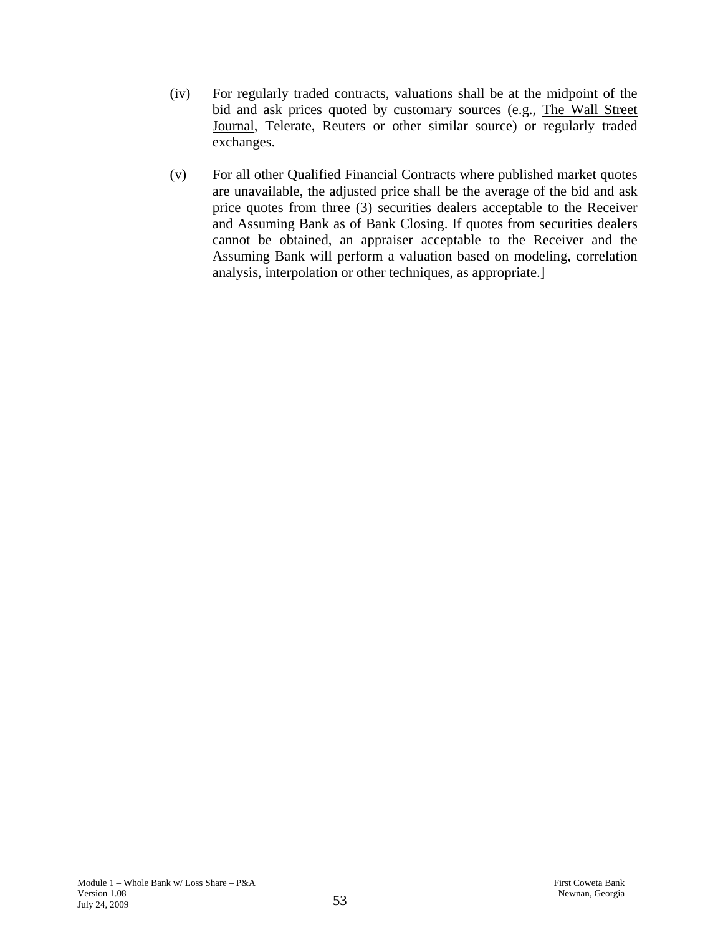- (iv) For regularly traded contracts, valuations shall be at the midpoint of the bid and ask prices quoted by customary sources (e.g., The Wall Street Journal, Telerate, Reuters or other similar source) or regularly traded exchanges.
- (v) For all other Qualified Financial Contracts where published market quotes are unavailable, the adjusted price shall be the average of the bid and ask price quotes from three (3) securities dealers acceptable to the Receiver and Assuming Bank as of Bank Closing. If quotes from securities dealers cannot be obtained, an appraiser acceptable to the Receiver and the Assuming Bank will perform a valuation based on modeling, correlation analysis, interpolation or other techniques, as appropriate.]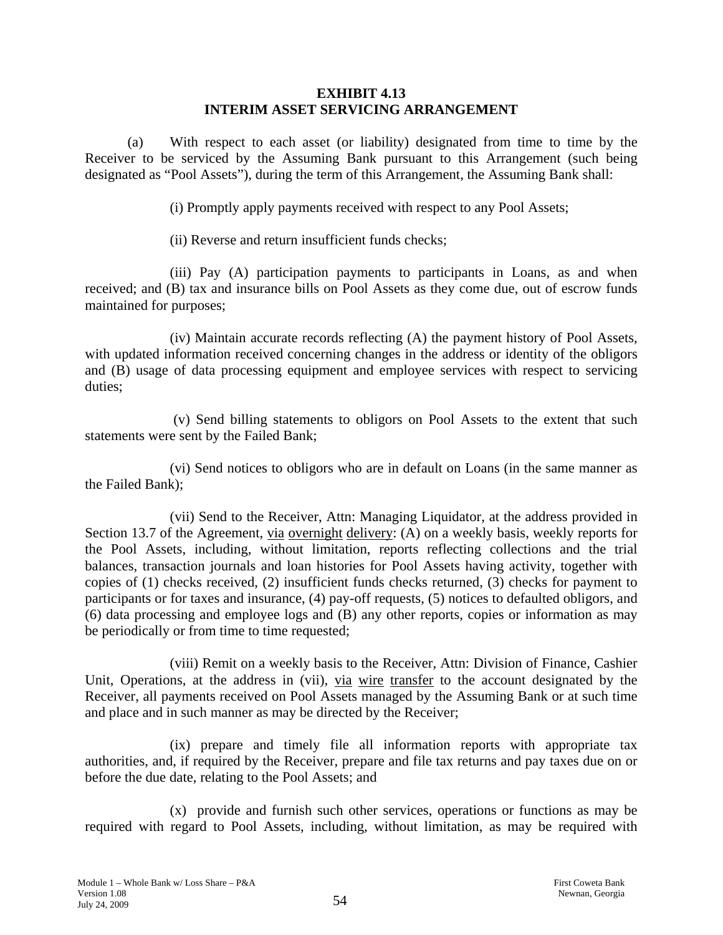### **EXHIBIT 4.13 INTERIM ASSET SERVICING ARRANGEMENT**

(a) With respect to each asset (or liability) designated from time to time by the Receiver to be serviced by the Assuming Bank pursuant to this Arrangement (such being designated as "Pool Assets"), during the term of this Arrangement, the Assuming Bank shall:

(i) Promptly apply payments received with respect to any Pool Assets;

(ii) Reverse and return insufficient funds checks;

(iii) Pay (A) participation payments to participants in Loans, as and when received; and (B) tax and insurance bills on Pool Assets as they come due, out of escrow funds maintained for purposes;

(iv) Maintain accurate records reflecting (A) the payment history of Pool Assets, with updated information received concerning changes in the address or identity of the obligors and (B) usage of data processing equipment and employee services with respect to servicing duties;

(v) Send billing statements to obligors on Pool Assets to the extent that such statements were sent by the Failed Bank;

(vi) Send notices to obligors who are in default on Loans (in the same manner as the Failed Bank);

(vii) Send to the Receiver, Attn: Managing Liquidator, at the address provided in Section 13.7 of the Agreement, via overnight delivery: (A) on a weekly basis, weekly reports for the Pool Assets, including, without limitation, reports reflecting collections and the trial balances, transaction journals and loan histories for Pool Assets having activity, together with copies of (1) checks received, (2) insufficient funds checks returned, (3) checks for payment to participants or for taxes and insurance, (4) pay-off requests, (5) notices to defaulted obligors, and (6) data processing and employee logs and (B) any other reports, copies or information as may be periodically or from time to time requested;

(viii) Remit on a weekly basis to the Receiver, Attn: Division of Finance, Cashier Unit, Operations, at the address in (vii), via wire transfer to the account designated by the Receiver, all payments received on Pool Assets managed by the Assuming Bank or at such time and place and in such manner as may be directed by the Receiver;

(ix) prepare and timely file all information reports with appropriate tax authorities, and, if required by the Receiver, prepare and file tax returns and pay taxes due on or before the due date, relating to the Pool Assets; and

(x) provide and furnish such other services, operations or functions as may be required with regard to Pool Assets, including, without limitation, as may be required with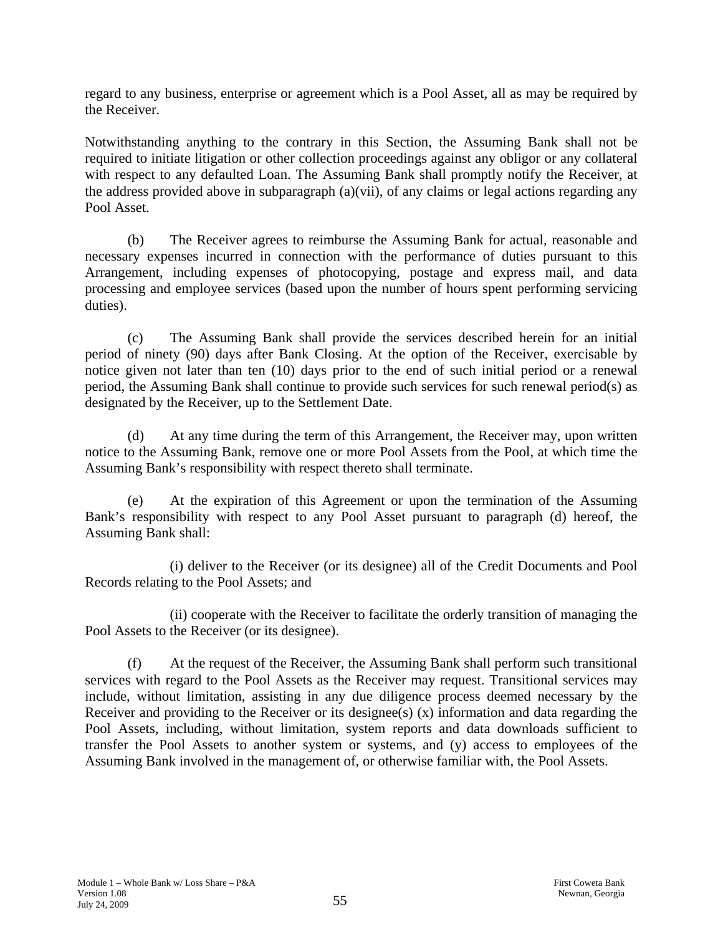regard to any business, enterprise or agreement which is a Pool Asset, all as may be required by the Receiver.

Notwithstanding anything to the contrary in this Section, the Assuming Bank shall not be required to initiate litigation or other collection proceedings against any obligor or any collateral with respect to any defaulted Loan. The Assuming Bank shall promptly notify the Receiver, at the address provided above in subparagraph (a)(vii), of any claims or legal actions regarding any Pool Asset.

(b) The Receiver agrees to reimburse the Assuming Bank for actual, reasonable and necessary expenses incurred in connection with the performance of duties pursuant to this Arrangement, including expenses of photocopying, postage and express mail, and data processing and employee services (based upon the number of hours spent performing servicing duties).

(c) The Assuming Bank shall provide the services described herein for an initial period of ninety (90) days after Bank Closing. At the option of the Receiver, exercisable by notice given not later than ten (10) days prior to the end of such initial period or a renewal period, the Assuming Bank shall continue to provide such services for such renewal period(s) as designated by the Receiver, up to the Settlement Date.

(d) At any time during the term of this Arrangement, the Receiver may, upon written notice to the Assuming Bank, remove one or more Pool Assets from the Pool, at which time the Assuming Bank's responsibility with respect thereto shall terminate.

(e) At the expiration of this Agreement or upon the termination of the Assuming Bank's responsibility with respect to any Pool Asset pursuant to paragraph (d) hereof, the Assuming Bank shall:

(i) deliver to the Receiver (or its designee) all of the Credit Documents and Pool Records relating to the Pool Assets; and

(ii) cooperate with the Receiver to facilitate the orderly transition of managing the Pool Assets to the Receiver (or its designee).

(f) At the request of the Receiver, the Assuming Bank shall perform such transitional services with regard to the Pool Assets as the Receiver may request. Transitional services may include, without limitation, assisting in any due diligence process deemed necessary by the Receiver and providing to the Receiver or its designee(s) (x) information and data regarding the Pool Assets, including, without limitation, system reports and data downloads sufficient to transfer the Pool Assets to another system or systems, and (y) access to employees of the Assuming Bank involved in the management of, or otherwise familiar with, the Pool Assets.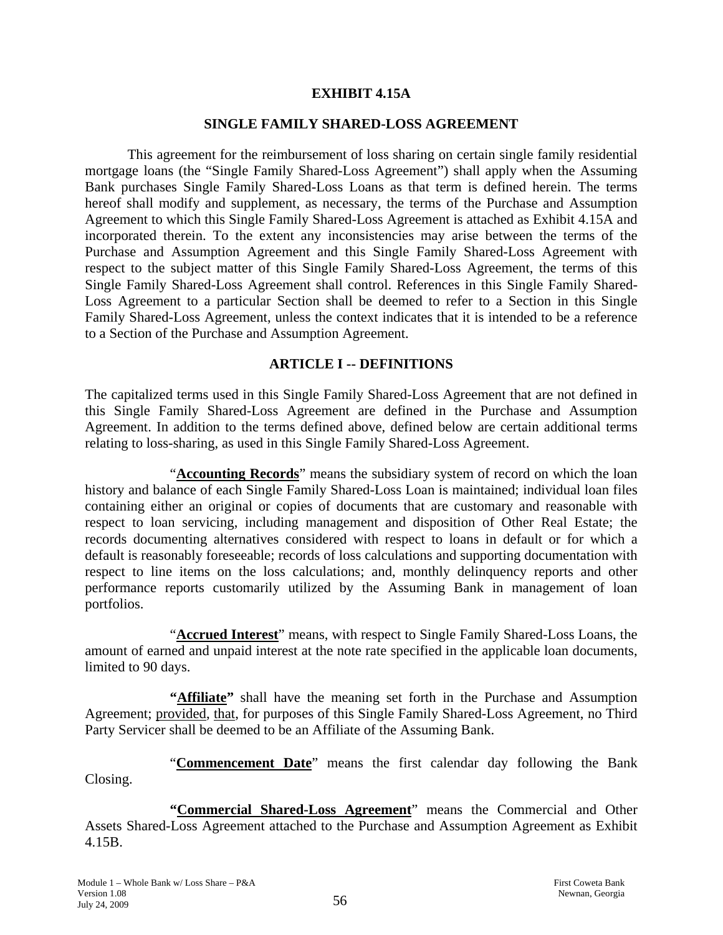#### **EXHIBIT 4.15A**

#### **SINGLE FAMILY SHARED-LOSS AGREEMENT**

This agreement for the reimbursement of loss sharing on certain single family residential mortgage loans (the "Single Family Shared-Loss Agreement") shall apply when the Assuming Bank purchases Single Family Shared-Loss Loans as that term is defined herein. The terms hereof shall modify and supplement, as necessary, the terms of the Purchase and Assumption Agreement to which this Single Family Shared-Loss Agreement is attached as Exhibit 4.15A and incorporated therein. To the extent any inconsistencies may arise between the terms of the Purchase and Assumption Agreement and this Single Family Shared-Loss Agreement with respect to the subject matter of this Single Family Shared-Loss Agreement, the terms of this Single Family Shared-Loss Agreement shall control. References in this Single Family Shared-Loss Agreement to a particular Section shall be deemed to refer to a Section in this Single Family Shared-Loss Agreement, unless the context indicates that it is intended to be a reference to a Section of the Purchase and Assumption Agreement.

#### **ARTICLE I -- DEFINITIONS**

The capitalized terms used in this Single Family Shared-Loss Agreement that are not defined in this Single Family Shared-Loss Agreement are defined in the Purchase and Assumption Agreement. In addition to the terms defined above, defined below are certain additional terms relating to loss-sharing, as used in this Single Family Shared-Loss Agreement.

"**Accounting Records**" means the subsidiary system of record on which the loan history and balance of each Single Family Shared-Loss Loan is maintained; individual loan files containing either an original or copies of documents that are customary and reasonable with respect to loan servicing, including management and disposition of Other Real Estate; the records documenting alternatives considered with respect to loans in default or for which a default is reasonably foreseeable; records of loss calculations and supporting documentation with respect to line items on the loss calculations; and, monthly delinquency reports and other performance reports customarily utilized by the Assuming Bank in management of loan portfolios.

"**Accrued Interest**" means, with respect to Single Family Shared-Loss Loans, the amount of earned and unpaid interest at the note rate specified in the applicable loan documents, limited to 90 days.

"**Affiliate**" shall have the meaning set forth in the Purchase and Assumption Agreement; provided, that, for purposes of this Single Family Shared-Loss Agreement, no Third Party Servicer shall be deemed to be an Affiliate of the Assuming Bank.

"**Commencement Date**" means the first calendar day following the Bank Closing.

**"Commercial Shared-Loss Agreement**" means the Commercial and Other Assets Shared-Loss Agreement attached to the Purchase and Assumption Agreement as Exhibit 4.15B.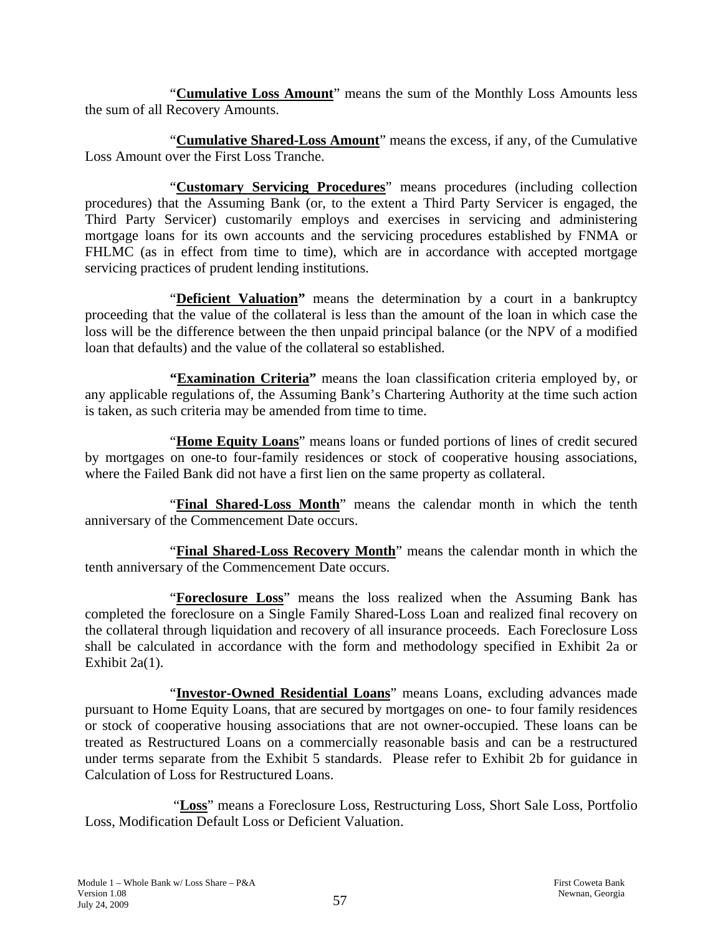"**Cumulative Loss Amount**" means the sum of the Monthly Loss Amounts less the sum of all Recovery Amounts.

"**Cumulative Shared-Loss Amount**" means the excess, if any, of the Cumulative Loss Amount over the First Loss Tranche.

"**Customary Servicing Procedures**" means procedures (including collection procedures) that the Assuming Bank (or, to the extent a Third Party Servicer is engaged, the Third Party Servicer) customarily employs and exercises in servicing and administering mortgage loans for its own accounts and the servicing procedures established by FNMA or FHLMC (as in effect from time to time), which are in accordance with accepted mortgage servicing practices of prudent lending institutions.

"**Deficient Valuation"** means the determination by a court in a bankruptcy proceeding that the value of the collateral is less than the amount of the loan in which case the loss will be the difference between the then unpaid principal balance (or the NPV of a modified loan that defaults) and the value of the collateral so established.

**"Examination Criteria"** means the loan classification criteria employed by, or any applicable regulations of, the Assuming Bank's Chartering Authority at the time such action is taken, as such criteria may be amended from time to time.

"Home Equity Loans" means loans or funded portions of lines of credit secured by mortgages on one-to four-family residences or stock of cooperative housing associations, where the Failed Bank did not have a first lien on the same property as collateral.

"**Final Shared-Loss Month**" means the calendar month in which the tenth anniversary of the Commencement Date occurs.

"**Final Shared-Loss Recovery Month**" means the calendar month in which the tenth anniversary of the Commencement Date occurs.

"**Foreclosure Loss**" means the loss realized when the Assuming Bank has completed the foreclosure on a Single Family Shared-Loss Loan and realized final recovery on the collateral through liquidation and recovery of all insurance proceeds. Each Foreclosure Loss shall be calculated in accordance with the form and methodology specified in Exhibit 2a or Exhibit 2a(1).

"**Investor-Owned Residential Loans**" means Loans, excluding advances made pursuant to Home Equity Loans, that are secured by mortgages on one- to four family residences or stock of cooperative housing associations that are not owner-occupied. These loans can be treated as Restructured Loans on a commercially reasonable basis and can be a restructured under terms separate from the Exhibit 5 standards. Please refer to Exhibit 2b for guidance in Calculation of Loss for Restructured Loans.

"**Loss**" means a Foreclosure Loss, Restructuring Loss, Short Sale Loss, Portfolio Loss, Modification Default Loss or Deficient Valuation.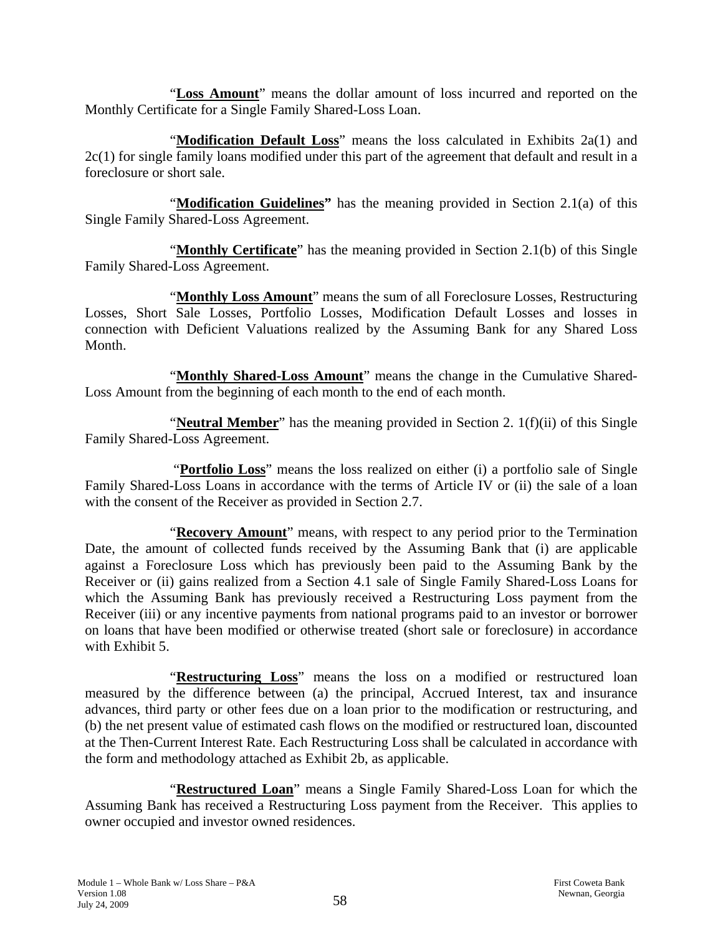"**Loss Amount**" means the dollar amount of loss incurred and reported on the Monthly Certificate for a Single Family Shared-Loss Loan.

"**Modification Default Loss**" means the loss calculated in Exhibits 2a(1) and 2c(1) for single family loans modified under this part of the agreement that default and result in a foreclosure or short sale.

"**Modification Guidelines**" has the meaning provided in Section 2.1(a) of this Single Family Shared-Loss Agreement.

"**Monthly Certificate**" has the meaning provided in Section 2.1(b) of this Single Family Shared-Loss Agreement.

"**Monthly Loss Amount**" means the sum of all Foreclosure Losses, Restructuring Losses, Short Sale Losses, Portfolio Losses, Modification Default Losses and losses in connection with Deficient Valuations realized by the Assuming Bank for any Shared Loss Month.

"**Monthly Shared-Loss Amount**" means the change in the Cumulative Shared-Loss Amount from the beginning of each month to the end of each month.

**"Neutral Member**" has the meaning provided in Section 2. 1(f)(ii) of this Single Family Shared-Loss Agreement.

"**Portfolio Loss**" means the loss realized on either (i) a portfolio sale of Single Family Shared-Loss Loans in accordance with the terms of Article IV or (ii) the sale of a loan with the consent of the Receiver as provided in Section 2.7.

"**Recovery Amount**" means, with respect to any period prior to the Termination Date, the amount of collected funds received by the Assuming Bank that (i) are applicable against a Foreclosure Loss which has previously been paid to the Assuming Bank by the Receiver or (ii) gains realized from a Section 4.1 sale of Single Family Shared-Loss Loans for which the Assuming Bank has previously received a Restructuring Loss payment from the Receiver (iii) or any incentive payments from national programs paid to an investor or borrower on loans that have been modified or otherwise treated (short sale or foreclosure) in accordance with Exhibit 5

"**Restructuring Loss**" means the loss on a modified or restructured loan measured by the difference between (a) the principal, Accrued Interest, tax and insurance advances, third party or other fees due on a loan prior to the modification or restructuring, and (b) the net present value of estimated cash flows on the modified or restructured loan, discounted at the Then-Current Interest Rate. Each Restructuring Loss shall be calculated in accordance with the form and methodology attached as Exhibit 2b, as applicable.

"**Restructured Loan**" means a Single Family Shared-Loss Loan for which the Assuming Bank has received a Restructuring Loss payment from the Receiver. This applies to owner occupied and investor owned residences.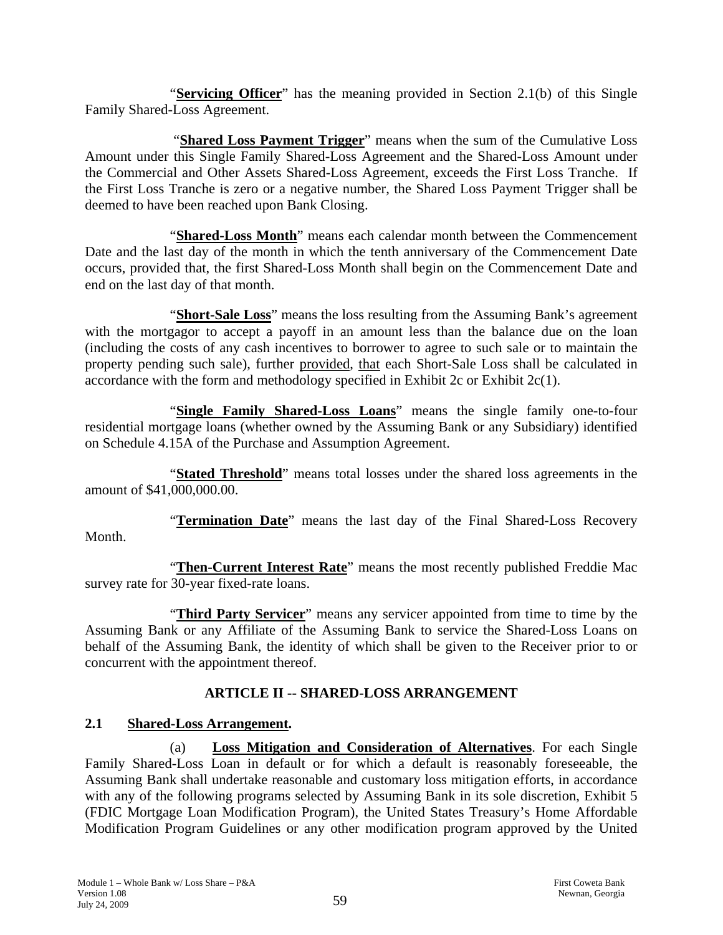**"Servicing Officer**" has the meaning provided in Section 2.1(b) of this Single Family Shared-Loss Agreement.

"Shared Loss Payment Trigger" means when the sum of the Cumulative Loss Amount under this Single Family Shared-Loss Agreement and the Shared-Loss Amount under the Commercial and Other Assets Shared-Loss Agreement, exceeds the First Loss Tranche. If the First Loss Tranche is zero or a negative number, the Shared Loss Payment Trigger shall be deemed to have been reached upon Bank Closing.

"**Shared-Loss Month**" means each calendar month between the Commencement Date and the last day of the month in which the tenth anniversary of the Commencement Date occurs, provided that, the first Shared-Loss Month shall begin on the Commencement Date and end on the last day of that month.

"**Short-Sale Loss**" means the loss resulting from the Assuming Bank's agreement with the mortgagor to accept a payoff in an amount less than the balance due on the loan (including the costs of any cash incentives to borrower to agree to such sale or to maintain the property pending such sale), further provided, that each Short-Sale Loss shall be calculated in accordance with the form and methodology specified in Exhibit  $2c$  or Exhibit  $2c(1)$ .

"**Single Family Shared-Loss Loans**" means the single family one-to-four residential mortgage loans (whether owned by the Assuming Bank or any Subsidiary) identified on Schedule 4.15A of the Purchase and Assumption Agreement.

"**Stated Threshold**" means total losses under the shared loss agreements in the amount of \$41,000,000.00.

"**Termination Date**" means the last day of the Final Shared-Loss Recovery Month.

"**Then-Current Interest Rate**" means the most recently published Freddie Mac survey rate for 30-year fixed-rate loans.

"**Third Party Servicer**" means any servicer appointed from time to time by the Assuming Bank or any Affiliate of the Assuming Bank to service the Shared-Loss Loans on behalf of the Assuming Bank, the identity of which shall be given to the Receiver prior to or concurrent with the appointment thereof.

# **ARTICLE II -- SHARED-LOSS ARRANGEMENT**

# **2.1 Shared-Loss Arrangement.**

(a) **Loss Mitigation and Consideration of Alternatives**. For each Single Family Shared-Loss Loan in default or for which a default is reasonably foreseeable, the Assuming Bank shall undertake reasonable and customary loss mitigation efforts, in accordance with any of the following programs selected by Assuming Bank in its sole discretion, Exhibit 5 (FDIC Mortgage Loan Modification Program), the United States Treasury's Home Affordable Modification Program Guidelines or any other modification program approved by the United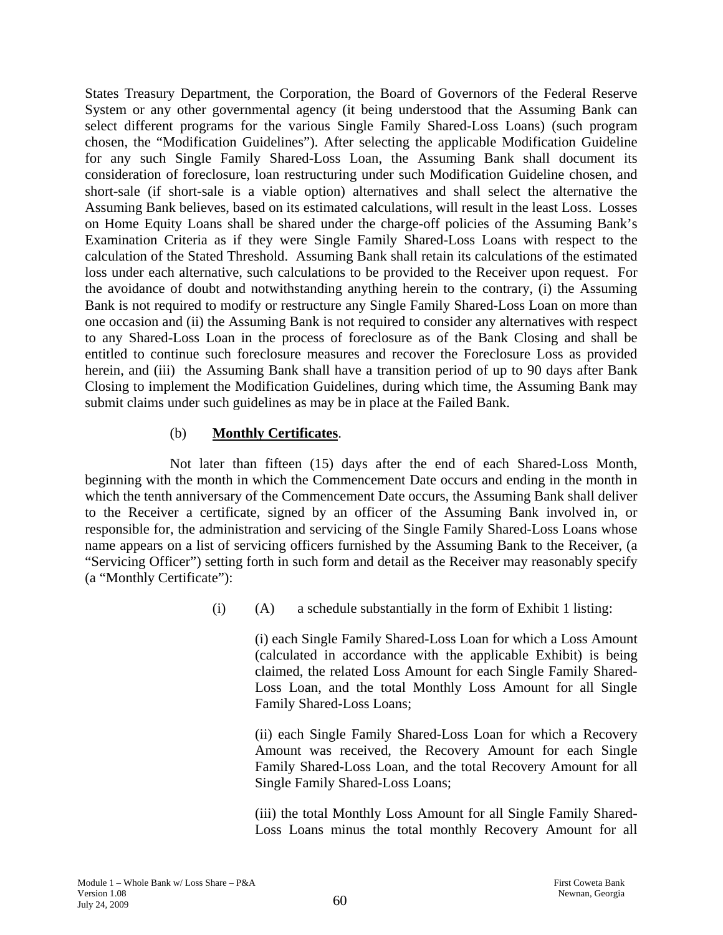States Treasury Department, the Corporation, the Board of Governors of the Federal Reserve System or any other governmental agency (it being understood that the Assuming Bank can select different programs for the various Single Family Shared-Loss Loans) (such program chosen, the "Modification Guidelines"). After selecting the applicable Modification Guideline for any such Single Family Shared-Loss Loan, the Assuming Bank shall document its consideration of foreclosure, loan restructuring under such Modification Guideline chosen, and short-sale (if short-sale is a viable option) alternatives and shall select the alternative the Assuming Bank believes, based on its estimated calculations, will result in the least Loss. Losses on Home Equity Loans shall be shared under the charge-off policies of the Assuming Bank's Examination Criteria as if they were Single Family Shared-Loss Loans with respect to the calculation of the Stated Threshold. Assuming Bank shall retain its calculations of the estimated loss under each alternative, such calculations to be provided to the Receiver upon request. For the avoidance of doubt and notwithstanding anything herein to the contrary, (i) the Assuming Bank is not required to modify or restructure any Single Family Shared-Loss Loan on more than one occasion and (ii) the Assuming Bank is not required to consider any alternatives with respect to any Shared-Loss Loan in the process of foreclosure as of the Bank Closing and shall be entitled to continue such foreclosure measures and recover the Foreclosure Loss as provided herein, and (iii) the Assuming Bank shall have a transition period of up to 90 days after Bank Closing to implement the Modification Guidelines, during which time, the Assuming Bank may submit claims under such guidelines as may be in place at the Failed Bank.

### (b) **Monthly Certificates**.

Not later than fifteen (15) days after the end of each Shared-Loss Month, beginning with the month in which the Commencement Date occurs and ending in the month in which the tenth anniversary of the Commencement Date occurs, the Assuming Bank shall deliver to the Receiver a certificate, signed by an officer of the Assuming Bank involved in, or responsible for, the administration and servicing of the Single Family Shared-Loss Loans whose name appears on a list of servicing officers furnished by the Assuming Bank to the Receiver, (a "Servicing Officer") setting forth in such form and detail as the Receiver may reasonably specify (a "Monthly Certificate"):

 $(i)$  (A) a schedule substantially in the form of Exhibit 1 listing:

(i) each Single Family Shared-Loss Loan for which a Loss Amount (calculated in accordance with the applicable Exhibit) is being claimed, the related Loss Amount for each Single Family Shared-Loss Loan, and the total Monthly Loss Amount for all Single Family Shared-Loss Loans;

(ii) each Single Family Shared-Loss Loan for which a Recovery Amount was received, the Recovery Amount for each Single Family Shared-Loss Loan, and the total Recovery Amount for all Single Family Shared-Loss Loans;

(iii) the total Monthly Loss Amount for all Single Family Shared-Loss Loans minus the total monthly Recovery Amount for all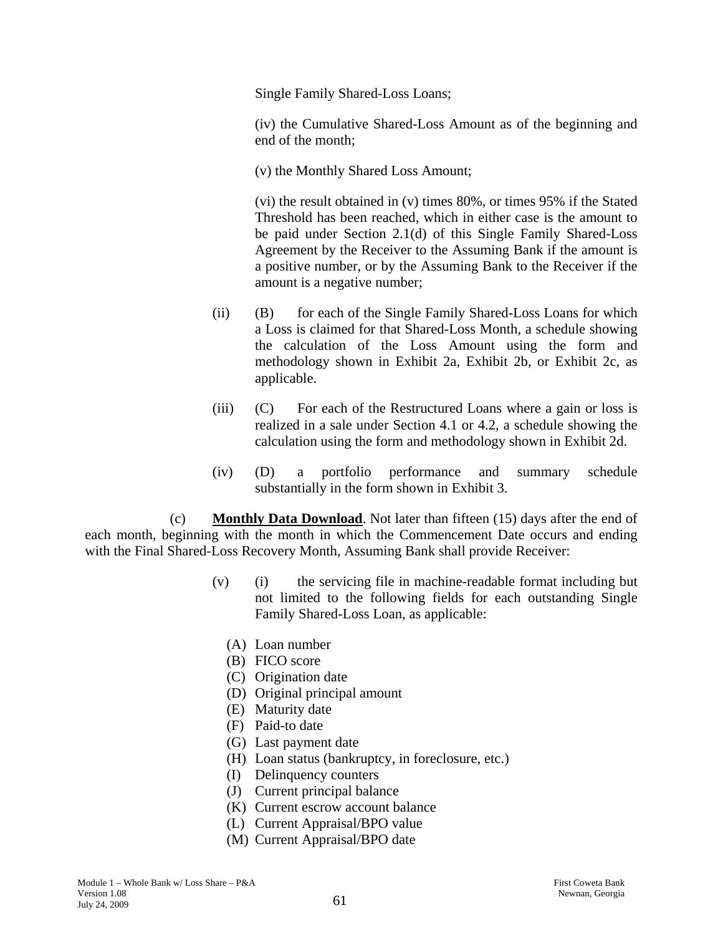Single Family Shared-Loss Loans;

(iv) the Cumulative Shared-Loss Amount as of the beginning and end of the month;

(v) the Monthly Shared Loss Amount;

(vi) the result obtained in (v) times 80%, or times 95% if the Stated Threshold has been reached, which in either case is the amount to be paid under Section 2.1(d) of this Single Family Shared-Loss Agreement by the Receiver to the Assuming Bank if the amount is a positive number, or by the Assuming Bank to the Receiver if the amount is a negative number;

- (ii) (B) for each of the Single Family Shared-Loss Loans for which a Loss is claimed for that Shared-Loss Month, a schedule showing the calculation of the Loss Amount using the form and methodology shown in Exhibit 2a, Exhibit 2b, or Exhibit 2c, as applicable.
- (iii) (C) For each of the Restructured Loans where a gain or loss is realized in a sale under Section 4.1 or 4.2, a schedule showing the calculation using the form and methodology shown in Exhibit 2d.
- (iv) (D) a portfolio performance and summary schedule substantially in the form shown in Exhibit 3.

(c) **Monthly Data Download**. Not later than fifteen (15) days after the end of each month, beginning with the month in which the Commencement Date occurs and ending with the Final Shared-Loss Recovery Month, Assuming Bank shall provide Receiver:

- $(v)$  (i) the servicing file in machine-readable format including but not limited to the following fields for each outstanding Single Family Shared-Loss Loan, as applicable:
	- (A) Loan number
	- (B) FICO score
	- (C) Origination date
	- (D) Original principal amount
	- (E) Maturity date
	- (F) Paid-to date
	- (G) Last payment date
	- (H) Loan status (bankruptcy, in foreclosure, etc.)
	- (I) Delinquency counters
	- (J) Current principal balance
	- (K) Current escrow account balance
	- (L) Current Appraisal/BPO value
	- (M) Current Appraisal/BPO date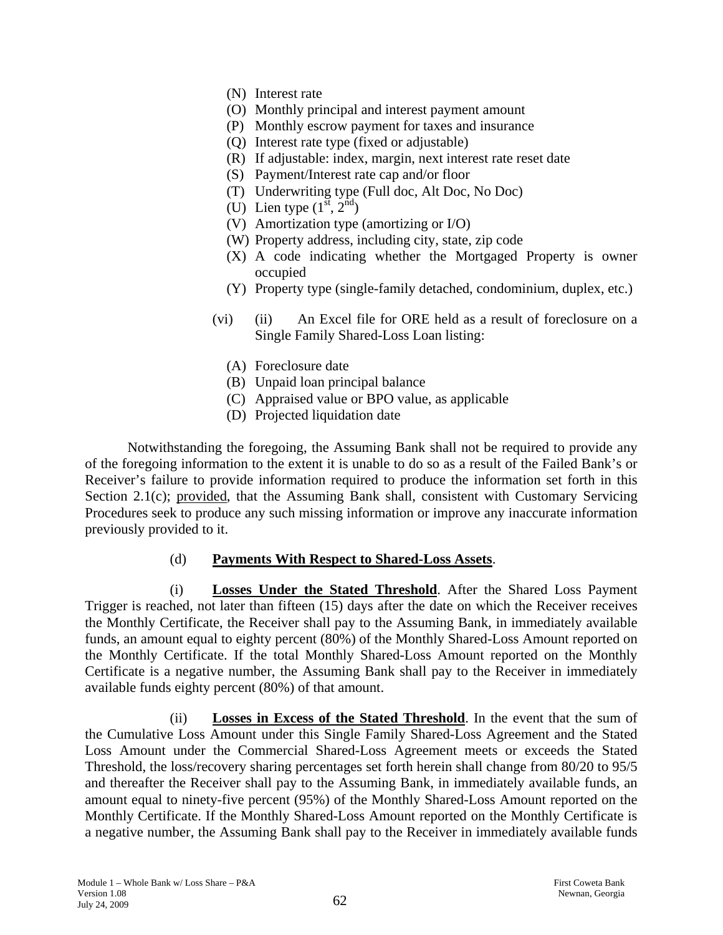- (N) Interest rate
- (O) Monthly principal and interest payment amount
- (P) Monthly escrow payment for taxes and insurance
- (Q) Interest rate type (fixed or adjustable)
- (R) If adjustable: index, margin, next interest rate reset date
- (S) Payment/Interest rate cap and/or floor
- (T) Underwriting type (Full doc, Alt Doc, No Doc)
- (U) Lien type  $(1<sup>st</sup>, 2<sup>nd</sup>)$
- (V) Amortization type (amortizing or I/O)
- (W) Property address, including city, state, zip code
- (X) A code indicating whether the Mortgaged Property is owner occupied
- (Y) Property type (single-family detached, condominium, duplex, etc.)
- (vi) (ii) An Excel file for ORE held as a result of foreclosure on a Single Family Shared-Loss Loan listing:
	- (A) Foreclosure date
	- (B) Unpaid loan principal balance
	- (C) Appraised value or BPO value, as applicable
	- (D) Projected liquidation date

Notwithstanding the foregoing, the Assuming Bank shall not be required to provide any of the foregoing information to the extent it is unable to do so as a result of the Failed Bank's or Receiver's failure to provide information required to produce the information set forth in this Section 2.1(c); provided, that the Assuming Bank shall, consistent with Customary Servicing Procedures seek to produce any such missing information or improve any inaccurate information previously provided to it.

# (d) **Payments With Respect to Shared-Loss Assets**.

(i) **Losses Under the Stated Threshold**. After the Shared Loss Payment Trigger is reached, not later than fifteen (15) days after the date on which the Receiver receives the Monthly Certificate, the Receiver shall pay to the Assuming Bank, in immediately available funds, an amount equal to eighty percent (80%) of the Monthly Shared-Loss Amount reported on the Monthly Certificate. If the total Monthly Shared-Loss Amount reported on the Monthly Certificate is a negative number, the Assuming Bank shall pay to the Receiver in immediately available funds eighty percent (80%) of that amount.

(ii) **Losses in Excess of the Stated Threshold**. In the event that the sum of the Cumulative Loss Amount under this Single Family Shared-Loss Agreement and the Stated Loss Amount under the Commercial Shared-Loss Agreement meets or exceeds the Stated Threshold, the loss/recovery sharing percentages set forth herein shall change from 80/20 to 95/5 and thereafter the Receiver shall pay to the Assuming Bank, in immediately available funds, an amount equal to ninety-five percent (95%) of the Monthly Shared-Loss Amount reported on the Monthly Certificate. If the Monthly Shared-Loss Amount reported on the Monthly Certificate is a negative number, the Assuming Bank shall pay to the Receiver in immediately available funds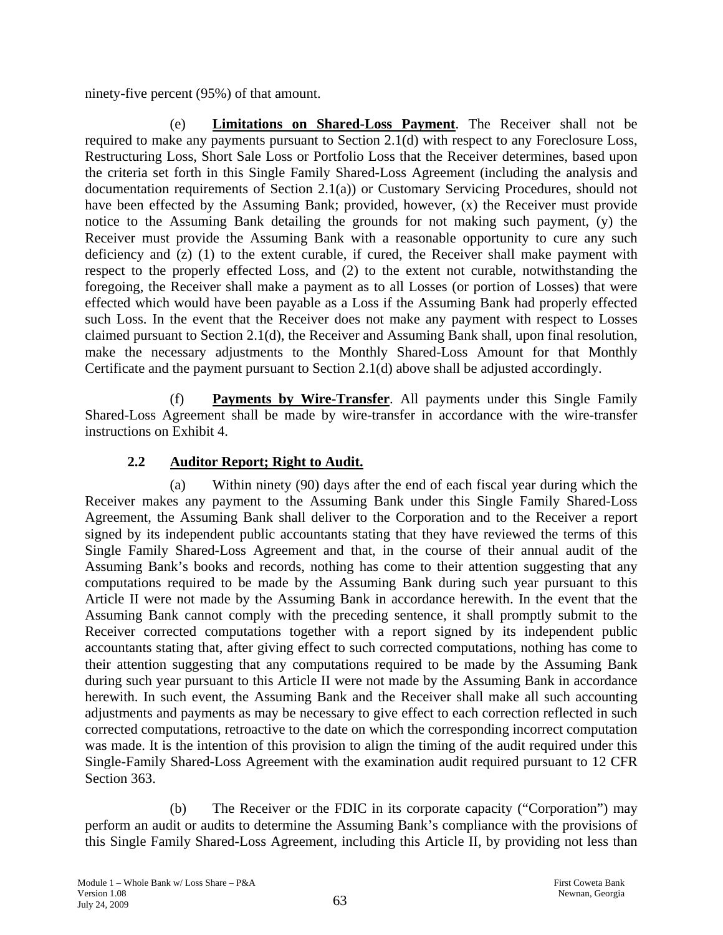ninety-five percent (95%) of that amount.

(e) **Limitations on Shared-Loss Payment**. The Receiver shall not be required to make any payments pursuant to Section 2.1(d) with respect to any Foreclosure Loss, Restructuring Loss, Short Sale Loss or Portfolio Loss that the Receiver determines, based upon the criteria set forth in this Single Family Shared-Loss Agreement (including the analysis and documentation requirements of Section 2.1(a)) or Customary Servicing Procedures, should not have been effected by the Assuming Bank; provided, however, (x) the Receiver must provide notice to the Assuming Bank detailing the grounds for not making such payment, (y) the Receiver must provide the Assuming Bank with a reasonable opportunity to cure any such deficiency and (z) (1) to the extent curable, if cured, the Receiver shall make payment with respect to the properly effected Loss, and (2) to the extent not curable, notwithstanding the foregoing, the Receiver shall make a payment as to all Losses (or portion of Losses) that were effected which would have been payable as a Loss if the Assuming Bank had properly effected such Loss. In the event that the Receiver does not make any payment with respect to Losses claimed pursuant to Section 2.1(d), the Receiver and Assuming Bank shall, upon final resolution, make the necessary adjustments to the Monthly Shared-Loss Amount for that Monthly Certificate and the payment pursuant to Section 2.1(d) above shall be adjusted accordingly.

(f) **Payments by Wire-Transfer**. All payments under this Single Family Shared-Loss Agreement shall be made by wire-transfer in accordance with the wire-transfer instructions on Exhibit 4.

# **2.2 Auditor Report; Right to Audit.**

(a) Within ninety (90) days after the end of each fiscal year during which the Receiver makes any payment to the Assuming Bank under this Single Family Shared-Loss Agreement, the Assuming Bank shall deliver to the Corporation and to the Receiver a report signed by its independent public accountants stating that they have reviewed the terms of this Single Family Shared-Loss Agreement and that, in the course of their annual audit of the Assuming Bank's books and records, nothing has come to their attention suggesting that any computations required to be made by the Assuming Bank during such year pursuant to this Article II were not made by the Assuming Bank in accordance herewith. In the event that the Assuming Bank cannot comply with the preceding sentence, it shall promptly submit to the Receiver corrected computations together with a report signed by its independent public accountants stating that, after giving effect to such corrected computations, nothing has come to their attention suggesting that any computations required to be made by the Assuming Bank during such year pursuant to this Article II were not made by the Assuming Bank in accordance herewith. In such event, the Assuming Bank and the Receiver shall make all such accounting adjustments and payments as may be necessary to give effect to each correction reflected in such corrected computations, retroactive to the date on which the corresponding incorrect computation was made. It is the intention of this provision to align the timing of the audit required under this Single-Family Shared-Loss Agreement with the examination audit required pursuant to 12 CFR Section 363.

(b) The Receiver or the FDIC in its corporate capacity ("Corporation") may perform an audit or audits to determine the Assuming Bank's compliance with the provisions of this Single Family Shared-Loss Agreement, including this Article II, by providing not less than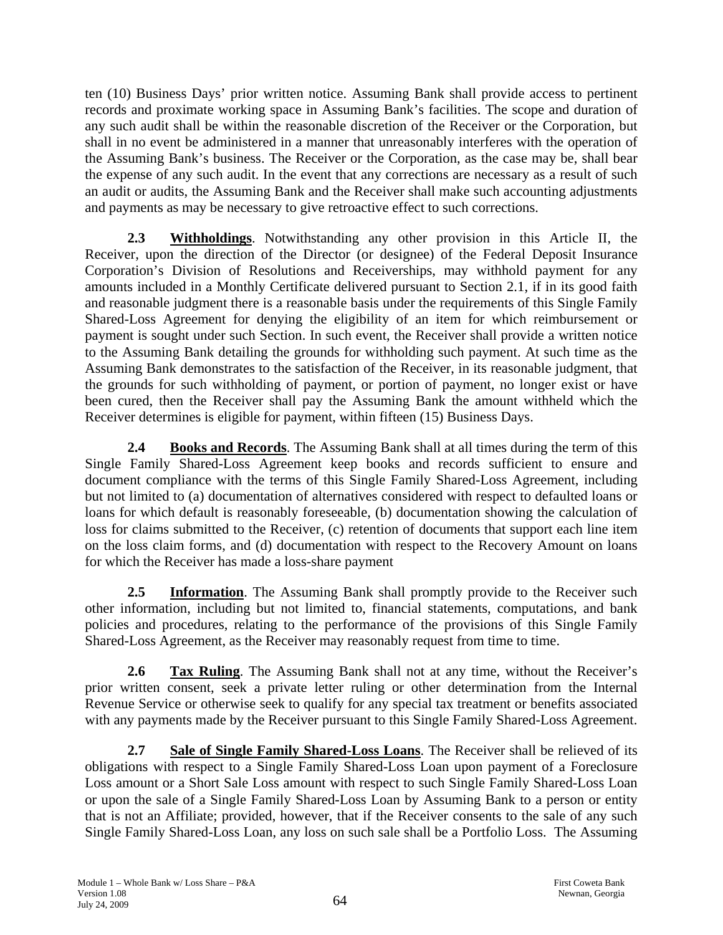ten (10) Business Days' prior written notice. Assuming Bank shall provide access to pertinent records and proximate working space in Assuming Bank's facilities. The scope and duration of any such audit shall be within the reasonable discretion of the Receiver or the Corporation, but shall in no event be administered in a manner that unreasonably interferes with the operation of the Assuming Bank's business. The Receiver or the Corporation, as the case may be, shall bear the expense of any such audit. In the event that any corrections are necessary as a result of such an audit or audits, the Assuming Bank and the Receiver shall make such accounting adjustments and payments as may be necessary to give retroactive effect to such corrections.

**2.3 Withholdings**. Notwithstanding any other provision in this Article II, the Receiver, upon the direction of the Director (or designee) of the Federal Deposit Insurance Corporation's Division of Resolutions and Receiverships, may withhold payment for any amounts included in a Monthly Certificate delivered pursuant to Section 2.1, if in its good faith and reasonable judgment there is a reasonable basis under the requirements of this Single Family Shared-Loss Agreement for denying the eligibility of an item for which reimbursement or payment is sought under such Section. In such event, the Receiver shall provide a written notice to the Assuming Bank detailing the grounds for withholding such payment. At such time as the Assuming Bank demonstrates to the satisfaction of the Receiver, in its reasonable judgment, that the grounds for such withholding of payment, or portion of payment, no longer exist or have been cured, then the Receiver shall pay the Assuming Bank the amount withheld which the Receiver determines is eligible for payment, within fifteen (15) Business Days.

**2.4 Books and Records**. The Assuming Bank shall at all times during the term of this Single Family Shared-Loss Agreement keep books and records sufficient to ensure and document compliance with the terms of this Single Family Shared-Loss Agreement, including but not limited to (a) documentation of alternatives considered with respect to defaulted loans or loans for which default is reasonably foreseeable, (b) documentation showing the calculation of loss for claims submitted to the Receiver, (c) retention of documents that support each line item on the loss claim forms, and (d) documentation with respect to the Recovery Amount on loans for which the Receiver has made a loss-share payment

2.5 Information. The Assuming Bank shall promptly provide to the Receiver such other information, including but not limited to, financial statements, computations, and bank policies and procedures, relating to the performance of the provisions of this Single Family Shared-Loss Agreement, as the Receiver may reasonably request from time to time.

**2.6 Tax Ruling**. The Assuming Bank shall not at any time, without the Receiver's prior written consent, seek a private letter ruling or other determination from the Internal Revenue Service or otherwise seek to qualify for any special tax treatment or benefits associated with any payments made by the Receiver pursuant to this Single Family Shared-Loss Agreement.

**2.7 Sale of Single Family Shared-Loss Loans**. The Receiver shall be relieved of its obligations with respect to a Single Family Shared-Loss Loan upon payment of a Foreclosure Loss amount or a Short Sale Loss amount with respect to such Single Family Shared-Loss Loan or upon the sale of a Single Family Shared-Loss Loan by Assuming Bank to a person or entity that is not an Affiliate; provided, however, that if the Receiver consents to the sale of any such Single Family Shared-Loss Loan, any loss on such sale shall be a Portfolio Loss. The Assuming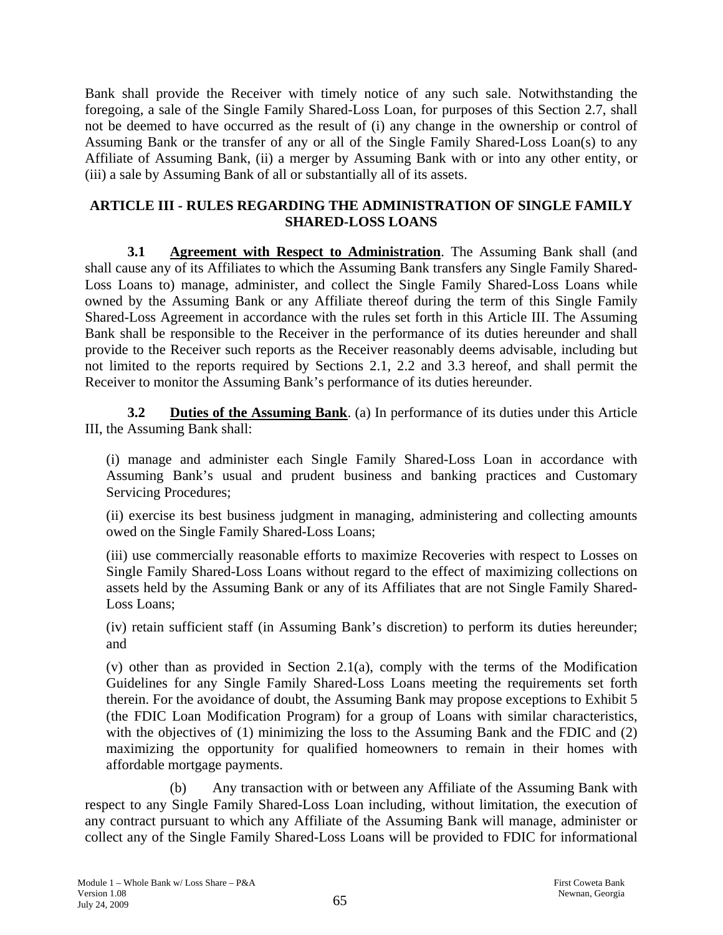Bank shall provide the Receiver with timely notice of any such sale. Notwithstanding the foregoing, a sale of the Single Family Shared-Loss Loan, for purposes of this Section 2.7, shall not be deemed to have occurred as the result of (i) any change in the ownership or control of Assuming Bank or the transfer of any or all of the Single Family Shared-Loss Loan(s) to any Affiliate of Assuming Bank, (ii) a merger by Assuming Bank with or into any other entity, or (iii) a sale by Assuming Bank of all or substantially all of its assets.

# **ARTICLE III - RULES REGARDING THE ADMINISTRATION OF SINGLE FAMILY SHARED-LOSS LOANS**

**3.1 Agreement with Respect to Administration**. The Assuming Bank shall (and shall cause any of its Affiliates to which the Assuming Bank transfers any Single Family Shared-Loss Loans to) manage, administer, and collect the Single Family Shared-Loss Loans while owned by the Assuming Bank or any Affiliate thereof during the term of this Single Family Shared-Loss Agreement in accordance with the rules set forth in this Article III. The Assuming Bank shall be responsible to the Receiver in the performance of its duties hereunder and shall provide to the Receiver such reports as the Receiver reasonably deems advisable, including but not limited to the reports required by Sections 2.1, 2.2 and 3.3 hereof, and shall permit the Receiver to monitor the Assuming Bank's performance of its duties hereunder.

**3.2 Duties of the Assuming Bank**. (a) In performance of its duties under this Article III, the Assuming Bank shall:

(i) manage and administer each Single Family Shared-Loss Loan in accordance with Assuming Bank's usual and prudent business and banking practices and Customary Servicing Procedures;

(ii) exercise its best business judgment in managing, administering and collecting amounts owed on the Single Family Shared-Loss Loans;

(iii) use commercially reasonable efforts to maximize Recoveries with respect to Losses on Single Family Shared-Loss Loans without regard to the effect of maximizing collections on assets held by the Assuming Bank or any of its Affiliates that are not Single Family Shared-Loss Loans;

(iv) retain sufficient staff (in Assuming Bank's discretion) to perform its duties hereunder; and

(v) other than as provided in Section 2.1(a), comply with the terms of the Modification Guidelines for any Single Family Shared-Loss Loans meeting the requirements set forth therein. For the avoidance of doubt, the Assuming Bank may propose exceptions to Exhibit 5 (the FDIC Loan Modification Program) for a group of Loans with similar characteristics, with the objectives of (1) minimizing the loss to the Assuming Bank and the FDIC and (2) maximizing the opportunity for qualified homeowners to remain in their homes with affordable mortgage payments.

(b) Any transaction with or between any Affiliate of the Assuming Bank with respect to any Single Family Shared-Loss Loan including, without limitation, the execution of any contract pursuant to which any Affiliate of the Assuming Bank will manage, administer or collect any of the Single Family Shared-Loss Loans will be provided to FDIC for informational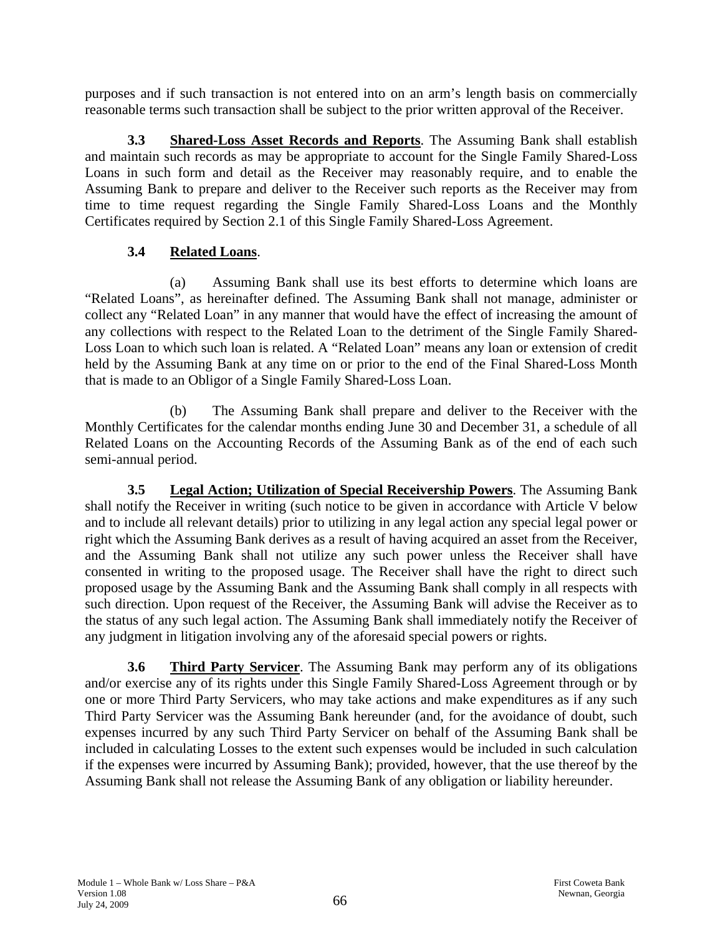purposes and if such transaction is not entered into on an arm's length basis on commercially reasonable terms such transaction shall be subject to the prior written approval of the Receiver.

**3.3 Shared-Loss Asset Records and Reports**. The Assuming Bank shall establish and maintain such records as may be appropriate to account for the Single Family Shared-Loss Loans in such form and detail as the Receiver may reasonably require, and to enable the Assuming Bank to prepare and deliver to the Receiver such reports as the Receiver may from time to time request regarding the Single Family Shared-Loss Loans and the Monthly Certificates required by Section 2.1 of this Single Family Shared-Loss Agreement.

# **3.4 Related Loans**.

(a) Assuming Bank shall use its best efforts to determine which loans are "Related Loans", as hereinafter defined. The Assuming Bank shall not manage, administer or collect any "Related Loan" in any manner that would have the effect of increasing the amount of any collections with respect to the Related Loan to the detriment of the Single Family Shared-Loss Loan to which such loan is related. A "Related Loan" means any loan or extension of credit held by the Assuming Bank at any time on or prior to the end of the Final Shared-Loss Month that is made to an Obligor of a Single Family Shared-Loss Loan.

(b) The Assuming Bank shall prepare and deliver to the Receiver with the Monthly Certificates for the calendar months ending June 30 and December 31, a schedule of all Related Loans on the Accounting Records of the Assuming Bank as of the end of each such semi-annual period.

**3.5 Legal Action; Utilization of Special Receivership Powers**. The Assuming Bank shall notify the Receiver in writing (such notice to be given in accordance with Article V below and to include all relevant details) prior to utilizing in any legal action any special legal power or right which the Assuming Bank derives as a result of having acquired an asset from the Receiver, and the Assuming Bank shall not utilize any such power unless the Receiver shall have consented in writing to the proposed usage. The Receiver shall have the right to direct such proposed usage by the Assuming Bank and the Assuming Bank shall comply in all respects with such direction. Upon request of the Receiver, the Assuming Bank will advise the Receiver as to the status of any such legal action. The Assuming Bank shall immediately notify the Receiver of any judgment in litigation involving any of the aforesaid special powers or rights.

**3.6** Third Party Servicer. The Assuming Bank may perform any of its obligations and/or exercise any of its rights under this Single Family Shared-Loss Agreement through or by one or more Third Party Servicers, who may take actions and make expenditures as if any such Third Party Servicer was the Assuming Bank hereunder (and, for the avoidance of doubt, such expenses incurred by any such Third Party Servicer on behalf of the Assuming Bank shall be included in calculating Losses to the extent such expenses would be included in such calculation if the expenses were incurred by Assuming Bank); provided, however, that the use thereof by the Assuming Bank shall not release the Assuming Bank of any obligation or liability hereunder.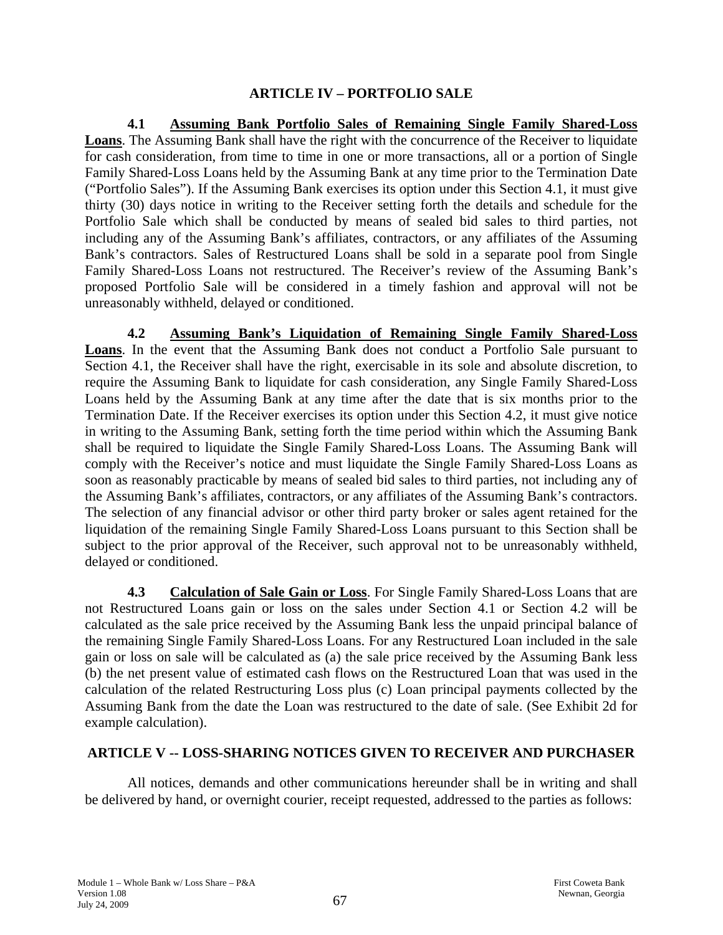# **ARTICLE IV – PORTFOLIO SALE**

**4.1 Assuming Bank Portfolio Sales of Remaining Single Family Shared-Loss Loans**. The Assuming Bank shall have the right with the concurrence of the Receiver to liquidate for cash consideration, from time to time in one or more transactions, all or a portion of Single Family Shared-Loss Loans held by the Assuming Bank at any time prior to the Termination Date ("Portfolio Sales"). If the Assuming Bank exercises its option under this Section 4.1, it must give thirty (30) days notice in writing to the Receiver setting forth the details and schedule for the Portfolio Sale which shall be conducted by means of sealed bid sales to third parties, not including any of the Assuming Bank's affiliates, contractors, or any affiliates of the Assuming Bank's contractors. Sales of Restructured Loans shall be sold in a separate pool from Single Family Shared-Loss Loans not restructured. The Receiver's review of the Assuming Bank's proposed Portfolio Sale will be considered in a timely fashion and approval will not be unreasonably withheld, delayed or conditioned.

**4.2 Assuming Bank's Liquidation of Remaining Single Family Shared-Loss Loans**. In the event that the Assuming Bank does not conduct a Portfolio Sale pursuant to Section 4.1, the Receiver shall have the right, exercisable in its sole and absolute discretion, to require the Assuming Bank to liquidate for cash consideration, any Single Family Shared-Loss Loans held by the Assuming Bank at any time after the date that is six months prior to the Termination Date. If the Receiver exercises its option under this Section 4.2, it must give notice in writing to the Assuming Bank, setting forth the time period within which the Assuming Bank shall be required to liquidate the Single Family Shared-Loss Loans. The Assuming Bank will comply with the Receiver's notice and must liquidate the Single Family Shared-Loss Loans as soon as reasonably practicable by means of sealed bid sales to third parties, not including any of the Assuming Bank's affiliates, contractors, or any affiliates of the Assuming Bank's contractors. The selection of any financial advisor or other third party broker or sales agent retained for the liquidation of the remaining Single Family Shared-Loss Loans pursuant to this Section shall be subject to the prior approval of the Receiver, such approval not to be unreasonably withheld, delayed or conditioned.

**4.3 Calculation of Sale Gain or Loss**. For Single Family Shared-Loss Loans that are not Restructured Loans gain or loss on the sales under Section 4.1 or Section 4.2 will be calculated as the sale price received by the Assuming Bank less the unpaid principal balance of the remaining Single Family Shared-Loss Loans. For any Restructured Loan included in the sale gain or loss on sale will be calculated as (a) the sale price received by the Assuming Bank less (b) the net present value of estimated cash flows on the Restructured Loan that was used in the calculation of the related Restructuring Loss plus (c) Loan principal payments collected by the Assuming Bank from the date the Loan was restructured to the date of sale. (See Exhibit 2d for example calculation).

# **ARTICLE V -- LOSS-SHARING NOTICES GIVEN TO RECEIVER AND PURCHASER**

All notices, demands and other communications hereunder shall be in writing and shall be delivered by hand, or overnight courier, receipt requested, addressed to the parties as follows: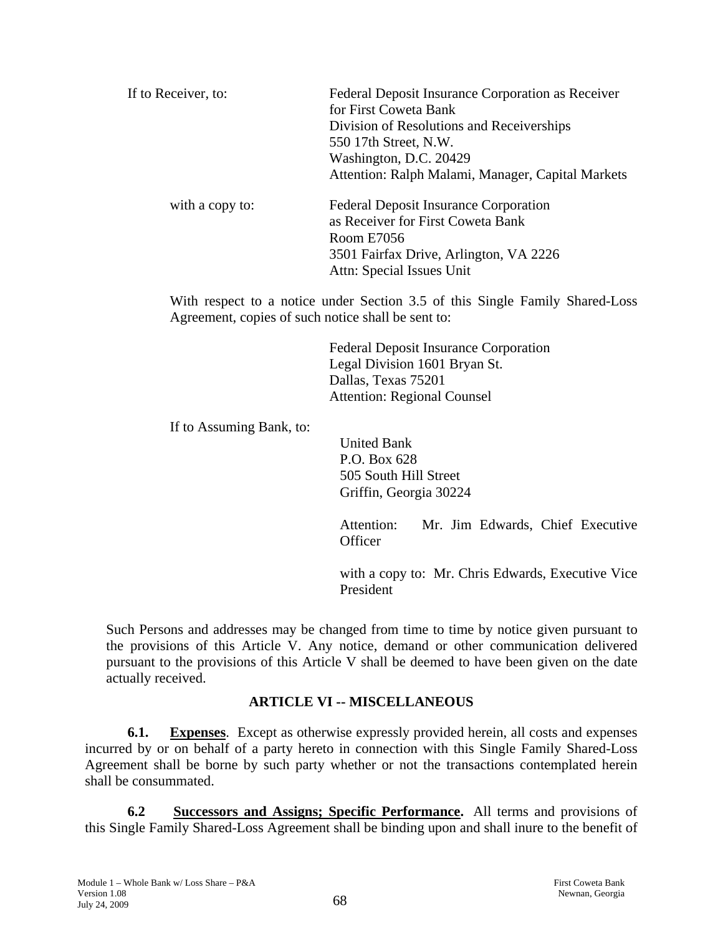| If to Receiver, to: | Federal Deposit Insurance Corporation as Receiver<br>for First Coweta Bank<br>Division of Resolutions and Receiverships |  |
|---------------------|-------------------------------------------------------------------------------------------------------------------------|--|
|                     | 550 17th Street, N.W.<br>Washington, D.C. 20429<br>Attention: Ralph Malami, Manager, Capital Markets                    |  |
| with a copy to:     | <b>Federal Deposit Insurance Corporation</b><br>as Receiver for First Coweta Bank<br>Room E7056                         |  |

With respect to a notice under Section 3.5 of this Single Family Shared-Loss Agreement, copies of such notice shall be sent to:

Attn: Special Issues Unit

Federal Deposit Insurance Corporation Legal Division 1601 Bryan St. Dallas, Texas 75201 Attention: Regional Counsel

3501 Fairfax Drive, Arlington, VA 2226

If to Assuming Bank, to:

United Bank P.O. Box 628 505 South Hill Street Griffin, Georgia 30224

Attention: Mr. Jim Edwards, Chief Executive **Officer** 

with a copy to: Mr. Chris Edwards, Executive Vice President

Such Persons and addresses may be changed from time to time by notice given pursuant to the provisions of this Article V. Any notice, demand or other communication delivered pursuant to the provisions of this Article V shall be deemed to have been given on the date actually received.

# **ARTICLE VI -- MISCELLANEOUS**

**6.1. Expenses**. Except as otherwise expressly provided herein, all costs and expenses incurred by or on behalf of a party hereto in connection with this Single Family Shared-Loss Agreement shall be borne by such party whether or not the transactions contemplated herein shall be consummated.

**6.2 Successors and Assigns; Specific Performance.** All terms and provisions of this Single Family Shared-Loss Agreement shall be binding upon and shall inure to the benefit of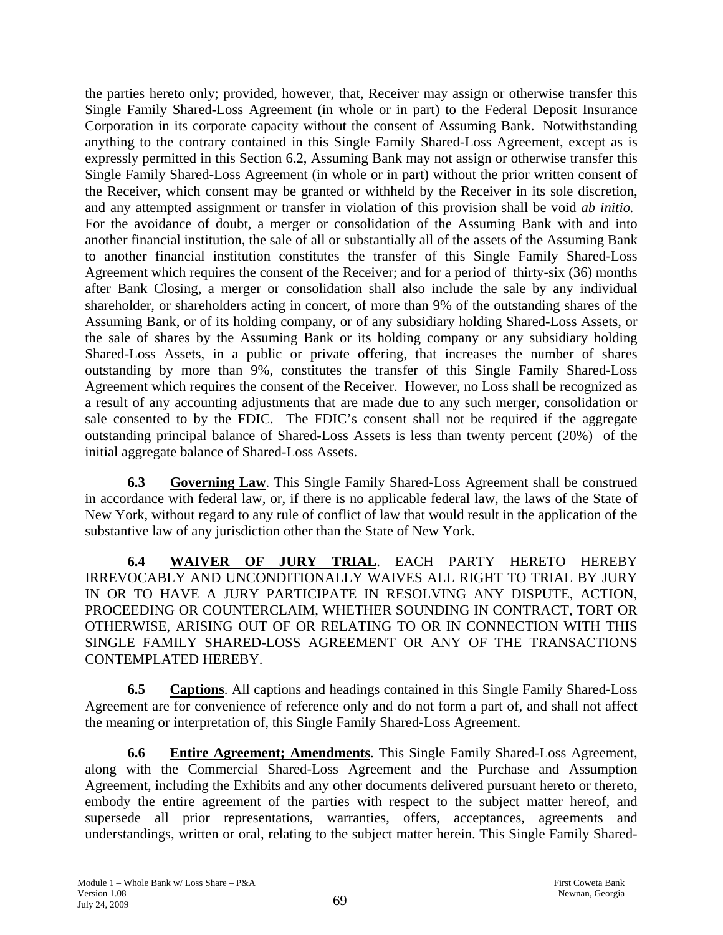the parties hereto only; provided, however, that, Receiver may assign or otherwise transfer this Single Family Shared-Loss Agreement (in whole or in part) to the Federal Deposit Insurance Corporation in its corporate capacity without the consent of Assuming Bank. Notwithstanding anything to the contrary contained in this Single Family Shared-Loss Agreement, except as is expressly permitted in this Section 6.2, Assuming Bank may not assign or otherwise transfer this Single Family Shared-Loss Agreement (in whole or in part) without the prior written consent of the Receiver, which consent may be granted or withheld by the Receiver in its sole discretion, and any attempted assignment or transfer in violation of this provision shall be void *ab initio.*  For the avoidance of doubt, a merger or consolidation of the Assuming Bank with and into another financial institution, the sale of all or substantially all of the assets of the Assuming Bank to another financial institution constitutes the transfer of this Single Family Shared-Loss Agreement which requires the consent of the Receiver; and for a period of thirty-six (36) months after Bank Closing, a merger or consolidation shall also include the sale by any individual shareholder, or shareholders acting in concert, of more than 9% of the outstanding shares of the Assuming Bank, or of its holding company, or of any subsidiary holding Shared-Loss Assets, or the sale of shares by the Assuming Bank or its holding company or any subsidiary holding Shared-Loss Assets, in a public or private offering, that increases the number of shares outstanding by more than 9%, constitutes the transfer of this Single Family Shared-Loss Agreement which requires the consent of the Receiver. However, no Loss shall be recognized as a result of any accounting adjustments that are made due to any such merger, consolidation or sale consented to by the FDIC. The FDIC's consent shall not be required if the aggregate outstanding principal balance of Shared-Loss Assets is less than twenty percent (20%) of the initial aggregate balance of Shared-Loss Assets.

**6.3 Governing Law**. This Single Family Shared-Loss Agreement shall be construed in accordance with federal law, or, if there is no applicable federal law, the laws of the State of New York, without regard to any rule of conflict of law that would result in the application of the substantive law of any jurisdiction other than the State of New York.

**6.4 WAIVER OF JURY TRIAL**. EACH PARTY HERETO HEREBY IRREVOCABLY AND UNCONDITIONALLY WAIVES ALL RIGHT TO TRIAL BY JURY IN OR TO HAVE A JURY PARTICIPATE IN RESOLVING ANY DISPUTE, ACTION, PROCEEDING OR COUNTERCLAIM, WHETHER SOUNDING IN CONTRACT, TORT OR OTHERWISE, ARISING OUT OF OR RELATING TO OR IN CONNECTION WITH THIS SINGLE FAMILY SHARED-LOSS AGREEMENT OR ANY OF THE TRANSACTIONS CONTEMPLATED HEREBY.

**6.5 Captions**. All captions and headings contained in this Single Family Shared-Loss Agreement are for convenience of reference only and do not form a part of, and shall not affect the meaning or interpretation of, this Single Family Shared-Loss Agreement.

**6.6 Entire Agreement; Amendments**. This Single Family Shared-Loss Agreement, along with the Commercial Shared-Loss Agreement and the Purchase and Assumption Agreement, including the Exhibits and any other documents delivered pursuant hereto or thereto, embody the entire agreement of the parties with respect to the subject matter hereof, and supersede all prior representations, warranties, offers, acceptances, agreements and understandings, written or oral, relating to the subject matter herein. This Single Family Shared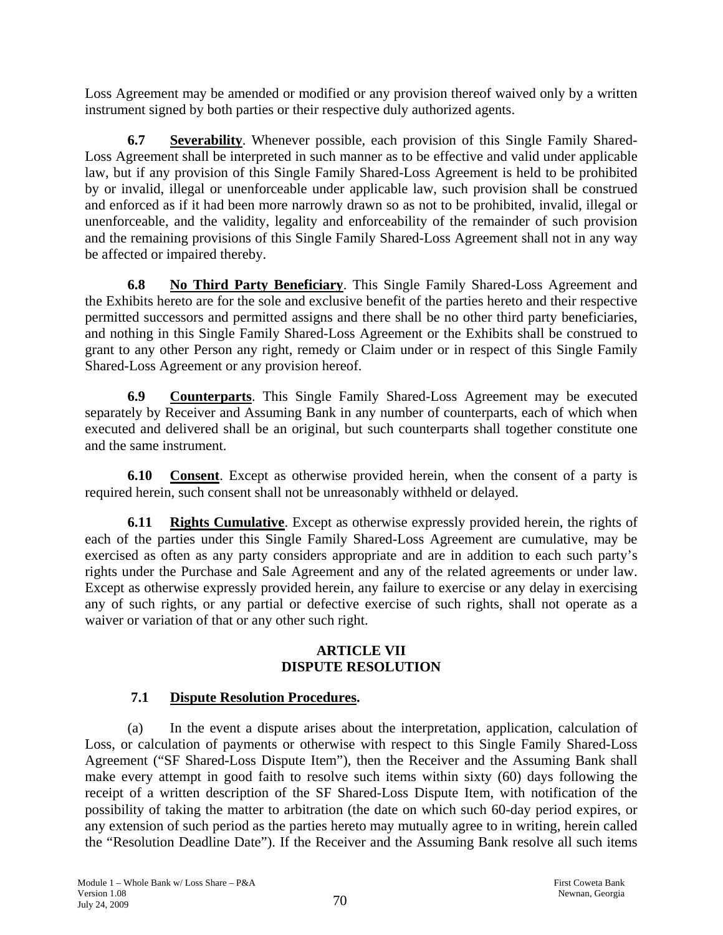Loss Agreement may be amended or modified or any provision thereof waived only by a written instrument signed by both parties or their respective duly authorized agents.

**6.7 Severability**. Whenever possible, each provision of this Single Family Shared-Loss Agreement shall be interpreted in such manner as to be effective and valid under applicable law, but if any provision of this Single Family Shared-Loss Agreement is held to be prohibited by or invalid, illegal or unenforceable under applicable law, such provision shall be construed and enforced as if it had been more narrowly drawn so as not to be prohibited, invalid, illegal or unenforceable, and the validity, legality and enforceability of the remainder of such provision and the remaining provisions of this Single Family Shared-Loss Agreement shall not in any way be affected or impaired thereby.

**6.8 No Third Party Beneficiary.** This Single Family Shared-Loss Agreement and the Exhibits hereto are for the sole and exclusive benefit of the parties hereto and their respective permitted successors and permitted assigns and there shall be no other third party beneficiaries, and nothing in this Single Family Shared-Loss Agreement or the Exhibits shall be construed to grant to any other Person any right, remedy or Claim under or in respect of this Single Family Shared-Loss Agreement or any provision hereof.

**6.9 Counterparts**. This Single Family Shared-Loss Agreement may be executed separately by Receiver and Assuming Bank in any number of counterparts, each of which when executed and delivered shall be an original, but such counterparts shall together constitute one and the same instrument.

**6.10 Consent**. Except as otherwise provided herein, when the consent of a party is required herein, such consent shall not be unreasonably withheld or delayed.

**6.11 Rights Cumulative**. Except as otherwise expressly provided herein, the rights of each of the parties under this Single Family Shared-Loss Agreement are cumulative, may be exercised as often as any party considers appropriate and are in addition to each such party's rights under the Purchase and Sale Agreement and any of the related agreements or under law. Except as otherwise expressly provided herein, any failure to exercise or any delay in exercising any of such rights, or any partial or defective exercise of such rights, shall not operate as a waiver or variation of that or any other such right.

## **ARTICLE VII DISPUTE RESOLUTION**

# **7.1 Dispute Resolution Procedures.**

(a) In the event a dispute arises about the interpretation, application, calculation of Loss, or calculation of payments or otherwise with respect to this Single Family Shared-Loss Agreement ("SF Shared-Loss Dispute Item"), then the Receiver and the Assuming Bank shall make every attempt in good faith to resolve such items within sixty (60) days following the receipt of a written description of the SF Shared-Loss Dispute Item, with notification of the possibility of taking the matter to arbitration (the date on which such 60-day period expires, or any extension of such period as the parties hereto may mutually agree to in writing, herein called the "Resolution Deadline Date"). If the Receiver and the Assuming Bank resolve all such items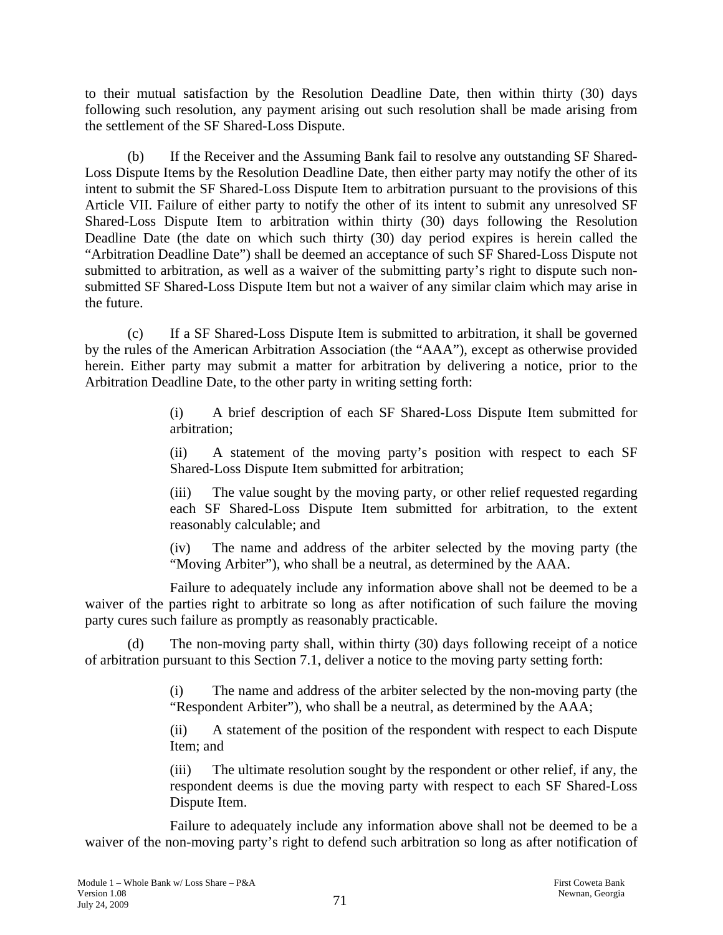to their mutual satisfaction by the Resolution Deadline Date, then within thirty (30) days following such resolution, any payment arising out such resolution shall be made arising from the settlement of the SF Shared-Loss Dispute.

(b) If the Receiver and the Assuming Bank fail to resolve any outstanding SF Shared-Loss Dispute Items by the Resolution Deadline Date, then either party may notify the other of its intent to submit the SF Shared-Loss Dispute Item to arbitration pursuant to the provisions of this Article VII. Failure of either party to notify the other of its intent to submit any unresolved SF Shared-Loss Dispute Item to arbitration within thirty (30) days following the Resolution Deadline Date (the date on which such thirty (30) day period expires is herein called the "Arbitration Deadline Date") shall be deemed an acceptance of such SF Shared-Loss Dispute not submitted to arbitration, as well as a waiver of the submitting party's right to dispute such nonsubmitted SF Shared-Loss Dispute Item but not a waiver of any similar claim which may arise in the future.

(c) If a SF Shared-Loss Dispute Item is submitted to arbitration, it shall be governed by the rules of the American Arbitration Association (the "AAA"), except as otherwise provided herein. Either party may submit a matter for arbitration by delivering a notice, prior to the Arbitration Deadline Date, to the other party in writing setting forth:

> (i) A brief description of each SF Shared-Loss Dispute Item submitted for arbitration;

> (ii) A statement of the moving party's position with respect to each SF Shared-Loss Dispute Item submitted for arbitration;

> (iii) The value sought by the moving party, or other relief requested regarding each SF Shared-Loss Dispute Item submitted for arbitration, to the extent reasonably calculable; and

> (iv) The name and address of the arbiter selected by the moving party (the "Moving Arbiter"), who shall be a neutral, as determined by the AAA.

Failure to adequately include any information above shall not be deemed to be a waiver of the parties right to arbitrate so long as after notification of such failure the moving party cures such failure as promptly as reasonably practicable.

(d) The non-moving party shall, within thirty (30) days following receipt of a notice of arbitration pursuant to this Section 7.1, deliver a notice to the moving party setting forth:

> (i) The name and address of the arbiter selected by the non-moving party (the "Respondent Arbiter"), who shall be a neutral, as determined by the AAA;

> (ii) A statement of the position of the respondent with respect to each Dispute Item; and

> (iii) The ultimate resolution sought by the respondent or other relief, if any, the respondent deems is due the moving party with respect to each SF Shared-Loss Dispute Item.

Failure to adequately include any information above shall not be deemed to be a waiver of the non-moving party's right to defend such arbitration so long as after notification of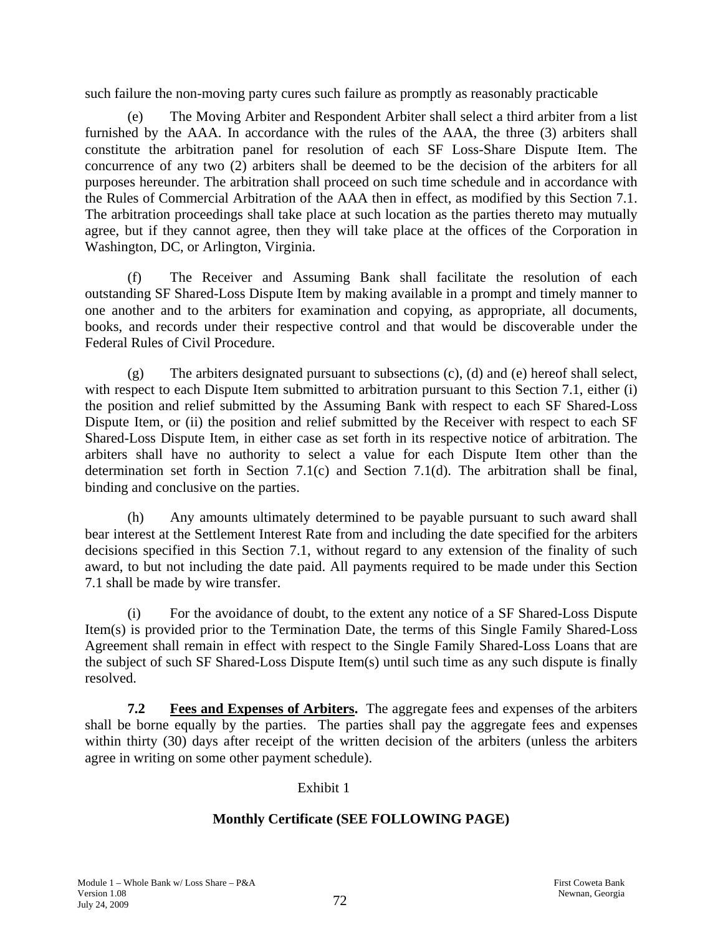such failure the non-moving party cures such failure as promptly as reasonably practicable

(e) The Moving Arbiter and Respondent Arbiter shall select a third arbiter from a list furnished by the AAA. In accordance with the rules of the AAA, the three (3) arbiters shall constitute the arbitration panel for resolution of each SF Loss-Share Dispute Item. The concurrence of any two (2) arbiters shall be deemed to be the decision of the arbiters for all purposes hereunder. The arbitration shall proceed on such time schedule and in accordance with the Rules of Commercial Arbitration of the AAA then in effect, as modified by this Section 7.1. The arbitration proceedings shall take place at such location as the parties thereto may mutually agree, but if they cannot agree, then they will take place at the offices of the Corporation in Washington, DC, or Arlington, Virginia.

(f) The Receiver and Assuming Bank shall facilitate the resolution of each outstanding SF Shared-Loss Dispute Item by making available in a prompt and timely manner to one another and to the arbiters for examination and copying, as appropriate, all documents, books, and records under their respective control and that would be discoverable under the Federal Rules of Civil Procedure.

 $(g)$  The arbiters designated pursuant to subsections  $(c)$ ,  $(d)$  and  $(e)$  hereof shall select, with respect to each Dispute Item submitted to arbitration pursuant to this Section 7.1, either (i) the position and relief submitted by the Assuming Bank with respect to each SF Shared-Loss Dispute Item, or (ii) the position and relief submitted by the Receiver with respect to each SF Shared-Loss Dispute Item, in either case as set forth in its respective notice of arbitration. The arbiters shall have no authority to select a value for each Dispute Item other than the determination set forth in Section 7.1(c) and Section 7.1(d). The arbitration shall be final, binding and conclusive on the parties.

(h) Any amounts ultimately determined to be payable pursuant to such award shall bear interest at the Settlement Interest Rate from and including the date specified for the arbiters decisions specified in this Section 7.1, without regard to any extension of the finality of such award, to but not including the date paid. All payments required to be made under this Section 7.1 shall be made by wire transfer.

(i) For the avoidance of doubt, to the extent any notice of a SF Shared-Loss Dispute Item(s) is provided prior to the Termination Date, the terms of this Single Family Shared-Loss Agreement shall remain in effect with respect to the Single Family Shared-Loss Loans that are the subject of such SF Shared-Loss Dispute Item(s) until such time as any such dispute is finally resolved.

**7.2 Fees and Expenses of Arbiters.** The aggregate fees and expenses of the arbiters shall be borne equally by the parties. The parties shall pay the aggregate fees and expenses within thirty (30) days after receipt of the written decision of the arbiters (unless the arbiters agree in writing on some other payment schedule).

## Exhibit 1

## **Monthly Certificate (SEE FOLLOWING PAGE)**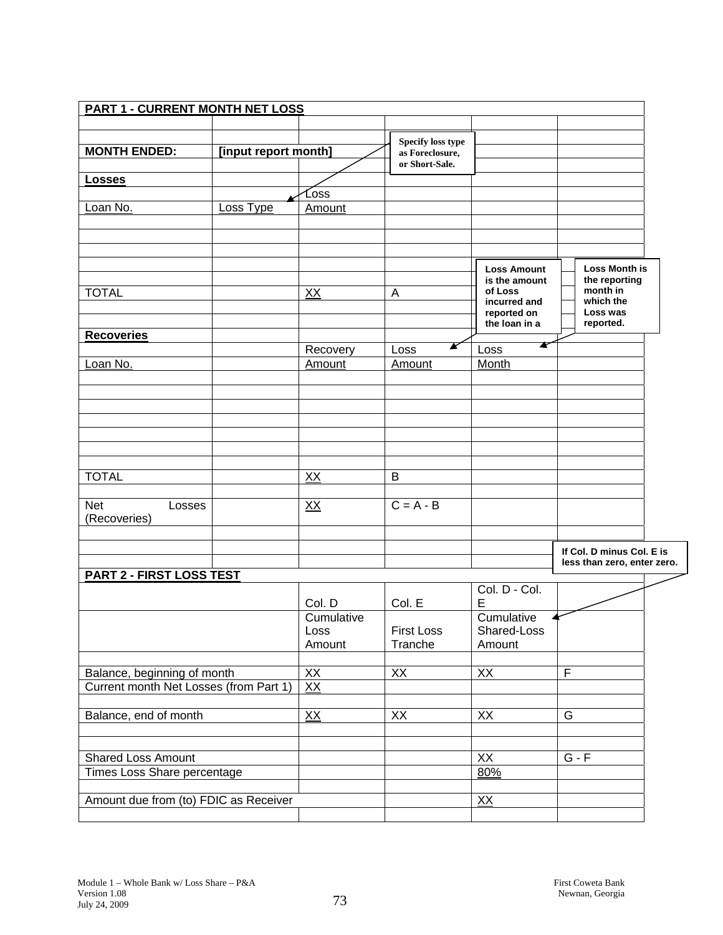| PART 1 - CURRENT MONTH NET LOSS        |                      |                 |                                   |                          |                             |
|----------------------------------------|----------------------|-----------------|-----------------------------------|--------------------------|-----------------------------|
|                                        |                      |                 |                                   |                          |                             |
|                                        |                      |                 | Specify loss type                 |                          |                             |
| <b>MONTH ENDED:</b>                    | [input report month] |                 | as Foreclosure,<br>or Short-Sale. |                          |                             |
|                                        |                      |                 |                                   |                          |                             |
| <b>Losses</b>                          |                      |                 |                                   |                          |                             |
|                                        |                      | Loss            |                                   |                          |                             |
| Loan No.                               | Loss Type            | Amount          |                                   |                          |                             |
|                                        |                      |                 |                                   |                          |                             |
|                                        |                      |                 |                                   |                          |                             |
|                                        |                      |                 |                                   |                          |                             |
|                                        |                      |                 |                                   | <b>Loss Amount</b>       | <b>Loss Month is</b>        |
| <b>TOTAL</b>                           |                      | XX              | A                                 | is the amount<br>of Loss | the reporting<br>month in   |
|                                        |                      |                 |                                   | incurred and             | which the                   |
|                                        |                      |                 |                                   | reported on              | Loss was                    |
| <b>Recoveries</b>                      |                      |                 |                                   | the loan in a            | reported.                   |
|                                        |                      | Recovery        | ¥<br>Loss                         | Ŧ<br>Loss                |                             |
| Loan No.                               |                      | Amount          | Amount                            | Month                    |                             |
|                                        |                      |                 |                                   |                          |                             |
|                                        |                      |                 |                                   |                          |                             |
|                                        |                      |                 |                                   |                          |                             |
|                                        |                      |                 |                                   |                          |                             |
|                                        |                      |                 |                                   |                          |                             |
|                                        |                      |                 |                                   |                          |                             |
|                                        |                      |                 |                                   |                          |                             |
| <b>TOTAL</b>                           |                      | XX              | B                                 |                          |                             |
|                                        |                      |                 |                                   |                          |                             |
| <b>Net</b><br>Losses                   |                      | XX              | $C = A - B$                       |                          |                             |
| (Recoveries)                           |                      |                 |                                   |                          |                             |
|                                        |                      |                 |                                   |                          |                             |
|                                        |                      |                 |                                   |                          |                             |
|                                        |                      |                 |                                   |                          | If Col. D minus Col. E is   |
| <b>PART 2 - FIRST LOSS TEST</b>        |                      |                 |                                   |                          | less than zero, enter zero. |
|                                        |                      |                 |                                   | Col. D - Col.            |                             |
|                                        |                      | Col. D          | Col. E                            | E                        |                             |
|                                        |                      | Cumulative      |                                   | Cumulative               |                             |
|                                        |                      | Loss            | <b>First Loss</b>                 | Shared-Loss              |                             |
|                                        |                      | Amount          | Tranche                           | Amount                   |                             |
|                                        |                      |                 |                                   |                          |                             |
| Balance, beginning of month            |                      | $\overline{XX}$ | XX                                | XX                       | $\overline{F}$              |
| Current month Net Losses (from Part 1) |                      | $\overline{XX}$ |                                   |                          |                             |
|                                        |                      |                 |                                   |                          |                             |
| Balance, end of month                  |                      | $\overline{XX}$ | XX                                | XX                       | G                           |
|                                        |                      |                 |                                   |                          |                             |
|                                        |                      |                 |                                   |                          |                             |
| <b>Shared Loss Amount</b>              |                      |                 |                                   | XX                       | $G - F$                     |
| Times Loss Share percentage            |                      |                 |                                   | 80%                      |                             |
|                                        |                      |                 |                                   |                          |                             |
| Amount due from (to) FDIC as Receiver  |                      |                 |                                   | <u>XX</u>                |                             |
|                                        |                      |                 |                                   |                          |                             |
|                                        |                      |                 |                                   |                          |                             |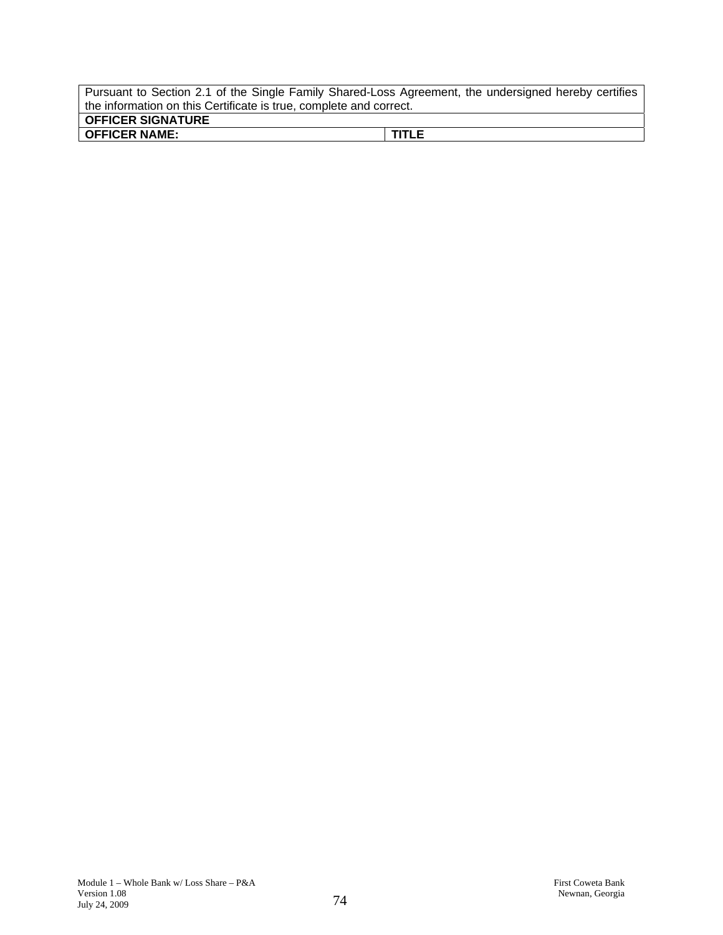| Pursuant to Section 2.1 of the Single Family Shared-Loss Agreement, the undersigned hereby certifies |              |  |  |  |  |
|------------------------------------------------------------------------------------------------------|--------------|--|--|--|--|
| the information on this Certificate is true, complete and correct.                                   |              |  |  |  |  |
| <b>OFFICER SIGNATURE</b>                                                                             |              |  |  |  |  |
| <b>OFFICER NAME:</b>                                                                                 | <b>TITLE</b> |  |  |  |  |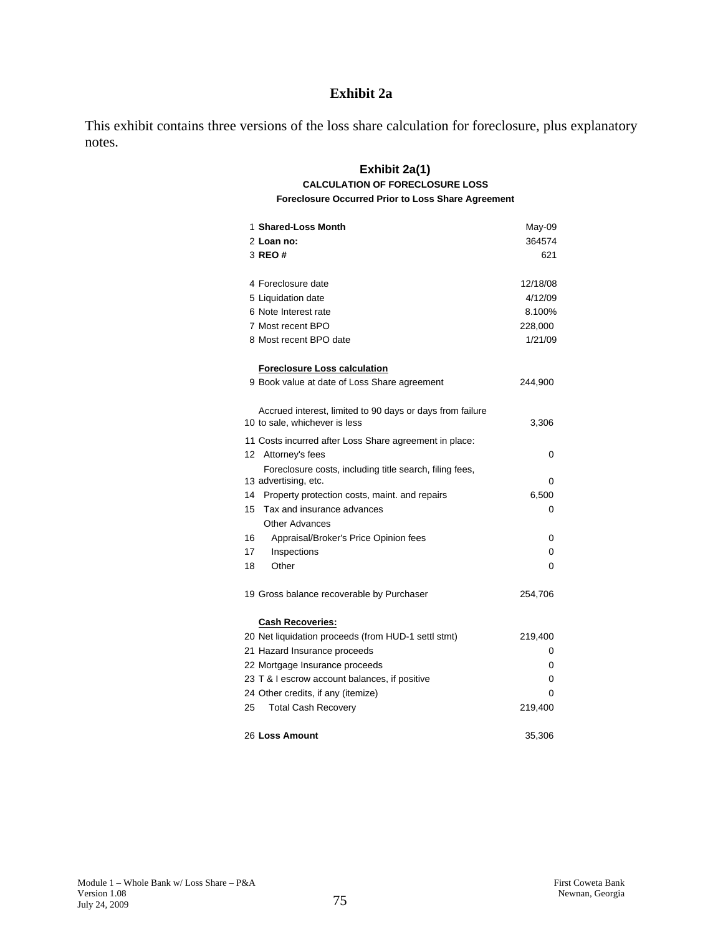### **Exhibit 2a**

This exhibit contains three versions of the loss share calculation for foreclosure, plus explanatory notes.

#### **Exhibit 2a(1) CALCULATION OF FORECLOSURE LOSS Foreclosure Occurred Prior to Loss Share Agreement**

|    | 1 Shared-Loss Month                                       | May-09   |
|----|-----------------------------------------------------------|----------|
|    | 2 Loan no:                                                | 364574   |
|    | 3 REO #                                                   | 621      |
|    |                                                           |          |
|    | 4 Foreclosure date                                        | 12/18/08 |
|    | 5 Liquidation date                                        | 4/12/09  |
|    | 6 Note Interest rate                                      | 8.100%   |
|    | 7 Most recent BPO                                         | 228,000  |
|    | 8 Most recent BPO date                                    | 1/21/09  |
|    | <b>Foreclosure Loss calculation</b>                       |          |
|    | 9 Book value at date of Loss Share agreement              | 244,900  |
|    | Accrued interest, limited to 90 days or days from failure |          |
|    | 10 to sale, whichever is less                             | 3,306    |
|    | 11 Costs incurred after Loss Share agreement in place:    |          |
| 12 | Attorney's fees                                           | 0        |
|    | Foreclosure costs, including title search, filing fees,   |          |
|    | 13 advertising, etc.                                      | 0        |
| 14 | Property protection costs, maint. and repairs             | 6,500    |
| 15 | Tax and insurance advances                                | 0        |
|    | <b>Other Advances</b>                                     |          |
| 16 | Appraisal/Broker's Price Opinion fees                     | 0        |
| 17 | Inspections                                               | 0        |
| 18 | Other                                                     | 0        |
|    | 19 Gross balance recoverable by Purchaser                 | 254,706  |
|    | <b>Cash Recoveries:</b>                                   |          |
|    | 20 Net liquidation proceeds (from HUD-1 settl stmt)       | 219,400  |
|    | 21 Hazard Insurance proceeds                              | 0        |
|    | 22 Mortgage Insurance proceeds                            | 0        |
|    | 23 T & I escrow account balances, if positive             | 0        |
|    | 24 Other credits, if any (itemize)                        | 0        |
| 25 | <b>Total Cash Recovery</b>                                | 219,400  |
|    | 26 Loss Amount                                            | 35,306   |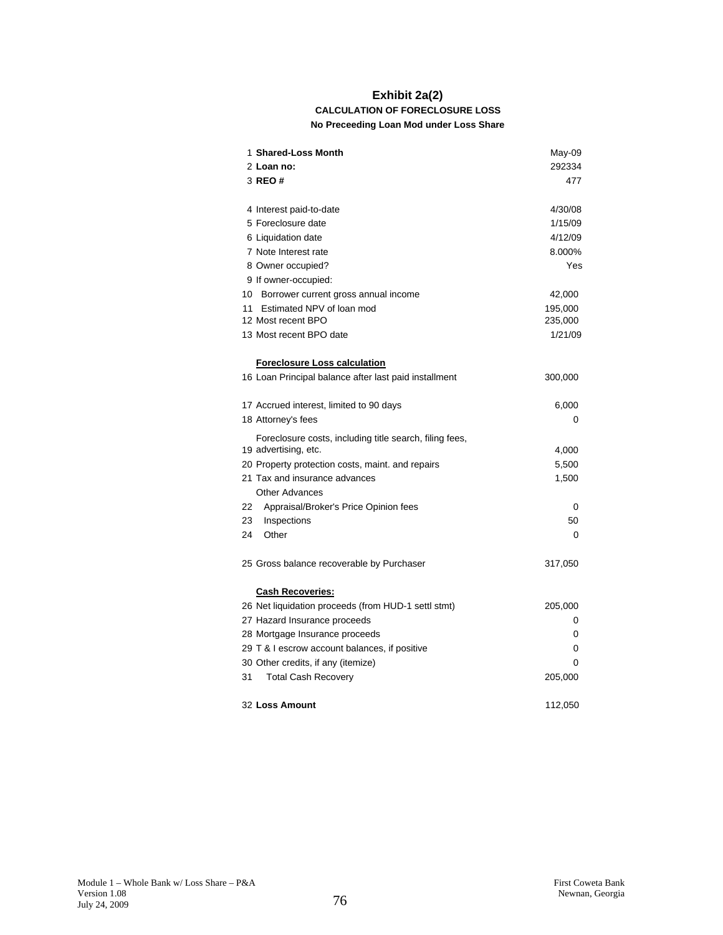#### **Exhibit 2a(2)**

#### **CALCULATION OF FORECLOSURE LOSS**

#### **No Preceeding Loan Mod under Loss Share**

| 1 Shared-Loss Month                                                             | May-09         |
|---------------------------------------------------------------------------------|----------------|
| 2 Loan no:                                                                      | 292334         |
| 3 REO #                                                                         | 477            |
| 4 Interest paid-to-date                                                         | 4/30/08        |
| 5 Foreclosure date                                                              | 1/15/09        |
| 6 Liquidation date                                                              | 4/12/09        |
| 7 Note Interest rate                                                            | 8.000%         |
| 8 Owner occupied?                                                               | Yes            |
| 9 If owner-occupied:                                                            |                |
| 10<br>Borrower current gross annual income                                      | 42,000         |
| Estimated NPV of loan mod<br>11                                                 | 195,000        |
| 12 Most recent BPO                                                              | 235,000        |
| 13 Most recent BPO date                                                         | 1/21/09        |
| <b>Foreclosure Loss calculation</b>                                             |                |
| 16 Loan Principal balance after last paid installment                           | 300,000        |
| 17 Accrued interest, limited to 90 days                                         | 6,000          |
| 18 Attorney's fees                                                              | 0              |
| Foreclosure costs, including title search, filing fees,<br>19 advertising, etc. |                |
| 20 Property protection costs, maint. and repairs                                | 4,000<br>5,500 |
| 21 Tax and insurance advances                                                   | 1,500          |
| <b>Other Advances</b>                                                           |                |
| 22<br>Appraisal/Broker's Price Opinion fees                                     | 0              |
| 23<br>Inspections                                                               | 50             |
| 24<br>Other                                                                     | 0              |
| 25 Gross balance recoverable by Purchaser                                       | 317,050        |
| <b>Cash Recoveries:</b>                                                         |                |
| 26 Net liquidation proceeds (from HUD-1 settl stmt)                             | 205,000        |
| 27 Hazard Insurance proceeds                                                    | 0              |
| 28 Mortgage Insurance proceeds                                                  | 0              |
| 29 T & I escrow account balances, if positive                                   | 0              |
| 30 Other credits, if any (itemize)                                              | 0              |
| 31<br><b>Total Cash Recovery</b>                                                | 205,000        |
| 32 Loss Amount                                                                  | 112,050        |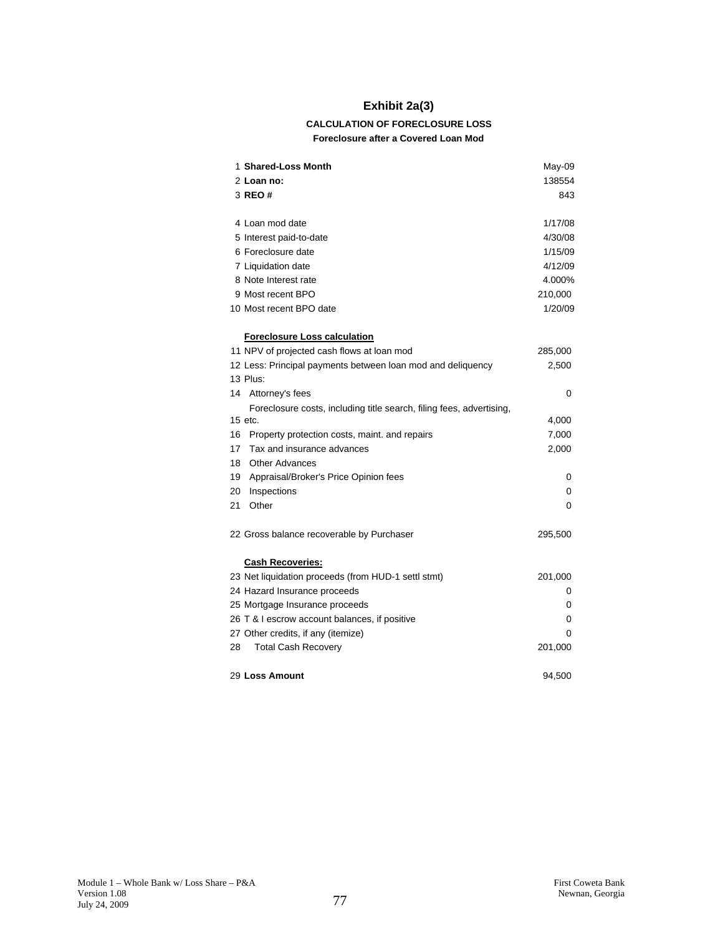## **Exhibit 2a(3)**

#### **CALCULATION OF FORECLOSURE LOSS Foreclosure after a Covered Loan Mod**

| 1 Shared-Loss Month                                                  | May-09   |
|----------------------------------------------------------------------|----------|
| 2 Loan no:                                                           | 138554   |
| 3 REO #                                                              | 843      |
|                                                                      |          |
| 4 Loan mod date                                                      | 1/17/08  |
| 5 Interest paid-to-date                                              | 4/30/08  |
| 6 Foreclosure date                                                   | 1/15/09  |
| 7 Liquidation date                                                   | 4/12/09  |
| 8 Note Interest rate                                                 | 4.000%   |
| 9 Most recent BPO                                                    | 210,000  |
| 10 Most recent BPO date                                              | 1/20/09  |
|                                                                      |          |
| <b>Foreclosure Loss calculation</b>                                  |          |
| 11 NPV of projected cash flows at loan mod                           | 285,000  |
| 12 Less: Principal payments between loan mod and deliquency          | 2,500    |
| 13 Plus:                                                             |          |
| 14<br>Attorney's fees                                                | 0        |
| Foreclosure costs, including title search, filing fees, advertising, |          |
| 15 etc.                                                              | 4,000    |
| 16<br>Property protection costs, maint. and repairs                  | 7,000    |
| 17<br>Tax and insurance advances                                     | 2,000    |
| <b>Other Advances</b><br>18                                          |          |
| 19 Appraisal/Broker's Price Opinion fees                             | 0        |
| 20<br>Inspections                                                    | 0        |
| 21<br>Other                                                          | $\Omega$ |
|                                                                      |          |
| 22 Gross balance recoverable by Purchaser                            | 295,500  |
|                                                                      |          |
| <b>Cash Recoveries:</b>                                              |          |
| 23 Net liquidation proceeds (from HUD-1 settl stmt)                  | 201,000  |
| 24 Hazard Insurance proceeds                                         | 0        |
| 25 Mortgage Insurance proceeds                                       | 0        |
| 26 T & I escrow account balances, if positive                        | 0        |
| 27 Other credits, if any (itemize)                                   | 0        |
| 28<br><b>Total Cash Recovery</b>                                     | 201,000  |
|                                                                      |          |
| 29 Loss Amount                                                       | 94,500   |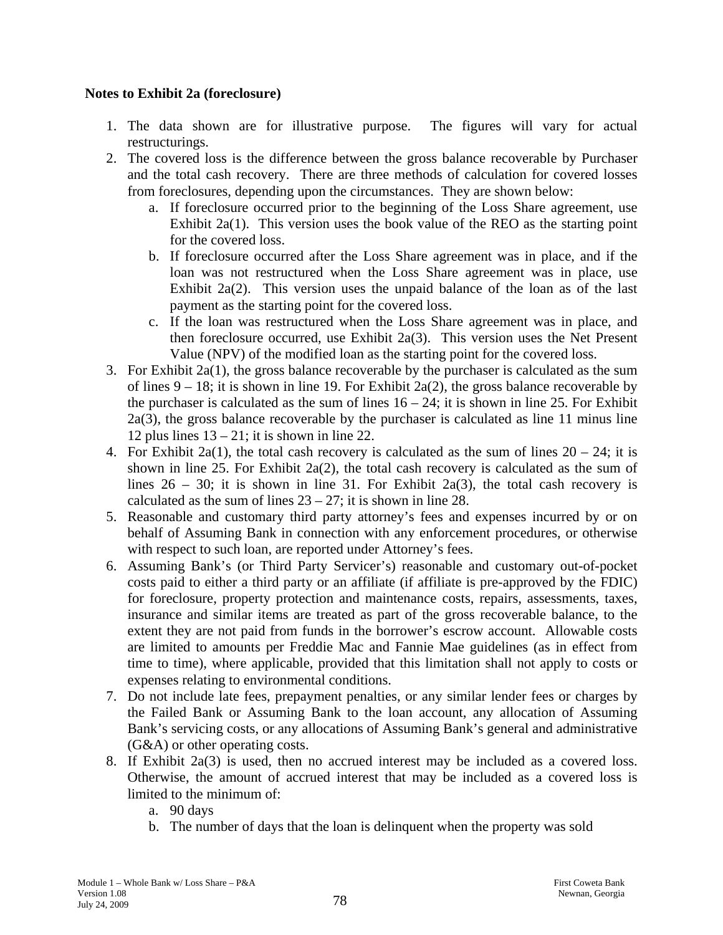### **Notes to Exhibit 2a (foreclosure)**

- 1. The data shown are for illustrative purpose. The figures will vary for actual restructurings.
- 2. The covered loss is the difference between the gross balance recoverable by Purchaser and the total cash recovery. There are three methods of calculation for covered losses from foreclosures, depending upon the circumstances. They are shown below:
	- a. If foreclosure occurred prior to the beginning of the Loss Share agreement, use Exhibit  $2a(1)$ . This version uses the book value of the REO as the starting point for the covered loss.
	- b. If foreclosure occurred after the Loss Share agreement was in place, and if the loan was not restructured when the Loss Share agreement was in place, use Exhibit 2a(2). This version uses the unpaid balance of the loan as of the last payment as the starting point for the covered loss.
	- c. If the loan was restructured when the Loss Share agreement was in place, and then foreclosure occurred, use Exhibit 2a(3). This version uses the Net Present Value (NPV) of the modified loan as the starting point for the covered loss.
- 3. For Exhibit  $2a(1)$ , the gross balance recoverable by the purchaser is calculated as the sum of lines  $9 - 18$ ; it is shown in line 19. For Exhibit 2a(2), the gross balance recoverable by the purchaser is calculated as the sum of lines  $16 - 24$ ; it is shown in line 25. For Exhibit 2a(3), the gross balance recoverable by the purchaser is calculated as line 11 minus line 12 plus lines  $13 - 21$ ; it is shown in line 22.
- 4. For Exhibit 2a(1), the total cash recovery is calculated as the sum of lines  $20 24$ ; it is shown in line 25. For Exhibit 2a(2), the total cash recovery is calculated as the sum of lines  $26 - 30$ ; it is shown in line 31. For Exhibit 2a(3), the total cash recovery is calculated as the sum of lines  $23 - 27$ ; it is shown in line 28.
- 5. Reasonable and customary third party attorney's fees and expenses incurred by or on behalf of Assuming Bank in connection with any enforcement procedures, or otherwise with respect to such loan, are reported under Attorney's fees.
- 6. Assuming Bank's (or Third Party Servicer's) reasonable and customary out-of-pocket costs paid to either a third party or an affiliate (if affiliate is pre-approved by the FDIC) for foreclosure, property protection and maintenance costs, repairs, assessments, taxes, insurance and similar items are treated as part of the gross recoverable balance, to the extent they are not paid from funds in the borrower's escrow account. Allowable costs are limited to amounts per Freddie Mac and Fannie Mae guidelines (as in effect from time to time), where applicable, provided that this limitation shall not apply to costs or expenses relating to environmental conditions.
- 7. Do not include late fees, prepayment penalties, or any similar lender fees or charges by the Failed Bank or Assuming Bank to the loan account, any allocation of Assuming Bank's servicing costs, or any allocations of Assuming Bank's general and administrative (G&A) or other operating costs.
- 8. If Exhibit  $2a(3)$  is used, then no accrued interest may be included as a covered loss. Otherwise, the amount of accrued interest that may be included as a covered loss is limited to the minimum of:
	- a. 90 days
	- b. The number of days that the loan is delinguent when the property was sold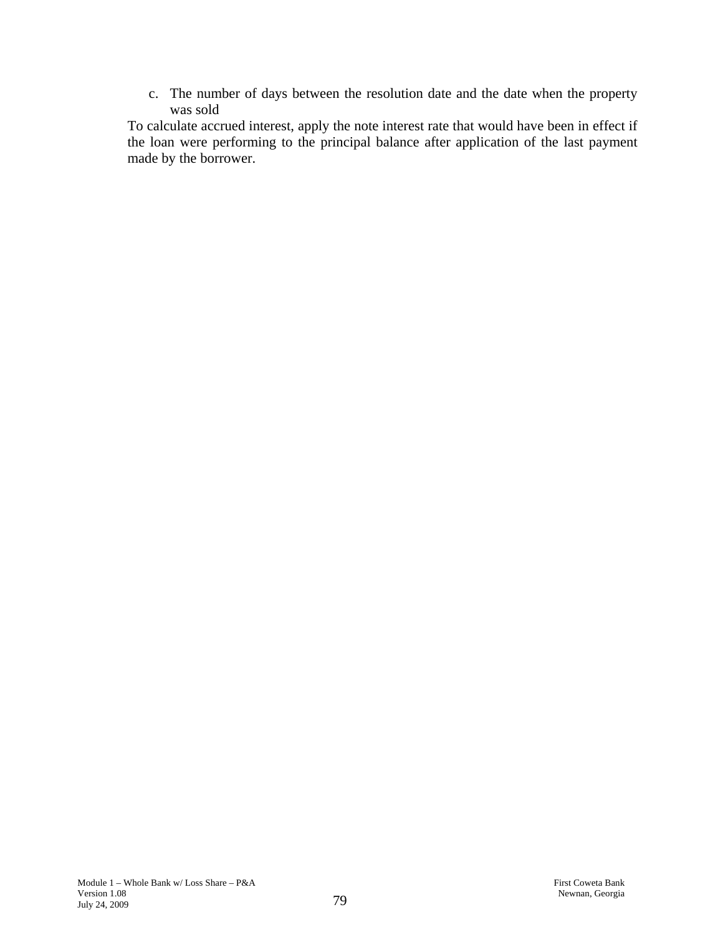c. The number of days between the resolution date and the date when the property was sold

To calculate accrued interest, apply the note interest rate that would have been in effect if the loan were performing to the principal balance after application of the last payment made by the borrower.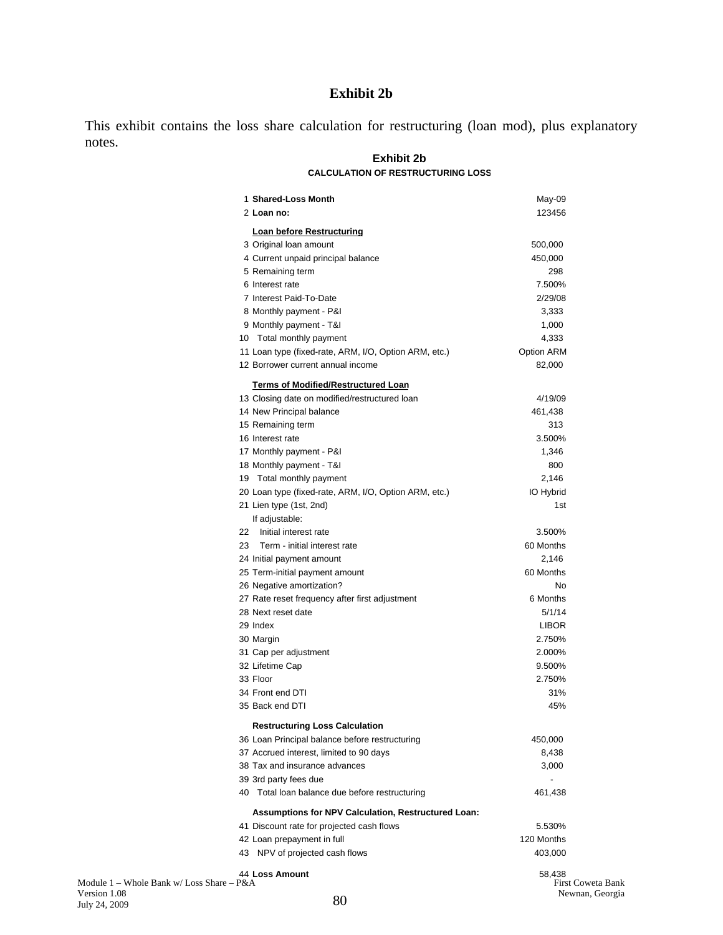## **Exhibit 2b**

This exhibit contains the loss share calculation for restructuring (loan mod), plus explanatory notes.

#### **Exhibit 2b CALCULATION OF RESTRUCTURING LOSS**

|                                                           | 1 Shared-Loss Month                                   | May-09                                     |
|-----------------------------------------------------------|-------------------------------------------------------|--------------------------------------------|
|                                                           | 2 Loan no:                                            | 123456                                     |
|                                                           | <b>Loan before Restructuring</b>                      |                                            |
|                                                           | 3 Original loan amount                                | 500,000                                    |
|                                                           | 4 Current unpaid principal balance                    | 450,000                                    |
|                                                           | 5 Remaining term                                      | 298                                        |
|                                                           | 6 Interest rate                                       | 7.500%                                     |
|                                                           | 7 Interest Paid-To-Date                               | 2/29/08                                    |
|                                                           | 8 Monthly payment - P&I                               | 3,333                                      |
|                                                           | 9 Monthly payment - T&I                               | 1,000                                      |
|                                                           | 10 Total monthly payment                              | 4,333                                      |
|                                                           | 11 Loan type (fixed-rate, ARM, I/O, Option ARM, etc.) | <b>Option ARM</b>                          |
|                                                           | 12 Borrower current annual income                     | 82,000                                     |
|                                                           |                                                       |                                            |
|                                                           | <b>Terms of Modified/Restructured Loan</b>            |                                            |
|                                                           | 13 Closing date on modified/restructured loan         | 4/19/09                                    |
|                                                           | 14 New Principal balance                              | 461,438                                    |
|                                                           | 15 Remaining term                                     | 313                                        |
|                                                           | 16 Interest rate                                      | 3.500%                                     |
|                                                           | 17 Monthly payment - P&I                              | 1,346                                      |
|                                                           | 18 Monthly payment - T&I                              | 800                                        |
|                                                           | 19 Total monthly payment                              | 2,146                                      |
|                                                           | 20 Loan type (fixed-rate, ARM, I/O, Option ARM, etc.) | IO Hybrid                                  |
|                                                           | 21 Lien type (1st, 2nd)                               | 1st                                        |
|                                                           | If adjustable:                                        |                                            |
| 22                                                        | Initial interest rate                                 | 3.500%                                     |
| 23                                                        | Term - initial interest rate                          | 60 Months                                  |
|                                                           | 24 Initial payment amount                             | 2,146                                      |
|                                                           | 25 Term-initial payment amount                        | 60 Months                                  |
|                                                           | 26 Negative amortization?                             | No                                         |
|                                                           | 27 Rate reset frequency after first adjustment        | 6 Months                                   |
|                                                           | 28 Next reset date                                    | 5/1/14                                     |
|                                                           | 29 Index                                              | <b>LIBOR</b>                               |
|                                                           | 30 Margin                                             | 2.750%                                     |
|                                                           | 31 Cap per adjustment                                 | 2.000%                                     |
|                                                           | 32 Lifetime Cap                                       | 9.500%                                     |
|                                                           | 33 Floor                                              | 2.750%                                     |
|                                                           | 34 Front end DTI                                      | 31%                                        |
|                                                           | 35 Back end DTI                                       | 45%                                        |
|                                                           | <b>Restructuring Loss Calculation</b>                 |                                            |
|                                                           | 36 Loan Principal balance before restructuring        | 450,000                                    |
|                                                           | 37 Accrued interest, limited to 90 days               | 8,438                                      |
|                                                           | 38 Tax and insurance advances                         | 3,000                                      |
|                                                           |                                                       |                                            |
|                                                           | 39 3rd party fees due                                 |                                            |
|                                                           | 40 Total loan balance due before restructuring        | 461,438                                    |
|                                                           | Assumptions for NPV Calculation, Restructured Loan:   |                                            |
|                                                           | 41 Discount rate for projected cash flows             | 5.530%                                     |
|                                                           | 42 Loan prepayment in full                            | 120 Months                                 |
|                                                           | 43 NPV of projected cash flows                        | 403,000                                    |
|                                                           | 44 Loss Amount                                        | 58,438                                     |
| Module 1 – Whole Bank w/ Loss Share – P&A<br>Version 1.08 |                                                       | <b>First Coweta Bank</b><br>Newnan Georgia |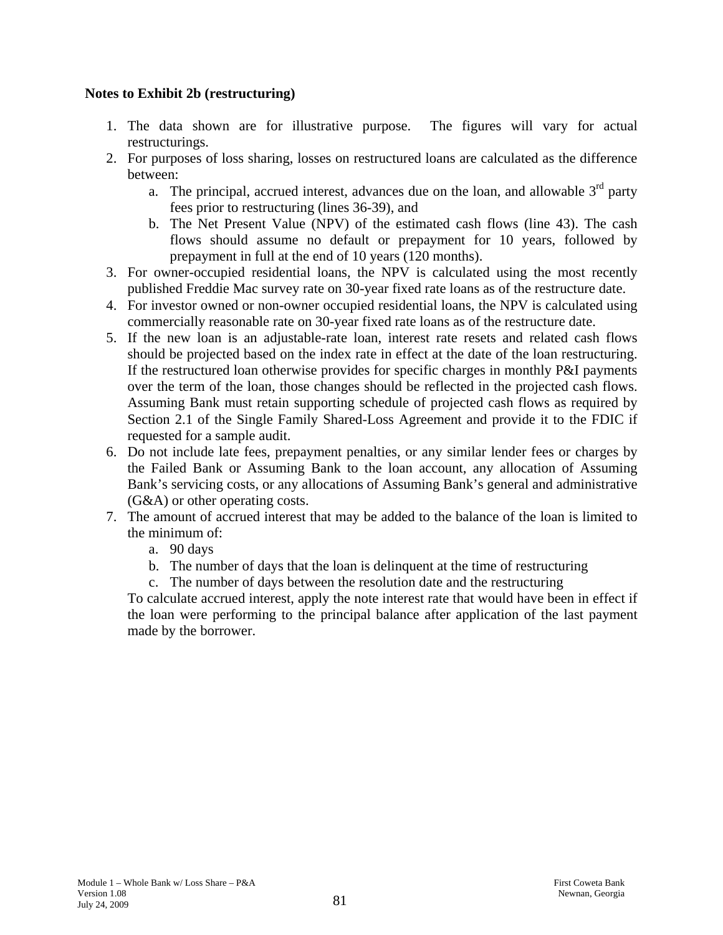### **Notes to Exhibit 2b (restructuring)**

- 1. The data shown are for illustrative purpose. The figures will vary for actual restructurings.
- 2. For purposes of loss sharing, losses on restructured loans are calculated as the difference between:
	- a. The principal, accrued interest, advances due on the loan, and allowable  $3<sup>rd</sup>$  party fees prior to restructuring (lines 36-39), and
	- b. The Net Present Value (NPV) of the estimated cash flows (line 43). The cash flows should assume no default or prepayment for 10 years, followed by prepayment in full at the end of 10 years (120 months).
- 3. For owner-occupied residential loans, the NPV is calculated using the most recently published Freddie Mac survey rate on 30-year fixed rate loans as of the restructure date.
- 4. For investor owned or non-owner occupied residential loans, the NPV is calculated using commercially reasonable rate on 30-year fixed rate loans as of the restructure date.
- 5. If the new loan is an adjustable-rate loan, interest rate resets and related cash flows should be projected based on the index rate in effect at the date of the loan restructuring. If the restructured loan otherwise provides for specific charges in monthly P&I payments over the term of the loan, those changes should be reflected in the projected cash flows. Assuming Bank must retain supporting schedule of projected cash flows as required by Section 2.1 of the Single Family Shared-Loss Agreement and provide it to the FDIC if requested for a sample audit.
- 6. Do not include late fees, prepayment penalties, or any similar lender fees or charges by the Failed Bank or Assuming Bank to the loan account, any allocation of Assuming Bank's servicing costs, or any allocations of Assuming Bank's general and administrative (G&A) or other operating costs.
- 7. The amount of accrued interest that may be added to the balance of the loan is limited to the minimum of:
	- a. 90 days
	- b. The number of days that the loan is delinquent at the time of restructuring
	- c. The number of days between the resolution date and the restructuring

To calculate accrued interest, apply the note interest rate that would have been in effect if the loan were performing to the principal balance after application of the last payment made by the borrower.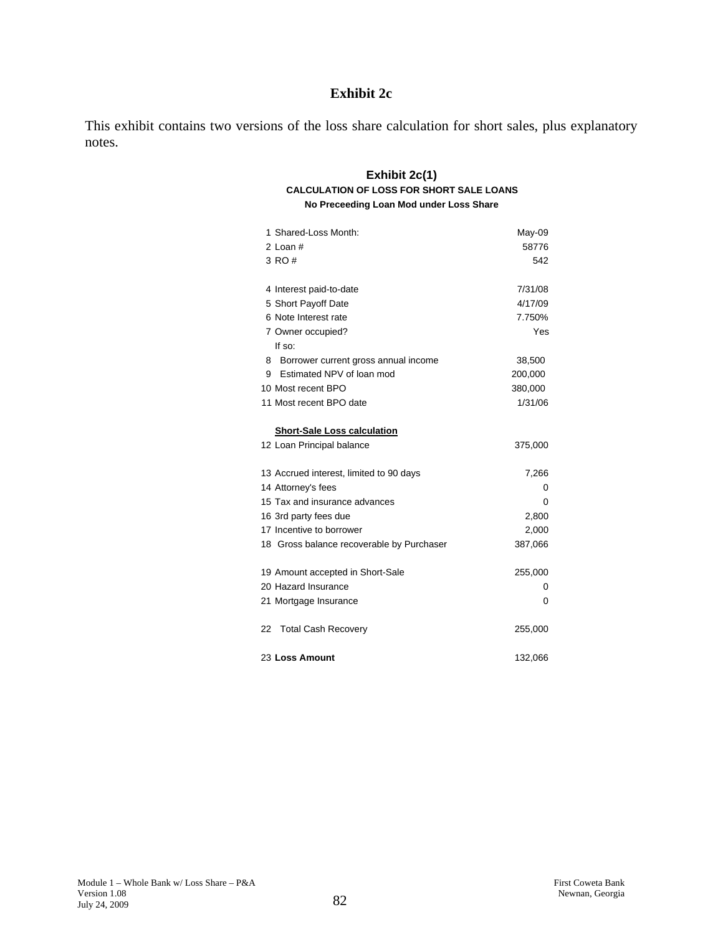### **Exhibit 2c**

This exhibit contains two versions of the loss share calculation for short sales, plus explanatory notes.

#### **Exhibit 2c(1) CALCULATION OF LOSS FOR SHORT SALE LOANS No Preceeding Loan Mod under Loss Share**

| 1 Shared-Loss Month:<br>2 Loan #<br>3 RO #                                                                                                                                                       | May-09<br>58776<br>542                       |
|--------------------------------------------------------------------------------------------------------------------------------------------------------------------------------------------------|----------------------------------------------|
| 4 Interest paid-to-date<br>5 Short Payoff Date<br>6 Note Interest rate                                                                                                                           | 7/31/08<br>4/17/09<br>7.750%                 |
| 7 Owner occupied?<br>If so:                                                                                                                                                                      | Yes                                          |
| Borrower current gross annual income<br>8<br>Estimated NPV of loan mod<br>9<br>10 Most recent BPO<br>11 Most recent BPO date                                                                     | 38,500<br>200,000<br>380,000<br>1/31/06      |
| <b>Short-Sale Loss calculation</b><br>12 Loan Principal balance                                                                                                                                  | 375,000                                      |
| 13 Accrued interest, limited to 90 days<br>14 Attorney's fees<br>15 Tax and insurance advances<br>16 3rd party fees due<br>17 Incentive to borrower<br>18 Gross balance recoverable by Purchaser | 7,266<br>0<br>0<br>2,800<br>2,000<br>387,066 |
| 19 Amount accepted in Short-Sale<br>20 Hazard Insurance<br>21 Mortgage Insurance                                                                                                                 | 255,000<br>0<br>0                            |
| 22 Total Cash Recovery                                                                                                                                                                           | 255,000                                      |
| 23 Loss Amount                                                                                                                                                                                   | 132,066                                      |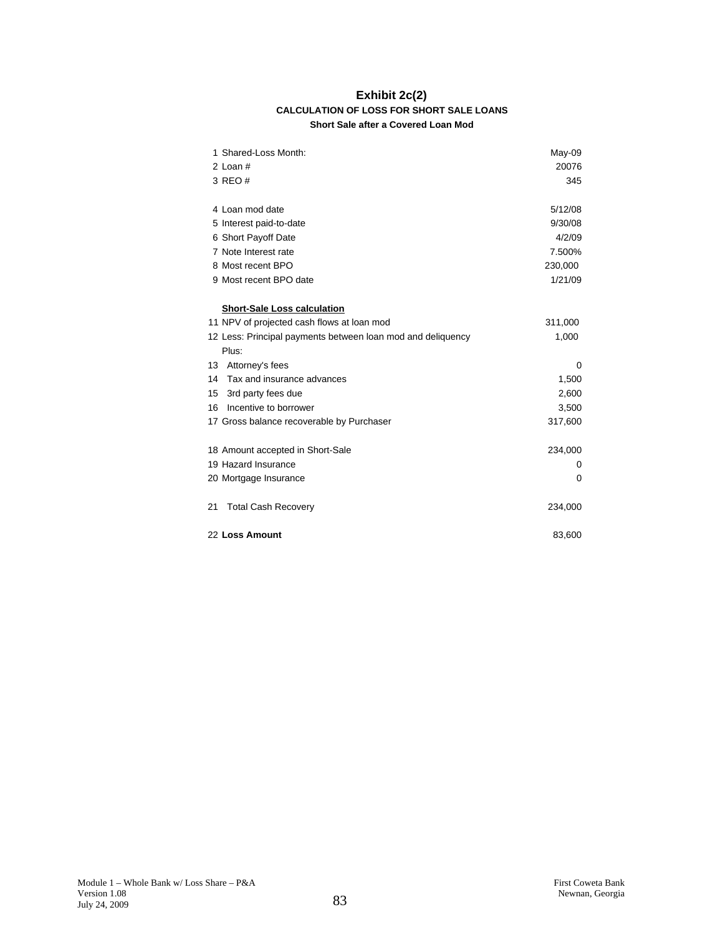#### **Exhibit 2c(2) CALCULATION OF LOSS FOR SHORT SALE LOANS Short Sale after a Covered Loan Mod**

| 1 Shared-Loss Month:                                        | May-09  |
|-------------------------------------------------------------|---------|
| 2 Loan $#$                                                  | 20076   |
| 3 REO #                                                     | 345     |
|                                                             |         |
| 4 Loan mod date                                             | 5/12/08 |
| 5 Interest paid-to-date                                     | 9/30/08 |
| 6 Short Payoff Date                                         | 4/2/09  |
| 7 Note Interest rate                                        | 7.500%  |
| 8 Most recent BPO                                           | 230,000 |
| 9 Most recent BPO date                                      | 1/21/09 |
|                                                             |         |
| <b>Short-Sale Loss calculation</b>                          |         |
| 11 NPV of projected cash flows at loan mod                  | 311,000 |
| 12 Less: Principal payments between loan mod and deliquency | 1,000   |
| Plus:                                                       |         |
| 13<br>Attorney's fees                                       | 0       |
| Tax and insurance advances<br>14                            | 1,500   |
| 15<br>3rd party fees due                                    | 2,600   |
| Incentive to borrower<br>16                                 | 3,500   |
| 17 Gross balance recoverable by Purchaser                   | 317,600 |
|                                                             |         |
| 18 Amount accepted in Short-Sale                            | 234,000 |
| 19 Hazard Insurance                                         | 0       |
| 20 Mortgage Insurance                                       | 0       |
|                                                             |         |
| <b>Total Cash Recovery</b><br>21                            | 234,000 |
|                                                             |         |
| 22 Loss Amount                                              | 83,600  |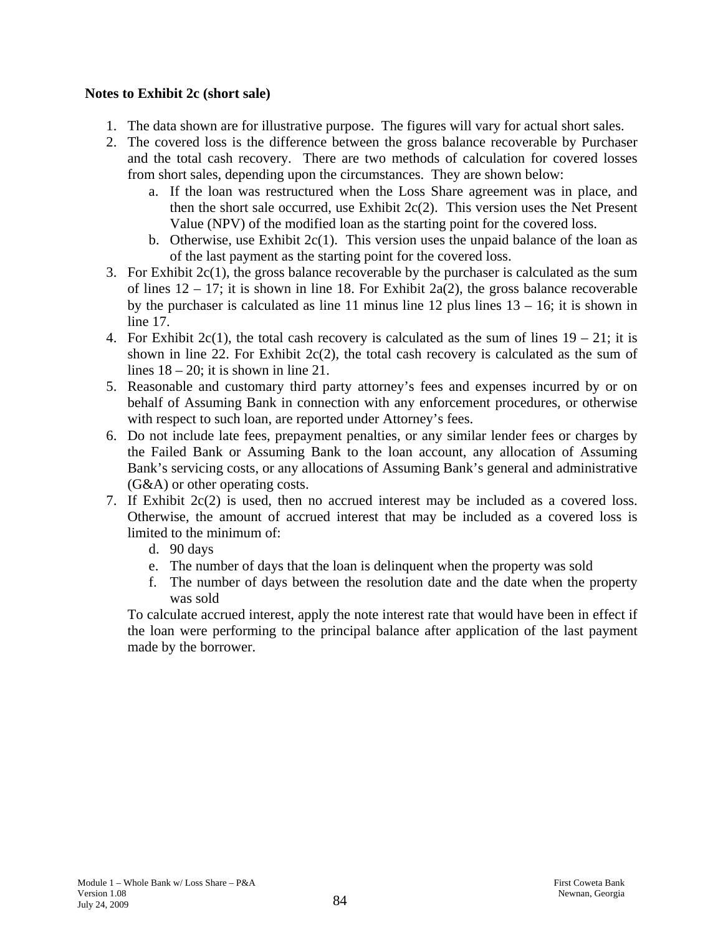### **Notes to Exhibit 2c (short sale)**

- 1. The data shown are for illustrative purpose. The figures will vary for actual short sales.
- 2. The covered loss is the difference between the gross balance recoverable by Purchaser and the total cash recovery. There are two methods of calculation for covered losses from short sales, depending upon the circumstances. They are shown below:
	- a. If the loan was restructured when the Loss Share agreement was in place, and then the short sale occurred, use Exhibit  $2c(2)$ . This version uses the Net Present Value (NPV) of the modified loan as the starting point for the covered loss.
	- b. Otherwise, use Exhibit  $2c(1)$ . This version uses the unpaid balance of the loan as of the last payment as the starting point for the covered loss.
- 3. For Exhibit  $2c(1)$ , the gross balance recoverable by the purchaser is calculated as the sum of lines  $12 - 17$ ; it is shown in line 18. For Exhibit 2a(2), the gross balance recoverable by the purchaser is calculated as line 11 minus line  $12$  plus lines  $13 - 16$ ; it is shown in line 17.
- 4. For Exhibit 2c(1), the total cash recovery is calculated as the sum of lines  $19 21$ ; it is shown in line 22. For Exhibit  $2c(2)$ , the total cash recovery is calculated as the sum of lines  $18 - 20$ ; it is shown in line 21.
- 5. Reasonable and customary third party attorney's fees and expenses incurred by or on behalf of Assuming Bank in connection with any enforcement procedures, or otherwise with respect to such loan, are reported under Attorney's fees.
- 6. Do not include late fees, prepayment penalties, or any similar lender fees or charges by the Failed Bank or Assuming Bank to the loan account, any allocation of Assuming Bank's servicing costs, or any allocations of Assuming Bank's general and administrative (G&A) or other operating costs.
- 7. If Exhibit  $2c(2)$  is used, then no accrued interest may be included as a covered loss. Otherwise, the amount of accrued interest that may be included as a covered loss is limited to the minimum of:
	- d.  $90 \text{ days}$
	- e. The number of days that the loan is delinquent when the property was sold
	- f. The number of days between the resolution date and the date when the property was sold

To calculate accrued interest, apply the note interest rate that would have been in effect if the loan were performing to the principal balance after application of the last payment made by the borrower.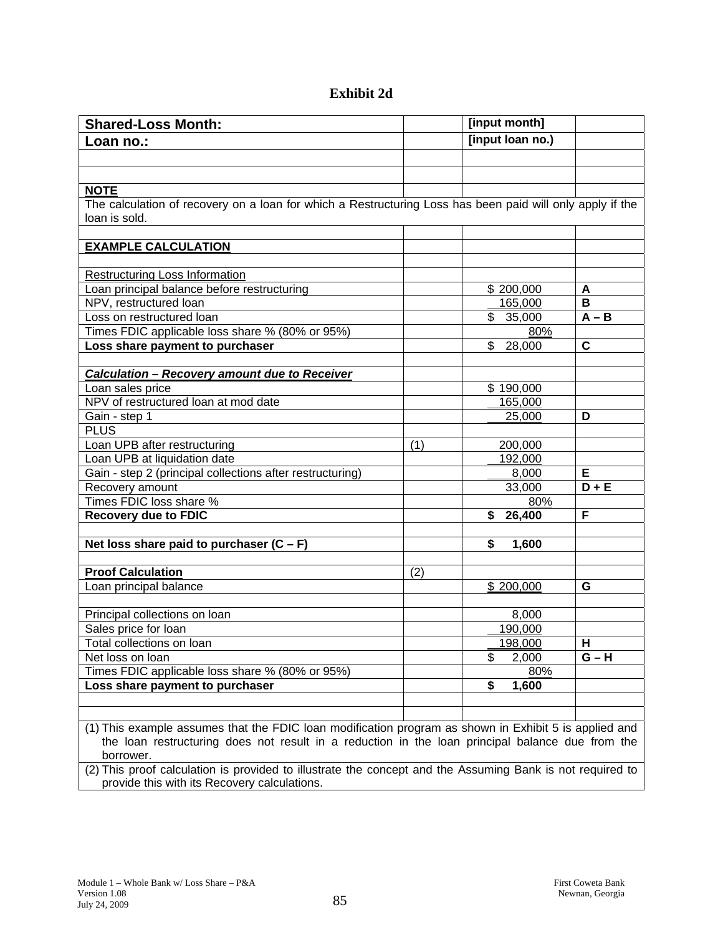# **Exhibit 2d**

| <b>Shared-Loss Month:</b>                                                                                                                                                                                 |     | [input month]    |                    |  |  |
|-----------------------------------------------------------------------------------------------------------------------------------------------------------------------------------------------------------|-----|------------------|--------------------|--|--|
| Loan no.:                                                                                                                                                                                                 |     | [input loan no.) |                    |  |  |
|                                                                                                                                                                                                           |     |                  |                    |  |  |
|                                                                                                                                                                                                           |     |                  |                    |  |  |
| <b>NOTE</b>                                                                                                                                                                                               |     |                  |                    |  |  |
| The calculation of recovery on a loan for which a Restructuring Loss has been paid will only apply if the                                                                                                 |     |                  |                    |  |  |
| loan is sold.                                                                                                                                                                                             |     |                  |                    |  |  |
|                                                                                                                                                                                                           |     |                  |                    |  |  |
| <b>EXAMPLE CALCULATION</b>                                                                                                                                                                                |     |                  |                    |  |  |
|                                                                                                                                                                                                           |     |                  |                    |  |  |
| <b>Restructuring Loss Information</b>                                                                                                                                                                     |     |                  |                    |  |  |
| Loan principal balance before restructuring                                                                                                                                                               |     | \$200,000        | A                  |  |  |
| NPV, restructured loan                                                                                                                                                                                    |     | 165,000          | B                  |  |  |
| Loss on restructured loan                                                                                                                                                                                 |     | \$35,000         | $\overline{A} - B$ |  |  |
| Times FDIC applicable loss share % (80% or 95%)                                                                                                                                                           |     | 80%              |                    |  |  |
| Loss share payment to purchaser                                                                                                                                                                           |     | \$28,000         | $\mathbf C$        |  |  |
|                                                                                                                                                                                                           |     |                  |                    |  |  |
| Calculation - Recovery amount due to Receiver                                                                                                                                                             |     |                  |                    |  |  |
| Loan sales price                                                                                                                                                                                          |     | \$190,000        |                    |  |  |
| NPV of restructured loan at mod date                                                                                                                                                                      |     | 165,000          |                    |  |  |
| Gain - step 1<br><b>PLUS</b>                                                                                                                                                                              |     | 25,000           | D                  |  |  |
| Loan UPB after restructuring                                                                                                                                                                              | (1) | 200,000          |                    |  |  |
| Loan UPB at liquidation date                                                                                                                                                                              |     | 192,000          |                    |  |  |
| Gain - step 2 (principal collections after restructuring)                                                                                                                                                 |     | 8,000            | Е                  |  |  |
| Recovery amount                                                                                                                                                                                           |     | 33,000           | $D + E$            |  |  |
| Times FDIC loss share %                                                                                                                                                                                   |     | 80%              |                    |  |  |
| <b>Recovery due to FDIC</b>                                                                                                                                                                               |     | \$26,400         | F                  |  |  |
|                                                                                                                                                                                                           |     |                  |                    |  |  |
| Net loss share paid to purchaser $(C - F)$                                                                                                                                                                |     | \$<br>1,600      |                    |  |  |
|                                                                                                                                                                                                           |     |                  |                    |  |  |
| <b>Proof Calculation</b>                                                                                                                                                                                  | (2) |                  |                    |  |  |
| Loan principal balance                                                                                                                                                                                    |     | \$200,000        | G                  |  |  |
|                                                                                                                                                                                                           |     |                  |                    |  |  |
| Principal collections on loan                                                                                                                                                                             |     | 8,000            |                    |  |  |
| Sales price for loan                                                                                                                                                                                      |     | 190,000          |                    |  |  |
| Total collections on loan                                                                                                                                                                                 |     | 198,000          | H                  |  |  |
| Net loss on loan                                                                                                                                                                                          |     | \$<br>2,000      | $G - H$            |  |  |
| Times FDIC applicable loss share % (80% or 95%)                                                                                                                                                           |     | 80%              |                    |  |  |
| Loss share payment to purchaser                                                                                                                                                                           |     | 1,600<br>\$      |                    |  |  |
|                                                                                                                                                                                                           |     |                  |                    |  |  |
|                                                                                                                                                                                                           |     |                  |                    |  |  |
| (1) This example assumes that the FDIC loan modification program as shown in Exhibit 5 is applied and<br>the loan restructuring does not result in a reduction in the loan principal balance due from the |     |                  |                    |  |  |
| borrower.                                                                                                                                                                                                 |     |                  |                    |  |  |
| (2) This proof calculation is provided to illustrate the concept and the Assuming Bank is not required to                                                                                                 |     |                  |                    |  |  |
| provide this with its Recovery calculations.                                                                                                                                                              |     |                  |                    |  |  |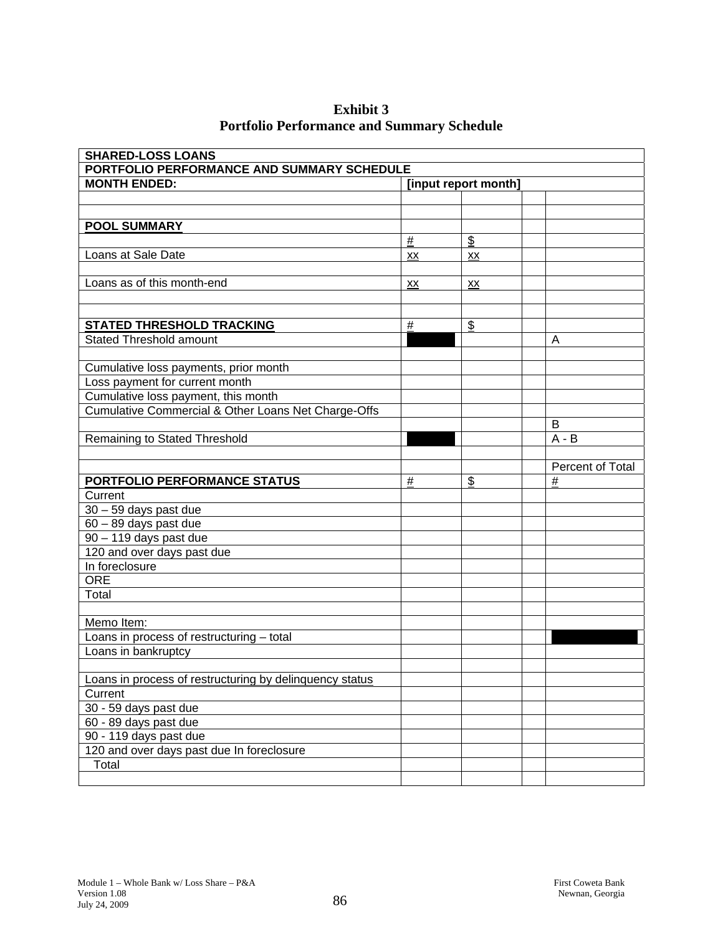| <b>SHARED-LOSS LOANS</b><br>PORTFOLIO PERFORMANCE AND SUMMARY SCHEDULE |                      |               |                  |  |
|------------------------------------------------------------------------|----------------------|---------------|------------------|--|
| <b>MONTH ENDED:</b>                                                    | [input report month] |               |                  |  |
|                                                                        |                      |               |                  |  |
|                                                                        |                      |               |                  |  |
| <b>POOL SUMMARY</b>                                                    |                      |               |                  |  |
|                                                                        | #                    | \$            |                  |  |
| Loans at Sale Date                                                     | XX                   | XX            |                  |  |
|                                                                        |                      |               |                  |  |
| Loans as of this month-end                                             | XX                   | XX            |                  |  |
| <b>STATED THRESHOLD TRACKING</b>                                       | $\#$                 | $\frac{1}{2}$ |                  |  |
| <b>Stated Threshold amount</b>                                         |                      |               | A                |  |
|                                                                        |                      |               |                  |  |
| Cumulative loss payments, prior month                                  |                      |               |                  |  |
| Loss payment for current month                                         |                      |               |                  |  |
| Cumulative loss payment, this month                                    |                      |               |                  |  |
| Cumulative Commercial & Other Loans Net Charge-Offs                    |                      |               |                  |  |
|                                                                        |                      |               | B                |  |
| Remaining to Stated Threshold                                          |                      |               | $A - B$          |  |
|                                                                        |                      |               |                  |  |
|                                                                        |                      |               | Percent of Total |  |
| <b>PORTFOLIO PERFORMANCE STATUS</b>                                    | $\#$                 | $\frac{1}{2}$ | $\#$             |  |
| Current                                                                |                      |               |                  |  |
| $30 - 59$ days past due                                                |                      |               |                  |  |
| $60 - 89$ days past due                                                |                      |               |                  |  |
| $90 - 119$ days past due                                               |                      |               |                  |  |
| 120 and over days past due                                             |                      |               |                  |  |
| In foreclosure                                                         |                      |               |                  |  |
| <b>ORE</b>                                                             |                      |               |                  |  |
| Total                                                                  |                      |               |                  |  |
|                                                                        |                      |               |                  |  |
| Memo Item:                                                             |                      |               |                  |  |
| Loans in process of restructuring - total                              |                      |               |                  |  |
| Loans in bankruptcy                                                    |                      |               |                  |  |
|                                                                        |                      |               |                  |  |
| Loans in process of restructuring by delinquency status                |                      |               |                  |  |
| Current                                                                |                      |               |                  |  |
| 30 - 59 days past due                                                  |                      |               |                  |  |
| 60 - 89 days past due                                                  |                      |               |                  |  |
| 90 - 119 days past due                                                 |                      |               |                  |  |
| 120 and over days past due In foreclosure                              |                      |               |                  |  |
| Total                                                                  |                      |               |                  |  |

## **Exhibit 3 Portfolio Performance and Summary Schedule**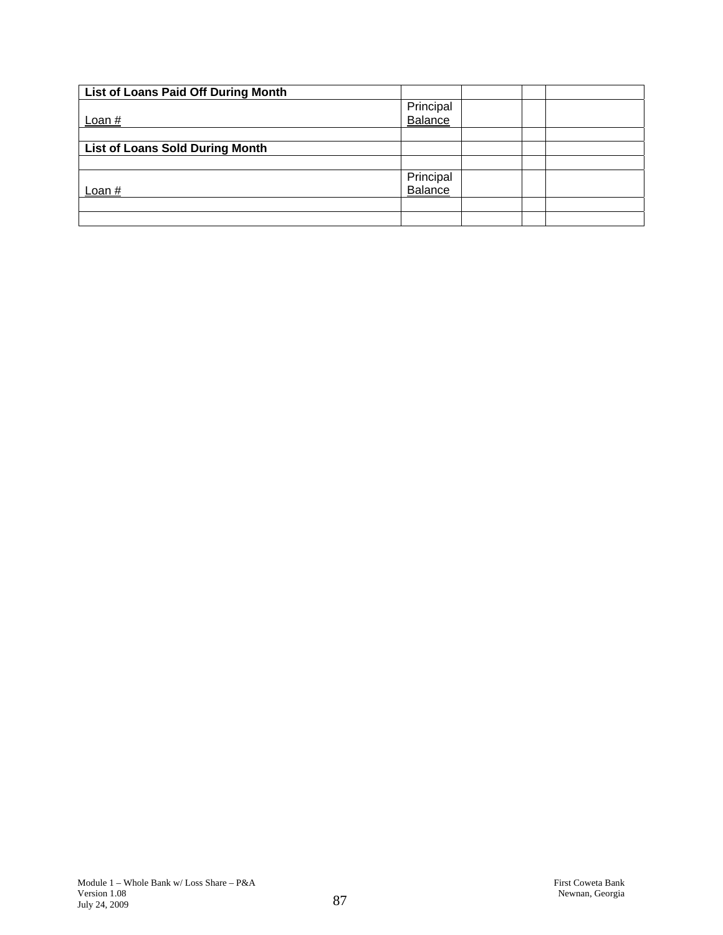| List of Loans Paid Off During Month    |                |  |  |
|----------------------------------------|----------------|--|--|
|                                        | Principal      |  |  |
| Loan $#$                               | Balance        |  |  |
|                                        |                |  |  |
| <b>List of Loans Sold During Month</b> |                |  |  |
|                                        |                |  |  |
|                                        | Principal      |  |  |
| Loan $#$                               | <b>Balance</b> |  |  |
|                                        |                |  |  |
|                                        |                |  |  |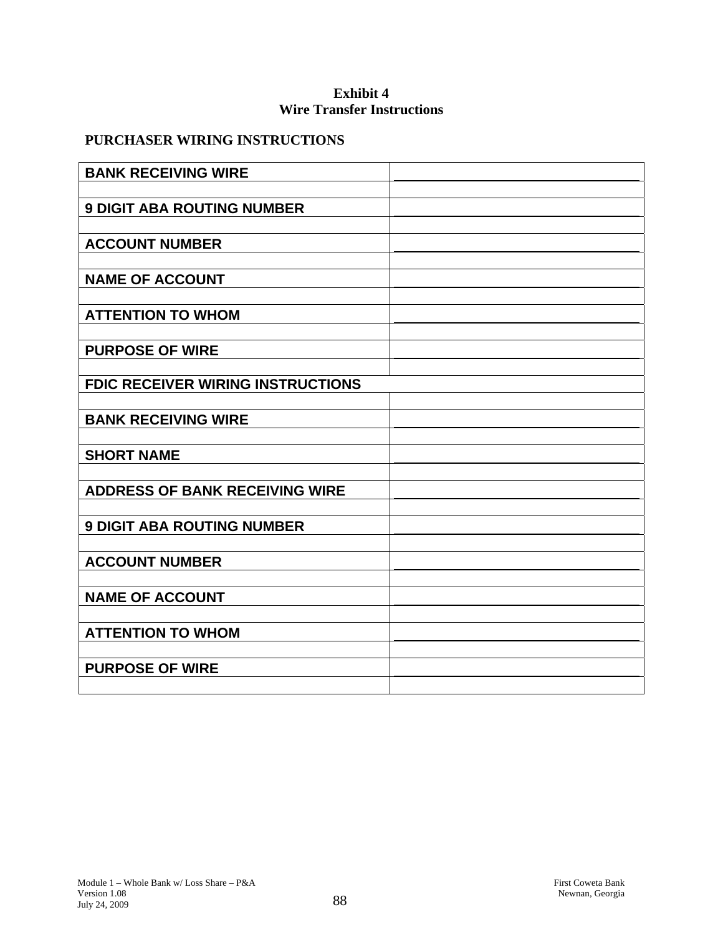## **Exhibit 4 Wire Transfer Instructions**

# **PURCHASER WIRING INSTRUCTIONS**

| <b>BANK RECEIVING WIRE</b>               |  |
|------------------------------------------|--|
|                                          |  |
| <b>9 DIGIT ABA ROUTING NUMBER</b>        |  |
|                                          |  |
| <b>ACCOUNT NUMBER</b>                    |  |
| <b>NAME OF ACCOUNT</b>                   |  |
|                                          |  |
| <b>ATTENTION TO WHOM</b>                 |  |
|                                          |  |
| <b>PURPOSE OF WIRE</b>                   |  |
|                                          |  |
| <b>FDIC RECEIVER WIRING INSTRUCTIONS</b> |  |
| <b>BANK RECEIVING WIRE</b>               |  |
|                                          |  |
| <b>SHORT NAME</b>                        |  |
|                                          |  |
| <b>ADDRESS OF BANK RECEIVING WIRE</b>    |  |
|                                          |  |
| <b>9 DIGIT ABA ROUTING NUMBER</b>        |  |
|                                          |  |
| <b>ACCOUNT NUMBER</b>                    |  |
| <b>NAME OF ACCOUNT</b>                   |  |
|                                          |  |
| <b>ATTENTION TO WHOM</b>                 |  |
|                                          |  |
| <b>PURPOSE OF WIRE</b>                   |  |
|                                          |  |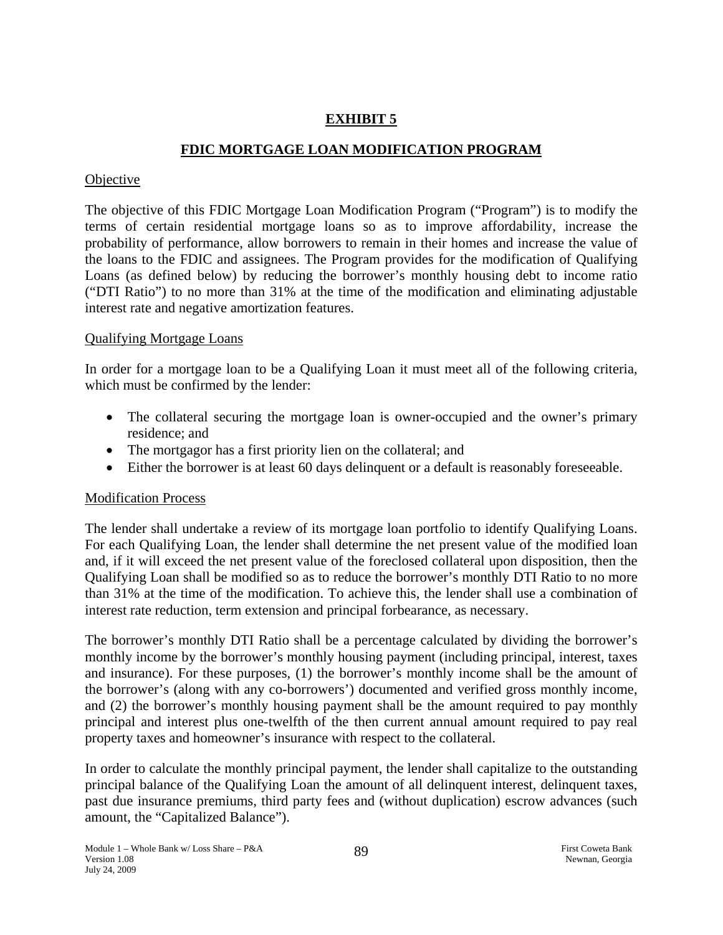# **EXHIBIT 5**

# **FDIC MORTGAGE LOAN MODIFICATION PROGRAM**

## **Objective**

The objective of this FDIC Mortgage Loan Modification Program ("Program") is to modify the terms of certain residential mortgage loans so as to improve affordability, increase the probability of performance, allow borrowers to remain in their homes and increase the value of the loans to the FDIC and assignees. The Program provides for the modification of Qualifying Loans (as defined below) by reducing the borrower's monthly housing debt to income ratio ("DTI Ratio") to no more than 31% at the time of the modification and eliminating adjustable interest rate and negative amortization features.

## Qualifying Mortgage Loans

In order for a mortgage loan to be a Qualifying Loan it must meet all of the following criteria, which must be confirmed by the lender:

- The collateral securing the mortgage loan is owner-occupied and the owner's primary residence; and
- The mortgagor has a first priority lien on the collateral; and
- Either the borrower is at least 60 days delinquent or a default is reasonably foreseeable.

## Modification Process

The lender shall undertake a review of its mortgage loan portfolio to identify Qualifying Loans. For each Qualifying Loan, the lender shall determine the net present value of the modified loan and, if it will exceed the net present value of the foreclosed collateral upon disposition, then the Qualifying Loan shall be modified so as to reduce the borrower's monthly DTI Ratio to no more than 31% at the time of the modification. To achieve this, the lender shall use a combination of interest rate reduction, term extension and principal forbearance, as necessary.

The borrower's monthly DTI Ratio shall be a percentage calculated by dividing the borrower's monthly income by the borrower's monthly housing payment (including principal, interest, taxes and insurance). For these purposes, (1) the borrower's monthly income shall be the amount of the borrower's (along with any co-borrowers') documented and verified gross monthly income, and (2) the borrower's monthly housing payment shall be the amount required to pay monthly principal and interest plus one-twelfth of the then current annual amount required to pay real property taxes and homeowner's insurance with respect to the collateral.

In order to calculate the monthly principal payment, the lender shall capitalize to the outstanding principal balance of the Qualifying Loan the amount of all delinquent interest, delinquent taxes, past due insurance premiums, third party fees and (without duplication) escrow advances (such amount, the "Capitalized Balance").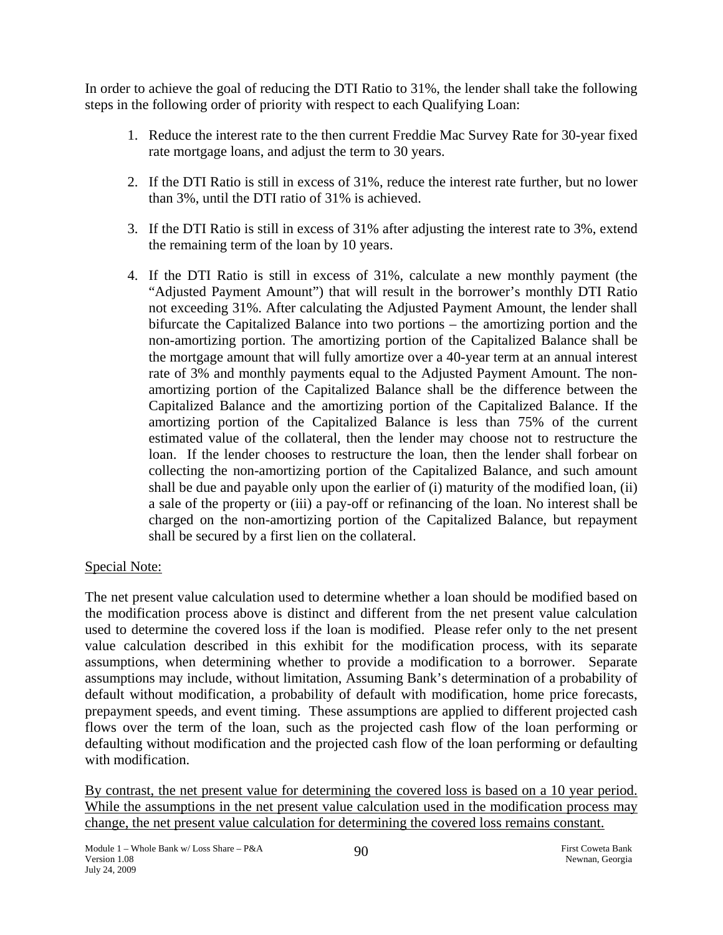In order to achieve the goal of reducing the DTI Ratio to 31%, the lender shall take the following steps in the following order of priority with respect to each Qualifying Loan:

- 1. Reduce the interest rate to the then current Freddie Mac Survey Rate for 30-year fixed rate mortgage loans, and adjust the term to 30 years.
- 2. If the DTI Ratio is still in excess of 31%, reduce the interest rate further, but no lower than 3%, until the DTI ratio of 31% is achieved.
- 3. If the DTI Ratio is still in excess of 31% after adjusting the interest rate to 3%, extend the remaining term of the loan by 10 years.
- 4. If the DTI Ratio is still in excess of 31%, calculate a new monthly payment (the "Adjusted Payment Amount") that will result in the borrower's monthly DTI Ratio not exceeding 31%. After calculating the Adjusted Payment Amount, the lender shall bifurcate the Capitalized Balance into two portions – the amortizing portion and the non-amortizing portion. The amortizing portion of the Capitalized Balance shall be the mortgage amount that will fully amortize over a 40-year term at an annual interest rate of 3% and monthly payments equal to the Adjusted Payment Amount. The nonamortizing portion of the Capitalized Balance shall be the difference between the Capitalized Balance and the amortizing portion of the Capitalized Balance. If the amortizing portion of the Capitalized Balance is less than 75% of the current estimated value of the collateral, then the lender may choose not to restructure the loan. If the lender chooses to restructure the loan, then the lender shall forbear on collecting the non-amortizing portion of the Capitalized Balance, and such amount shall be due and payable only upon the earlier of (i) maturity of the modified loan, (ii) a sale of the property or (iii) a pay-off or refinancing of the loan. No interest shall be charged on the non-amortizing portion of the Capitalized Balance, but repayment shall be secured by a first lien on the collateral.

## Special Note:

The net present value calculation used to determine whether a loan should be modified based on the modification process above is distinct and different from the net present value calculation used to determine the covered loss if the loan is modified. Please refer only to the net present value calculation described in this exhibit for the modification process, with its separate assumptions, when determining whether to provide a modification to a borrower. Separate assumptions may include, without limitation, Assuming Bank's determination of a probability of default without modification, a probability of default with modification, home price forecasts, prepayment speeds, and event timing. These assumptions are applied to different projected cash flows over the term of the loan, such as the projected cash flow of the loan performing or defaulting without modification and the projected cash flow of the loan performing or defaulting with modification.

change, the net present value calculation for determining the covered loss remains constant.<br>
Module 1 – Whole Bank w/ Loss Share – P&A 90 First Coweta Bank Newnan, Georgia By contrast, the net present value for determining the covered loss is based on a 10 year period. While the assumptions in the net present value calculation used in the modification process may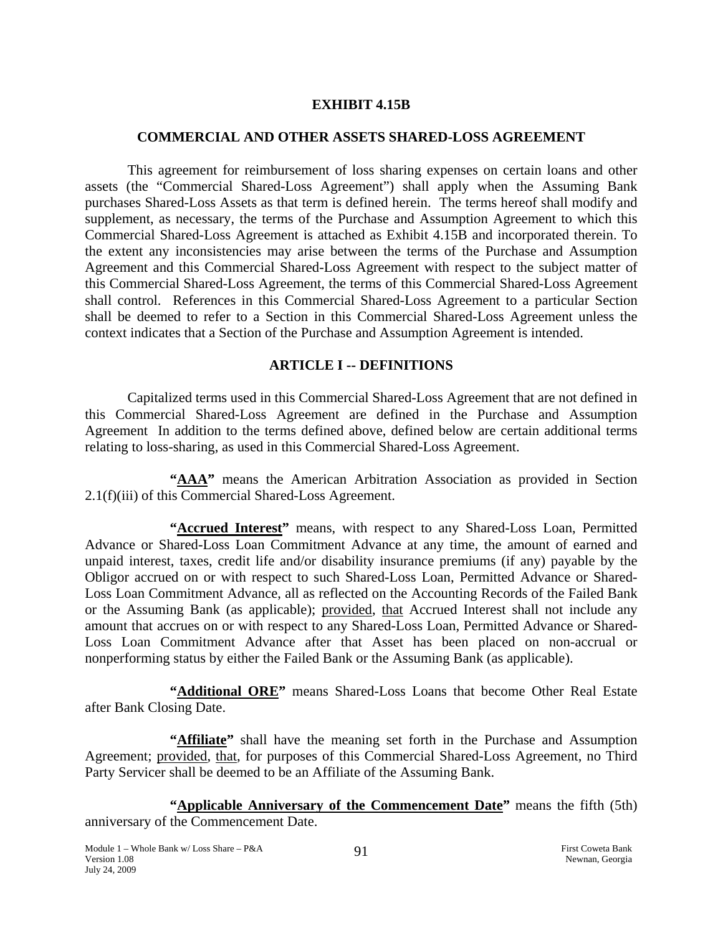### **EXHIBIT 4.15B**

#### **COMMERCIAL AND OTHER ASSETS SHARED-LOSS AGREEMENT**

This agreement for reimbursement of loss sharing expenses on certain loans and other assets (the "Commercial Shared-Loss Agreement") shall apply when the Assuming Bank purchases Shared-Loss Assets as that term is defined herein. The terms hereof shall modify and supplement, as necessary, the terms of the Purchase and Assumption Agreement to which this Commercial Shared-Loss Agreement is attached as Exhibit 4.15B and incorporated therein. To the extent any inconsistencies may arise between the terms of the Purchase and Assumption Agreement and this Commercial Shared-Loss Agreement with respect to the subject matter of this Commercial Shared-Loss Agreement, the terms of this Commercial Shared-Loss Agreement shall control. References in this Commercial Shared-Loss Agreement to a particular Section shall be deemed to refer to a Section in this Commercial Shared-Loss Agreement unless the context indicates that a Section of the Purchase and Assumption Agreement is intended.

#### **ARTICLE I -- DEFINITIONS**

Capitalized terms used in this Commercial Shared-Loss Agreement that are not defined in this Commercial Shared-Loss Agreement are defined in the Purchase and Assumption Agreement In addition to the terms defined above, defined below are certain additional terms relating to loss-sharing, as used in this Commercial Shared-Loss Agreement.

"AAA" means the American Arbitration Association as provided in Section 2.1(f)(iii) of this Commercial Shared-Loss Agreement.

**"Accrued Interest"** means, with respect to any Shared-Loss Loan, Permitted Advance or Shared-Loss Loan Commitment Advance at any time, the amount of earned and unpaid interest, taxes, credit life and/or disability insurance premiums (if any) payable by the Obligor accrued on or with respect to such Shared-Loss Loan, Permitted Advance or Shared-Loss Loan Commitment Advance, all as reflected on the Accounting Records of the Failed Bank or the Assuming Bank (as applicable); provided, that Accrued Interest shall not include any amount that accrues on or with respect to any Shared-Loss Loan, Permitted Advance or Shared-Loss Loan Commitment Advance after that Asset has been placed on non-accrual or nonperforming status by either the Failed Bank or the Assuming Bank (as applicable).

"**Additional ORE**" means Shared-Loss Loans that become Other Real Estate after Bank Closing Date.

"**Affiliate**" shall have the meaning set forth in the Purchase and Assumption Agreement; provided, that, for purposes of this Commercial Shared-Loss Agreement, no Third Party Servicer shall be deemed to be an Affiliate of the Assuming Bank.

**Examplicable Anniversary of the Commencement Date**" means the fifth (5th) anniversary of the Commencement Date.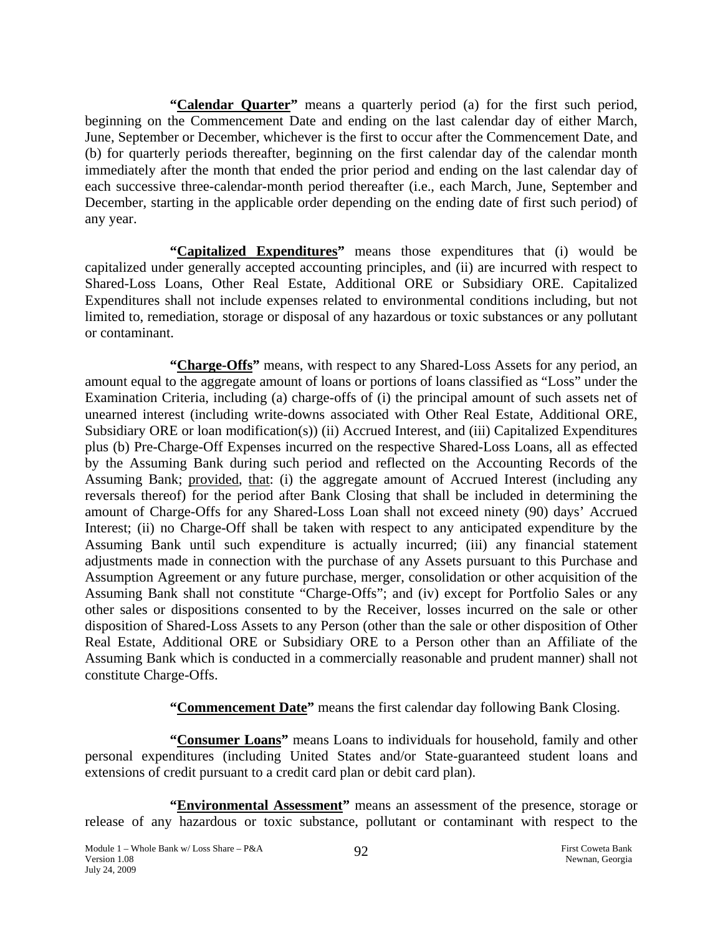"Calendar Quarter" means a quarterly period (a) for the first such period, beginning on the Commencement Date and ending on the last calendar day of either March, June, September or December, whichever is the first to occur after the Commencement Date, and (b) for quarterly periods thereafter, beginning on the first calendar day of the calendar month immediately after the month that ended the prior period and ending on the last calendar day of each successive three-calendar-month period thereafter (i.e., each March, June, September and December, starting in the applicable order depending on the ending date of first such period) of any year.

**"Capitalized Expenditures"** means those expenditures that (i) would be capitalized under generally accepted accounting principles, and (ii) are incurred with respect to Shared-Loss Loans, Other Real Estate, Additional ORE or Subsidiary ORE. Capitalized Expenditures shall not include expenses related to environmental conditions including, but not limited to, remediation, storage or disposal of any hazardous or toxic substances or any pollutant or contaminant.

**"Charge-Offs"** means, with respect to any Shared-Loss Assets for any period, an amount equal to the aggregate amount of loans or portions of loans classified as "Loss" under the Examination Criteria, including (a) charge-offs of (i) the principal amount of such assets net of unearned interest (including write-downs associated with Other Real Estate, Additional ORE, Subsidiary ORE or loan modification(s)) (ii) Accrued Interest, and (iii) Capitalized Expenditures plus (b) Pre-Charge-Off Expenses incurred on the respective Shared-Loss Loans, all as effected by the Assuming Bank during such period and reflected on the Accounting Records of the Assuming Bank; provided, that: (i) the aggregate amount of Accrued Interest (including any reversals thereof) for the period after Bank Closing that shall be included in determining the amount of Charge-Offs for any Shared-Loss Loan shall not exceed ninety (90) days' Accrued Interest; (ii) no Charge-Off shall be taken with respect to any anticipated expenditure by the Assuming Bank until such expenditure is actually incurred; (iii) any financial statement adjustments made in connection with the purchase of any Assets pursuant to this Purchase and Assumption Agreement or any future purchase, merger, consolidation or other acquisition of the Assuming Bank shall not constitute "Charge-Offs"; and (iv) except for Portfolio Sales or any other sales or dispositions consented to by the Receiver, losses incurred on the sale or other disposition of Shared-Loss Assets to any Person (other than the sale or other disposition of Other Real Estate, Additional ORE or Subsidiary ORE to a Person other than an Affiliate of the Assuming Bank which is conducted in a commercially reasonable and prudent manner) shall not constitute Charge-Offs.

**"Commencement Date"** means the first calendar day following Bank Closing.

**"Consumer Loans"** means Loans to individuals for household, family and other personal expenditures (including United States and/or State-guaranteed student loans and extensions of credit pursuant to a credit card plan or debit card plan).

**"Environmental Assessment"** means an assessment of the presence, storage or release of any hazardous or toxic substance, pollutant or contaminant with respect to the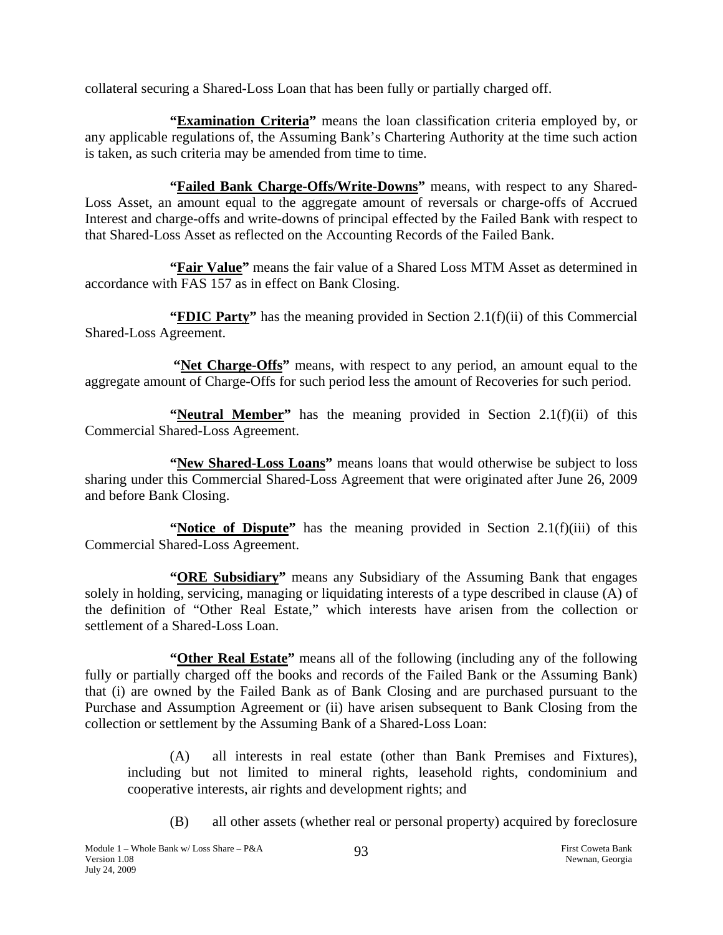collateral securing a Shared-Loss Loan that has been fully or partially charged off.

**"Examination Criteria"** means the loan classification criteria employed by, or any applicable regulations of, the Assuming Bank's Chartering Authority at the time such action is taken, as such criteria may be amended from time to time.

"Failed Bank Charge-Offs/Write-Downs" means, with respect to any Shared-Loss Asset, an amount equal to the aggregate amount of reversals or charge-offs of Accrued Interest and charge-offs and write-downs of principal effected by the Failed Bank with respect to that Shared-Loss Asset as reflected on the Accounting Records of the Failed Bank.

**"Fair Value"** means the fair value of a Shared Loss MTM Asset as determined in accordance with FAS 157 as in effect on Bank Closing.

**"FDIC Party"** has the meaning provided in Section 2.1(f)(ii) of this Commercial Shared-Loss Agreement.

**"Net Charge-Offs"** means, with respect to any period, an amount equal to the aggregate amount of Charge-Offs for such period less the amount of Recoveries for such period.

 Commercial Shared-Loss Agreement. **"Neutral Member"** has the meaning provided in Section 2.1(f)(ii) of this

**"New Shared-Loss Loans"** means loans that would otherwise be subject to loss sharing under this Commercial Shared-Loss Agreement that were originated after June 26, 2009 and before Bank Closing.

"Notice of Dispute" has the meaning provided in Section 2.1(f)(iii) of this Commercial Shared-Loss Agreement.

**"ORE Subsidiary"** means any Subsidiary of the Assuming Bank that engages solely in holding, servicing, managing or liquidating interests of a type described in clause (A) of the definition of "Other Real Estate," which interests have arisen from the collection or settlement of a Shared-Loss Loan.

**"Other Real Estate"** means all of the following (including any of the following fully or partially charged off the books and records of the Failed Bank or the Assuming Bank) that (i) are owned by the Failed Bank as of Bank Closing and are purchased pursuant to the Purchase and Assumption Agreement or (ii) have arisen subsequent to Bank Closing from the collection or settlement by the Assuming Bank of a Shared-Loss Loan:

(A) all interests in real estate (other than Bank Premises and Fixtures), including but not limited to mineral rights, leasehold rights, condominium and cooperative interests, air rights and development rights; and

(B) all other assets (whether real or personal property) acquired by foreclosure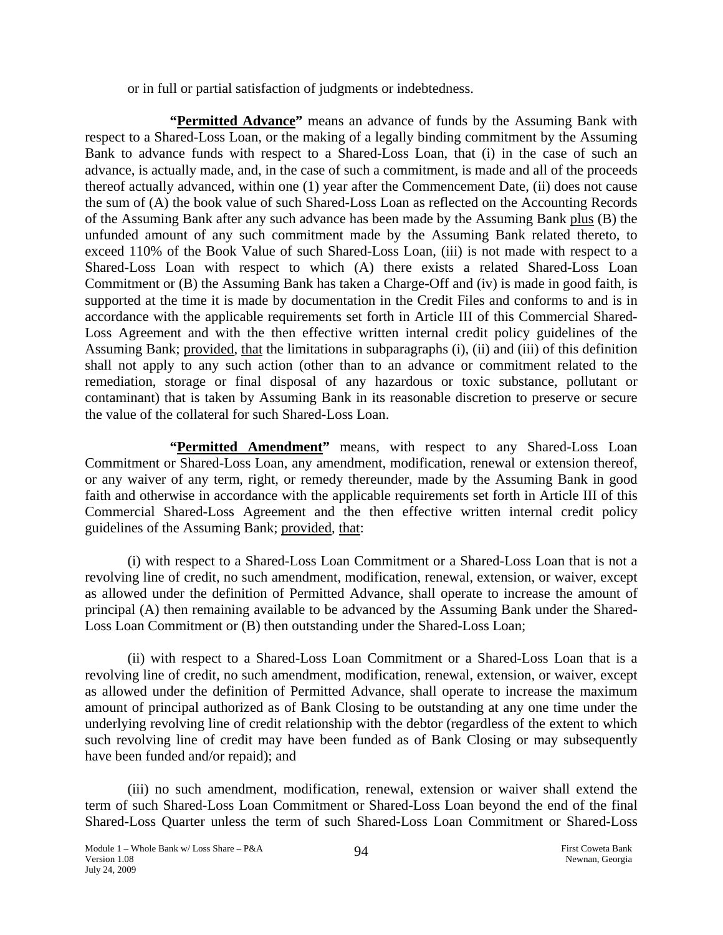or in full or partial satisfaction of judgments or indebtedness.

**"Permitted Advance"** means an advance of funds by the Assuming Bank with respect to a Shared-Loss Loan, or the making of a legally binding commitment by the Assuming Bank to advance funds with respect to a Shared-Loss Loan, that (i) in the case of such an advance, is actually made, and, in the case of such a commitment, is made and all of the proceeds thereof actually advanced, within one (1) year after the Commencement Date, (ii) does not cause the sum of (A) the book value of such Shared-Loss Loan as reflected on the Accounting Records of the Assuming Bank after any such advance has been made by the Assuming Bank plus (B) the unfunded amount of any such commitment made by the Assuming Bank related thereto, to exceed 110% of the Book Value of such Shared-Loss Loan, (iii) is not made with respect to a Shared-Loss Loan with respect to which (A) there exists a related Shared-Loss Loan Commitment or (B) the Assuming Bank has taken a Charge-Off and (iv) is made in good faith, is supported at the time it is made by documentation in the Credit Files and conforms to and is in accordance with the applicable requirements set forth in Article III of this Commercial Shared-Loss Agreement and with the then effective written internal credit policy guidelines of the Assuming Bank; provided, that the limitations in subparagraphs (i), (ii) and (iii) of this definition shall not apply to any such action (other than to an advance or commitment related to the remediation, storage or final disposal of any hazardous or toxic substance, pollutant or contaminant) that is taken by Assuming Bank in its reasonable discretion to preserve or secure the value of the collateral for such Shared-Loss Loan.

**"Permitted Amendment"** means, with respect to any Shared-Loss Loan Commitment or Shared-Loss Loan, any amendment, modification, renewal or extension thereof, or any waiver of any term, right, or remedy thereunder, made by the Assuming Bank in good faith and otherwise in accordance with the applicable requirements set forth in Article III of this Commercial Shared-Loss Agreement and the then effective written internal credit policy guidelines of the Assuming Bank; provided, that:

(i) with respect to a Shared-Loss Loan Commitment or a Shared-Loss Loan that is not a revolving line of credit, no such amendment, modification, renewal, extension, or waiver, except as allowed under the definition of Permitted Advance, shall operate to increase the amount of principal (A) then remaining available to be advanced by the Assuming Bank under the Shared-Loss Loan Commitment or (B) then outstanding under the Shared-Loss Loan;

(ii) with respect to a Shared-Loss Loan Commitment or a Shared-Loss Loan that is a revolving line of credit, no such amendment, modification, renewal, extension, or waiver, except as allowed under the definition of Permitted Advance, shall operate to increase the maximum amount of principal authorized as of Bank Closing to be outstanding at any one time under the underlying revolving line of credit relationship with the debtor (regardless of the extent to which such revolving line of credit may have been funded as of Bank Closing or may subsequently have been funded and/or repaid); and

(iii) no such amendment, modification, renewal, extension or waiver shall extend the term of such Shared-Loss Loan Commitment or Shared-Loss Loan beyond the end of the final Shared-Loss Quarter unless the term of such Shared-Loss Loan Commitment or Shared-Loss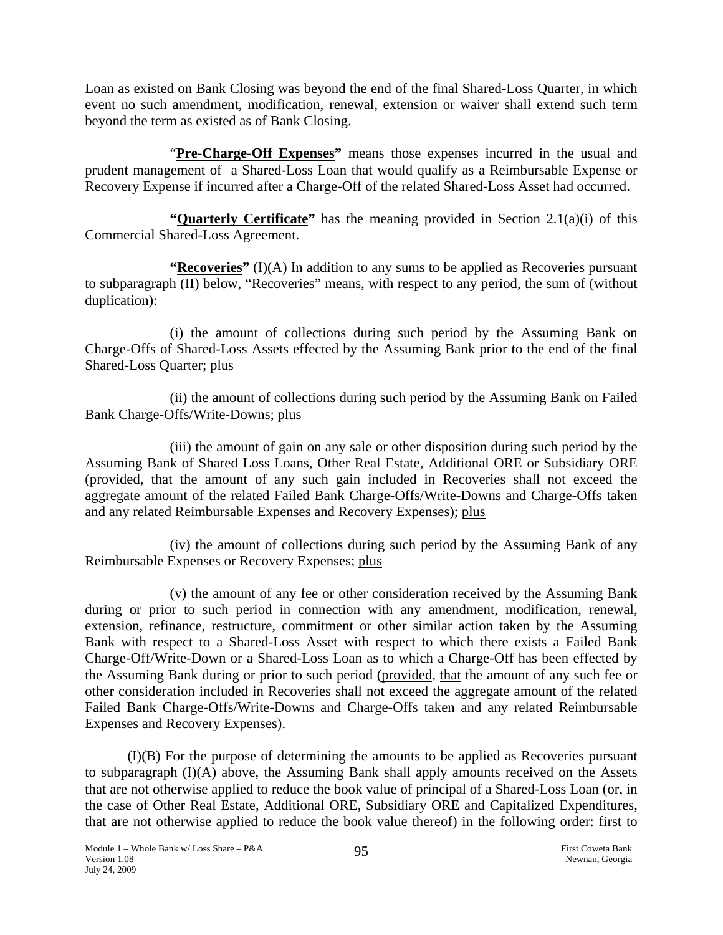Loan as existed on Bank Closing was beyond the end of the final Shared-Loss Quarter, in which event no such amendment, modification, renewal, extension or waiver shall extend such term beyond the term as existed as of Bank Closing.

"**Pre-Charge-Off Expenses**" means those expenses incurred in the usual and prudent management of a Shared-Loss Loan that would qualify as a Reimbursable Expense or Recovery Expense if incurred after a Charge-Off of the related Shared-Loss Asset had occurred.

**"Quarterly Certificate"** has the meaning provided in Section 2.1(a)(i) of this Commercial Shared-Loss Agreement.

**"Recoveries"** (I)(A) In addition to any sums to be applied as Recoveries pursuant to subparagraph (II) below, "Recoveries" means, with respect to any period, the sum of (without duplication):

**Shared-Loss Quarter; plus** (i) the amount of collections during such period by the Assuming Bank on Charge-Offs of Shared-Loss Assets effected by the Assuming Bank prior to the end of the final

(ii) the amount of collections during such period by the Assuming Bank on Failed Bank Charge-Offs/Write-Downs; plus

(iii) the amount of gain on any sale or other disposition during such period by the Assuming Bank of Shared Loss Loans, Other Real Estate, Additional ORE or Subsidiary ORE (provided, that the amount of any such gain included in Recoveries shall not exceed the aggregate amount of the related Failed Bank Charge-Offs/Write-Downs and Charge-Offs taken and any related Reimbursable Expenses and Recovery Expenses); plus

(iv) the amount of collections during such period by the Assuming Bank of any Reimbursable Expenses or Recovery Expenses; plus

(v) the amount of any fee or other consideration received by the Assuming Bank during or prior to such period in connection with any amendment, modification, renewal, extension, refinance, restructure, commitment or other similar action taken by the Assuming Bank with respect to a Shared-Loss Asset with respect to which there exists a Failed Bank Charge-Off/Write-Down or a Shared-Loss Loan as to which a Charge-Off has been effected by the Assuming Bank during or prior to such period (provided, that the amount of any such fee or other consideration included in Recoveries shall not exceed the aggregate amount of the related Failed Bank Charge-Offs/Write-Downs and Charge-Offs taken and any related Reimbursable Expenses and Recovery Expenses).

(I)(B) For the purpose of determining the amounts to be applied as Recoveries pursuant to subparagraph (I)(A) above, the Assuming Bank shall apply amounts received on the Assets that are not otherwise applied to reduce the book value of principal of a Shared-Loss Loan (or, in the case of Other Real Estate, Additional ORE, Subsidiary ORE and Capitalized Expenditures, that are not otherwise applied to reduce the book value thereof) in the following order: first to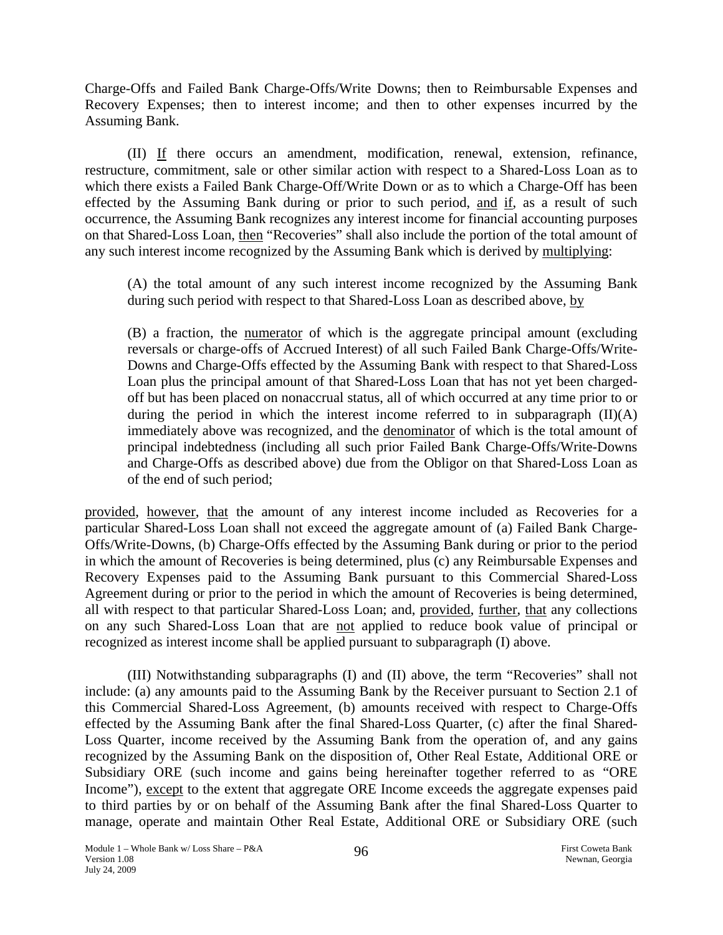Charge-Offs and Failed Bank Charge-Offs/Write Downs; then to Reimbursable Expenses and Recovery Expenses; then to interest income; and then to other expenses incurred by the Assuming Bank.

(II) If there occurs an amendment, modification, renewal, extension, refinance, restructure, commitment, sale or other similar action with respect to a Shared-Loss Loan as to which there exists a Failed Bank Charge-Off/Write Down or as to which a Charge-Off has been effected by the Assuming Bank during or prior to such period, and if, as a result of such occurrence, the Assuming Bank recognizes any interest income for financial accounting purposes on that Shared-Loss Loan, then "Recoveries" shall also include the portion of the total amount of any such interest income recognized by the Assuming Bank which is derived by multiplying:

(A) the total amount of any such interest income recognized by the Assuming Bank during such period with respect to that Shared-Loss Loan as described above, by

(B) a fraction, the numerator of which is the aggregate principal amount (excluding reversals or charge-offs of Accrued Interest) of all such Failed Bank Charge-Offs/Write-Downs and Charge-Offs effected by the Assuming Bank with respect to that Shared-Loss Loan plus the principal amount of that Shared-Loss Loan that has not yet been chargedoff but has been placed on nonaccrual status, all of which occurred at any time prior to or during the period in which the interest income referred to in subparagraph (II)(A) immediately above was recognized, and the denominator of which is the total amount of principal indebtedness (including all such prior Failed Bank Charge-Offs/Write-Downs and Charge-Offs as described above) due from the Obligor on that Shared-Loss Loan as of the end of such period;

provided, however, that the amount of any interest income included as Recoveries for a particular Shared-Loss Loan shall not exceed the aggregate amount of (a) Failed Bank Charge-Offs/Write-Downs, (b) Charge-Offs effected by the Assuming Bank during or prior to the period in which the amount of Recoveries is being determined, plus (c) any Reimbursable Expenses and Recovery Expenses paid to the Assuming Bank pursuant to this Commercial Shared-Loss Agreement during or prior to the period in which the amount of Recoveries is being determined, all with respect to that particular Shared-Loss Loan; and, provided, further, that any collections on any such Shared-Loss Loan that are not applied to reduce book value of principal or recognized as interest income shall be applied pursuant to subparagraph (I) above.

(III) Notwithstanding subparagraphs (I) and (II) above, the term "Recoveries" shall not include: (a) any amounts paid to the Assuming Bank by the Receiver pursuant to Section 2.1 of this Commercial Shared-Loss Agreement, (b) amounts received with respect to Charge-Offs effected by the Assuming Bank after the final Shared-Loss Quarter, (c) after the final Shared-Loss Quarter, income received by the Assuming Bank from the operation of, and any gains recognized by the Assuming Bank on the disposition of, Other Real Estate, Additional ORE or Subsidiary ORE (such income and gains being hereinafter together referred to as "ORE Income"), except to the extent that aggregate ORE Income exceeds the aggregate expenses paid to third parties by or on behalf of the Assuming Bank after the final Shared-Loss Quarter to manage, operate and maintain Other Real Estate, Additional ORE or Subsidiary ORE (such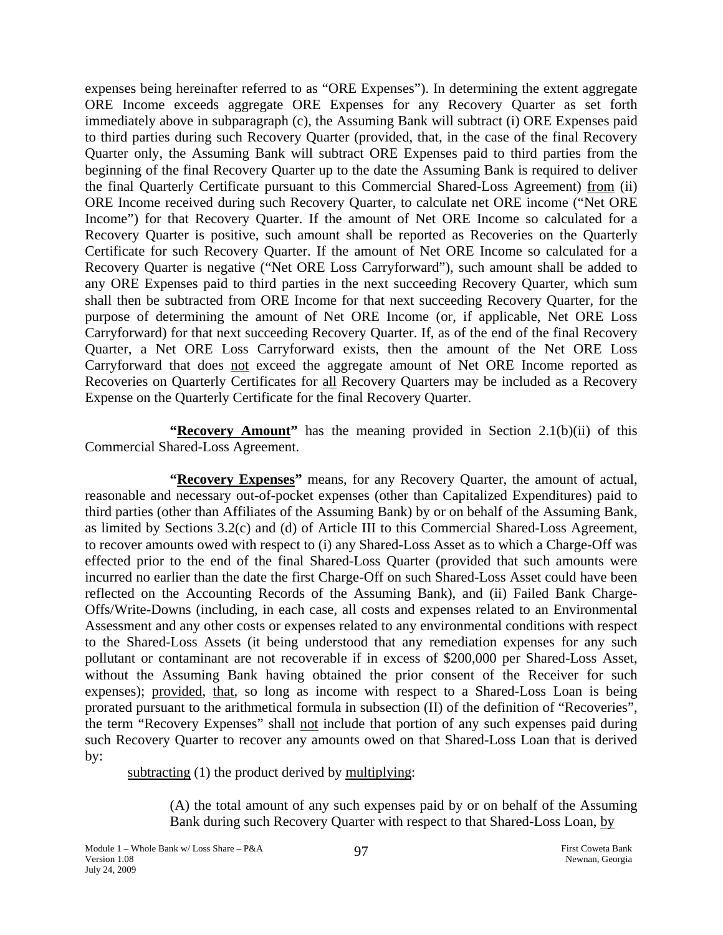expenses being hereinafter referred to as "ORE Expenses"). In determining the extent aggregate ORE Income exceeds aggregate ORE Expenses for any Recovery Quarter as set forth immediately above in subparagraph (c), the Assuming Bank will subtract (i) ORE Expenses paid to third parties during such Recovery Quarter (provided, that, in the case of the final Recovery Quarter only, the Assuming Bank will subtract ORE Expenses paid to third parties from the beginning of the final Recovery Quarter up to the date the Assuming Bank is required to deliver the final Quarterly Certificate pursuant to this Commercial Shared-Loss Agreement) from (ii) ORE Income received during such Recovery Quarter, to calculate net ORE income ("Net ORE Income") for that Recovery Quarter. If the amount of Net ORE Income so calculated for a Recovery Quarter is positive, such amount shall be reported as Recoveries on the Quarterly Certificate for such Recovery Quarter. If the amount of Net ORE Income so calculated for a Recovery Quarter is negative ("Net ORE Loss Carryforward"), such amount shall be added to any ORE Expenses paid to third parties in the next succeeding Recovery Quarter, which sum shall then be subtracted from ORE Income for that next succeeding Recovery Quarter, for the purpose of determining the amount of Net ORE Income (or, if applicable, Net ORE Loss Carryforward) for that next succeeding Recovery Quarter. If, as of the end of the final Recovery Quarter, a Net ORE Loss Carryforward exists, then the amount of the Net ORE Loss Carryforward that does not exceed the aggregate amount of Net ORE Income reported as Recoveries on Quarterly Certificates for all Recovery Quarters may be included as a Recovery Expense on the Quarterly Certificate for the final Recovery Quarter.

**"Recovery Amount"** has the meaning provided in Section 2.1(b)(ii) of this Commercial Shared-Loss Agreement.

**"Recovery Expenses"** means, for any Recovery Quarter, the amount of actual, reasonable and necessary out-of-pocket expenses (other than Capitalized Expenditures) paid to third parties (other than Affiliates of the Assuming Bank) by or on behalf of the Assuming Bank, as limited by Sections 3.2(c) and (d) of Article III to this Commercial Shared-Loss Agreement, to recover amounts owed with respect to (i) any Shared-Loss Asset as to which a Charge-Off was effected prior to the end of the final Shared-Loss Quarter (provided that such amounts were incurred no earlier than the date the first Charge-Off on such Shared-Loss Asset could have been reflected on the Accounting Records of the Assuming Bank), and (ii) Failed Bank Charge-Offs/Write-Downs (including, in each case, all costs and expenses related to an Environmental Assessment and any other costs or expenses related to any environmental conditions with respect to the Shared-Loss Assets (it being understood that any remediation expenses for any such pollutant or contaminant are not recoverable if in excess of \$200,000 per Shared-Loss Asset, without the Assuming Bank having obtained the prior consent of the Receiver for such expenses); provided, that, so long as income with respect to a Shared-Loss Loan is being prorated pursuant to the arithmetical formula in subsection (II) of the definition of "Recoveries", the term "Recovery Expenses" shall not include that portion of any such expenses paid during such Recovery Quarter to recover any amounts owed on that Shared-Loss Loan that is derived by:

subtracting (1) the product derived by multiplying:

(A) the total amount of any such expenses paid by or on behalf of the Assuming Bank during such Recovery Quarter with respect to that Shared-Loss Loan, by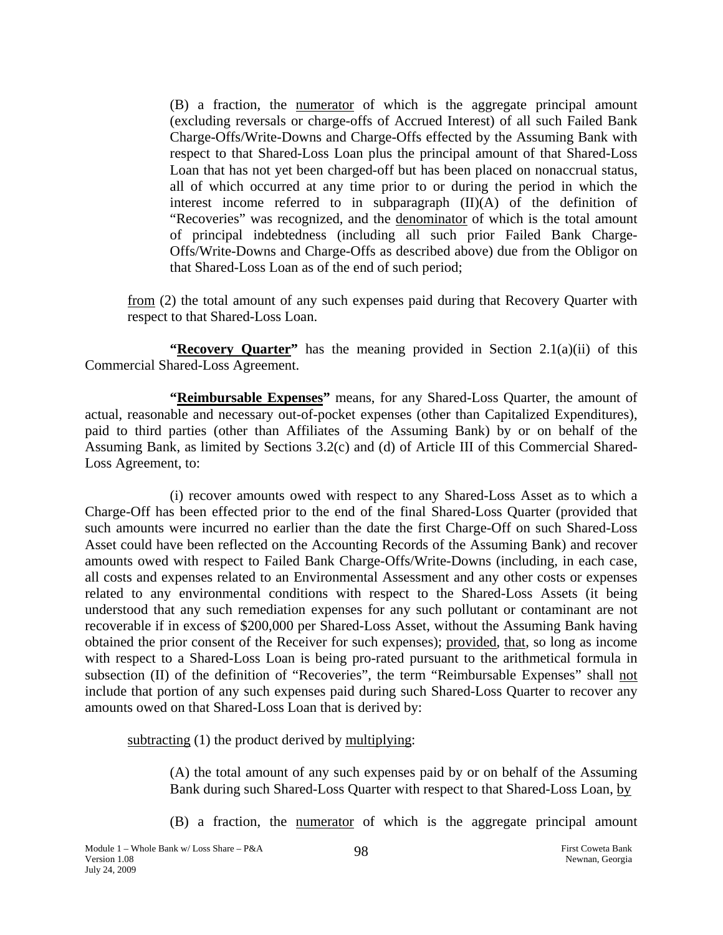(B) a fraction, the numerator of which is the aggregate principal amount (excluding reversals or charge-offs of Accrued Interest) of all such Failed Bank Charge-Offs/Write-Downs and Charge-Offs effected by the Assuming Bank with respect to that Shared-Loss Loan plus the principal amount of that Shared-Loss Loan that has not yet been charged-off but has been placed on nonaccrual status, all of which occurred at any time prior to or during the period in which the interest income referred to in subparagraph (II)(A) of the definition of "Recoveries" was recognized, and the denominator of which is the total amount of principal indebtedness (including all such prior Failed Bank Charge-Offs/Write-Downs and Charge-Offs as described above) due from the Obligor on that Shared-Loss Loan as of the end of such period;

from (2) the total amount of any such expenses paid during that Recovery Quarter with respect to that Shared-Loss Loan.

**"Recovery Quarter"** has the meaning provided in Section 2.1(a)(ii) of this Commercial Shared-Loss Agreement.

**"Reimbursable Expenses"** means, for any Shared-Loss Quarter, the amount of actual, reasonable and necessary out-of-pocket expenses (other than Capitalized Expenditures), paid to third parties (other than Affiliates of the Assuming Bank) by or on behalf of the Assuming Bank, as limited by Sections 3.2(c) and (d) of Article III of this Commercial Shared-Loss Agreement, to:

(i) recover amounts owed with respect to any Shared-Loss Asset as to which a Charge-Off has been effected prior to the end of the final Shared-Loss Quarter (provided that such amounts were incurred no earlier than the date the first Charge-Off on such Shared-Loss Asset could have been reflected on the Accounting Records of the Assuming Bank) and recover amounts owed with respect to Failed Bank Charge-Offs/Write-Downs (including, in each case, all costs and expenses related to an Environmental Assessment and any other costs or expenses related to any environmental conditions with respect to the Shared-Loss Assets (it being understood that any such remediation expenses for any such pollutant or contaminant are not recoverable if in excess of \$200,000 per Shared-Loss Asset, without the Assuming Bank having obtained the prior consent of the Receiver for such expenses); provided, that, so long as income with respect to a Shared-Loss Loan is being pro-rated pursuant to the arithmetical formula in subsection (II) of the definition of "Recoveries", the term "Reimbursable Expenses" shall not include that portion of any such expenses paid during such Shared-Loss Quarter to recover any amounts owed on that Shared-Loss Loan that is derived by:

subtracting (1) the product derived by multiplying:

(A) the total amount of any such expenses paid by or on behalf of the Assuming Bank during such Shared-Loss Quarter with respect to that Shared-Loss Loan, by

(B) a fraction, the numerator of which is the aggregate principal amount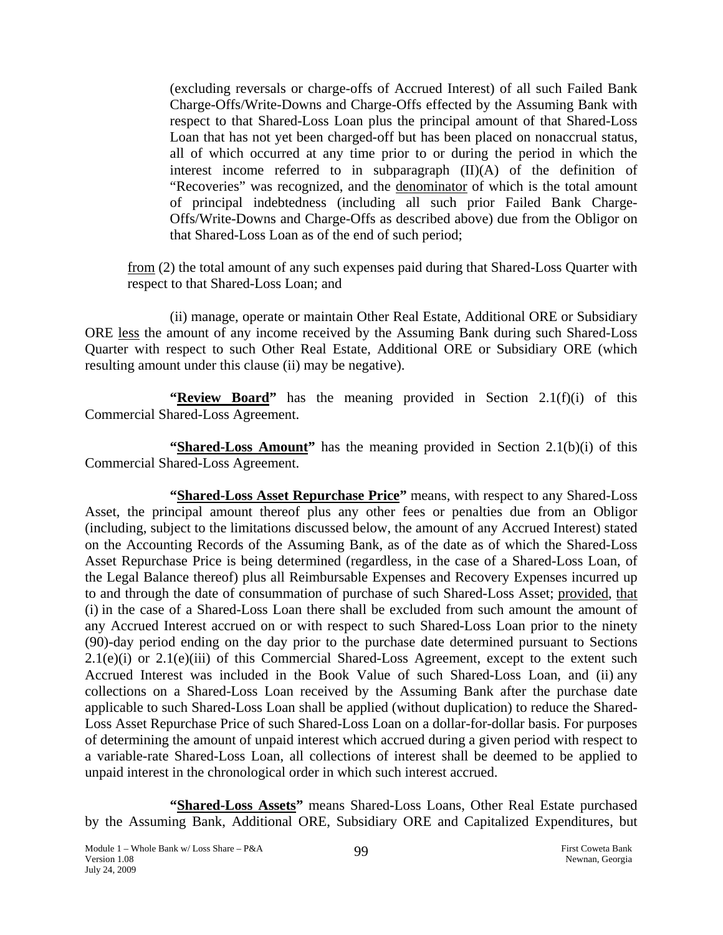(excluding reversals or charge-offs of Accrued Interest) of all such Failed Bank Charge-Offs/Write-Downs and Charge-Offs effected by the Assuming Bank with respect to that Shared-Loss Loan plus the principal amount of that Shared-Loss Loan that has not yet been charged-off but has been placed on nonaccrual status, all of which occurred at any time prior to or during the period in which the interest income referred to in subparagraph (II)(A) of the definition of "Recoveries" was recognized, and the denominator of which is the total amount of principal indebtedness (including all such prior Failed Bank Charge-Offs/Write-Downs and Charge-Offs as described above) due from the Obligor on that Shared-Loss Loan as of the end of such period;

from (2) the total amount of any such expenses paid during that Shared-Loss Quarter with respect to that Shared-Loss Loan; and

(ii) manage, operate or maintain Other Real Estate, Additional ORE or Subsidiary ORE less the amount of any income received by the Assuming Bank during such Shared-Loss Quarter with respect to such Other Real Estate, Additional ORE or Subsidiary ORE (which resulting amount under this clause (ii) may be negative).

**"Review Board"** has the meaning provided in Section 2.1(f)(i) of this Commercial Shared-Loss Agreement.

**"Shared-Loss Amount"** has the meaning provided in Section 2.1(b)(i) of this Commercial Shared-Loss Agreement.

**"Shared-Loss Asset Repurchase Price"** means, with respect to any Shared-Loss Asset, the principal amount thereof plus any other fees or penalties due from an Obligor (including, subject to the limitations discussed below, the amount of any Accrued Interest) stated on the Accounting Records of the Assuming Bank, as of the date as of which the Shared-Loss Asset Repurchase Price is being determined (regardless, in the case of a Shared-Loss Loan, of the Legal Balance thereof) plus all Reimbursable Expenses and Recovery Expenses incurred up to and through the date of consummation of purchase of such Shared-Loss Asset; provided, that (i) in the case of a Shared-Loss Loan there shall be excluded from such amount the amount of any Accrued Interest accrued on or with respect to such Shared-Loss Loan prior to the ninety (90)-day period ending on the day prior to the purchase date determined pursuant to Sections  $2.1(e)(i)$  or  $2.1(e)(iii)$  of this Commercial Shared-Loss Agreement, except to the extent such Accrued Interest was included in the Book Value of such Shared-Loss Loan, and (ii) any collections on a Shared-Loss Loan received by the Assuming Bank after the purchase date applicable to such Shared-Loss Loan shall be applied (without duplication) to reduce the Shared-Loss Asset Repurchase Price of such Shared-Loss Loan on a dollar-for-dollar basis. For purposes of determining the amount of unpaid interest which accrued during a given period with respect to a variable-rate Shared-Loss Loan, all collections of interest shall be deemed to be applied to unpaid interest in the chronological order in which such interest accrued.

**"Shared-Loss Assets"** means Shared-Loss Loans, Other Real Estate purchased by the Assuming Bank, Additional ORE, Subsidiary ORE and Capitalized Expenditures, but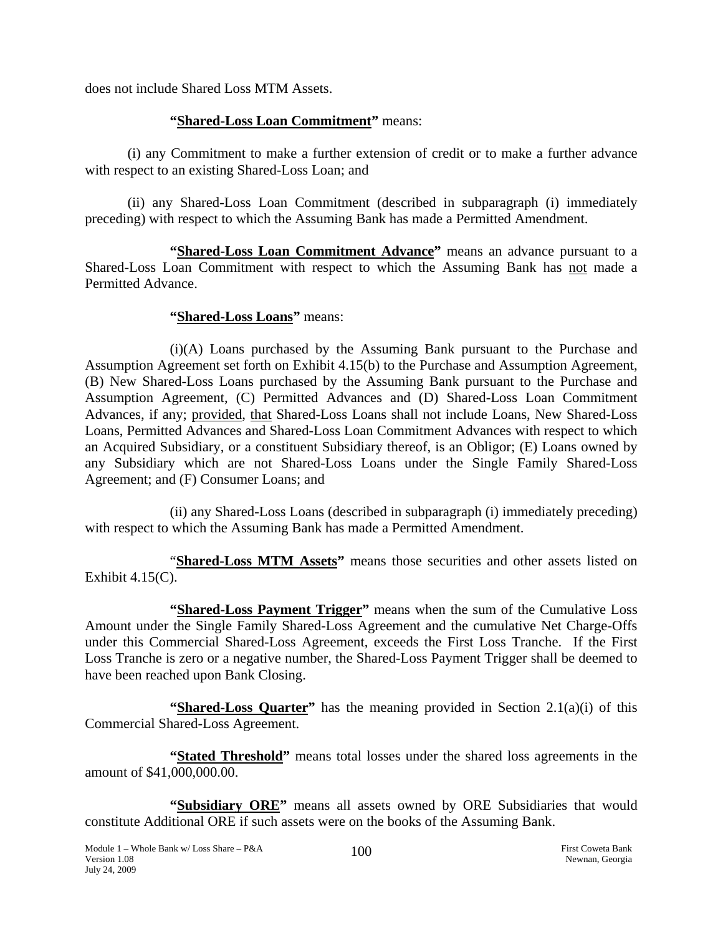does not include Shared Loss MTM Assets.

## **"Shared-Loss Loan Commitment"** means:

(i) any Commitment to make a further extension of credit or to make a further advance with respect to an existing Shared-Loss Loan; and

(ii) any Shared-Loss Loan Commitment (described in subparagraph (i) immediately preceding) with respect to which the Assuming Bank has made a Permitted Amendment.

"Shared-Loss Loan Commitment Advance" means an advance pursuant to a Shared-Loss Loan Commitment with respect to which the Assuming Bank has not made a Permitted Advance.

## **"Shared-Loss Loans"** means:

(i)(A) Loans purchased by the Assuming Bank pursuant to the Purchase and Assumption Agreement set forth on Exhibit 4.15(b) to the Purchase and Assumption Agreement, (B) New Shared-Loss Loans purchased by the Assuming Bank pursuant to the Purchase and Assumption Agreement, (C) Permitted Advances and (D) Shared-Loss Loan Commitment Advances, if any; provided, that Shared-Loss Loans shall not include Loans, New Shared-Loss Loans, Permitted Advances and Shared-Loss Loan Commitment Advances with respect to which an Acquired Subsidiary, or a constituent Subsidiary thereof, is an Obligor; (E) Loans owned by any Subsidiary which are not Shared-Loss Loans under the Single Family Shared-Loss Agreement; and (F) Consumer Loans; and

(ii) any Shared-Loss Loans (described in subparagraph (i) immediately preceding) with respect to which the Assuming Bank has made a Permitted Amendment.

"**Shared-Loss MTM Assets"** means those securities and other assets listed on Exhibit  $4.15(C)$ .

**"Shared-Loss Payment Trigger"** means when the sum of the Cumulative Loss Amount under the Single Family Shared-Loss Agreement and the cumulative Net Charge-Offs under this Commercial Shared-Loss Agreement, exceeds the First Loss Tranche. If the First Loss Tranche is zero or a negative number, the Shared-Loss Payment Trigger shall be deemed to have been reached upon Bank Closing.

**"Shared-Loss Quarter"** has the meaning provided in Section 2.1(a)(i) of this Commercial Shared-Loss Agreement.

**"Stated Threshold"** means total losses under the shared loss agreements in the amount of \$41,000,000.00.

**"Subsidiary ORE"** means all assets owned by ORE Subsidiaries that would constitute Additional ORE if such assets were on the books of the Assuming Bank.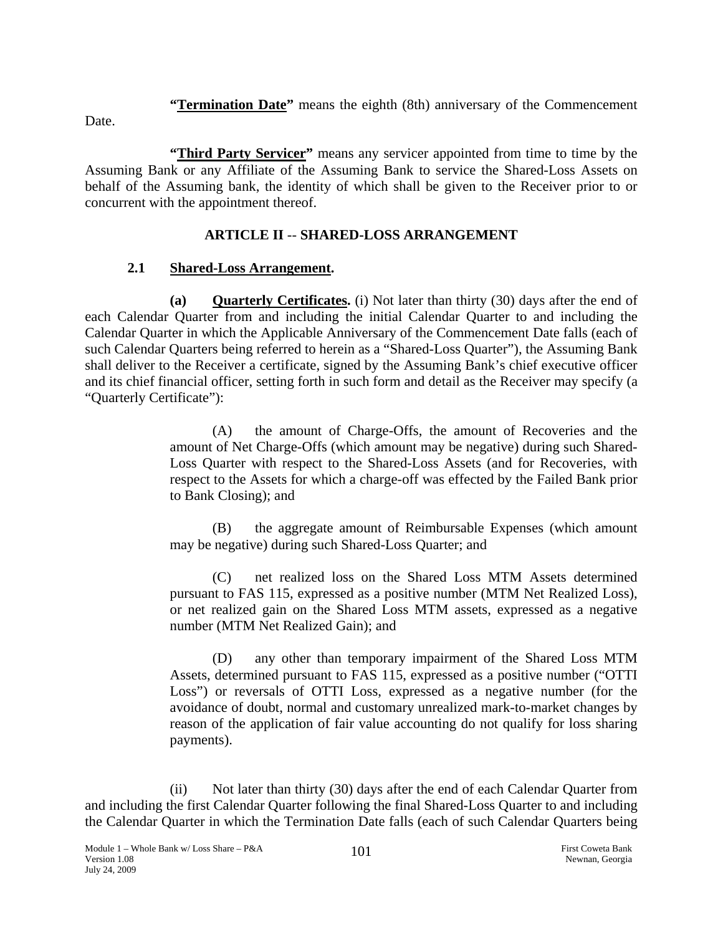**"Termination Date"** means the eighth (8th) anniversary of the Commencement

Date.

**"Third Party Servicer"** means any servicer appointed from time to time by the Assuming Bank or any Affiliate of the Assuming Bank to service the Shared-Loss Assets on behalf of the Assuming bank, the identity of which shall be given to the Receiver prior to or concurrent with the appointment thereof.

## **ARTICLE II** -- **SHARED-LOSS ARRANGEMENT**

## **2.1 Shared-Loss Arrangement.**

**(a) Quarterly Certificates.** (i) Not later than thirty (30) days after the end of each Calendar Quarter from and including the initial Calendar Quarter to and including the Calendar Quarter in which the Applicable Anniversary of the Commencement Date falls (each of such Calendar Quarters being referred to herein as a "Shared-Loss Quarter"), the Assuming Bank shall deliver to the Receiver a certificate, signed by the Assuming Bank's chief executive officer and its chief financial officer, setting forth in such form and detail as the Receiver may specify (a "Quarterly Certificate"):

> (A) the amount of Charge-Offs, the amount of Recoveries and the amount of Net Charge-Offs (which amount may be negative) during such Shared-Loss Quarter with respect to the Shared-Loss Assets (and for Recoveries, with respect to the Assets for which a charge-off was effected by the Failed Bank prior to Bank Closing); and

> (B) the aggregate amount of Reimbursable Expenses (which amount may be negative) during such Shared-Loss Quarter; and

> (C) net realized loss on the Shared Loss MTM Assets determined pursuant to FAS 115, expressed as a positive number (MTM Net Realized Loss), or net realized gain on the Shared Loss MTM assets, expressed as a negative number (MTM Net Realized Gain); and

> (D) any other than temporary impairment of the Shared Loss MTM Assets, determined pursuant to FAS 115, expressed as a positive number ("OTTI Loss") or reversals of OTTI Loss, expressed as a negative number (for the avoidance of doubt, normal and customary unrealized mark-to-market changes by reason of the application of fair value accounting do not qualify for loss sharing payments).

(ii) Not later than thirty (30) days after the end of each Calendar Quarter from and including the first Calendar Quarter following the final Shared-Loss Quarter to and including the Calendar Quarter in which the Termination Date falls (each of such Calendar Quarters being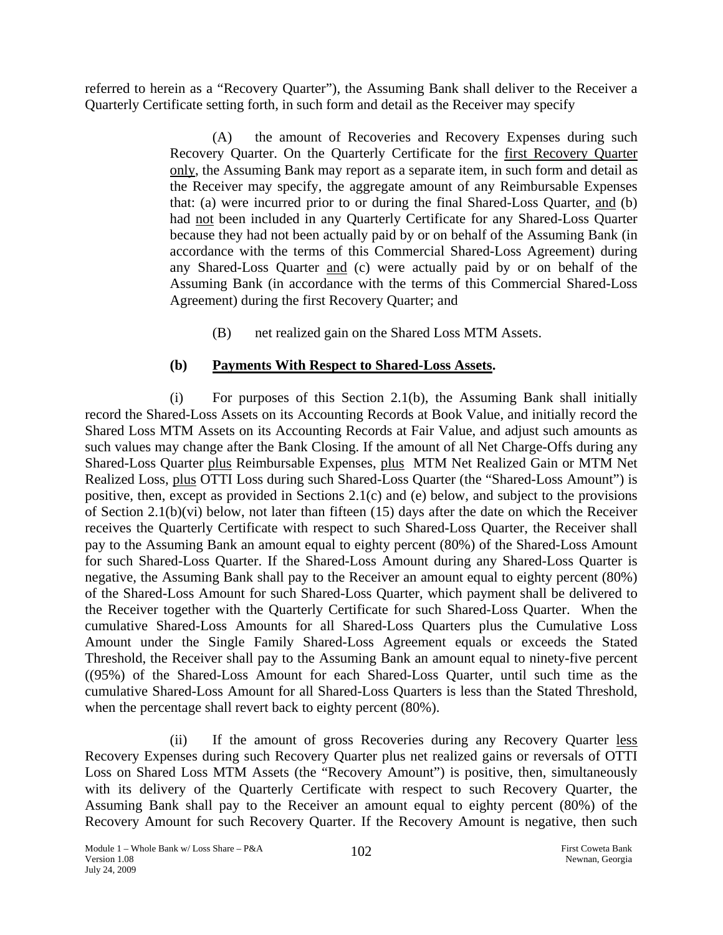referred to herein as a "Recovery Quarter"), the Assuming Bank shall deliver to the Receiver a Quarterly Certificate setting forth, in such form and detail as the Receiver may specify

> (A) the amount of Recoveries and Recovery Expenses during such Recovery Quarter. On the Quarterly Certificate for the first Recovery Quarter only, the Assuming Bank may report as a separate item, in such form and detail as the Receiver may specify, the aggregate amount of any Reimbursable Expenses that: (a) were incurred prior to or during the final Shared-Loss Quarter, and (b) had not been included in any Quarterly Certificate for any Shared-Loss Quarter because they had not been actually paid by or on behalf of the Assuming Bank (in accordance with the terms of this Commercial Shared-Loss Agreement) during any Shared-Loss Quarter and (c) were actually paid by or on behalf of the Assuming Bank (in accordance with the terms of this Commercial Shared-Loss Agreement) during the first Recovery Quarter; and

(B) net realized gain on the Shared Loss MTM Assets.

## **(b) Payments With Respect to Shared-Loss Assets.**

(i) For purposes of this Section 2.1(b), the Assuming Bank shall initially record the Shared-Loss Assets on its Accounting Records at Book Value, and initially record the Shared Loss MTM Assets on its Accounting Records at Fair Value, and adjust such amounts as such values may change after the Bank Closing. If the amount of all Net Charge-Offs during any Shared-Loss Quarter plus Reimbursable Expenses, plus MTM Net Realized Gain or MTM Net Realized Loss, plus OTTI Loss during such Shared-Loss Quarter (the "Shared-Loss Amount") is positive, then, except as provided in Sections 2.1(c) and (e) below, and subject to the provisions of Section 2.1(b)(vi) below, not later than fifteen (15) days after the date on which the Receiver receives the Quarterly Certificate with respect to such Shared-Loss Quarter, the Receiver shall pay to the Assuming Bank an amount equal to eighty percent (80%) of the Shared-Loss Amount for such Shared-Loss Quarter. If the Shared-Loss Amount during any Shared-Loss Quarter is negative, the Assuming Bank shall pay to the Receiver an amount equal to eighty percent (80%) of the Shared-Loss Amount for such Shared-Loss Quarter, which payment shall be delivered to the Receiver together with the Quarterly Certificate for such Shared-Loss Quarter. When the cumulative Shared-Loss Amounts for all Shared-Loss Quarters plus the Cumulative Loss Amount under the Single Family Shared-Loss Agreement equals or exceeds the Stated Threshold, the Receiver shall pay to the Assuming Bank an amount equal to ninety-five percent ((95%) of the Shared-Loss Amount for each Shared-Loss Quarter, until such time as the cumulative Shared-Loss Amount for all Shared-Loss Quarters is less than the Stated Threshold, when the percentage shall revert back to eighty percent (80%).

(ii) If the amount of gross Recoveries during any Recovery Quarter less Recovery Expenses during such Recovery Quarter plus net realized gains or reversals of OTTI Loss on Shared Loss MTM Assets (the "Recovery Amount") is positive, then, simultaneously with its delivery of the Quarterly Certificate with respect to such Recovery Quarter, the Assuming Bank shall pay to the Receiver an amount equal to eighty percent (80%) of the Recovery Amount for such Recovery Quarter. If the Recovery Amount is negative, then such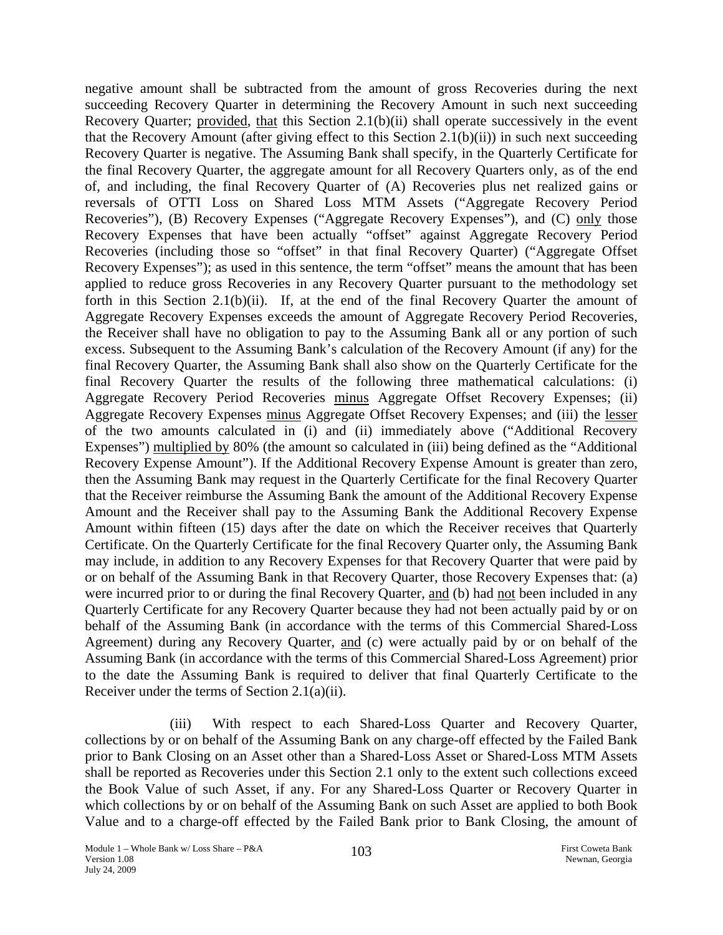negative amount shall be subtracted from the amount of gross Recoveries during the next succeeding Recovery Quarter in determining the Recovery Amount in such next succeeding Recovery Quarter; provided, that this Section 2.1(b)(ii) shall operate successively in the event that the Recovery Amount (after giving effect to this Section 2.1(b)(ii)) in such next succeeding Recovery Quarter is negative. The Assuming Bank shall specify, in the Quarterly Certificate for the final Recovery Quarter, the aggregate amount for all Recovery Quarters only, as of the end of, and including, the final Recovery Quarter of (A) Recoveries plus net realized gains or reversals of OTTI Loss on Shared Loss MTM Assets ("Aggregate Recovery Period Recoveries"), (B) Recovery Expenses ("Aggregate Recovery Expenses"), and (C) only those Recovery Expenses that have been actually "offset" against Aggregate Recovery Period Recoveries (including those so "offset" in that final Recovery Quarter) ("Aggregate Offset Recovery Expenses"); as used in this sentence, the term "offset" means the amount that has been applied to reduce gross Recoveries in any Recovery Quarter pursuant to the methodology set forth in this Section 2.1(b)(ii). If, at the end of the final Recovery Quarter the amount of Aggregate Recovery Expenses exceeds the amount of Aggregate Recovery Period Recoveries, the Receiver shall have no obligation to pay to the Assuming Bank all or any portion of such excess. Subsequent to the Assuming Bank's calculation of the Recovery Amount (if any) for the final Recovery Quarter, the Assuming Bank shall also show on the Quarterly Certificate for the final Recovery Quarter the results of the following three mathematical calculations: (i) Aggregate Recovery Period Recoveries minus Aggregate Offset Recovery Expenses; (ii) Aggregate Recovery Expenses minus Aggregate Offset Recovery Expenses; and (iii) the lesser of the two amounts calculated in (i) and (ii) immediately above ("Additional Recovery Expenses") multiplied by 80% (the amount so calculated in (iii) being defined as the "Additional Recovery Expense Amount"). If the Additional Recovery Expense Amount is greater than zero, then the Assuming Bank may request in the Quarterly Certificate for the final Recovery Quarter that the Receiver reimburse the Assuming Bank the amount of the Additional Recovery Expense Amount and the Receiver shall pay to the Assuming Bank the Additional Recovery Expense Amount within fifteen (15) days after the date on which the Receiver receives that Quarterly Certificate. On the Quarterly Certificate for the final Recovery Quarter only, the Assuming Bank may include, in addition to any Recovery Expenses for that Recovery Quarter that were paid by or on behalf of the Assuming Bank in that Recovery Quarter, those Recovery Expenses that: (a) were incurred prior to or during the final Recovery Quarter, and (b) had not been included in any Quarterly Certificate for any Recovery Quarter because they had not been actually paid by or on behalf of the Assuming Bank (in accordance with the terms of this Commercial Shared-Loss Agreement) during any Recovery Quarter, and (c) were actually paid by or on behalf of the Assuming Bank (in accordance with the terms of this Commercial Shared-Loss Agreement) prior to the date the Assuming Bank is required to deliver that final Quarterly Certificate to the Receiver under the terms of Section 2.1(a)(ii).

(iii) With respect to each Shared-Loss Quarter and Recovery Quarter, collections by or on behalf of the Assuming Bank on any charge-off effected by the Failed Bank prior to Bank Closing on an Asset other than a Shared-Loss Asset or Shared-Loss MTM Assets shall be reported as Recoveries under this Section 2.1 only to the extent such collections exceed the Book Value of such Asset, if any. For any Shared-Loss Quarter or Recovery Quarter in which collections by or on behalf of the Assuming Bank on such Asset are applied to both Book Value and to a charge-off effected by the Failed Bank prior to Bank Closing, the amount of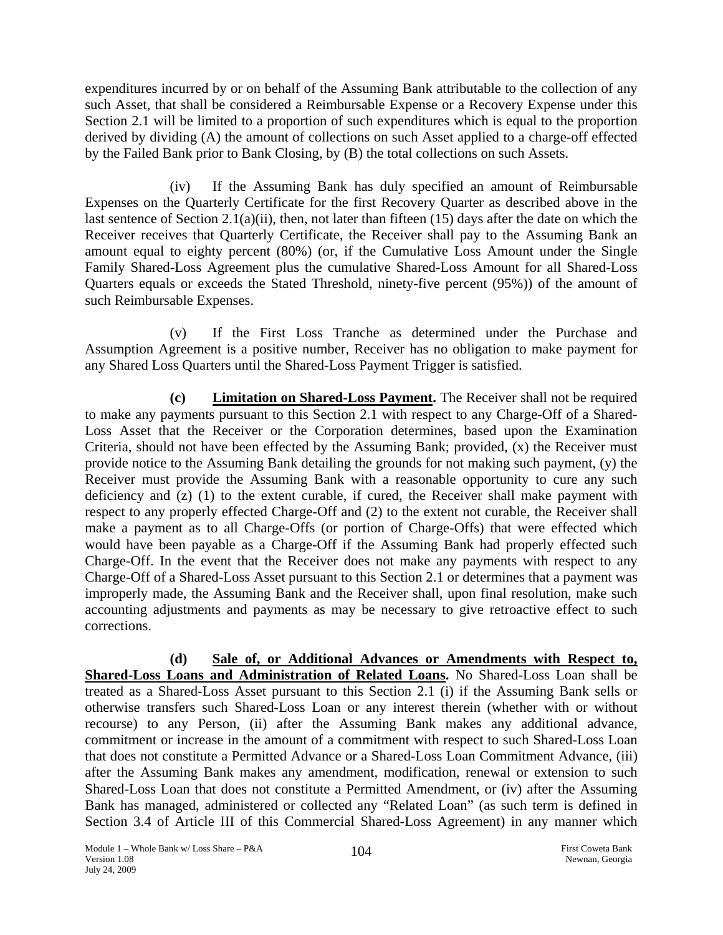expenditures incurred by or on behalf of the Assuming Bank attributable to the collection of any such Asset, that shall be considered a Reimbursable Expense or a Recovery Expense under this Section 2.1 will be limited to a proportion of such expenditures which is equal to the proportion derived by dividing (A) the amount of collections on such Asset applied to a charge-off effected by the Failed Bank prior to Bank Closing, by (B) the total collections on such Assets.

(iv) If the Assuming Bank has duly specified an amount of Reimbursable Expenses on the Quarterly Certificate for the first Recovery Quarter as described above in the last sentence of Section 2.1(a)(ii), then, not later than fifteen (15) days after the date on which the Receiver receives that Quarterly Certificate, the Receiver shall pay to the Assuming Bank an amount equal to eighty percent (80%) (or, if the Cumulative Loss Amount under the Single Family Shared-Loss Agreement plus the cumulative Shared-Loss Amount for all Shared-Loss Quarters equals or exceeds the Stated Threshold, ninety-five percent (95%)) of the amount of such Reimbursable Expenses.

(v) If the First Loss Tranche as determined under the Purchase and Assumption Agreement is a positive number, Receiver has no obligation to make payment for any Shared Loss Quarters until the Shared-Loss Payment Trigger is satisfied.

**(c) Limitation on Shared-Loss Payment.** The Receiver shall not be required to make any payments pursuant to this Section 2.1 with respect to any Charge-Off of a Shared-Loss Asset that the Receiver or the Corporation determines, based upon the Examination Criteria, should not have been effected by the Assuming Bank; provided, (x) the Receiver must provide notice to the Assuming Bank detailing the grounds for not making such payment, (y) the Receiver must provide the Assuming Bank with a reasonable opportunity to cure any such deficiency and (z) (1) to the extent curable, if cured, the Receiver shall make payment with respect to any properly effected Charge-Off and (2) to the extent not curable, the Receiver shall make a payment as to all Charge-Offs (or portion of Charge-Offs) that were effected which would have been payable as a Charge-Off if the Assuming Bank had properly effected such Charge-Off. In the event that the Receiver does not make any payments with respect to any Charge-Off of a Shared-Loss Asset pursuant to this Section 2.1 or determines that a payment was improperly made, the Assuming Bank and the Receiver shall, upon final resolution, make such accounting adjustments and payments as may be necessary to give retroactive effect to such corrections.

**(d) Sale of, or Additional Advances or Amendments with Respect to, Shared-Loss Loans and Administration of Related Loans.** No Shared-Loss Loan shall be treated as a Shared-Loss Asset pursuant to this Section 2.1 (i) if the Assuming Bank sells or otherwise transfers such Shared-Loss Loan or any interest therein (whether with or without recourse) to any Person, (ii) after the Assuming Bank makes any additional advance, commitment or increase in the amount of a commitment with respect to such Shared-Loss Loan that does not constitute a Permitted Advance or a Shared-Loss Loan Commitment Advance, (iii) after the Assuming Bank makes any amendment, modification, renewal or extension to such Shared-Loss Loan that does not constitute a Permitted Amendment, or (iv) after the Assuming Bank has managed, administered or collected any "Related Loan" (as such term is defined in Section 3.4 of Article III of this Commercial Shared-Loss Agreement) in any manner which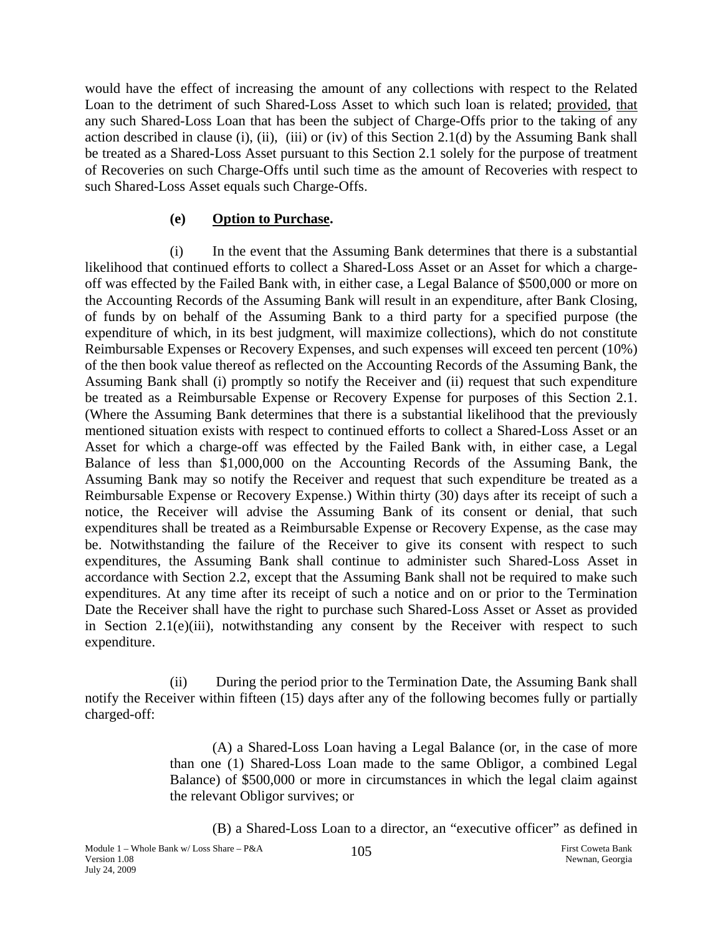Loan to the detriment of such Shared-Loss Asset to which such loan is related; provided, that would have the effect of increasing the amount of any collections with respect to the Related any such Shared-Loss Loan that has been the subject of Charge-Offs prior to the taking of any action described in clause (i), (ii), (iii) or (iv) of this Section 2.1(d) by the Assuming Bank shall be treated as a Shared-Loss Asset pursuant to this Section 2.1 solely for the purpose of treatment of Recoveries on such Charge-Offs until such time as the amount of Recoveries with respect to such Shared-Loss Asset equals such Charge-Offs.

#### **(e) Option to Purchase.**

(i) In the event that the Assuming Bank determines that there is a substantial likelihood that continued efforts to collect a Shared-Loss Asset or an Asset for which a chargeoff was effected by the Failed Bank with, in either case, a Legal Balance of \$500,000 or more on the Accounting Records of the Assuming Bank will result in an expenditure, after Bank Closing, of funds by on behalf of the Assuming Bank to a third party for a specified purpose (the expenditure of which, in its best judgment, will maximize collections), which do not constitute Reimbursable Expenses or Recovery Expenses, and such expenses will exceed ten percent (10%) of the then book value thereof as reflected on the Accounting Records of the Assuming Bank, the Assuming Bank shall (i) promptly so notify the Receiver and (ii) request that such expenditure be treated as a Reimbursable Expense or Recovery Expense for purposes of this Section 2.1. (Where the Assuming Bank determines that there is a substantial likelihood that the previously mentioned situation exists with respect to continued efforts to collect a Shared-Loss Asset or an Asset for which a charge-off was effected by the Failed Bank with, in either case, a Legal Balance of less than \$1,000,000 on the Accounting Records of the Assuming Bank, the Assuming Bank may so notify the Receiver and request that such expenditure be treated as a Reimbursable Expense or Recovery Expense.) Within thirty (30) days after its receipt of such a notice, the Receiver will advise the Assuming Bank of its consent or denial, that such expenditures shall be treated as a Reimbursable Expense or Recovery Expense, as the case may be. Notwithstanding the failure of the Receiver to give its consent with respect to such expenditures, the Assuming Bank shall continue to administer such Shared-Loss Asset in accordance with Section 2.2, except that the Assuming Bank shall not be required to make such expenditures. At any time after its receipt of such a notice and on or prior to the Termination Date the Receiver shall have the right to purchase such Shared-Loss Asset or Asset as provided in Section 2.1(e)(iii), notwithstanding any consent by the Receiver with respect to such expenditure.

(ii) During the period prior to the Termination Date, the Assuming Bank shall notify the Receiver within fifteen (15) days after any of the following becomes fully or partially charged-off:

> (A) a Shared-Loss Loan having a Legal Balance (or, in the case of more than one (1) Shared-Loss Loan made to the same Obligor, a combined Legal Balance) of \$500,000 or more in circumstances in which the legal claim against the relevant Obligor survives; or

(B) a Shared-Loss Loan to a director, an "executive officer" as defined in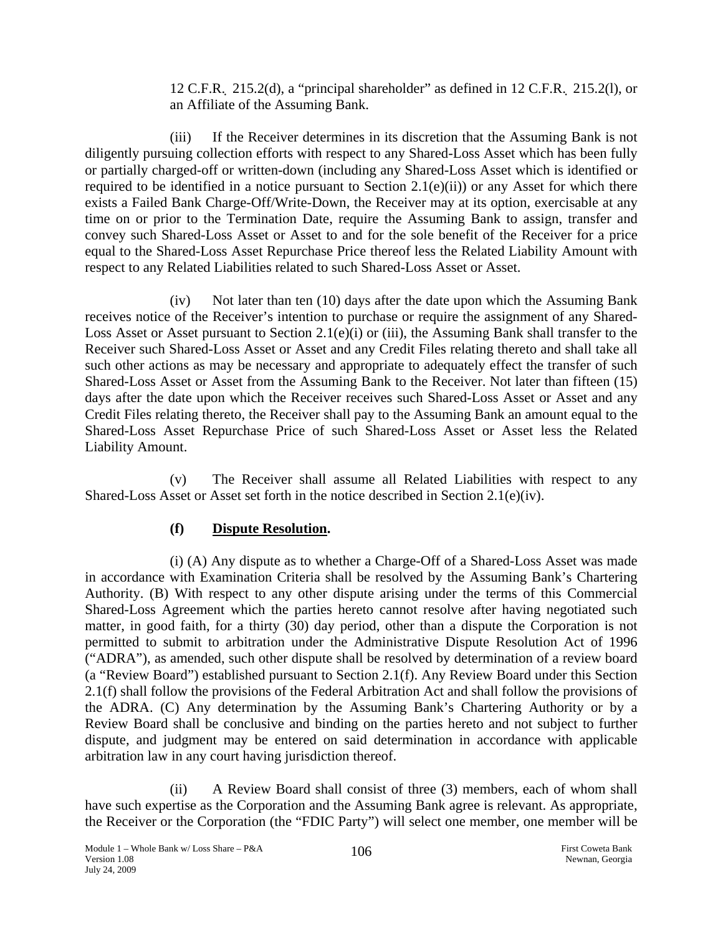12 C.F.R. 215.2(d), a "principal shareholder" as defined in 12 C.F.R. 215.2(l), or an Affiliate of the Assuming Bank.

(iii) If the Receiver determines in its discretion that the Assuming Bank is not diligently pursuing collection efforts with respect to any Shared-Loss Asset which has been fully or partially charged-off or written-down (including any Shared-Loss Asset which is identified or required to be identified in a notice pursuant to Section  $2.1(e)(ii)$  or any Asset for which there exists a Failed Bank Charge-Off/Write-Down, the Receiver may at its option, exercisable at any time on or prior to the Termination Date, require the Assuming Bank to assign, transfer and convey such Shared-Loss Asset or Asset to and for the sole benefit of the Receiver for a price equal to the Shared-Loss Asset Repurchase Price thereof less the Related Liability Amount with respect to any Related Liabilities related to such Shared-Loss Asset or Asset.

(iv) Not later than ten (10) days after the date upon which the Assuming Bank receives notice of the Receiver's intention to purchase or require the assignment of any Shared-Loss Asset or Asset pursuant to Section 2.1(e)(i) or (iii), the Assuming Bank shall transfer to the Receiver such Shared-Loss Asset or Asset and any Credit Files relating thereto and shall take all such other actions as may be necessary and appropriate to adequately effect the transfer of such Shared-Loss Asset or Asset from the Assuming Bank to the Receiver. Not later than fifteen (15) days after the date upon which the Receiver receives such Shared-Loss Asset or Asset and any Credit Files relating thereto, the Receiver shall pay to the Assuming Bank an amount equal to the Shared-Loss Asset Repurchase Price of such Shared-Loss Asset or Asset less the Related Liability Amount.

(v) The Receiver shall assume all Related Liabilities with respect to any Shared-Loss Asset or Asset set forth in the notice described in Section 2.1(e)(iv).

#### **(f) Dispute Resolution.**

(i) (A) Any dispute as to whether a Charge-Off of a Shared-Loss Asset was made in accordance with Examination Criteria shall be resolved by the Assuming Bank's Chartering Authority. (B) With respect to any other dispute arising under the terms of this Commercial Shared-Loss Agreement which the parties hereto cannot resolve after having negotiated such matter, in good faith, for a thirty (30) day period, other than a dispute the Corporation is not permitted to submit to arbitration under the Administrative Dispute Resolution Act of 1996 ("ADRA"), as amended, such other dispute shall be resolved by determination of a review board (a "Review Board") established pursuant to Section 2.1(f). Any Review Board under this Section 2.1(f) shall follow the provisions of the Federal Arbitration Act and shall follow the provisions of the ADRA. (C) Any determination by the Assuming Bank's Chartering Authority or by a Review Board shall be conclusive and binding on the parties hereto and not subject to further dispute, and judgment may be entered on said determination in accordance with applicable arbitration law in any court having jurisdiction thereof.

(ii) A Review Board shall consist of three (3) members, each of whom shall have such expertise as the Corporation and the Assuming Bank agree is relevant. As appropriate, the Receiver or the Corporation (the "FDIC Party") will select one member, one member will be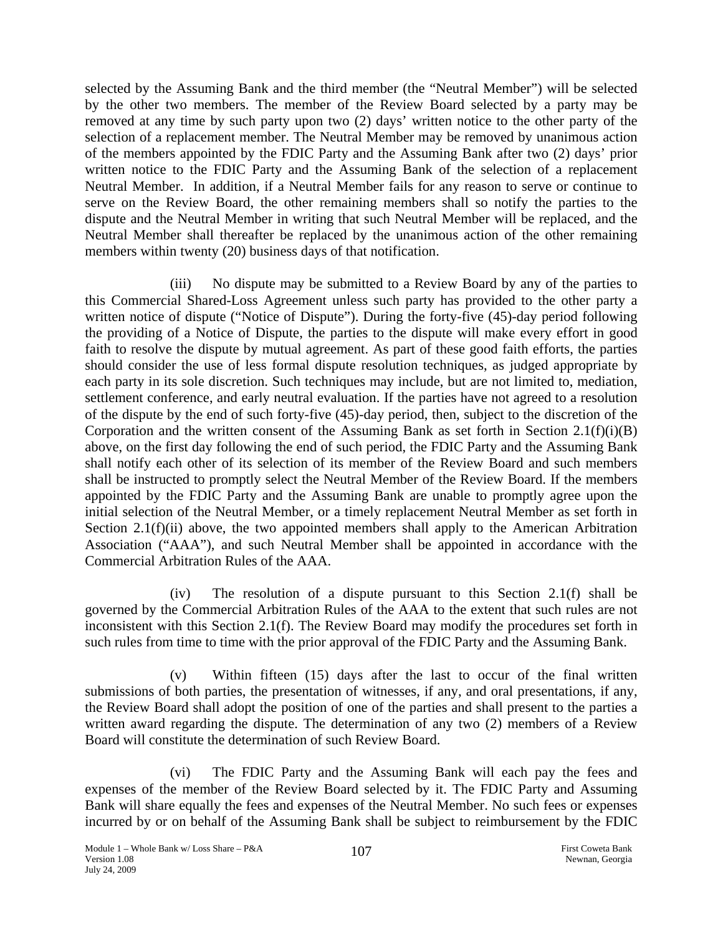selected by the Assuming Bank and the third member (the "Neutral Member") will be selected by the other two members. The member of the Review Board selected by a party may be removed at any time by such party upon two (2) days' written notice to the other party of the selection of a replacement member. The Neutral Member may be removed by unanimous action of the members appointed by the FDIC Party and the Assuming Bank after two (2) days' prior written notice to the FDIC Party and the Assuming Bank of the selection of a replacement Neutral Member. In addition, if a Neutral Member fails for any reason to serve or continue to serve on the Review Board, the other remaining members shall so notify the parties to the dispute and the Neutral Member in writing that such Neutral Member will be replaced, and the Neutral Member shall thereafter be replaced by the unanimous action of the other remaining members within twenty (20) business days of that notification.

(iii) No dispute may be submitted to a Review Board by any of the parties to this Commercial Shared-Loss Agreement unless such party has provided to the other party a written notice of dispute ("Notice of Dispute"). During the forty-five (45)-day period following the providing of a Notice of Dispute, the parties to the dispute will make every effort in good faith to resolve the dispute by mutual agreement. As part of these good faith efforts, the parties should consider the use of less formal dispute resolution techniques, as judged appropriate by each party in its sole discretion. Such techniques may include, but are not limited to, mediation, settlement conference, and early neutral evaluation. If the parties have not agreed to a resolution of the dispute by the end of such forty-five (45)-day period, then, subject to the discretion of the Corporation and the written consent of the Assuming Bank as set forth in Section  $2.1(f)(i)(B)$ above, on the first day following the end of such period, the FDIC Party and the Assuming Bank shall notify each other of its selection of its member of the Review Board and such members shall be instructed to promptly select the Neutral Member of the Review Board. If the members appointed by the FDIC Party and the Assuming Bank are unable to promptly agree upon the initial selection of the Neutral Member, or a timely replacement Neutral Member as set forth in Section 2.1(f)(ii) above, the two appointed members shall apply to the American Arbitration Association ("AAA"), and such Neutral Member shall be appointed in accordance with the Commercial Arbitration Rules of the AAA.

(iv) The resolution of a dispute pursuant to this Section 2.1(f) shall be governed by the Commercial Arbitration Rules of the AAA to the extent that such rules are not inconsistent with this Section 2.1(f). The Review Board may modify the procedures set forth in such rules from time to time with the prior approval of the FDIC Party and the Assuming Bank.

(v) Within fifteen (15) days after the last to occur of the final written submissions of both parties, the presentation of witnesses, if any, and oral presentations, if any, the Review Board shall adopt the position of one of the parties and shall present to the parties a written award regarding the dispute. The determination of any two (2) members of a Review Board will constitute the determination of such Review Board.

(vi) The FDIC Party and the Assuming Bank will each pay the fees and expenses of the member of the Review Board selected by it. The FDIC Party and Assuming Bank will share equally the fees and expenses of the Neutral Member. No such fees or expenses incurred by or on behalf of the Assuming Bank shall be subject to reimbursement by the FDIC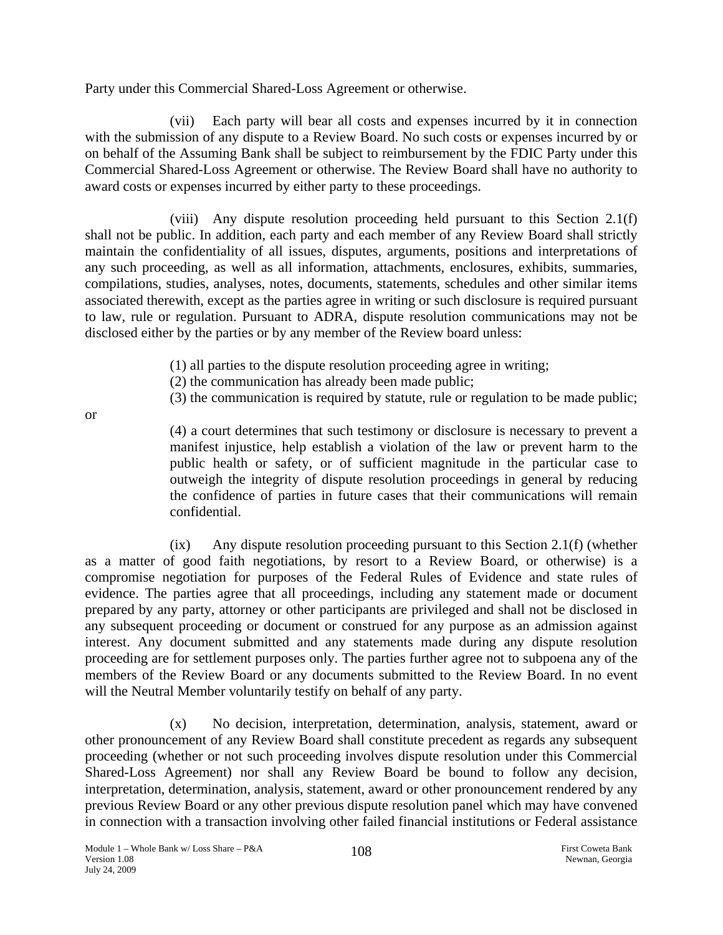Party under this Commercial Shared-Loss Agreement or otherwise.

(vii) Each party will bear all costs and expenses incurred by it in connection with the submission of any dispute to a Review Board. No such costs or expenses incurred by or on behalf of the Assuming Bank shall be subject to reimbursement by the FDIC Party under this Commercial Shared-Loss Agreement or otherwise. The Review Board shall have no authority to award costs or expenses incurred by either party to these proceedings.

(viii) Any dispute resolution proceeding held pursuant to this Section 2.1(f) shall not be public. In addition, each party and each member of any Review Board shall strictly maintain the confidentiality of all issues, disputes, arguments, positions and interpretations of any such proceeding, as well as all information, attachments, enclosures, exhibits, summaries, compilations, studies, analyses, notes, documents, statements, schedules and other similar items associated therewith, except as the parties agree in writing or such disclosure is required pursuant to law, rule or regulation. Pursuant to ADRA, dispute resolution communications may not be disclosed either by the parties or by any member of the Review board unless:

- (1) all parties to the dispute resolution proceeding agree in writing;
- (2) the communication has already been made public;
- (3) the communication is required by statute, rule or regulation to be made public;

(4) a court determines that such testimony or disclosure is necessary to prevent a manifest injustice, help establish a violation of the law or prevent harm to the public health or safety, or of sufficient magnitude in the particular case to outweigh the integrity of dispute resolution proceedings in general by reducing the confidence of parties in future cases that their communications will remain confidential.

(ix) Any dispute resolution proceeding pursuant to this Section 2.1(f) (whether as a matter of good faith negotiations, by resort to a Review Board, or otherwise) is a compromise negotiation for purposes of the Federal Rules of Evidence and state rules of evidence. The parties agree that all proceedings, including any statement made or document prepared by any party, attorney or other participants are privileged and shall not be disclosed in any subsequent proceeding or document or construed for any purpose as an admission against interest. Any document submitted and any statements made during any dispute resolution proceeding are for settlement purposes only. The parties further agree not to subpoena any of the members of the Review Board or any documents submitted to the Review Board. In no event will the Neutral Member voluntarily testify on behalf of any party.

(x) No decision, interpretation, determination, analysis, statement, award or other pronouncement of any Review Board shall constitute precedent as regards any subsequent proceeding (whether or not such proceeding involves dispute resolution under this Commercial Shared-Loss Agreement) nor shall any Review Board be bound to follow any decision, interpretation, determination, analysis, statement, award or other pronouncement rendered by any previous Review Board or any other previous dispute resolution panel which may have convened in connection with a transaction involving other failed financial institutions or Federal assistance

or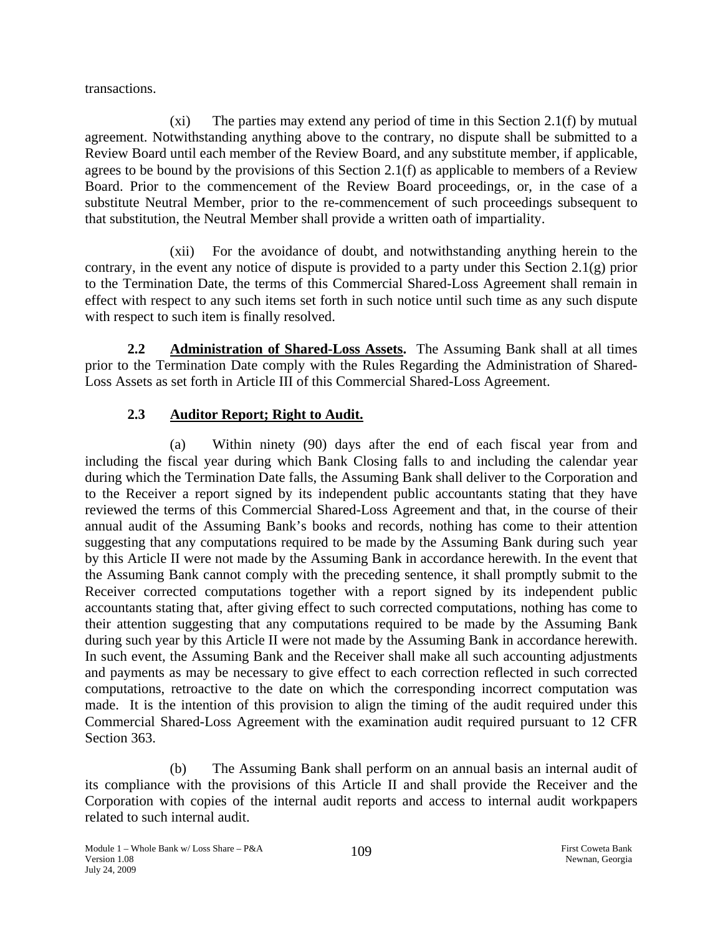transactions.

(xi) The parties may extend any period of time in this Section 2.1(f) by mutual agreement. Notwithstanding anything above to the contrary, no dispute shall be submitted to a Review Board until each member of the Review Board, and any substitute member, if applicable, agrees to be bound by the provisions of this Section 2.1(f) as applicable to members of a Review Board. Prior to the commencement of the Review Board proceedings, or, in the case of a substitute Neutral Member, prior to the re-commencement of such proceedings subsequent to that substitution, the Neutral Member shall provide a written oath of impartiality.

(xii) For the avoidance of doubt, and notwithstanding anything herein to the contrary, in the event any notice of dispute is provided to a party under this Section 2.1(g) prior to the Termination Date, the terms of this Commercial Shared-Loss Agreement shall remain in effect with respect to any such items set forth in such notice until such time as any such dispute with respect to such item is finally resolved.

**2.2 Administration of Shared-Loss Assets.** The Assuming Bank shall at all times prior to the Termination Date comply with the Rules Regarding the Administration of Shared-Loss Assets as set forth in Article III of this Commercial Shared-Loss Agreement.

## **2.3 Auditor Report; Right to Audit.**

(a) Within ninety (90) days after the end of each fiscal year from and including the fiscal year during which Bank Closing falls to and including the calendar year during which the Termination Date falls, the Assuming Bank shall deliver to the Corporation and to the Receiver a report signed by its independent public accountants stating that they have reviewed the terms of this Commercial Shared-Loss Agreement and that, in the course of their annual audit of the Assuming Bank's books and records, nothing has come to their attention suggesting that any computations required to be made by the Assuming Bank during such year by this Article II were not made by the Assuming Bank in accordance herewith. In the event that the Assuming Bank cannot comply with the preceding sentence, it shall promptly submit to the Receiver corrected computations together with a report signed by its independent public accountants stating that, after giving effect to such corrected computations, nothing has come to their attention suggesting that any computations required to be made by the Assuming Bank during such year by this Article II were not made by the Assuming Bank in accordance herewith. In such event, the Assuming Bank and the Receiver shall make all such accounting adjustments and payments as may be necessary to give effect to each correction reflected in such corrected computations, retroactive to the date on which the corresponding incorrect computation was made. It is the intention of this provision to align the timing of the audit required under this Commercial Shared-Loss Agreement with the examination audit required pursuant to 12 CFR Section 363.

(b) The Assuming Bank shall perform on an annual basis an internal audit of its compliance with the provisions of this Article II and shall provide the Receiver and the Corporation with copies of the internal audit reports and access to internal audit workpapers related to such internal audit.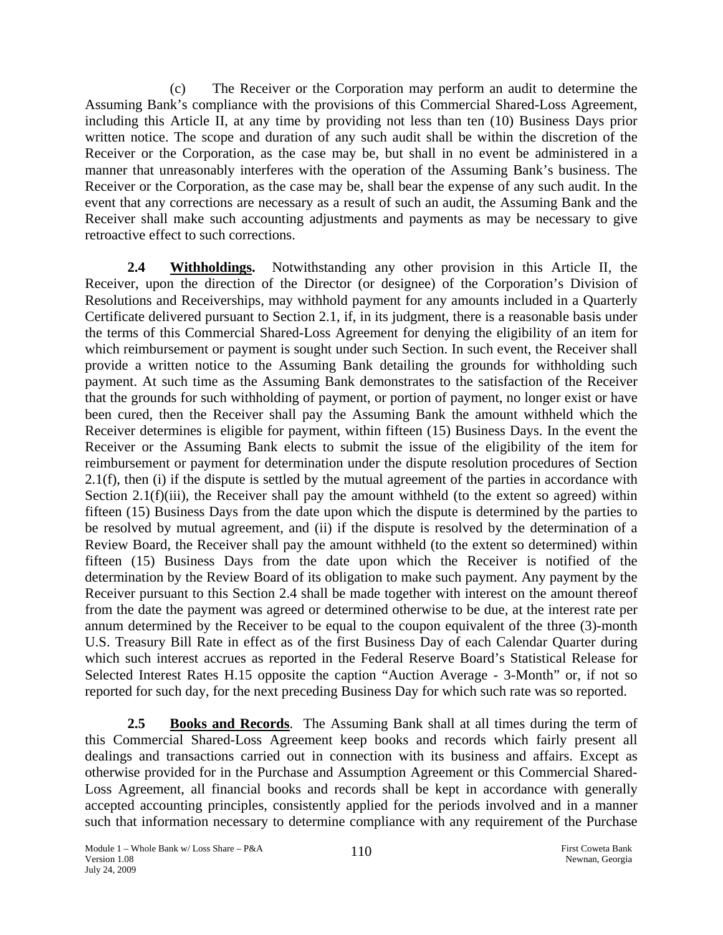(c) The Receiver or the Corporation may perform an audit to determine the Assuming Bank's compliance with the provisions of this Commercial Shared-Loss Agreement, including this Article II, at any time by providing not less than ten (10) Business Days prior written notice. The scope and duration of any such audit shall be within the discretion of the Receiver or the Corporation, as the case may be, but shall in no event be administered in a manner that unreasonably interferes with the operation of the Assuming Bank's business. The Receiver or the Corporation, as the case may be, shall bear the expense of any such audit. In the event that any corrections are necessary as a result of such an audit, the Assuming Bank and the Receiver shall make such accounting adjustments and payments as may be necessary to give retroactive effect to such corrections.

**2.4 Withholdings.** Notwithstanding any other provision in this Article II, the Receiver, upon the direction of the Director (or designee) of the Corporation's Division of Resolutions and Receiverships, may withhold payment for any amounts included in a Quarterly Certificate delivered pursuant to Section 2.1, if, in its judgment, there is a reasonable basis under the terms of this Commercial Shared-Loss Agreement for denying the eligibility of an item for which reimbursement or payment is sought under such Section. In such event, the Receiver shall provide a written notice to the Assuming Bank detailing the grounds for withholding such payment. At such time as the Assuming Bank demonstrates to the satisfaction of the Receiver that the grounds for such withholding of payment, or portion of payment, no longer exist or have been cured, then the Receiver shall pay the Assuming Bank the amount withheld which the Receiver determines is eligible for payment, within fifteen (15) Business Days. In the event the Receiver or the Assuming Bank elects to submit the issue of the eligibility of the item for reimbursement or payment for determination under the dispute resolution procedures of Section 2.1(f), then (i) if the dispute is settled by the mutual agreement of the parties in accordance with Section 2.1(f)(iii), the Receiver shall pay the amount withheld (to the extent so agreed) within fifteen (15) Business Days from the date upon which the dispute is determined by the parties to be resolved by mutual agreement, and (ii) if the dispute is resolved by the determination of a Review Board, the Receiver shall pay the amount withheld (to the extent so determined) within fifteen (15) Business Days from the date upon which the Receiver is notified of the determination by the Review Board of its obligation to make such payment. Any payment by the Receiver pursuant to this Section 2.4 shall be made together with interest on the amount thereof from the date the payment was agreed or determined otherwise to be due, at the interest rate per annum determined by the Receiver to be equal to the coupon equivalent of the three (3)-month U.S. Treasury Bill Rate in effect as of the first Business Day of each Calendar Quarter during which such interest accrues as reported in the Federal Reserve Board's Statistical Release for Selected Interest Rates H.15 opposite the caption "Auction Average - 3-Month" or, if not so reported for such day, for the next preceding Business Day for which such rate was so reported.

**2.5 Books and Records**. The Assuming Bank shall at all times during the term of this Commercial Shared-Loss Agreement keep books and records which fairly present all dealings and transactions carried out in connection with its business and affairs. Except as otherwise provided for in the Purchase and Assumption Agreement or this Commercial Shared-Loss Agreement, all financial books and records shall be kept in accordance with generally accepted accounting principles, consistently applied for the periods involved and in a manner such that information necessary to determine compliance with any requirement of the Purchase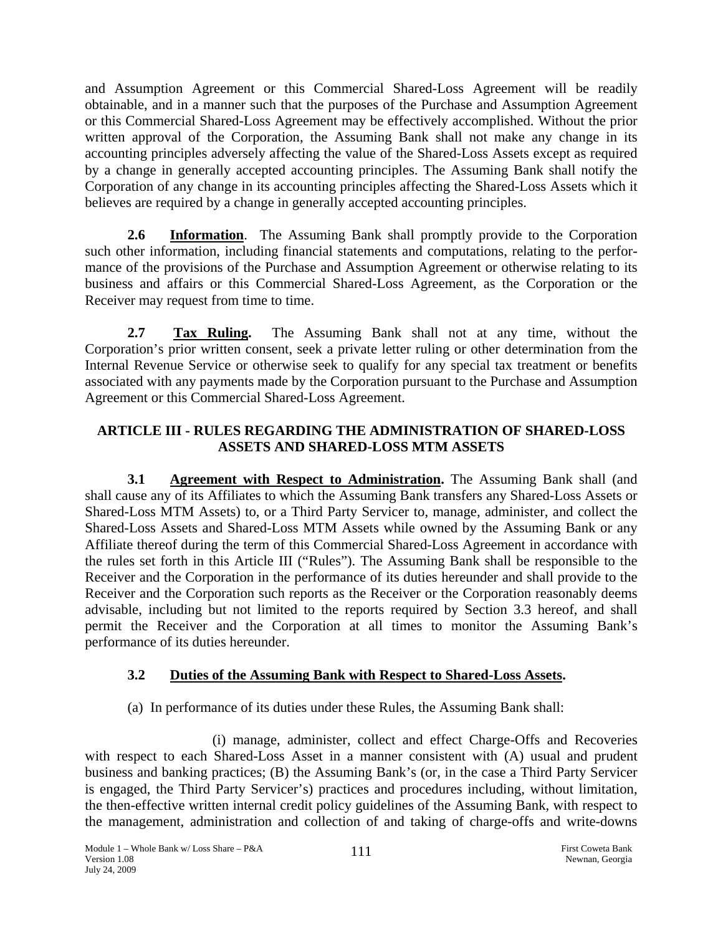and Assumption Agreement or this Commercial Shared-Loss Agreement will be readily obtainable, and in a manner such that the purposes of the Purchase and Assumption Agreement or this Commercial Shared-Loss Agreement may be effectively accomplished. Without the prior written approval of the Corporation, the Assuming Bank shall not make any change in its accounting principles adversely affecting the value of the Shared-Loss Assets except as required by a change in generally accepted accounting principles. The Assuming Bank shall notify the Corporation of any change in its accounting principles affecting the Shared-Loss Assets which it believes are required by a change in generally accepted accounting principles.

**2.6 Information**. The Assuming Bank shall promptly provide to the Corporation such other information, including financial statements and computations, relating to the performance of the provisions of the Purchase and Assumption Agreement or otherwise relating to its business and affairs or this Commercial Shared-Loss Agreement, as the Corporation or the Receiver may request from time to time.

**2.7 Tax Ruling.** The Assuming Bank shall not at any time, without the Corporation's prior written consent, seek a private letter ruling or other determination from the Internal Revenue Service or otherwise seek to qualify for any special tax treatment or benefits associated with any payments made by the Corporation pursuant to the Purchase and Assumption Agreement or this Commercial Shared-Loss Agreement.

### **ARTICLE III - RULES REGARDING THE ADMINISTRATION OF SHARED-LOSS ASSETS AND SHARED-LOSS MTM ASSETS**

**3.1 Agreement with Respect to Administration.** The Assuming Bank shall (and shall cause any of its Affiliates to which the Assuming Bank transfers any Shared-Loss Assets or Shared-Loss MTM Assets) to, or a Third Party Servicer to, manage, administer, and collect the Shared-Loss Assets and Shared-Loss MTM Assets while owned by the Assuming Bank or any Affiliate thereof during the term of this Commercial Shared-Loss Agreement in accordance with the rules set forth in this Article III ("Rules"). The Assuming Bank shall be responsible to the Receiver and the Corporation in the performance of its duties hereunder and shall provide to the Receiver and the Corporation such reports as the Receiver or the Corporation reasonably deems advisable, including but not limited to the reports required by Section 3.3 hereof, and shall permit the Receiver and the Corporation at all times to monitor the Assuming Bank's performance of its duties hereunder.

### **3.2 Duties of the Assuming Bank with Respect to Shared-Loss Assets.**

# (a) In performance of its duties under these Rules, the Assuming Bank shall:

(i) manage, administer, collect and effect Charge-Offs and Recoveries with respect to each Shared-Loss Asset in a manner consistent with (A) usual and prudent business and banking practices; (B) the Assuming Bank's (or, in the case a Third Party Servicer is engaged, the Third Party Servicer's) practices and procedures including, without limitation, the then-effective written internal credit policy guidelines of the Assuming Bank, with respect to the management, administration and collection of and taking of charge-offs and write-downs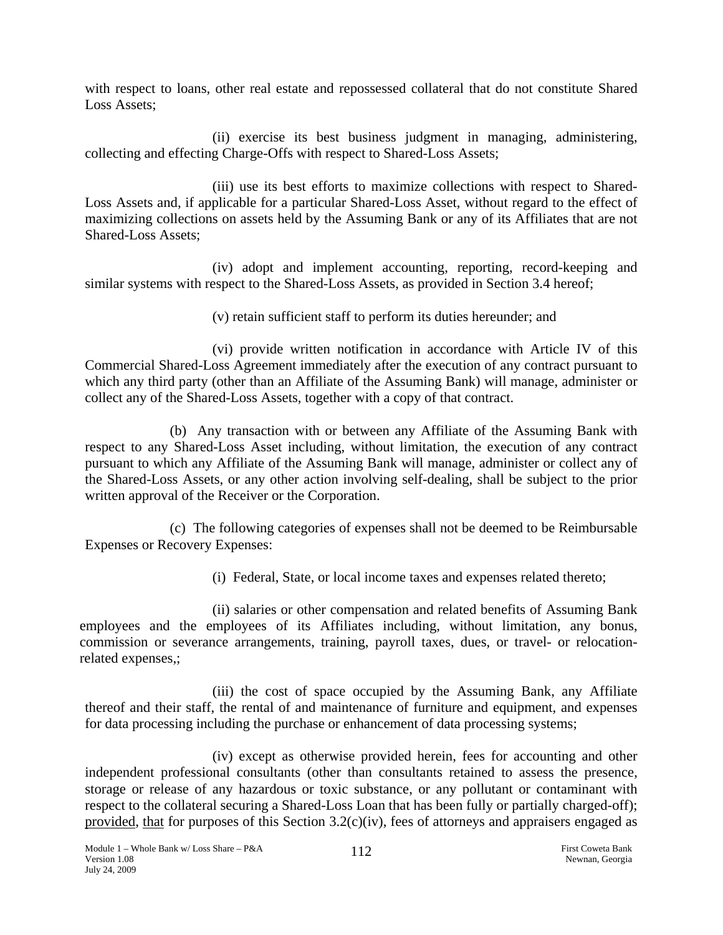with respect to loans, other real estate and repossessed collateral that do not constitute Shared Loss Assets;

(ii) exercise its best business judgment in managing, administering, collecting and effecting Charge-Offs with respect to Shared-Loss Assets;

(iii) use its best efforts to maximize collections with respect to Shared-Loss Assets and, if applicable for a particular Shared-Loss Asset, without regard to the effect of maximizing collections on assets held by the Assuming Bank or any of its Affiliates that are not Shared-Loss Assets;

(iv) adopt and implement accounting, reporting, record-keeping and similar systems with respect to the Shared-Loss Assets, as provided in Section 3.4 hereof;

(v) retain sufficient staff to perform its duties hereunder; and

(vi) provide written notification in accordance with Article IV of this Commercial Shared-Loss Agreement immediately after the execution of any contract pursuant to which any third party (other than an Affiliate of the Assuming Bank) will manage, administer or collect any of the Shared-Loss Assets, together with a copy of that contract.

(b) Any transaction with or between any Affiliate of the Assuming Bank with respect to any Shared-Loss Asset including, without limitation, the execution of any contract pursuant to which any Affiliate of the Assuming Bank will manage, administer or collect any of the Shared-Loss Assets, or any other action involving self-dealing, shall be subject to the prior written approval of the Receiver or the Corporation.

(c) The following categories of expenses shall not be deemed to be Reimbursable Expenses or Recovery Expenses:

(i) Federal, State, or local income taxes and expenses related thereto;

(ii) salaries or other compensation and related benefits of Assuming Bank employees and the employees of its Affiliates including, without limitation, any bonus, commission or severance arrangements, training, payroll taxes, dues, or travel- or relocationrelated expenses,;

(iii) the cost of space occupied by the Assuming Bank, any Affiliate thereof and their staff, the rental of and maintenance of furniture and equipment, and expenses for data processing including the purchase or enhancement of data processing systems;

(iv) except as otherwise provided herein, fees for accounting and other independent professional consultants (other than consultants retained to assess the presence, storage or release of any hazardous or toxic substance, or any pollutant or contaminant with respect to the collateral securing a Shared-Loss Loan that has been fully or partially charged-off); provided, that for purposes of this Section 3.2(c)(iv), fees of attorneys and appraisers engaged as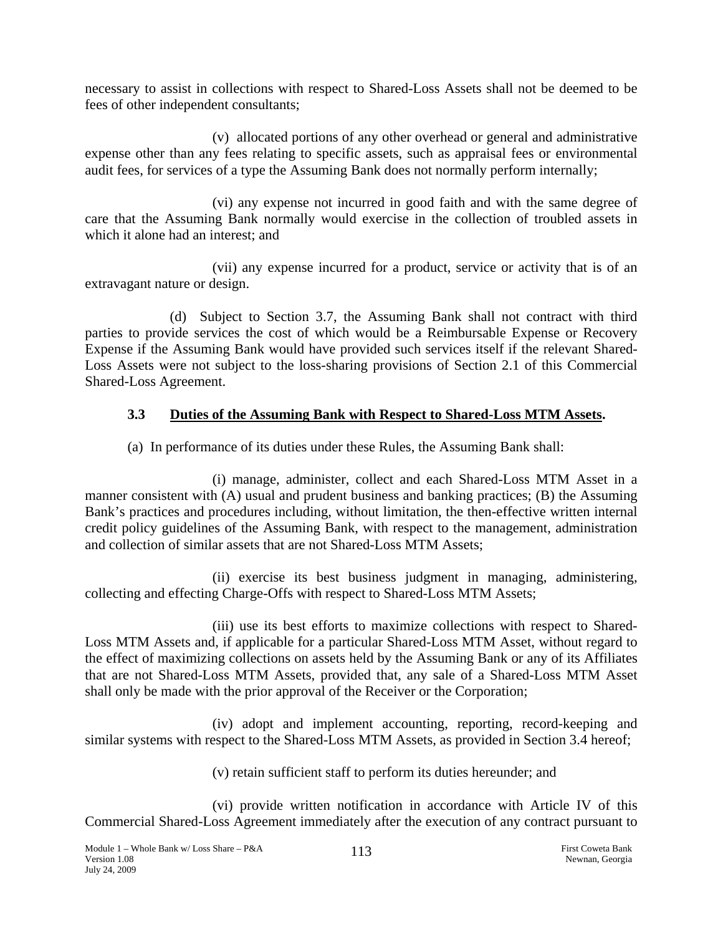necessary to assist in collections with respect to Shared-Loss Assets shall not be deemed to be fees of other independent consultants;

(v) allocated portions of any other overhead or general and administrative expense other than any fees relating to specific assets, such as appraisal fees or environmental audit fees, for services of a type the Assuming Bank does not normally perform internally;

(vi) any expense not incurred in good faith and with the same degree of care that the Assuming Bank normally would exercise in the collection of troubled assets in which it alone had an interest; and

(vii) any expense incurred for a product, service or activity that is of an extravagant nature or design.

(d) Subject to Section 3.7, the Assuming Bank shall not contract with third parties to provide services the cost of which would be a Reimbursable Expense or Recovery Expense if the Assuming Bank would have provided such services itself if the relevant Shared-Loss Assets were not subject to the loss-sharing provisions of Section 2.1 of this Commercial Shared-Loss Agreement.

#### **3.3 Duties of the Assuming Bank with Respect to Shared-Loss MTM Assets.**

(a) In performance of its duties under these Rules, the Assuming Bank shall:

(i) manage, administer, collect and each Shared-Loss MTM Asset in a manner consistent with (A) usual and prudent business and banking practices; (B) the Assuming Bank's practices and procedures including, without limitation, the then-effective written internal credit policy guidelines of the Assuming Bank, with respect to the management, administration and collection of similar assets that are not Shared-Loss MTM Assets;

(ii) exercise its best business judgment in managing, administering, collecting and effecting Charge-Offs with respect to Shared-Loss MTM Assets;

(iii) use its best efforts to maximize collections with respect to Shared-Loss MTM Assets and, if applicable for a particular Shared-Loss MTM Asset, without regard to the effect of maximizing collections on assets held by the Assuming Bank or any of its Affiliates that are not Shared-Loss MTM Assets, provided that, any sale of a Shared-Loss MTM Asset shall only be made with the prior approval of the Receiver or the Corporation;

(iv) adopt and implement accounting, reporting, record-keeping and similar systems with respect to the Shared-Loss MTM Assets, as provided in Section 3.4 hereof;

(v) retain sufficient staff to perform its duties hereunder; and

(vi) provide written notification in accordance with Article IV of this Commercial Shared-Loss Agreement immediately after the execution of any contract pursuant to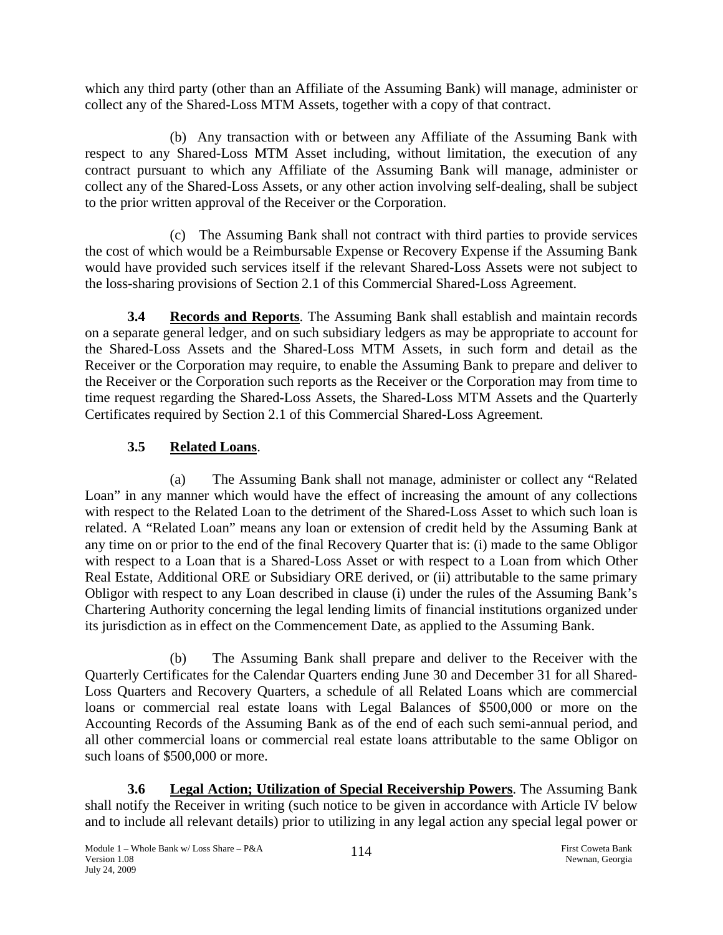which any third party (other than an Affiliate of the Assuming Bank) will manage, administer or collect any of the Shared-Loss MTM Assets, together with a copy of that contract.

(b) Any transaction with or between any Affiliate of the Assuming Bank with respect to any Shared-Loss MTM Asset including, without limitation, the execution of any contract pursuant to which any Affiliate of the Assuming Bank will manage, administer or collect any of the Shared-Loss Assets, or any other action involving self-dealing, shall be subject to the prior written approval of the Receiver or the Corporation.

(c) The Assuming Bank shall not contract with third parties to provide services the cost of which would be a Reimbursable Expense or Recovery Expense if the Assuming Bank would have provided such services itself if the relevant Shared-Loss Assets were not subject to the loss-sharing provisions of Section 2.1 of this Commercial Shared-Loss Agreement.

**3.4 Records and Reports**. The Assuming Bank shall establish and maintain records on a separate general ledger, and on such subsidiary ledgers as may be appropriate to account for the Shared-Loss Assets and the Shared-Loss MTM Assets, in such form and detail as the Receiver or the Corporation may require, to enable the Assuming Bank to prepare and deliver to the Receiver or the Corporation such reports as the Receiver or the Corporation may from time to time request regarding the Shared-Loss Assets, the Shared-Loss MTM Assets and the Quarterly Certificates required by Section 2.1 of this Commercial Shared-Loss Agreement.

# **3.5 Related Loans**.

(a) The Assuming Bank shall not manage, administer or collect any "Related Loan" in any manner which would have the effect of increasing the amount of any collections with respect to the Related Loan to the detriment of the Shared-Loss Asset to which such loan is related. A "Related Loan" means any loan or extension of credit held by the Assuming Bank at any time on or prior to the end of the final Recovery Quarter that is: (i) made to the same Obligor with respect to a Loan that is a Shared-Loss Asset or with respect to a Loan from which Other Real Estate, Additional ORE or Subsidiary ORE derived, or (ii) attributable to the same primary Obligor with respect to any Loan described in clause (i) under the rules of the Assuming Bank's Chartering Authority concerning the legal lending limits of financial institutions organized under its jurisdiction as in effect on the Commencement Date, as applied to the Assuming Bank.

(b) The Assuming Bank shall prepare and deliver to the Receiver with the Quarterly Certificates for the Calendar Quarters ending June 30 and December 31 for all Shared-Loss Quarters and Recovery Quarters, a schedule of all Related Loans which are commercial loans or commercial real estate loans with Legal Balances of \$500,000 or more on the Accounting Records of the Assuming Bank as of the end of each such semi-annual period, and all other commercial loans or commercial real estate loans attributable to the same Obligor on such loans of \$500,000 or more.

**3.6 Legal Action; Utilization of Special Receivership Powers**. The Assuming Bank shall notify the Receiver in writing (such notice to be given in accordance with Article IV below and to include all relevant details) prior to utilizing in any legal action any special legal power or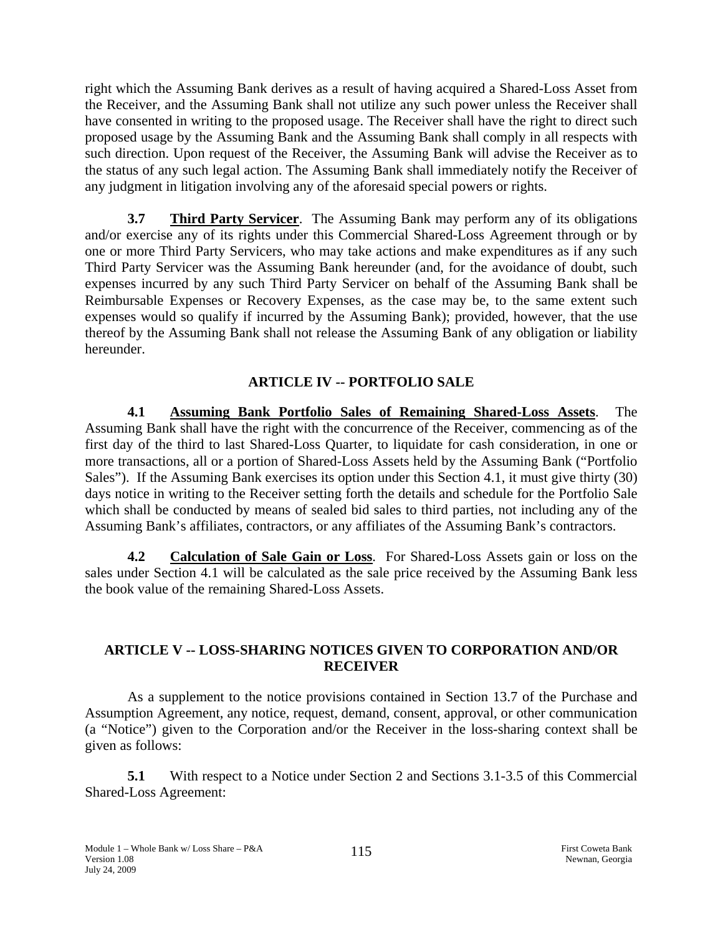right which the Assuming Bank derives as a result of having acquired a Shared-Loss Asset from the Receiver, and the Assuming Bank shall not utilize any such power unless the Receiver shall have consented in writing to the proposed usage. The Receiver shall have the right to direct such proposed usage by the Assuming Bank and the Assuming Bank shall comply in all respects with such direction. Upon request of the Receiver, the Assuming Bank will advise the Receiver as to the status of any such legal action. The Assuming Bank shall immediately notify the Receiver of any judgment in litigation involving any of the aforesaid special powers or rights.

**3.7 Third Party Servicer**. The Assuming Bank may perform any of its obligations and/or exercise any of its rights under this Commercial Shared-Loss Agreement through or by one or more Third Party Servicers, who may take actions and make expenditures as if any such Third Party Servicer was the Assuming Bank hereunder (and, for the avoidance of doubt, such expenses incurred by any such Third Party Servicer on behalf of the Assuming Bank shall be Reimbursable Expenses or Recovery Expenses, as the case may be, to the same extent such expenses would so qualify if incurred by the Assuming Bank); provided, however, that the use thereof by the Assuming Bank shall not release the Assuming Bank of any obligation or liability hereunder.

## **ARTICLE IV -- PORTFOLIO SALE**

**4.1 Assuming Bank Portfolio Sales of Remaining Shared-Loss Assets**. The Assuming Bank shall have the right with the concurrence of the Receiver, commencing as of the first day of the third to last Shared-Loss Quarter, to liquidate for cash consideration, in one or more transactions, all or a portion of Shared-Loss Assets held by the Assuming Bank ("Portfolio Sales"). If the Assuming Bank exercises its option under this Section 4.1, it must give thirty (30) days notice in writing to the Receiver setting forth the details and schedule for the Portfolio Sale which shall be conducted by means of sealed bid sales to third parties, not including any of the Assuming Bank's affiliates, contractors, or any affiliates of the Assuming Bank's contractors.

**4.2 Calculation of Sale Gain or Loss**. For Shared-Loss Assets gain or loss on the sales under Section 4.1 will be calculated as the sale price received by the Assuming Bank less the book value of the remaining Shared-Loss Assets.

#### **ARTICLE V -- LOSS-SHARING NOTICES GIVEN TO CORPORATION AND/OR RECEIVER**

As a supplement to the notice provisions contained in Section 13.7 of the Purchase and Assumption Agreement, any notice, request, demand, consent, approval, or other communication (a "Notice") given to the Corporation and/or the Receiver in the loss-sharing context shall be given as follows:

**5.1** With respect to a Notice under Section 2 and Sections 3.1-3.5 of this Commercial Shared-Loss Agreement: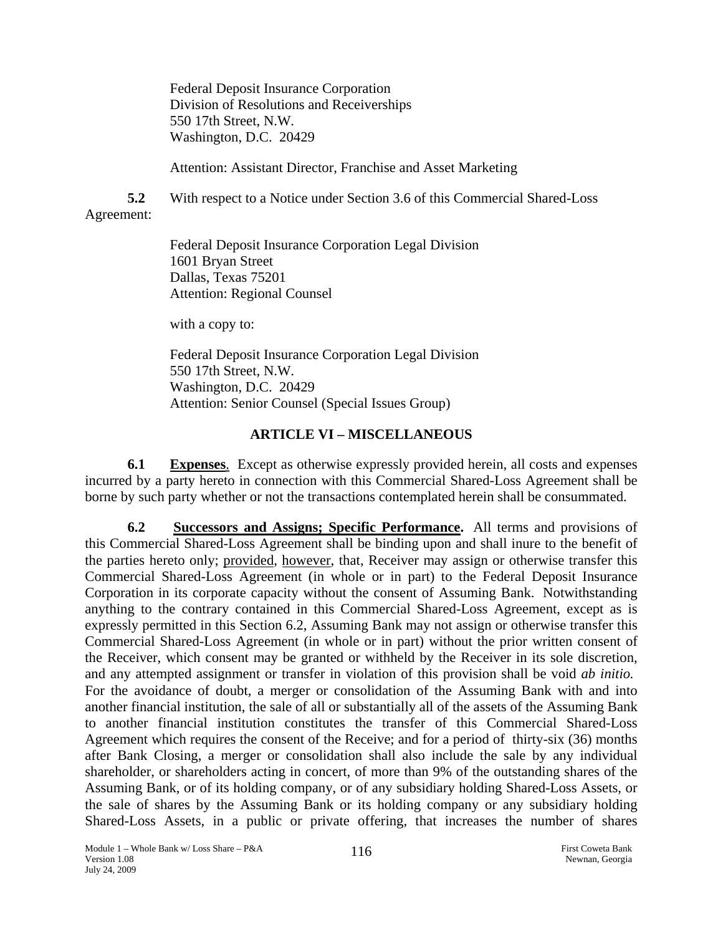Federal Deposit Insurance Corporation Division of Resolutions and Receiverships 550 17th Street, N.W. Washington, D.C. 20429

Attention: Assistant Director, Franchise and Asset Marketing

**5.2** With respect to a Notice under Section 3.6 of this Commercial Shared-Loss Agreement:

> Federal Deposit Insurance Corporation Legal Division 1601 Bryan Street Dallas, Texas 75201 Attention: Regional Counsel

with a copy to:

Federal Deposit Insurance Corporation Legal Division 550 17th Street, N.W. Washington, D.C. 20429 Attention: Senior Counsel (Special Issues Group)

#### **ARTICLE VI – MISCELLANEOUS**

**6.1 Expenses.** Except as otherwise expressly provided herein, all costs and expenses incurred by a party hereto in connection with this Commercial Shared-Loss Agreement shall be borne by such party whether or not the transactions contemplated herein shall be consummated.

**6.2 Successors and Assigns; Specific Performance.** All terms and provisions of this Commercial Shared-Loss Agreement shall be binding upon and shall inure to the benefit of the parties hereto only; provided, however, that, Receiver may assign or otherwise transfer this Commercial Shared-Loss Agreement (in whole or in part) to the Federal Deposit Insurance Corporation in its corporate capacity without the consent of Assuming Bank. Notwithstanding anything to the contrary contained in this Commercial Shared-Loss Agreement, except as is expressly permitted in this Section 6.2, Assuming Bank may not assign or otherwise transfer this Commercial Shared-Loss Agreement (in whole or in part) without the prior written consent of the Receiver, which consent may be granted or withheld by the Receiver in its sole discretion, and any attempted assignment or transfer in violation of this provision shall be void *ab initio.*  For the avoidance of doubt, a merger or consolidation of the Assuming Bank with and into another financial institution, the sale of all or substantially all of the assets of the Assuming Bank to another financial institution constitutes the transfer of this Commercial Shared-Loss Agreement which requires the consent of the Receive; and for a period of thirty-six (36) months after Bank Closing, a merger or consolidation shall also include the sale by any individual shareholder, or shareholders acting in concert, of more than 9% of the outstanding shares of the Assuming Bank, or of its holding company, or of any subsidiary holding Shared-Loss Assets, or the sale of shares by the Assuming Bank or its holding company or any subsidiary holding Shared-Loss Assets, in a public or private offering, that increases the number of shares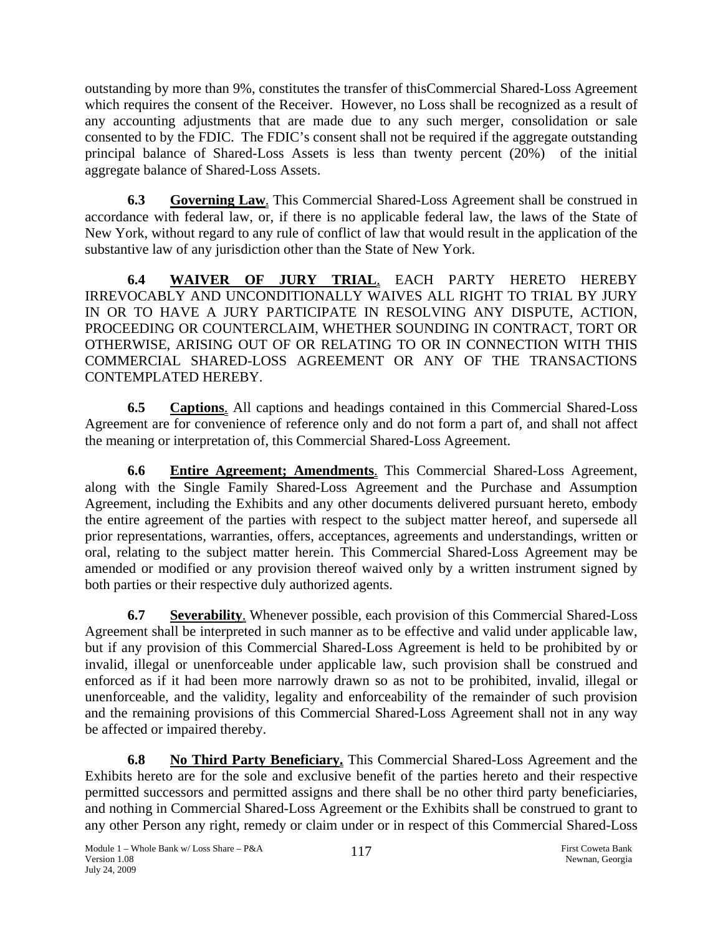outstanding by more than 9%, constitutes the transfer of thisCommercial Shared-Loss Agreement which requires the consent of the Receiver. However, no Loss shall be recognized as a result of any accounting adjustments that are made due to any such merger, consolidation or sale consented to by the FDIC. The FDIC's consent shall not be required if the aggregate outstanding principal balance of Shared-Loss Assets is less than twenty percent (20%) of the initial aggregate balance of Shared-Loss Assets.

**6.3** Governing Law. This Commercial Shared-Loss Agreement shall be construed in accordance with federal law, or, if there is no applicable federal law, the laws of the State of New York, without regard to any rule of conflict of law that would result in the application of the substantive law of any jurisdiction other than the State of New York.

**6.4 WAIVER OF JURY TRIAL**. EACH PARTY HERETO HEREBY IRREVOCABLY AND UNCONDITIONALLY WAIVES ALL RIGHT TO TRIAL BY JURY IN OR TO HAVE A JURY PARTICIPATE IN RESOLVING ANY DISPUTE, ACTION, PROCEEDING OR COUNTERCLAIM, WHETHER SOUNDING IN CONTRACT, TORT OR OTHERWISE, ARISING OUT OF OR RELATING TO OR IN CONNECTION WITH THIS COMMERCIAL SHARED-LOSS AGREEMENT OR ANY OF THE TRANSACTIONS CONTEMPLATED HEREBY.

**6.5 Captions**. All captions and headings contained in this Commercial Shared-Loss Agreement are for convenience of reference only and do not form a part of, and shall not affect the meaning or interpretation of, this Commercial Shared-Loss Agreement.

**6.6 Entire Agreement; Amendments**. This Commercial Shared-Loss Agreement, along with the Single Family Shared-Loss Agreement and the Purchase and Assumption Agreement, including the Exhibits and any other documents delivered pursuant hereto, embody the entire agreement of the parties with respect to the subject matter hereof, and supersede all prior representations, warranties, offers, acceptances, agreements and understandings, written or oral, relating to the subject matter herein. This Commercial Shared-Loss Agreement may be amended or modified or any provision thereof waived only by a written instrument signed by both parties or their respective duly authorized agents.

**6.7 Severability**. Whenever possible, each provision of this Commercial Shared-Loss Agreement shall be interpreted in such manner as to be effective and valid under applicable law, but if any provision of this Commercial Shared-Loss Agreement is held to be prohibited by or invalid, illegal or unenforceable under applicable law, such provision shall be construed and enforced as if it had been more narrowly drawn so as not to be prohibited, invalid, illegal or unenforceable, and the validity, legality and enforceability of the remainder of such provision and the remaining provisions of this Commercial Shared-Loss Agreement shall not in any way be affected or impaired thereby.

**6.8 No Third Party Beneficiary.** This Commercial Shared-Loss Agreement and the Exhibits hereto are for the sole and exclusive benefit of the parties hereto and their respective permitted successors and permitted assigns and there shall be no other third party beneficiaries, and nothing in Commercial Shared-Loss Agreement or the Exhibits shall be construed to grant to any other Person any right, remedy or claim under or in respect of this Commercial Shared-Loss